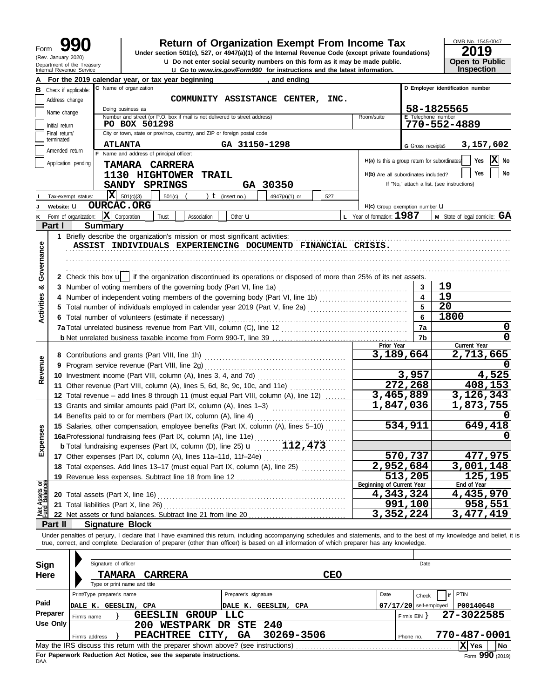| 90<br>Form                                             |
|--------------------------------------------------------|
| (Rev. January 2020)                                    |
| Department of the Treasury<br>Internal Revenue Service |

# **990 2020 2019 2019 2019 Depend on Exempt From Income Tax 2019 Depend on Exempt Structure Code (except private foundations)**

Internal Revenue Section Security numbers on this form as it may be made publishing up to be made to *a coulform990* for instructions and the latest information. **u** Do not enter social security numbers on this form as it may be made public.

OMB No. 1545-0047 **Open to Public<br>Inspection** 

|                                |                 |                               | , and ending<br>For the 2019 calendar year, or tax year beginning                                                                                                                                                             |                                              |                          |                                            |  |  |  |  |  |
|--------------------------------|-----------------|-------------------------------|-------------------------------------------------------------------------------------------------------------------------------------------------------------------------------------------------------------------------------|----------------------------------------------|--------------------------|--------------------------------------------|--|--|--|--|--|
|                                |                 | <b>B</b> Check if applicable: | C Name of organization                                                                                                                                                                                                        |                                              |                          | D Employer identification number           |  |  |  |  |  |
|                                | Address change  |                               | COMMUNITY ASSISTANCE CENTER, INC.                                                                                                                                                                                             |                                              |                          |                                            |  |  |  |  |  |
|                                | Name change     |                               | Doing business as                                                                                                                                                                                                             |                                              |                          | 58-1825565                                 |  |  |  |  |  |
|                                | Initial return  |                               | Number and street (or P.O. box if mail is not delivered to street address)<br>PO BOX 501298                                                                                                                                   | Room/suite                                   | E Telephone number       | 770-552-4889                               |  |  |  |  |  |
|                                | Final return/   |                               | City or town, state or province, country, and ZIP or foreign postal code                                                                                                                                                      |                                              |                          |                                            |  |  |  |  |  |
|                                | terminated      |                               | GA 31150-1298<br><b>ATLANTA</b>                                                                                                                                                                                               |                                              | G Gross receipts\$       | 3,157,602                                  |  |  |  |  |  |
|                                | Amended return  |                               | F Name and address of principal officer:                                                                                                                                                                                      |                                              |                          |                                            |  |  |  |  |  |
|                                |                 | Application pending           | TAMARA CARRERA                                                                                                                                                                                                                | H(a) Is this a group return for subordinates |                          | x <br>No<br>Yes                            |  |  |  |  |  |
|                                |                 |                               | 1130 HIGHTOWER<br><b>TRAIL</b>                                                                                                                                                                                                | H(b) Are all subordinates included?          |                          | Yes<br>No                                  |  |  |  |  |  |
|                                |                 |                               | SANDY SPRINGS<br>GA 30350                                                                                                                                                                                                     |                                              |                          | If "No," attach a list. (see instructions) |  |  |  |  |  |
|                                |                 | Tax-exempt status:            | $\overline{\mathbf{X}}$ 501(c)(3)<br>501(c)<br>$t$ (insert no.)<br>527<br>4947(a)(1) or                                                                                                                                       |                                              |                          |                                            |  |  |  |  |  |
|                                | Website: U      |                               | OURCAC.ORG                                                                                                                                                                                                                    | H(c) Group exemption number U                |                          |                                            |  |  |  |  |  |
|                                |                 | Form of organization:         | $ \mathbf{X} $ Corporation<br>Trust<br>Association<br>Other <b>u</b>                                                                                                                                                          | L Year of formation: $1987$                  |                          | <b>M</b> State of legal domicile: $GA$     |  |  |  |  |  |
|                                | Part I          |                               | <b>Summary</b>                                                                                                                                                                                                                |                                              |                          |                                            |  |  |  |  |  |
|                                |                 |                               | 1 Briefly describe the organization's mission or most significant activities:                                                                                                                                                 |                                              |                          |                                            |  |  |  |  |  |
|                                |                 |                               | ASSIST INDIVIDUALS EXPERIENCING DOCUMENTD FINANCIAL CRISIS.                                                                                                                                                                   |                                              |                          |                                            |  |  |  |  |  |
|                                |                 |                               |                                                                                                                                                                                                                               |                                              |                          |                                            |  |  |  |  |  |
| Governance                     |                 |                               |                                                                                                                                                                                                                               |                                              |                          |                                            |  |  |  |  |  |
|                                |                 |                               | 2 Check this box $\mathbf{u}$ if the organization discontinued its operations or disposed of more than 25% of its net assets.                                                                                                 |                                              |                          |                                            |  |  |  |  |  |
| ఱ                              |                 |                               | 3 Number of voting members of the governing body (Part VI, line 1a)                                                                                                                                                           |                                              | 3                        | 19                                         |  |  |  |  |  |
|                                |                 |                               | Number of independent voting members of the governing body (Part VI, line 1b) [11] [11] Number of independent voting members of the governing body (Part VI, line 1b)                                                         |                                              | $\blacktriangle$         | 19                                         |  |  |  |  |  |
| <b>Activities</b>              |                 |                               |                                                                                                                                                                                                                               |                                              | 5                        | 20                                         |  |  |  |  |  |
|                                |                 |                               | 6 Total number of volunteers (estimate if necessary)                                                                                                                                                                          |                                              | 6                        | 1800                                       |  |  |  |  |  |
|                                |                 |                               |                                                                                                                                                                                                                               |                                              | 7a                       | 0                                          |  |  |  |  |  |
|                                |                 |                               |                                                                                                                                                                                                                               |                                              | 7b                       | $\mathbf 0$                                |  |  |  |  |  |
|                                |                 |                               |                                                                                                                                                                                                                               | Prior Year                                   |                          | Current Year                               |  |  |  |  |  |
|                                |                 |                               |                                                                                                                                                                                                                               | 3,189,664                                    |                          | 2,713,665                                  |  |  |  |  |  |
|                                | 9               |                               | Program service revenue (Part VIII, line 2g)                                                                                                                                                                                  |                                              |                          | O                                          |  |  |  |  |  |
| Revenue                        |                 |                               |                                                                                                                                                                                                                               |                                              | 3,957                    | 4,525                                      |  |  |  |  |  |
|                                |                 |                               | 11 Other revenue (Part VIII, column (A), lines 5, 6d, 8c, 9c, 10c, and 11e)                                                                                                                                                   | 272,268                                      | 408,153                  |                                            |  |  |  |  |  |
|                                |                 |                               | 12 Total revenue - add lines 8 through 11 (must equal Part VIII, column (A), line 12)                                                                                                                                         | 3,465,889                                    |                          | 3,126,343                                  |  |  |  |  |  |
|                                |                 |                               | 13 Grants and similar amounts paid (Part IX, column (A), lines 1-3)                                                                                                                                                           | 1,847,036                                    |                          | 1,873,755                                  |  |  |  |  |  |
|                                |                 |                               | 14 Benefits paid to or for members (Part IX, column (A), line 4)                                                                                                                                                              |                                              |                          |                                            |  |  |  |  |  |
|                                |                 |                               | 15 Salaries, other compensation, employee benefits (Part IX, column (A), lines 5-10)                                                                                                                                          |                                              | 534,911                  | 649,418                                    |  |  |  |  |  |
| xpenses                        |                 |                               | 15 Salaries, other compensation, one compared in the set of the set of the set of the set of the set of the set of the set of the set of the set of the set of the set of the set of the set of the set of the set of the set |                                              |                          | O                                          |  |  |  |  |  |
|                                |                 |                               |                                                                                                                                                                                                                               |                                              |                          |                                            |  |  |  |  |  |
| ш                              |                 |                               | 17 Other expenses (Part IX, column (A), lines 11a-11d, 11f-24e)<br>.                                                                                                                                                          |                                              | 570,737                  | 477,975                                    |  |  |  |  |  |
|                                |                 |                               | 18 Total expenses. Add lines 13-17 (must equal Part IX, column (A), line 25) [                                                                                                                                                | 2,952,684                                    |                          | 3,001,148                                  |  |  |  |  |  |
|                                |                 |                               | 19 Revenue less expenses. Subtract line 18 from line 12                                                                                                                                                                       |                                              | 513,205                  | 125,195                                    |  |  |  |  |  |
|                                |                 |                               |                                                                                                                                                                                                                               | Beginning of Current Year                    |                          | End of Year                                |  |  |  |  |  |
|                                |                 |                               | 20 Total assets (Part X, line 16)                                                                                                                                                                                             | 4,343,324                                    |                          | 4,435,970                                  |  |  |  |  |  |
| Net Assets or<br>Fund Balances |                 |                               | 21 Total liabilities (Part X, line 26)                                                                                                                                                                                        |                                              | 991,100                  | 958,551                                    |  |  |  |  |  |
|                                |                 |                               | 22 Net assets or fund balances. Subtract line 21 from line 20                                                                                                                                                                 | 3,352,224                                    |                          | 3,477,419                                  |  |  |  |  |  |
|                                | Part II         |                               | <b>Signature Block</b>                                                                                                                                                                                                        |                                              |                          |                                            |  |  |  |  |  |
|                                |                 |                               | Under penalties of perjury, I declare that I have examined this return, including accompanying schedules and statements, and to the best of my knowledge and belief, it is                                                    |                                              |                          |                                            |  |  |  |  |  |
|                                |                 |                               | true, correct, and complete. Declaration of preparer (other than officer) is based on all information of which preparer has any knowledge.                                                                                    |                                              |                          |                                            |  |  |  |  |  |
|                                |                 |                               |                                                                                                                                                                                                                               |                                              |                          |                                            |  |  |  |  |  |
| <b>Sign</b>                    |                 |                               | Signature of officer                                                                                                                                                                                                          |                                              | Date                     |                                            |  |  |  |  |  |
| <b>Here</b>                    |                 |                               | <b>CEO</b><br><b>TAMARA</b><br><b>CARRERA</b>                                                                                                                                                                                 |                                              |                          |                                            |  |  |  |  |  |
|                                |                 |                               | Type or print name and title                                                                                                                                                                                                  |                                              |                          |                                            |  |  |  |  |  |
|                                |                 |                               | Print/Type preparer's name<br>Preparer's signature                                                                                                                                                                            | Date                                         | Check                    | PTIN<br>if                                 |  |  |  |  |  |
| Paid                           |                 |                               | DALE K. GEESLIN, CPA<br>DALE K. GEESLIN, CPA                                                                                                                                                                                  |                                              | $07/17/20$ self-employed | P00140648                                  |  |  |  |  |  |
|                                | Preparer        | Firm's name                   | GEESLIN GROUP LLC                                                                                                                                                                                                             |                                              | Firm's $EIN$ }           | 27-3022585                                 |  |  |  |  |  |
|                                | <b>Use Only</b> |                               | 200 WESTPARK DR STE<br>240                                                                                                                                                                                                    |                                              |                          |                                            |  |  |  |  |  |
|                                |                 | Firm's address                | PEACHTREE CITY,<br>30269-3506<br>GA                                                                                                                                                                                           |                                              | Phone no.                | 770-487-0001                               |  |  |  |  |  |
|                                |                 |                               | May the IRS discuss this return with the preparer shown above? (see instructions)                                                                                                                                             |                                              |                          | $\mathbf{X}$ Yes<br><b>No</b>              |  |  |  |  |  |

| <b>Here</b>                                                                                                         | <b>TAMARA</b>                                                                         | <b>CARRERA</b>                 | CEO                             |      |                          |              |  |  |  |  |  |  |
|---------------------------------------------------------------------------------------------------------------------|---------------------------------------------------------------------------------------|--------------------------------|---------------------------------|------|--------------------------|--------------|--|--|--|--|--|--|
|                                                                                                                     |                                                                                       | Type or print name and title   |                                 |      |                          |              |  |  |  |  |  |  |
|                                                                                                                     | Print/Type preparer's name                                                            |                                | Preparer's signature            | Date | Check                    | <b>PTIN</b>  |  |  |  |  |  |  |
| Paid                                                                                                                | DALE K. GEESLIN, CPA                                                                  |                                | GEESLIN, CPA<br>DALE K.         |      | $07/17/20$ self-employed | P00140648    |  |  |  |  |  |  |
| Preparer                                                                                                            | Firm's name                                                                           | <b>GROUP</b><br><b>GEESLIN</b> | 27-3022585<br>Firm's $EIN$ $\}$ |      |                          |              |  |  |  |  |  |  |
| Use Only                                                                                                            |                                                                                       | WESTPARK DR STE<br>200.        | 240                             |      |                          |              |  |  |  |  |  |  |
|                                                                                                                     | Firm's address                                                                        | PEACHTREE CITY,                | 30269-3506<br>GA                |      | Phone no.                | 770-487-0001 |  |  |  |  |  |  |
| May the IRS discuss this return with the preparer shown above? (see instructions)<br><b>No</b><br>ΙXΙ<br><b>Yes</b> |                                                                                       |                                |                                 |      |                          |              |  |  |  |  |  |  |
| DAA                                                                                                                 | Form 990 (2019)<br>For Paperwork Reduction Act Notice, see the separate instructions. |                                |                                 |      |                          |              |  |  |  |  |  |  |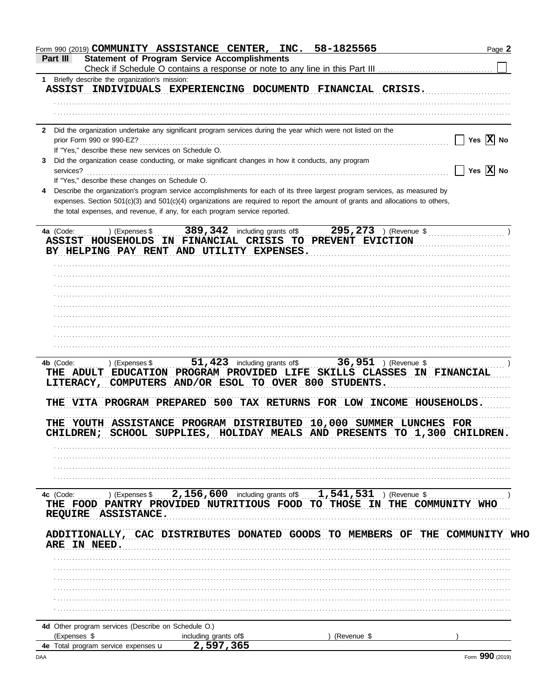|                                                     |                                                      |                                                                                                                                      | Form 990 (2019) COMMUNITY ASSISTANCE CENTER, INC. 58-1825565 |                    | Page 2                      |
|-----------------------------------------------------|------------------------------------------------------|--------------------------------------------------------------------------------------------------------------------------------------|--------------------------------------------------------------|--------------------|-----------------------------|
| Part III                                            |                                                      | <b>Statement of Program Service Accomplishments</b>                                                                                  |                                                              |                    |                             |
|                                                     |                                                      |                                                                                                                                      |                                                              |                    |                             |
| 1.                                                  | Briefly describe the organization's mission:         |                                                                                                                                      |                                                              |                    |                             |
|                                                     |                                                      | ASSIST INDIVIDUALS EXPERIENCING DOCUMENTD FINANCIAL CRISIS.                                                                          |                                                              |                    |                             |
|                                                     |                                                      |                                                                                                                                      |                                                              |                    |                             |
|                                                     |                                                      |                                                                                                                                      |                                                              |                    |                             |
|                                                     |                                                      |                                                                                                                                      |                                                              |                    |                             |
|                                                     |                                                      | 2 Did the organization undertake any significant program services during the year which were not listed on the                       |                                                              |                    |                             |
| prior Form 990 or 990-EZ?                           |                                                      |                                                                                                                                      |                                                              |                    | Yes $X$ No                  |
|                                                     | If "Yes," describe these new services on Schedule O. |                                                                                                                                      |                                                              |                    |                             |
| 3                                                   |                                                      | Did the organization cease conducting, or make significant changes in how it conducts, any program                                   |                                                              |                    |                             |
| services?                                           |                                                      |                                                                                                                                      |                                                              |                    | Yes $\boxed{\mathbf{X}}$ No |
|                                                     | If "Yes," describe these changes on Schedule O.      |                                                                                                                                      |                                                              |                    |                             |
| 4                                                   |                                                      | Describe the organization's program service accomplishments for each of its three largest program services, as measured by           |                                                              |                    |                             |
|                                                     |                                                      | expenses. Section 501(c)(3) and 501(c)(4) organizations are required to report the amount of grants and allocations to others,       |                                                              |                    |                             |
|                                                     |                                                      | the total expenses, and revenue, if any, for each program service reported.                                                          |                                                              |                    |                             |
|                                                     |                                                      |                                                                                                                                      |                                                              |                    |                             |
|                                                     |                                                      |                                                                                                                                      |                                                              |                    |                             |
| 4a (Code:                                           |                                                      |                                                                                                                                      |                                                              |                    |                             |
|                                                     |                                                      | ASSIST HOUSEHOLDS IN FINANCIAL CRISIS TO PREVENT EVICTION                                                                            |                                                              |                    |                             |
|                                                     |                                                      | BY HELPING PAY RENT AND UTILITY EXPENSES.                                                                                            |                                                              |                    |                             |
|                                                     |                                                      |                                                                                                                                      |                                                              |                    |                             |
|                                                     |                                                      |                                                                                                                                      |                                                              |                    |                             |
|                                                     |                                                      |                                                                                                                                      |                                                              |                    |                             |
|                                                     |                                                      |                                                                                                                                      |                                                              |                    |                             |
|                                                     |                                                      |                                                                                                                                      |                                                              |                    |                             |
|                                                     |                                                      |                                                                                                                                      |                                                              |                    |                             |
|                                                     |                                                      |                                                                                                                                      |                                                              |                    |                             |
|                                                     |                                                      |                                                                                                                                      |                                                              |                    |                             |
|                                                     |                                                      |                                                                                                                                      |                                                              |                    |                             |
|                                                     |                                                      |                                                                                                                                      |                                                              |                    |                             |
| 4b (Code:                                           |                                                      |                                                                                                                                      |                                                              |                    |                             |
|                                                     |                                                      |                                                                                                                                      |                                                              |                    |                             |
|                                                     | $\ldots$ ) (Expenses \$                              | $51,423$ including grants of $36,951$ ) (Revenue \$                                                                                  |                                                              |                    |                             |
|                                                     |                                                      | THE ADULT EDUCATION PROGRAM PROVIDED LIFE SKILLS CLASSES IN FINANCIAL                                                                |                                                              |                    |                             |
|                                                     |                                                      | LITERACY, COMPUTERS AND/OR ESOL TO OVER 800 STUDENTS.                                                                                |                                                              |                    |                             |
|                                                     |                                                      |                                                                                                                                      |                                                              |                    |                             |
|                                                     |                                                      | THE VITA PROGRAM PREPARED 500 TAX RETURNS FOR LOW INCOME HOUSEHOLDS.                                                                 |                                                              |                    |                             |
|                                                     |                                                      |                                                                                                                                      |                                                              |                    |                             |
|                                                     |                                                      | YOUTH ASSISTANCE PROGRAM DISTRIBUTED 10,000 SUMMER                                                                                   |                                                              | <b>LUNCHES FOR</b> |                             |
| <b>ILDREN;</b>                                      |                                                      | SCHOOL SUPPLIES, HOLIDAY MEALS AND PRESENTS TO 1,300 CHILDREN.                                                                       |                                                              |                    |                             |
|                                                     |                                                      |                                                                                                                                      |                                                              |                    |                             |
|                                                     |                                                      |                                                                                                                                      |                                                              |                    |                             |
|                                                     |                                                      |                                                                                                                                      |                                                              |                    |                             |
|                                                     |                                                      |                                                                                                                                      |                                                              |                    |                             |
|                                                     |                                                      |                                                                                                                                      |                                                              |                    |                             |
| 4c (Code:                                           |                                                      |                                                                                                                                      |                                                              | ) (Revenue \$      |                             |
|                                                     |                                                      | ) (Expenses \$ 2,156,600 including grants of \$ 41,541,531<br>THE FOOD PANTRY PROVIDED NUTRITIOUS FOOD TO THOSE IN THE COMMUNITY WHO |                                                              |                    |                             |
| <b>REOUIRE</b>                                      | <b>ASSISTANCE.</b>                                   |                                                                                                                                      |                                                              |                    |                             |
|                                                     |                                                      |                                                                                                                                      |                                                              |                    |                             |
|                                                     |                                                      | ADDITIONALLY, CAC DISTRIBUTES DONATED GOODS TO MEMBERS                                                                               |                                                              | OF.                | THE COMMUNITY<br><b>WHO</b> |
| IN NEED.<br>ARE                                     |                                                      |                                                                                                                                      |                                                              |                    |                             |
|                                                     |                                                      |                                                                                                                                      |                                                              |                    |                             |
|                                                     |                                                      |                                                                                                                                      |                                                              |                    |                             |
|                                                     |                                                      |                                                                                                                                      |                                                              |                    |                             |
|                                                     |                                                      |                                                                                                                                      |                                                              |                    |                             |
|                                                     |                                                      |                                                                                                                                      |                                                              |                    |                             |
|                                                     |                                                      |                                                                                                                                      |                                                              |                    |                             |
|                                                     |                                                      |                                                                                                                                      |                                                              |                    |                             |
|                                                     |                                                      |                                                                                                                                      |                                                              |                    |                             |
|                                                     | 4d Other program services (Describe on Schedule O.)  |                                                                                                                                      |                                                              |                    |                             |
| (Expenses \$<br>4e Total program service expenses u |                                                      | including grants of\$<br>2,597,365                                                                                                   | (Revenue \$                                                  |                    |                             |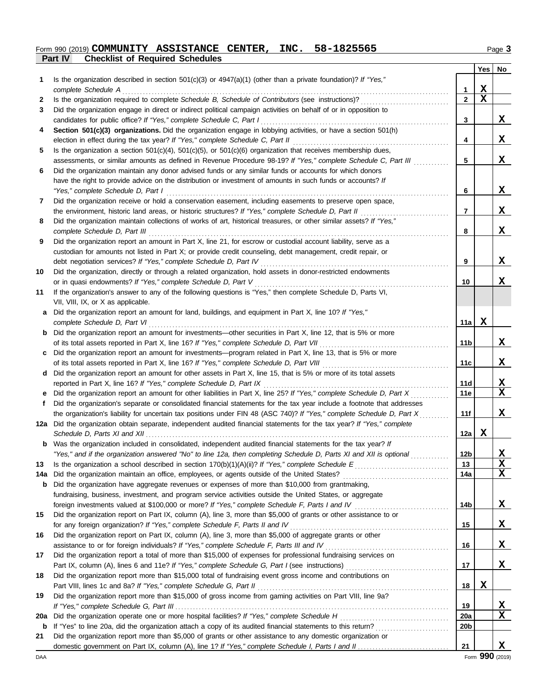#### **Part IV Checklist of Required Schedules Form 990 (2019) COMMUNITY ASSISTANCE CENTER, INC. 58-1825565**

|             |                                                                                                                                                                                                                                        |                               |             | $Yes \mid No$ |
|-------------|----------------------------------------------------------------------------------------------------------------------------------------------------------------------------------------------------------------------------------------|-------------------------------|-------------|---------------|
| 1           | Is the organization described in section $501(c)(3)$ or $4947(a)(1)$ (other than a private foundation)? If "Yes,"                                                                                                                      |                               |             |               |
|             | complete Schedule A                                                                                                                                                                                                                    | 1                             | X           |               |
| 2           | Is the organization required to complete Schedule B, Schedule of Contributors (see instructions)?                                                                                                                                      | $\overline{2}$                | $\mathbf x$ |               |
| 3           | Did the organization engage in direct or indirect political campaign activities on behalf of or in opposition to                                                                                                                       |                               |             |               |
|             | candidates for public office? If "Yes," complete Schedule C, Part I                                                                                                                                                                    | 3                             |             | X             |
| 4           | Section 501(c)(3) organizations. Did the organization engage in lobbying activities, or have a section 501(h)                                                                                                                          |                               |             |               |
|             | election in effect during the tax year? If "Yes," complete Schedule C, Part II                                                                                                                                                         | 4                             |             | X             |
| 5           | Is the organization a section $501(c)(4)$ , $501(c)(5)$ , or $501(c)(6)$ organization that receives membership dues,<br>assessments, or similar amounts as defined in Revenue Procedure 98-19? If "Yes," complete Schedule C, Part III | 5                             |             | X             |
| 6           | Did the organization maintain any donor advised funds or any similar funds or accounts for which donors                                                                                                                                |                               |             |               |
|             | have the right to provide advice on the distribution or investment of amounts in such funds or accounts? If                                                                                                                            |                               |             |               |
|             | "Yes," complete Schedule D, Part I                                                                                                                                                                                                     | 6                             |             | X             |
| 7           | Did the organization receive or hold a conservation easement, including easements to preserve open space,                                                                                                                              |                               |             |               |
|             | the environment, historic land areas, or historic structures? If "Yes," complete Schedule D, Part II                                                                                                                                   | 7                             |             | X             |
| 8           | Did the organization maintain collections of works of art, historical treasures, or other similar assets? If "Yes,"                                                                                                                    |                               |             |               |
|             | complete Schedule D, Part III                                                                                                                                                                                                          | 8                             |             | X             |
| 9           | Did the organization report an amount in Part X, line 21, for escrow or custodial account liability, serve as a                                                                                                                        |                               |             |               |
|             | custodian for amounts not listed in Part X; or provide credit counseling, debt management, credit repair, or                                                                                                                           |                               |             |               |
|             | debt negotiation services? If "Yes," complete Schedule D, Part IV                                                                                                                                                                      | 9                             |             | X             |
| 10          | Did the organization, directly or through a related organization, hold assets in donor-restricted endowments                                                                                                                           |                               |             |               |
|             | or in quasi endowments? If "Yes," complete Schedule D, Part V                                                                                                                                                                          | 10                            |             | X             |
| 11          | If the organization's answer to any of the following questions is "Yes," then complete Schedule D, Parts VI,                                                                                                                           |                               |             |               |
|             | VII, VIII, IX, or X as applicable.                                                                                                                                                                                                     |                               |             |               |
| a           | Did the organization report an amount for land, buildings, and equipment in Part X, line 10? If "Yes,"                                                                                                                                 |                               |             |               |
|             | complete Schedule D, Part VI                                                                                                                                                                                                           | 11a                           | X           |               |
| $\mathbf b$ | Did the organization report an amount for investments—other securities in Part X, line 12, that is 5% or more                                                                                                                          |                               |             |               |
|             | of its total assets reported in Part X, line 16? If "Yes," complete Schedule D, Part VII                                                                                                                                               | 11b                           |             | X             |
| C           | Did the organization report an amount for investments—program related in Part X, line 13, that is 5% or more                                                                                                                           |                               |             |               |
|             | of its total assets reported in Part X, line 16? If "Yes," complete Schedule D, Part VIII                                                                                                                                              | 11c                           |             | X             |
| d           | Did the organization report an amount for other assets in Part X, line 15, that is 5% or more of its total assets                                                                                                                      |                               |             |               |
|             | reported in Part X, line 16? If "Yes," complete Schedule D, Part IX                                                                                                                                                                    | 11d                           |             | $\mathbf x$   |
| е           | Did the organization report an amount for other liabilities in Part X, line 25? If "Yes," complete Schedule D, Part X                                                                                                                  | 11e                           |             | $\mathbf X$   |
| f           | Did the organization's separate or consolidated financial statements for the tax year include a footnote that addresses                                                                                                                |                               |             |               |
|             | the organization's liability for uncertain tax positions under FIN 48 (ASC 740)? If "Yes," complete Schedule D, Part X                                                                                                                 | 11f                           |             | X             |
|             | 12a Did the organization obtain separate, independent audited financial statements for the tax year? If "Yes," complete                                                                                                                |                               |             |               |
|             |                                                                                                                                                                                                                                        | 12a                           | X           |               |
|             | b Was the organization included in consolidated, independent audited financial statements for the tax year? If                                                                                                                         |                               |             |               |
|             | "Yes," and if the organization answered "No" to line 12a, then completing Schedule D, Parts XI and XII is optional                                                                                                                     | 12 <sub>b</sub>               |             | X             |
| 13          |                                                                                                                                                                                                                                        | 13                            |             | X             |
| 14a         | Did the organization maintain an office, employees, or agents outside of the United States?                                                                                                                                            | 14a                           |             | X             |
| $\mathbf b$ | Did the organization have aggregate revenues or expenses of more than \$10,000 from grantmaking,                                                                                                                                       |                               |             |               |
|             | fundraising, business, investment, and program service activities outside the United States, or aggregate                                                                                                                              |                               |             |               |
|             |                                                                                                                                                                                                                                        | 14b                           |             | X             |
| 15          | Did the organization report on Part IX, column (A), line 3, more than \$5,000 of grants or other assistance to or                                                                                                                      |                               |             |               |
|             | for any foreign organization? If "Yes," complete Schedule F, Parts II and IV                                                                                                                                                           | 15                            |             | X             |
| 16          | Did the organization report on Part IX, column (A), line 3, more than \$5,000 of aggregate grants or other                                                                                                                             |                               |             |               |
|             |                                                                                                                                                                                                                                        | 16                            |             | $\mathbf{x}$  |
| 17          | Did the organization report a total of more than \$15,000 of expenses for professional fundraising services on                                                                                                                         |                               |             |               |
|             |                                                                                                                                                                                                                                        | 17                            |             | X             |
| 18          | Did the organization report more than \$15,000 total of fundraising event gross income and contributions on                                                                                                                            |                               |             |               |
|             | Part VIII, lines 1c and 8a? If "Yes," complete Schedule G, Part II                                                                                                                                                                     | 18                            | <u>x</u>    |               |
| 19          | Did the organization report more than \$15,000 of gross income from gaming activities on Part VIII, line 9a?                                                                                                                           |                               |             |               |
|             |                                                                                                                                                                                                                                        | 19                            |             | X<br>X        |
| 20a         |                                                                                                                                                                                                                                        | <b>20a</b><br>20 <sub>b</sub> |             |               |
| b<br>21     | Did the organization report more than \$5,000 of grants or other assistance to any domestic organization or                                                                                                                            |                               |             |               |
|             |                                                                                                                                                                                                                                        | 21                            |             | X             |
|             |                                                                                                                                                                                                                                        |                               |             |               |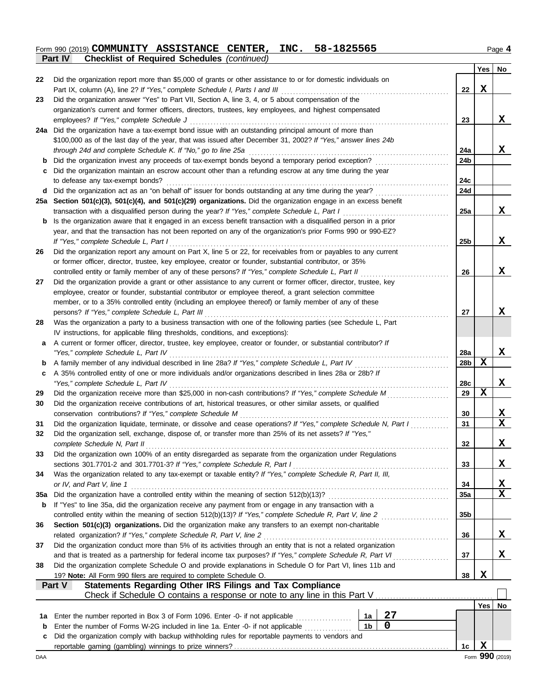#### **Form 990 (2019) COMMUNITY ASSISTANCE CENTER, INC. 58-1825565 Part IV Checklist of Required Schedules** *(continued)*

|        |                                                                                                                                                                   |                 | $Yes \mid No$    |             |
|--------|-------------------------------------------------------------------------------------------------------------------------------------------------------------------|-----------------|------------------|-------------|
| 22     | Did the organization report more than \$5,000 of grants or other assistance to or for domestic individuals on                                                     |                 |                  |             |
|        | Part IX, column (A), line 2? If "Yes," complete Schedule I, Parts I and III                                                                                       | 22              | $\mathbf X$      |             |
| 23     | Did the organization answer "Yes" to Part VII, Section A, line 3, 4, or 5 about compensation of the                                                               |                 |                  |             |
|        | organization's current and former officers, directors, trustees, key employees, and highest compensated                                                           |                 |                  |             |
|        | employees? If "Yes," complete Schedule J                                                                                                                          | 23              |                  | X           |
|        | 24a Did the organization have a tax-exempt bond issue with an outstanding principal amount of more than                                                           |                 |                  |             |
|        | \$100,000 as of the last day of the year, that was issued after December 31, 2002? If "Yes," answer lines 24b                                                     |                 |                  |             |
|        | through 24d and complete Schedule K. If "No," go to line 25a<br>Did the organization invest any proceeds of tax-exempt bonds beyond a temporary period exception? | 24a<br>24b      |                  | X           |
| b<br>c | Did the organization maintain an escrow account other than a refunding escrow at any time during the year                                                         |                 |                  |             |
|        | to defease any tax-exempt bonds?                                                                                                                                  | 24c             |                  |             |
| d      | Did the organization act as an "on behalf of" issuer for bonds outstanding at any time during the year?                                                           | 24d             |                  |             |
|        | 25a Section 501(c)(3), 501(c)(4), and 501(c)(29) organizations. Did the organization engage in an excess benefit                                                  |                 |                  |             |
|        | transaction with a disqualified person during the year? If "Yes," complete Schedule L, Part I                                                                     | 25a             |                  | X           |
| b      | Is the organization aware that it engaged in an excess benefit transaction with a disqualified person in a prior                                                  |                 |                  |             |
|        | year, and that the transaction has not been reported on any of the organization's prior Forms 990 or 990-EZ?                                                      |                 |                  |             |
|        | If "Yes," complete Schedule L, Part I                                                                                                                             | 25b             |                  | X           |
| 26     | Did the organization report any amount on Part X, line 5 or 22, for receivables from or payables to any current                                                   |                 |                  |             |
|        | or former officer, director, trustee, key employee, creator or founder, substantial contributor, or 35%                                                           |                 |                  |             |
|        | controlled entity or family member of any of these persons? If "Yes," complete Schedule L, Part II                                                                | 26              |                  | X           |
| 27     | Did the organization provide a grant or other assistance to any current or former officer, director, trustee, key                                                 |                 |                  |             |
|        | employee, creator or founder, substantial contributor or employee thereof, a grant selection committee                                                            |                 |                  |             |
|        | member, or to a 35% controlled entity (including an employee thereof) or family member of any of these                                                            |                 |                  |             |
|        | persons? If "Yes," complete Schedule L, Part III                                                                                                                  | 27              |                  | X           |
| 28     | Was the organization a party to a business transaction with one of the following parties (see Schedule L, Part                                                    |                 |                  |             |
|        | IV instructions, for applicable filing thresholds, conditions, and exceptions):                                                                                   |                 |                  |             |
| a      | A current or former officer, director, trustee, key employee, creator or founder, or substantial contributor? If                                                  |                 |                  |             |
|        | "Yes," complete Schedule L, Part IV                                                                                                                               | 28a             |                  | X           |
| b      | A family member of any individual described in line 28a? If "Yes," complete Schedule L, Part IV                                                                   | 28b             | X                |             |
| c      | A 35% controlled entity of one or more individuals and/or organizations described in lines 28a or 28b? If                                                         |                 |                  |             |
| 29     | "Yes," complete Schedule L, Part IV<br>Did the organization receive more than \$25,000 in non-cash contributions? If "Yes," complete Schedule M                   | 28c<br>29       | $\mathbf x$      | X           |
| 30     | Did the organization receive contributions of art, historical treasures, or other similar assets, or qualified                                                    |                 |                  |             |
|        | conservation contributions? If "Yes," complete Schedule M                                                                                                         | 30              |                  | X           |
| 31     | Did the organization liquidate, terminate, or dissolve and cease operations? If "Yes," complete Schedule N, Part I                                                | 31              |                  | $\mathbf x$ |
| 32     | Did the organization sell, exchange, dispose of, or transfer more than 25% of its net assets? If "Yes,"                                                           |                 |                  |             |
|        | complete Schedule N, Part II                                                                                                                                      | 32              |                  | A           |
| 33     | Did the organization own 100% of an entity disregarded as separate from the organization under Regulations                                                        |                 |                  |             |
|        | sections 301.7701-2 and 301.7701-3? If "Yes," complete Schedule R, Part I                                                                                         | 33              |                  | X           |
| 34     | Was the organization related to any tax-exempt or taxable entity? If "Yes," complete Schedule R, Part II, III,                                                    |                 |                  |             |
|        | or IV, and Part V, line 1                                                                                                                                         | 34              |                  | X           |
| 35a    | Did the organization have a controlled entity within the meaning of section 512(b)(13)?                                                                           | 35a             |                  | X           |
| b      | If "Yes" to line 35a, did the organization receive any payment from or engage in any transaction with a                                                           |                 |                  |             |
|        | controlled entity within the meaning of section 512(b)(13)? If "Yes," complete Schedule R, Part V, line 2                                                         | 35 <sub>b</sub> |                  |             |
| 36     | Section 501(c)(3) organizations. Did the organization make any transfers to an exempt non-charitable                                                              |                 |                  |             |
|        | related organization? If "Yes," complete Schedule R, Part V, line 2                                                                                               | 36              |                  | X           |
| 37     | Did the organization conduct more than 5% of its activities through an entity that is not a related organization                                                  |                 |                  |             |
|        | and that is treated as a partnership for federal income tax purposes? If "Yes," complete Schedule R, Part VI                                                      | 37              |                  | X           |
| 38     | Did the organization complete Schedule O and provide explanations in Schedule O for Part VI, lines 11b and                                                        | 38              | X                |             |
|        | 19? Note: All Form 990 filers are required to complete Schedule O.<br>Statements Regarding Other IRS Filings and Tax Compliance<br>Part V                         |                 |                  |             |
|        | Check if Schedule O contains a response or note to any line in this Part V                                                                                        |                 |                  |             |
|        |                                                                                                                                                                   |                 | Yes <sub>1</sub> | No          |
| 1а     | 27<br>Enter the number reported in Box 3 of Form 1096. Enter -0- if not applicable<br>1a                                                                          |                 |                  |             |
| b      | 0<br>Enter the number of Forms W-2G included in line 1a. Enter -0- if not applicable<br>1b                                                                        |                 |                  |             |
| c      | Did the organization comply with backup withholding rules for reportable payments to vendors and                                                                  |                 |                  |             |
|        |                                                                                                                                                                   | 1c              | X                |             |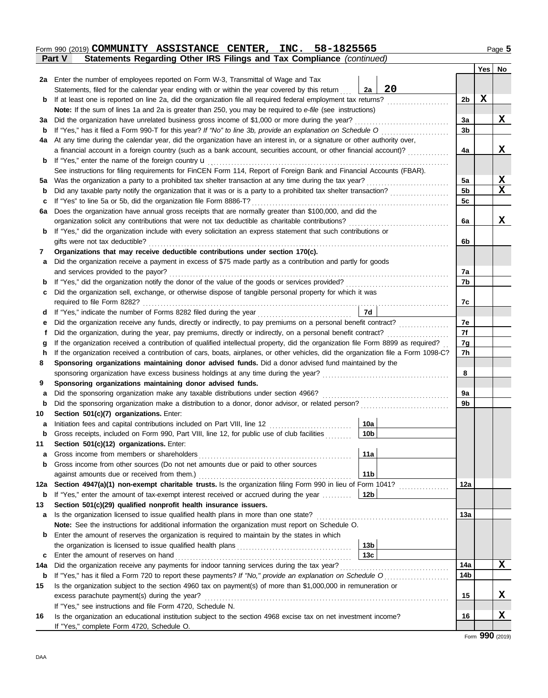#### **Part V Statements Regarding Other IRS Filings and Tax Compliance** *(continued)* **Form 990 (2019) COMMUNITY ASSISTANCE CENTER, INC. 58-1825565**

|             | $\sim$                                                                                                                             |                 |                                                                                                                        |                | Yes | No       |
|-------------|------------------------------------------------------------------------------------------------------------------------------------|-----------------|------------------------------------------------------------------------------------------------------------------------|----------------|-----|----------|
|             | 2a Enter the number of employees reported on Form W-3, Transmittal of Wage and Tax                                                 |                 |                                                                                                                        |                |     |          |
|             | Statements, filed for the calendar year ending with or within the year covered by this return                                      | 2a              | 20                                                                                                                     |                |     |          |
| b           | If at least one is reported on line 2a, did the organization file all required federal employment tax returns?                     |                 |                                                                                                                        | 2b             | X   |          |
|             | Note: If the sum of lines 1a and 2a is greater than 250, you may be required to e-file (see instructions)                          |                 |                                                                                                                        |                |     |          |
| За          | Did the organization have unrelated business gross income of \$1,000 or more during the year?                                      |                 |                                                                                                                        | 3a             |     | X        |
| b           | If "Yes," has it filed a Form 990-T for this year? If "No" to line 3b, provide an explanation on Schedule O                        |                 |                                                                                                                        | 3 <sub>b</sub> |     |          |
| 4a          | At any time during the calendar year, did the organization have an interest in, or a signature or other authority over,            |                 |                                                                                                                        |                |     |          |
|             | a financial account in a foreign country (such as a bank account, securities account, or other financial account)?                 |                 |                                                                                                                        | 4a             |     | X        |
| b           | If "Yes," enter the name of the foreign country <b>u</b>                                                                           |                 |                                                                                                                        |                |     |          |
|             | See instructions for filing requirements for FinCEN Form 114, Report of Foreign Bank and Financial Accounts (FBAR).                |                 |                                                                                                                        |                |     |          |
| 5а          | Was the organization a party to a prohibited tax shelter transaction at any time during the tax year?                              |                 |                                                                                                                        | 5a             |     | <u>x</u> |
| b           |                                                                                                                                    |                 |                                                                                                                        | 5 <sub>b</sub> |     | X        |
| c           | If "Yes" to line 5a or 5b, did the organization file Form 8886-T?                                                                  |                 |                                                                                                                        | 5c             |     |          |
| 6a          | Does the organization have annual gross receipts that are normally greater than \$100,000, and did the                             |                 |                                                                                                                        |                |     |          |
|             | organization solicit any contributions that were not tax deductible as charitable contributions?                                   |                 |                                                                                                                        | 6a             |     | X        |
| b           | If "Yes," did the organization include with every solicitation an express statement that such contributions or                     |                 |                                                                                                                        |                |     |          |
|             | gifts were not tax deductible?                                                                                                     |                 |                                                                                                                        | 6b             |     |          |
| 7           | Organizations that may receive deductible contributions under section 170(c).                                                      |                 |                                                                                                                        |                |     |          |
| a           | Did the organization receive a payment in excess of \$75 made partly as a contribution and partly for goods                        |                 |                                                                                                                        |                |     |          |
|             | and services provided to the payor?                                                                                                |                 |                                                                                                                        | 7a             |     |          |
| b           | If "Yes," did the organization notify the donor of the value of the goods or services provided?                                    |                 | <u> 1986 - Johann Stoff, deutscher Stoff, der Stoff, deutscher Stoff, der Stoff, der Stoff, der Stoff, der Stoff, </u> | 7b             |     |          |
| c           | Did the organization sell, exchange, or otherwise dispose of tangible personal property for which it was                           |                 |                                                                                                                        |                |     |          |
|             |                                                                                                                                    |                 |                                                                                                                        | 7c             |     |          |
| d           | If "Yes," indicate the number of Forms 8282 filed during the year<br>[[[[[[[[[[[[[]]]]]]                                           | 7d              |                                                                                                                        |                |     |          |
| е           | Did the organization receive any funds, directly or indirectly, to pay premiums on a personal benefit contract?                    |                 |                                                                                                                        | 7e             |     |          |
| f           | Did the organization, during the year, pay premiums, directly or indirectly, on a personal benefit contract?                       |                 |                                                                                                                        | 7f             |     |          |
| g           | If the organization received a contribution of qualified intellectual property, did the organization file Form 8899 as required?   |                 |                                                                                                                        | 7g             |     |          |
| h           | If the organization received a contribution of cars, boats, airplanes, or other vehicles, did the organization file a Form 1098-C? |                 |                                                                                                                        | 7h             |     |          |
| 8           | Sponsoring organizations maintaining donor advised funds. Did a donor advised fund maintained by the                               |                 |                                                                                                                        |                |     |          |
|             | sponsoring organization have excess business holdings at any time during the year?                                                 |                 |                                                                                                                        | 8              |     |          |
| 9           | Sponsoring organizations maintaining donor advised funds.                                                                          |                 |                                                                                                                        |                |     |          |
| a           | Did the sponsoring organization make any taxable distributions under section 4966?                                                 |                 |                                                                                                                        | 9a             |     |          |
| $\mathbf b$ |                                                                                                                                    |                 |                                                                                                                        | 9b             |     |          |
| 10          | Section 501(c)(7) organizations. Enter:                                                                                            |                 |                                                                                                                        |                |     |          |
| a           | Initiation fees and capital contributions included on Part VIII, line 12                                                           | 10a             |                                                                                                                        |                |     |          |
| b           | Gross receipts, included on Form 990, Part VIII, line 12, for public use of club facilities                                        | 10 <sub>b</sub> |                                                                                                                        |                |     |          |
| 11          | Section 501(c)(12) organizations. Enter:                                                                                           |                 |                                                                                                                        |                |     |          |
| a           | Gross income from members or shareholders                                                                                          | 11a             |                                                                                                                        |                |     |          |
| $\mathbf b$ | Gross income from other sources (Do not net amounts due or paid to other sources                                                   |                 |                                                                                                                        |                |     |          |
|             | against amounts due or received from them.)                                                                                        | 11b             |                                                                                                                        |                |     |          |
| 12a         | Section 4947(a)(1) non-exempt charitable trusts. Is the organization filing Form 990 in lieu of Form 1041?                         |                 |                                                                                                                        | 12a            |     |          |
| b           | If "Yes," enter the amount of tax-exempt interest received or accrued during the year                                              | 12b             |                                                                                                                        |                |     |          |
| 13          | Section 501(c)(29) qualified nonprofit health insurance issuers.                                                                   |                 |                                                                                                                        |                |     |          |
| a           | Is the organization licensed to issue qualified health plans in more than one state?                                               |                 |                                                                                                                        | 13a            |     |          |
|             | Note: See the instructions for additional information the organization must report on Schedule O.                                  |                 |                                                                                                                        |                |     |          |
| b           | Enter the amount of reserves the organization is required to maintain by the states in which                                       |                 |                                                                                                                        |                |     |          |
|             |                                                                                                                                    | 13 <sub>b</sub> |                                                                                                                        |                |     |          |
| c           | Enter the amount of reserves on hand                                                                                               | 13с             |                                                                                                                        |                |     |          |
| 14a         |                                                                                                                                    |                 |                                                                                                                        | 14a            |     | X        |
| b           |                                                                                                                                    |                 |                                                                                                                        | 14b            |     |          |
| 15          | Is the organization subject to the section 4960 tax on payment(s) of more than \$1,000,000 in remuneration or                      |                 |                                                                                                                        |                |     |          |
|             | excess parachute payment(s) during the year?                                                                                       |                 |                                                                                                                        | 15             |     | X        |
|             | If "Yes," see instructions and file Form 4720, Schedule N.                                                                         |                 |                                                                                                                        |                |     |          |
| 16          | Is the organization an educational institution subject to the section 4968 excise tax on net investment income?                    |                 |                                                                                                                        | 16             |     | X        |
|             | If "Yes," complete Form 4720, Schedule O.                                                                                          |                 |                                                                                                                        |                |     |          |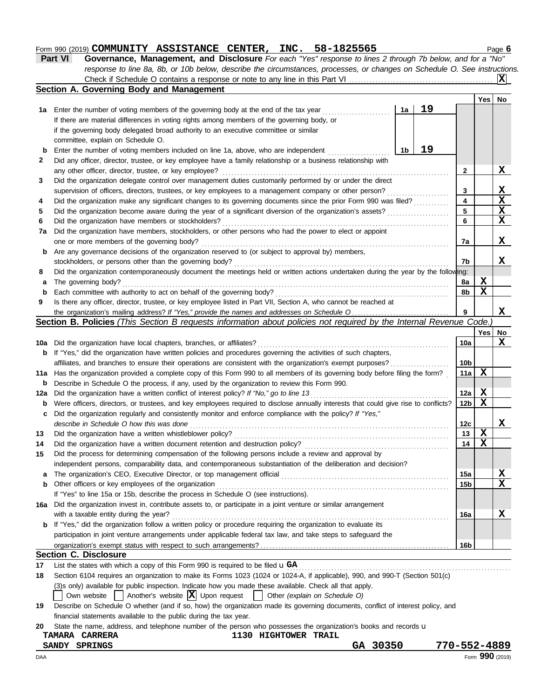### **Form 990 (2019) COMMUNITY ASSISTANCE CENTER, INC. 58-1825565**

| Part VI | Governance, Management, and Disclosure For each "Yes" response to lines 2 through 7b below, and for a "No"                |
|---------|---------------------------------------------------------------------------------------------------------------------------|
|         | response to line 8a, 8b, or 10b below, describe the circumstances, processes, or changes on Schedule O. See instructions. |
|         |                                                                                                                           |
|         |                                                                                                                           |

| 19<br>Enter the number of voting members of the governing body at the end of the tax year<br>1a<br>1a<br>If there are material differences in voting rights among members of the governing body, or<br>if the governing body delegated broad authority to an executive committee or similar<br>committee, explain on Schedule O.<br>19<br>Enter the number of voting members included on line 1a, above, who are independent<br>1b<br>b<br>2<br>Did any officer, director, trustee, or key employee have a family relationship or a business relationship with<br>any other officer, director, trustee, or key employee?<br>Did the organization delegate control over management duties customarily performed by or under the direct<br>3<br>supervision of officers, directors, trustees, or key employees to a management company or other person?<br>Did the organization make any significant changes to its governing documents since the prior Form 990 was filed?<br>4<br>Did the organization become aware during the year of a significant diversion of the organization's assets?<br>5<br>Did the organization have members or stockholders?<br>6<br>Did the organization have members, stockholders, or other persons who had the power to elect or appoint<br>7a<br>one or more members of the governing body?<br>Are any governance decisions of the organization reserved to (or subject to approval by) members,<br>b<br>stockholders, or persons other than the governing body?<br>Did the organization contemporaneously document the meetings held or written actions undertaken during the year by the following:<br>8<br>The governing body?<br>a<br>Each committee with authority to act on behalf of the governing body?<br>b<br>Is there any officer, director, trustee, or key employee listed in Part VII, Section A, who cannot be reached at<br>9<br>Section B. Policies (This Section B requests information about policies not required by the Internal Revenue Code.<br>Did the organization have local chapters, branches, or affiliates?<br>10a<br>If "Yes," did the organization have written policies and procedures governing the activities of such chapters,<br>b<br>affiliates, and branches to ensure their operations are consistent with the organization's exempt purposes?<br>Has the organization provided a complete copy of this Form 990 to all members of its governing body before filing the form?<br>11a<br>Describe in Schedule O the process, if any, used by the organization to review this Form 990.<br>b<br>Did the organization have a written conflict of interest policy? If "No," go to line 13<br>12a<br>Were officers, directors, or trustees, and key employees required to disclose annually interests that could give rise to conflicts?<br>b<br>Did the organization regularly and consistently monitor and enforce compliance with the policy? If "Yes,"<br>c<br>describe in Schedule O how this was done<br>Did the organization have a written whistleblower policy?<br>13<br>Did the organization have a written document retention and destruction policy?<br>14<br>Did the process for determining compensation of the following persons include a review and approval by<br>15<br>independent persons, comparability data, and contemporaneous substantiation of the deliberation and decision?<br>a<br>Other officers or key employees of the organization<br>b<br>If "Yes" to line 15a or 15b, describe the process in Schedule O (see instructions).<br>Did the organization invest in, contribute assets to, or participate in a joint venture or similar arrangement<br>16а<br>with a taxable entity during the year?<br>If "Yes," did the organization follow a written policy or procedure requiring the organization to evaluate its<br>b<br>participation in joint venture arrangements under applicable federal tax law, and take steps to safeguard the |                        |                  |                         |
|-----------------------------------------------------------------------------------------------------------------------------------------------------------------------------------------------------------------------------------------------------------------------------------------------------------------------------------------------------------------------------------------------------------------------------------------------------------------------------------------------------------------------------------------------------------------------------------------------------------------------------------------------------------------------------------------------------------------------------------------------------------------------------------------------------------------------------------------------------------------------------------------------------------------------------------------------------------------------------------------------------------------------------------------------------------------------------------------------------------------------------------------------------------------------------------------------------------------------------------------------------------------------------------------------------------------------------------------------------------------------------------------------------------------------------------------------------------------------------------------------------------------------------------------------------------------------------------------------------------------------------------------------------------------------------------------------------------------------------------------------------------------------------------------------------------------------------------------------------------------------------------------------------------------------------------------------------------------------------------------------------------------------------------------------------------------------------------------------------------------------------------------------------------------------------------------------------------------------------------------------------------------------------------------------------------------------------------------------------------------------------------------------------------------------------------------------------------------------------------------------------------------------------------------------------------------------------------------------------------------------------------------------------------------------------------------------------------------------------------------------------------------------------------------------------------------------------------------------------------------------------------------------------------------------------------------------------------------------------------------------------------------------------------------------------------------------------------------------------------------------------------------------------------------------------------------------------------------------------------------------------------------------------------------------------------------------------------------------------------------------------------------------------------------------------------------------------------------------------------------------------------------------------------------------------------------------------------------------------------------------------------------------------------------------------------------------------------------------------------------------------------------------------------------------------------------------------------------------------------------------------------------------------------------------------------------------|------------------------|------------------|-------------------------|
|                                                                                                                                                                                                                                                                                                                                                                                                                                                                                                                                                                                                                                                                                                                                                                                                                                                                                                                                                                                                                                                                                                                                                                                                                                                                                                                                                                                                                                                                                                                                                                                                                                                                                                                                                                                                                                                                                                                                                                                                                                                                                                                                                                                                                                                                                                                                                                                                                                                                                                                                                                                                                                                                                                                                                                                                                                                                                                                                                                                                                                                                                                                                                                                                                                                                                                                                                                                                                                                                                                                                                                                                                                                                                                                                                                                                                                                                                                                                               |                        | Yes              | No                      |
|                                                                                                                                                                                                                                                                                                                                                                                                                                                                                                                                                                                                                                                                                                                                                                                                                                                                                                                                                                                                                                                                                                                                                                                                                                                                                                                                                                                                                                                                                                                                                                                                                                                                                                                                                                                                                                                                                                                                                                                                                                                                                                                                                                                                                                                                                                                                                                                                                                                                                                                                                                                                                                                                                                                                                                                                                                                                                                                                                                                                                                                                                                                                                                                                                                                                                                                                                                                                                                                                                                                                                                                                                                                                                                                                                                                                                                                                                                                                               |                        |                  |                         |
|                                                                                                                                                                                                                                                                                                                                                                                                                                                                                                                                                                                                                                                                                                                                                                                                                                                                                                                                                                                                                                                                                                                                                                                                                                                                                                                                                                                                                                                                                                                                                                                                                                                                                                                                                                                                                                                                                                                                                                                                                                                                                                                                                                                                                                                                                                                                                                                                                                                                                                                                                                                                                                                                                                                                                                                                                                                                                                                                                                                                                                                                                                                                                                                                                                                                                                                                                                                                                                                                                                                                                                                                                                                                                                                                                                                                                                                                                                                                               |                        |                  |                         |
|                                                                                                                                                                                                                                                                                                                                                                                                                                                                                                                                                                                                                                                                                                                                                                                                                                                                                                                                                                                                                                                                                                                                                                                                                                                                                                                                                                                                                                                                                                                                                                                                                                                                                                                                                                                                                                                                                                                                                                                                                                                                                                                                                                                                                                                                                                                                                                                                                                                                                                                                                                                                                                                                                                                                                                                                                                                                                                                                                                                                                                                                                                                                                                                                                                                                                                                                                                                                                                                                                                                                                                                                                                                                                                                                                                                                                                                                                                                                               |                        |                  |                         |
|                                                                                                                                                                                                                                                                                                                                                                                                                                                                                                                                                                                                                                                                                                                                                                                                                                                                                                                                                                                                                                                                                                                                                                                                                                                                                                                                                                                                                                                                                                                                                                                                                                                                                                                                                                                                                                                                                                                                                                                                                                                                                                                                                                                                                                                                                                                                                                                                                                                                                                                                                                                                                                                                                                                                                                                                                                                                                                                                                                                                                                                                                                                                                                                                                                                                                                                                                                                                                                                                                                                                                                                                                                                                                                                                                                                                                                                                                                                                               |                        |                  |                         |
|                                                                                                                                                                                                                                                                                                                                                                                                                                                                                                                                                                                                                                                                                                                                                                                                                                                                                                                                                                                                                                                                                                                                                                                                                                                                                                                                                                                                                                                                                                                                                                                                                                                                                                                                                                                                                                                                                                                                                                                                                                                                                                                                                                                                                                                                                                                                                                                                                                                                                                                                                                                                                                                                                                                                                                                                                                                                                                                                                                                                                                                                                                                                                                                                                                                                                                                                                                                                                                                                                                                                                                                                                                                                                                                                                                                                                                                                                                                                               |                        |                  |                         |
|                                                                                                                                                                                                                                                                                                                                                                                                                                                                                                                                                                                                                                                                                                                                                                                                                                                                                                                                                                                                                                                                                                                                                                                                                                                                                                                                                                                                                                                                                                                                                                                                                                                                                                                                                                                                                                                                                                                                                                                                                                                                                                                                                                                                                                                                                                                                                                                                                                                                                                                                                                                                                                                                                                                                                                                                                                                                                                                                                                                                                                                                                                                                                                                                                                                                                                                                                                                                                                                                                                                                                                                                                                                                                                                                                                                                                                                                                                                                               |                        |                  |                         |
|                                                                                                                                                                                                                                                                                                                                                                                                                                                                                                                                                                                                                                                                                                                                                                                                                                                                                                                                                                                                                                                                                                                                                                                                                                                                                                                                                                                                                                                                                                                                                                                                                                                                                                                                                                                                                                                                                                                                                                                                                                                                                                                                                                                                                                                                                                                                                                                                                                                                                                                                                                                                                                                                                                                                                                                                                                                                                                                                                                                                                                                                                                                                                                                                                                                                                                                                                                                                                                                                                                                                                                                                                                                                                                                                                                                                                                                                                                                                               | 2                      |                  | X                       |
|                                                                                                                                                                                                                                                                                                                                                                                                                                                                                                                                                                                                                                                                                                                                                                                                                                                                                                                                                                                                                                                                                                                                                                                                                                                                                                                                                                                                                                                                                                                                                                                                                                                                                                                                                                                                                                                                                                                                                                                                                                                                                                                                                                                                                                                                                                                                                                                                                                                                                                                                                                                                                                                                                                                                                                                                                                                                                                                                                                                                                                                                                                                                                                                                                                                                                                                                                                                                                                                                                                                                                                                                                                                                                                                                                                                                                                                                                                                                               |                        |                  |                         |
|                                                                                                                                                                                                                                                                                                                                                                                                                                                                                                                                                                                                                                                                                                                                                                                                                                                                                                                                                                                                                                                                                                                                                                                                                                                                                                                                                                                                                                                                                                                                                                                                                                                                                                                                                                                                                                                                                                                                                                                                                                                                                                                                                                                                                                                                                                                                                                                                                                                                                                                                                                                                                                                                                                                                                                                                                                                                                                                                                                                                                                                                                                                                                                                                                                                                                                                                                                                                                                                                                                                                                                                                                                                                                                                                                                                                                                                                                                                                               | 3                      |                  | <u>x</u>                |
|                                                                                                                                                                                                                                                                                                                                                                                                                                                                                                                                                                                                                                                                                                                                                                                                                                                                                                                                                                                                                                                                                                                                                                                                                                                                                                                                                                                                                                                                                                                                                                                                                                                                                                                                                                                                                                                                                                                                                                                                                                                                                                                                                                                                                                                                                                                                                                                                                                                                                                                                                                                                                                                                                                                                                                                                                                                                                                                                                                                                                                                                                                                                                                                                                                                                                                                                                                                                                                                                                                                                                                                                                                                                                                                                                                                                                                                                                                                                               | 4                      |                  | $\overline{\mathbf{x}}$ |
|                                                                                                                                                                                                                                                                                                                                                                                                                                                                                                                                                                                                                                                                                                                                                                                                                                                                                                                                                                                                                                                                                                                                                                                                                                                                                                                                                                                                                                                                                                                                                                                                                                                                                                                                                                                                                                                                                                                                                                                                                                                                                                                                                                                                                                                                                                                                                                                                                                                                                                                                                                                                                                                                                                                                                                                                                                                                                                                                                                                                                                                                                                                                                                                                                                                                                                                                                                                                                                                                                                                                                                                                                                                                                                                                                                                                                                                                                                                                               | 5                      |                  | $\overline{\mathbf{X}}$ |
|                                                                                                                                                                                                                                                                                                                                                                                                                                                                                                                                                                                                                                                                                                                                                                                                                                                                                                                                                                                                                                                                                                                                                                                                                                                                                                                                                                                                                                                                                                                                                                                                                                                                                                                                                                                                                                                                                                                                                                                                                                                                                                                                                                                                                                                                                                                                                                                                                                                                                                                                                                                                                                                                                                                                                                                                                                                                                                                                                                                                                                                                                                                                                                                                                                                                                                                                                                                                                                                                                                                                                                                                                                                                                                                                                                                                                                                                                                                                               | 6                      |                  | $\overline{\mathbf{x}}$ |
|                                                                                                                                                                                                                                                                                                                                                                                                                                                                                                                                                                                                                                                                                                                                                                                                                                                                                                                                                                                                                                                                                                                                                                                                                                                                                                                                                                                                                                                                                                                                                                                                                                                                                                                                                                                                                                                                                                                                                                                                                                                                                                                                                                                                                                                                                                                                                                                                                                                                                                                                                                                                                                                                                                                                                                                                                                                                                                                                                                                                                                                                                                                                                                                                                                                                                                                                                                                                                                                                                                                                                                                                                                                                                                                                                                                                                                                                                                                                               |                        |                  |                         |
|                                                                                                                                                                                                                                                                                                                                                                                                                                                                                                                                                                                                                                                                                                                                                                                                                                                                                                                                                                                                                                                                                                                                                                                                                                                                                                                                                                                                                                                                                                                                                                                                                                                                                                                                                                                                                                                                                                                                                                                                                                                                                                                                                                                                                                                                                                                                                                                                                                                                                                                                                                                                                                                                                                                                                                                                                                                                                                                                                                                                                                                                                                                                                                                                                                                                                                                                                                                                                                                                                                                                                                                                                                                                                                                                                                                                                                                                                                                                               | 7a                     |                  | X                       |
|                                                                                                                                                                                                                                                                                                                                                                                                                                                                                                                                                                                                                                                                                                                                                                                                                                                                                                                                                                                                                                                                                                                                                                                                                                                                                                                                                                                                                                                                                                                                                                                                                                                                                                                                                                                                                                                                                                                                                                                                                                                                                                                                                                                                                                                                                                                                                                                                                                                                                                                                                                                                                                                                                                                                                                                                                                                                                                                                                                                                                                                                                                                                                                                                                                                                                                                                                                                                                                                                                                                                                                                                                                                                                                                                                                                                                                                                                                                                               |                        |                  |                         |
|                                                                                                                                                                                                                                                                                                                                                                                                                                                                                                                                                                                                                                                                                                                                                                                                                                                                                                                                                                                                                                                                                                                                                                                                                                                                                                                                                                                                                                                                                                                                                                                                                                                                                                                                                                                                                                                                                                                                                                                                                                                                                                                                                                                                                                                                                                                                                                                                                                                                                                                                                                                                                                                                                                                                                                                                                                                                                                                                                                                                                                                                                                                                                                                                                                                                                                                                                                                                                                                                                                                                                                                                                                                                                                                                                                                                                                                                                                                                               | 7b                     |                  | x                       |
|                                                                                                                                                                                                                                                                                                                                                                                                                                                                                                                                                                                                                                                                                                                                                                                                                                                                                                                                                                                                                                                                                                                                                                                                                                                                                                                                                                                                                                                                                                                                                                                                                                                                                                                                                                                                                                                                                                                                                                                                                                                                                                                                                                                                                                                                                                                                                                                                                                                                                                                                                                                                                                                                                                                                                                                                                                                                                                                                                                                                                                                                                                                                                                                                                                                                                                                                                                                                                                                                                                                                                                                                                                                                                                                                                                                                                                                                                                                                               |                        |                  |                         |
|                                                                                                                                                                                                                                                                                                                                                                                                                                                                                                                                                                                                                                                                                                                                                                                                                                                                                                                                                                                                                                                                                                                                                                                                                                                                                                                                                                                                                                                                                                                                                                                                                                                                                                                                                                                                                                                                                                                                                                                                                                                                                                                                                                                                                                                                                                                                                                                                                                                                                                                                                                                                                                                                                                                                                                                                                                                                                                                                                                                                                                                                                                                                                                                                                                                                                                                                                                                                                                                                                                                                                                                                                                                                                                                                                                                                                                                                                                                                               | 8a                     | X                |                         |
|                                                                                                                                                                                                                                                                                                                                                                                                                                                                                                                                                                                                                                                                                                                                                                                                                                                                                                                                                                                                                                                                                                                                                                                                                                                                                                                                                                                                                                                                                                                                                                                                                                                                                                                                                                                                                                                                                                                                                                                                                                                                                                                                                                                                                                                                                                                                                                                                                                                                                                                                                                                                                                                                                                                                                                                                                                                                                                                                                                                                                                                                                                                                                                                                                                                                                                                                                                                                                                                                                                                                                                                                                                                                                                                                                                                                                                                                                                                                               | 8b                     | X                |                         |
|                                                                                                                                                                                                                                                                                                                                                                                                                                                                                                                                                                                                                                                                                                                                                                                                                                                                                                                                                                                                                                                                                                                                                                                                                                                                                                                                                                                                                                                                                                                                                                                                                                                                                                                                                                                                                                                                                                                                                                                                                                                                                                                                                                                                                                                                                                                                                                                                                                                                                                                                                                                                                                                                                                                                                                                                                                                                                                                                                                                                                                                                                                                                                                                                                                                                                                                                                                                                                                                                                                                                                                                                                                                                                                                                                                                                                                                                                                                                               |                        |                  |                         |
|                                                                                                                                                                                                                                                                                                                                                                                                                                                                                                                                                                                                                                                                                                                                                                                                                                                                                                                                                                                                                                                                                                                                                                                                                                                                                                                                                                                                                                                                                                                                                                                                                                                                                                                                                                                                                                                                                                                                                                                                                                                                                                                                                                                                                                                                                                                                                                                                                                                                                                                                                                                                                                                                                                                                                                                                                                                                                                                                                                                                                                                                                                                                                                                                                                                                                                                                                                                                                                                                                                                                                                                                                                                                                                                                                                                                                                                                                                                                               | 9                      |                  | X                       |
|                                                                                                                                                                                                                                                                                                                                                                                                                                                                                                                                                                                                                                                                                                                                                                                                                                                                                                                                                                                                                                                                                                                                                                                                                                                                                                                                                                                                                                                                                                                                                                                                                                                                                                                                                                                                                                                                                                                                                                                                                                                                                                                                                                                                                                                                                                                                                                                                                                                                                                                                                                                                                                                                                                                                                                                                                                                                                                                                                                                                                                                                                                                                                                                                                                                                                                                                                                                                                                                                                                                                                                                                                                                                                                                                                                                                                                                                                                                                               |                        |                  |                         |
|                                                                                                                                                                                                                                                                                                                                                                                                                                                                                                                                                                                                                                                                                                                                                                                                                                                                                                                                                                                                                                                                                                                                                                                                                                                                                                                                                                                                                                                                                                                                                                                                                                                                                                                                                                                                                                                                                                                                                                                                                                                                                                                                                                                                                                                                                                                                                                                                                                                                                                                                                                                                                                                                                                                                                                                                                                                                                                                                                                                                                                                                                                                                                                                                                                                                                                                                                                                                                                                                                                                                                                                                                                                                                                                                                                                                                                                                                                                                               |                        | Yes              | No                      |
|                                                                                                                                                                                                                                                                                                                                                                                                                                                                                                                                                                                                                                                                                                                                                                                                                                                                                                                                                                                                                                                                                                                                                                                                                                                                                                                                                                                                                                                                                                                                                                                                                                                                                                                                                                                                                                                                                                                                                                                                                                                                                                                                                                                                                                                                                                                                                                                                                                                                                                                                                                                                                                                                                                                                                                                                                                                                                                                                                                                                                                                                                                                                                                                                                                                                                                                                                                                                                                                                                                                                                                                                                                                                                                                                                                                                                                                                                                                                               | 10a                    |                  | X                       |
|                                                                                                                                                                                                                                                                                                                                                                                                                                                                                                                                                                                                                                                                                                                                                                                                                                                                                                                                                                                                                                                                                                                                                                                                                                                                                                                                                                                                                                                                                                                                                                                                                                                                                                                                                                                                                                                                                                                                                                                                                                                                                                                                                                                                                                                                                                                                                                                                                                                                                                                                                                                                                                                                                                                                                                                                                                                                                                                                                                                                                                                                                                                                                                                                                                                                                                                                                                                                                                                                                                                                                                                                                                                                                                                                                                                                                                                                                                                                               |                        |                  |                         |
|                                                                                                                                                                                                                                                                                                                                                                                                                                                                                                                                                                                                                                                                                                                                                                                                                                                                                                                                                                                                                                                                                                                                                                                                                                                                                                                                                                                                                                                                                                                                                                                                                                                                                                                                                                                                                                                                                                                                                                                                                                                                                                                                                                                                                                                                                                                                                                                                                                                                                                                                                                                                                                                                                                                                                                                                                                                                                                                                                                                                                                                                                                                                                                                                                                                                                                                                                                                                                                                                                                                                                                                                                                                                                                                                                                                                                                                                                                                                               | 10 <sub>b</sub>        |                  |                         |
|                                                                                                                                                                                                                                                                                                                                                                                                                                                                                                                                                                                                                                                                                                                                                                                                                                                                                                                                                                                                                                                                                                                                                                                                                                                                                                                                                                                                                                                                                                                                                                                                                                                                                                                                                                                                                                                                                                                                                                                                                                                                                                                                                                                                                                                                                                                                                                                                                                                                                                                                                                                                                                                                                                                                                                                                                                                                                                                                                                                                                                                                                                                                                                                                                                                                                                                                                                                                                                                                                                                                                                                                                                                                                                                                                                                                                                                                                                                                               | 11a                    | X                |                         |
|                                                                                                                                                                                                                                                                                                                                                                                                                                                                                                                                                                                                                                                                                                                                                                                                                                                                                                                                                                                                                                                                                                                                                                                                                                                                                                                                                                                                                                                                                                                                                                                                                                                                                                                                                                                                                                                                                                                                                                                                                                                                                                                                                                                                                                                                                                                                                                                                                                                                                                                                                                                                                                                                                                                                                                                                                                                                                                                                                                                                                                                                                                                                                                                                                                                                                                                                                                                                                                                                                                                                                                                                                                                                                                                                                                                                                                                                                                                                               |                        |                  |                         |
|                                                                                                                                                                                                                                                                                                                                                                                                                                                                                                                                                                                                                                                                                                                                                                                                                                                                                                                                                                                                                                                                                                                                                                                                                                                                                                                                                                                                                                                                                                                                                                                                                                                                                                                                                                                                                                                                                                                                                                                                                                                                                                                                                                                                                                                                                                                                                                                                                                                                                                                                                                                                                                                                                                                                                                                                                                                                                                                                                                                                                                                                                                                                                                                                                                                                                                                                                                                                                                                                                                                                                                                                                                                                                                                                                                                                                                                                                                                                               | 12a<br>12 <sub>b</sub> | X<br>$\mathbf x$ |                         |
|                                                                                                                                                                                                                                                                                                                                                                                                                                                                                                                                                                                                                                                                                                                                                                                                                                                                                                                                                                                                                                                                                                                                                                                                                                                                                                                                                                                                                                                                                                                                                                                                                                                                                                                                                                                                                                                                                                                                                                                                                                                                                                                                                                                                                                                                                                                                                                                                                                                                                                                                                                                                                                                                                                                                                                                                                                                                                                                                                                                                                                                                                                                                                                                                                                                                                                                                                                                                                                                                                                                                                                                                                                                                                                                                                                                                                                                                                                                                               |                        |                  |                         |
|                                                                                                                                                                                                                                                                                                                                                                                                                                                                                                                                                                                                                                                                                                                                                                                                                                                                                                                                                                                                                                                                                                                                                                                                                                                                                                                                                                                                                                                                                                                                                                                                                                                                                                                                                                                                                                                                                                                                                                                                                                                                                                                                                                                                                                                                                                                                                                                                                                                                                                                                                                                                                                                                                                                                                                                                                                                                                                                                                                                                                                                                                                                                                                                                                                                                                                                                                                                                                                                                                                                                                                                                                                                                                                                                                                                                                                                                                                                                               | 12c                    |                  | X.                      |
|                                                                                                                                                                                                                                                                                                                                                                                                                                                                                                                                                                                                                                                                                                                                                                                                                                                                                                                                                                                                                                                                                                                                                                                                                                                                                                                                                                                                                                                                                                                                                                                                                                                                                                                                                                                                                                                                                                                                                                                                                                                                                                                                                                                                                                                                                                                                                                                                                                                                                                                                                                                                                                                                                                                                                                                                                                                                                                                                                                                                                                                                                                                                                                                                                                                                                                                                                                                                                                                                                                                                                                                                                                                                                                                                                                                                                                                                                                                                               | 13                     | X                |                         |
|                                                                                                                                                                                                                                                                                                                                                                                                                                                                                                                                                                                                                                                                                                                                                                                                                                                                                                                                                                                                                                                                                                                                                                                                                                                                                                                                                                                                                                                                                                                                                                                                                                                                                                                                                                                                                                                                                                                                                                                                                                                                                                                                                                                                                                                                                                                                                                                                                                                                                                                                                                                                                                                                                                                                                                                                                                                                                                                                                                                                                                                                                                                                                                                                                                                                                                                                                                                                                                                                                                                                                                                                                                                                                                                                                                                                                                                                                                                                               | 14                     | $\mathbf X$      |                         |
|                                                                                                                                                                                                                                                                                                                                                                                                                                                                                                                                                                                                                                                                                                                                                                                                                                                                                                                                                                                                                                                                                                                                                                                                                                                                                                                                                                                                                                                                                                                                                                                                                                                                                                                                                                                                                                                                                                                                                                                                                                                                                                                                                                                                                                                                                                                                                                                                                                                                                                                                                                                                                                                                                                                                                                                                                                                                                                                                                                                                                                                                                                                                                                                                                                                                                                                                                                                                                                                                                                                                                                                                                                                                                                                                                                                                                                                                                                                                               |                        |                  |                         |
|                                                                                                                                                                                                                                                                                                                                                                                                                                                                                                                                                                                                                                                                                                                                                                                                                                                                                                                                                                                                                                                                                                                                                                                                                                                                                                                                                                                                                                                                                                                                                                                                                                                                                                                                                                                                                                                                                                                                                                                                                                                                                                                                                                                                                                                                                                                                                                                                                                                                                                                                                                                                                                                                                                                                                                                                                                                                                                                                                                                                                                                                                                                                                                                                                                                                                                                                                                                                                                                                                                                                                                                                                                                                                                                                                                                                                                                                                                                                               |                        |                  |                         |
|                                                                                                                                                                                                                                                                                                                                                                                                                                                                                                                                                                                                                                                                                                                                                                                                                                                                                                                                                                                                                                                                                                                                                                                                                                                                                                                                                                                                                                                                                                                                                                                                                                                                                                                                                                                                                                                                                                                                                                                                                                                                                                                                                                                                                                                                                                                                                                                                                                                                                                                                                                                                                                                                                                                                                                                                                                                                                                                                                                                                                                                                                                                                                                                                                                                                                                                                                                                                                                                                                                                                                                                                                                                                                                                                                                                                                                                                                                                                               | 15a                    |                  | <u>x</u>                |
|                                                                                                                                                                                                                                                                                                                                                                                                                                                                                                                                                                                                                                                                                                                                                                                                                                                                                                                                                                                                                                                                                                                                                                                                                                                                                                                                                                                                                                                                                                                                                                                                                                                                                                                                                                                                                                                                                                                                                                                                                                                                                                                                                                                                                                                                                                                                                                                                                                                                                                                                                                                                                                                                                                                                                                                                                                                                                                                                                                                                                                                                                                                                                                                                                                                                                                                                                                                                                                                                                                                                                                                                                                                                                                                                                                                                                                                                                                                                               | 15 <sub>b</sub>        |                  | X                       |
|                                                                                                                                                                                                                                                                                                                                                                                                                                                                                                                                                                                                                                                                                                                                                                                                                                                                                                                                                                                                                                                                                                                                                                                                                                                                                                                                                                                                                                                                                                                                                                                                                                                                                                                                                                                                                                                                                                                                                                                                                                                                                                                                                                                                                                                                                                                                                                                                                                                                                                                                                                                                                                                                                                                                                                                                                                                                                                                                                                                                                                                                                                                                                                                                                                                                                                                                                                                                                                                                                                                                                                                                                                                                                                                                                                                                                                                                                                                                               |                        |                  |                         |
|                                                                                                                                                                                                                                                                                                                                                                                                                                                                                                                                                                                                                                                                                                                                                                                                                                                                                                                                                                                                                                                                                                                                                                                                                                                                                                                                                                                                                                                                                                                                                                                                                                                                                                                                                                                                                                                                                                                                                                                                                                                                                                                                                                                                                                                                                                                                                                                                                                                                                                                                                                                                                                                                                                                                                                                                                                                                                                                                                                                                                                                                                                                                                                                                                                                                                                                                                                                                                                                                                                                                                                                                                                                                                                                                                                                                                                                                                                                                               |                        |                  |                         |
|                                                                                                                                                                                                                                                                                                                                                                                                                                                                                                                                                                                                                                                                                                                                                                                                                                                                                                                                                                                                                                                                                                                                                                                                                                                                                                                                                                                                                                                                                                                                                                                                                                                                                                                                                                                                                                                                                                                                                                                                                                                                                                                                                                                                                                                                                                                                                                                                                                                                                                                                                                                                                                                                                                                                                                                                                                                                                                                                                                                                                                                                                                                                                                                                                                                                                                                                                                                                                                                                                                                                                                                                                                                                                                                                                                                                                                                                                                                                               | 16a                    |                  | X                       |
|                                                                                                                                                                                                                                                                                                                                                                                                                                                                                                                                                                                                                                                                                                                                                                                                                                                                                                                                                                                                                                                                                                                                                                                                                                                                                                                                                                                                                                                                                                                                                                                                                                                                                                                                                                                                                                                                                                                                                                                                                                                                                                                                                                                                                                                                                                                                                                                                                                                                                                                                                                                                                                                                                                                                                                                                                                                                                                                                                                                                                                                                                                                                                                                                                                                                                                                                                                                                                                                                                                                                                                                                                                                                                                                                                                                                                                                                                                                                               |                        |                  |                         |
|                                                                                                                                                                                                                                                                                                                                                                                                                                                                                                                                                                                                                                                                                                                                                                                                                                                                                                                                                                                                                                                                                                                                                                                                                                                                                                                                                                                                                                                                                                                                                                                                                                                                                                                                                                                                                                                                                                                                                                                                                                                                                                                                                                                                                                                                                                                                                                                                                                                                                                                                                                                                                                                                                                                                                                                                                                                                                                                                                                                                                                                                                                                                                                                                                                                                                                                                                                                                                                                                                                                                                                                                                                                                                                                                                                                                                                                                                                                                               |                        |                  |                         |
|                                                                                                                                                                                                                                                                                                                                                                                                                                                                                                                                                                                                                                                                                                                                                                                                                                                                                                                                                                                                                                                                                                                                                                                                                                                                                                                                                                                                                                                                                                                                                                                                                                                                                                                                                                                                                                                                                                                                                                                                                                                                                                                                                                                                                                                                                                                                                                                                                                                                                                                                                                                                                                                                                                                                                                                                                                                                                                                                                                                                                                                                                                                                                                                                                                                                                                                                                                                                                                                                                                                                                                                                                                                                                                                                                                                                                                                                                                                                               | 16 <sub>b</sub>        |                  |                         |
| <b>Section C. Disclosure</b>                                                                                                                                                                                                                                                                                                                                                                                                                                                                                                                                                                                                                                                                                                                                                                                                                                                                                                                                                                                                                                                                                                                                                                                                                                                                                                                                                                                                                                                                                                                                                                                                                                                                                                                                                                                                                                                                                                                                                                                                                                                                                                                                                                                                                                                                                                                                                                                                                                                                                                                                                                                                                                                                                                                                                                                                                                                                                                                                                                                                                                                                                                                                                                                                                                                                                                                                                                                                                                                                                                                                                                                                                                                                                                                                                                                                                                                                                                                  |                        |                  |                         |
| List the states with which a copy of this Form 990 is required to be filed $\mathbf{u} \cdot \mathbf{G}$<br>17                                                                                                                                                                                                                                                                                                                                                                                                                                                                                                                                                                                                                                                                                                                                                                                                                                                                                                                                                                                                                                                                                                                                                                                                                                                                                                                                                                                                                                                                                                                                                                                                                                                                                                                                                                                                                                                                                                                                                                                                                                                                                                                                                                                                                                                                                                                                                                                                                                                                                                                                                                                                                                                                                                                                                                                                                                                                                                                                                                                                                                                                                                                                                                                                                                                                                                                                                                                                                                                                                                                                                                                                                                                                                                                                                                                                                                |                        |                  |                         |
| Section 6104 requires an organization to make its Forms 1023 (1024 or 1024-A, if applicable), 990, and 990-T (Section 501(c)<br>18                                                                                                                                                                                                                                                                                                                                                                                                                                                                                                                                                                                                                                                                                                                                                                                                                                                                                                                                                                                                                                                                                                                                                                                                                                                                                                                                                                                                                                                                                                                                                                                                                                                                                                                                                                                                                                                                                                                                                                                                                                                                                                                                                                                                                                                                                                                                                                                                                                                                                                                                                                                                                                                                                                                                                                                                                                                                                                                                                                                                                                                                                                                                                                                                                                                                                                                                                                                                                                                                                                                                                                                                                                                                                                                                                                                                            |                        |                  |                         |
| (3)s only) available for public inspection. Indicate how you made these available. Check all that apply.                                                                                                                                                                                                                                                                                                                                                                                                                                                                                                                                                                                                                                                                                                                                                                                                                                                                                                                                                                                                                                                                                                                                                                                                                                                                                                                                                                                                                                                                                                                                                                                                                                                                                                                                                                                                                                                                                                                                                                                                                                                                                                                                                                                                                                                                                                                                                                                                                                                                                                                                                                                                                                                                                                                                                                                                                                                                                                                                                                                                                                                                                                                                                                                                                                                                                                                                                                                                                                                                                                                                                                                                                                                                                                                                                                                                                                      |                        |                  |                         |
|                                                                                                                                                                                                                                                                                                                                                                                                                                                                                                                                                                                                                                                                                                                                                                                                                                                                                                                                                                                                                                                                                                                                                                                                                                                                                                                                                                                                                                                                                                                                                                                                                                                                                                                                                                                                                                                                                                                                                                                                                                                                                                                                                                                                                                                                                                                                                                                                                                                                                                                                                                                                                                                                                                                                                                                                                                                                                                                                                                                                                                                                                                                                                                                                                                                                                                                                                                                                                                                                                                                                                                                                                                                                                                                                                                                                                                                                                                                                               |                        |                  |                         |
| $\vert$ Another's website $\vert X \vert$ Upon request<br>Other (explain on Schedule O)<br>Own website                                                                                                                                                                                                                                                                                                                                                                                                                                                                                                                                                                                                                                                                                                                                                                                                                                                                                                                                                                                                                                                                                                                                                                                                                                                                                                                                                                                                                                                                                                                                                                                                                                                                                                                                                                                                                                                                                                                                                                                                                                                                                                                                                                                                                                                                                                                                                                                                                                                                                                                                                                                                                                                                                                                                                                                                                                                                                                                                                                                                                                                                                                                                                                                                                                                                                                                                                                                                                                                                                                                                                                                                                                                                                                                                                                                                                                        |                        |                  |                         |

financial statements available to the public during the tax year.

| 20 State the name, address, and telephone number of the person who possesses the organization's books and records u |  |  |  |  |  |
|---------------------------------------------------------------------------------------------------------------------|--|--|--|--|--|
|                                                                                                                     |  |  |  |  |  |

| <b>TAMARA CARRERA</b> | 1130 HIGHTOWER TRAIL |  |
|-----------------------|----------------------|--|
| SANDY SPRINGS         |                      |  |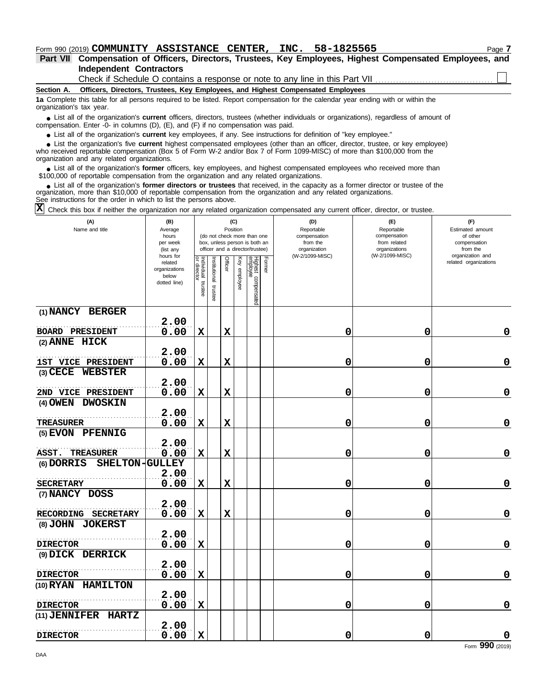### **Form 990 (2019) COMMUNITY ASSISTANCE CENTER, INC. 58-1825565**

**Independent Contractors Part VII Compensation of Officers, Directors, Trustees, Key Employees, Highest Compensated Employees, and**

Check if Schedule O contains a response or note to any line in this Part VII

#### **Section A. Officers, Directors, Trustees, Key Employees, and Highest Compensated Employees**

**1a** Complete this table for all persons required to be listed. Report compensation for the calendar year ending with or within the organization's tax year.

■ List all of the organization's **current** officers, directors, trustees (whether individuals or organizations), regardless of amount of the organization Enter -0- in columns (D), (E), and (E) if no compensation was paid compensation. Enter -0- in columns (D), (E), and (F) if no compensation was paid.

● List all of the organization's **current** key employees, if any. See instructions for definition of "key employee."

who received reportable compensation (Box 5 of Form W-2 and/or Box 7 of Form 1099-MISC) of more than \$100,000 from the organization and any related organizations. ■ List the organization's five **current** highest compensated employees (other than an officer, director, trustee, or key employee)<br>
a received reportable compensation (Box 5 of Form W-2 and/or Box 7 of Form 1099-MISC) of

■ List all of the organization's **former** officers, key employees, and highest compensated employees who received more than<br>00,000 of reportable compensation from the organization and any related organizations \$100,000 of reportable compensation from the organization and any related organizations.

■ List all of the organization's **former directors or trustees** that received, in the capacity as a former director or trustee of the<br>enization, more than \$10,000 of reportable compensation from the organization and any r organization, more than \$10,000 of reportable compensation from the organization and any related organizations. See instructions for the order in which to list the persons above.

Check this box if neither the organization nor any related organization compensated any current officer, director, or trustee. **X**

| (A)<br>Name and title             | (B)<br>Average<br>hours<br>per week<br>(list any               |                                   | (C)<br>Position<br>(do not check more than one<br>box, unless person is both an<br>officer and a director/trustee) |             |                 |                                 |        | (D)<br>Reportable<br>compensation<br>from the<br>organization | (E)<br>Reportable<br>compensation<br>from related<br>organizations | (F)<br>Estimated amount<br>of other<br>compensation<br>from the |
|-----------------------------------|----------------------------------------------------------------|-----------------------------------|--------------------------------------------------------------------------------------------------------------------|-------------|-----------------|---------------------------------|--------|---------------------------------------------------------------|--------------------------------------------------------------------|-----------------------------------------------------------------|
|                                   | hours for<br>related<br>organizations<br>below<br>dotted line) | Individual trustee<br>or director | nstitutional<br>trustee                                                                                            | Officer     | Κey<br>employee | Highest compensated<br>employee | Former | (W-2/1099-MISC)                                               | (W-2/1099-MISC)                                                    | organization and<br>related organizations                       |
| (1) NANCY BERGER                  | 2.00                                                           |                                   |                                                                                                                    |             |                 |                                 |        |                                                               |                                                                    |                                                                 |
| <b>BOARD PRESIDENT</b>            | 0.00                                                           | $\mathbf X$                       |                                                                                                                    | $\mathbf x$ |                 |                                 |        | 0                                                             | 0                                                                  | 0                                                               |
| (2) ANNE HICK                     |                                                                |                                   |                                                                                                                    |             |                 |                                 |        |                                                               |                                                                    |                                                                 |
|                                   | 2.00                                                           |                                   |                                                                                                                    |             |                 |                                 |        |                                                               |                                                                    |                                                                 |
| <b>1ST VICE PRESIDENT</b>         | 0.00                                                           | $\mathbf x$                       |                                                                                                                    | $\mathbf x$ |                 |                                 |        | 0                                                             | 0                                                                  | $\mathbf 0$                                                     |
| $(3)$ $CECE$<br><b>WEBSTER</b>    |                                                                |                                   |                                                                                                                    |             |                 |                                 |        |                                                               |                                                                    |                                                                 |
|                                   | 2.00                                                           |                                   |                                                                                                                    |             |                 |                                 |        |                                                               |                                                                    |                                                                 |
| 2ND VICE PRESIDENT                | 0.00                                                           | $\mathbf x$                       |                                                                                                                    | $\mathbf x$ |                 |                                 |        | 0                                                             | 0                                                                  | 0                                                               |
| (4) OWEN DWOSKIN                  |                                                                |                                   |                                                                                                                    |             |                 |                                 |        |                                                               |                                                                    |                                                                 |
|                                   | 2.00                                                           |                                   |                                                                                                                    |             |                 |                                 |        |                                                               |                                                                    |                                                                 |
| TREASURER                         | 0.00                                                           | $\mathbf x$                       |                                                                                                                    | $\mathbf x$ |                 |                                 |        | 0                                                             | 0                                                                  | 0                                                               |
| (5) EVON PFENNIG                  |                                                                |                                   |                                                                                                                    |             |                 |                                 |        |                                                               |                                                                    |                                                                 |
|                                   | 2.00                                                           |                                   |                                                                                                                    |             |                 |                                 |        |                                                               |                                                                    |                                                                 |
| ASST.<br><b>TREASURER</b>         | 0.00                                                           | $\mathbf x$                       |                                                                                                                    | $\mathbf x$ |                 |                                 |        | 0                                                             | 0                                                                  | $\mathbf 0$                                                     |
| SHELTON-<br>(6) DORRIS            | <b>GULLEY</b><br>2.00                                          |                                   |                                                                                                                    |             |                 |                                 |        |                                                               |                                                                    |                                                                 |
| <b>SECRETARY</b>                  | 0.00                                                           | $\mathbf x$                       |                                                                                                                    | $\mathbf x$ |                 |                                 |        | 0                                                             | 0                                                                  | $\mathbf 0$                                                     |
| (7) NANCY DOSS                    |                                                                |                                   |                                                                                                                    |             |                 |                                 |        |                                                               |                                                                    |                                                                 |
|                                   | 2.00                                                           |                                   |                                                                                                                    |             |                 |                                 |        |                                                               |                                                                    |                                                                 |
| RECORDING SECRETARY               | 0.00                                                           | X                                 |                                                                                                                    | $\mathbf X$ |                 |                                 |        | 0                                                             | 0                                                                  | $\mathbf 0$                                                     |
| (8) JOHN JOKERST                  |                                                                |                                   |                                                                                                                    |             |                 |                                 |        |                                                               |                                                                    |                                                                 |
|                                   | 2.00                                                           |                                   |                                                                                                                    |             |                 |                                 |        |                                                               |                                                                    |                                                                 |
| <b>DIRECTOR</b>                   | 0.00                                                           | $\mathbf x$                       |                                                                                                                    |             |                 |                                 |        | 0                                                             | 0                                                                  | 0                                                               |
| (9) DICK DERRICK                  |                                                                |                                   |                                                                                                                    |             |                 |                                 |        |                                                               |                                                                    |                                                                 |
|                                   | 2.00                                                           |                                   |                                                                                                                    |             |                 |                                 |        |                                                               |                                                                    |                                                                 |
| <b>DIRECTOR</b>                   | 0.00                                                           | $\mathbf x$                       |                                                                                                                    |             |                 |                                 |        | 0                                                             | 0                                                                  | $\mathbf 0$                                                     |
| (10) RYAN HAMILTON                |                                                                |                                   |                                                                                                                    |             |                 |                                 |        |                                                               |                                                                    |                                                                 |
|                                   | 2.00                                                           |                                   |                                                                                                                    |             |                 |                                 |        |                                                               |                                                                    |                                                                 |
| <b>DIRECTOR</b>                   | 0.00                                                           | X                                 |                                                                                                                    |             |                 |                                 |        | 0                                                             | 0                                                                  | 0                                                               |
| $(11)$ $JENNIFER$<br><b>HARTZ</b> |                                                                |                                   |                                                                                                                    |             |                 |                                 |        |                                                               |                                                                    |                                                                 |
| <b>DIRECTOR</b>                   | 2.00<br>0.00                                                   | $\mathbf x$                       |                                                                                                                    |             |                 |                                 |        | 0                                                             | 0                                                                  | $\mathbf 0$                                                     |
|                                   |                                                                |                                   |                                                                                                                    |             |                 |                                 |        |                                                               |                                                                    |                                                                 |

Form **990** (2019)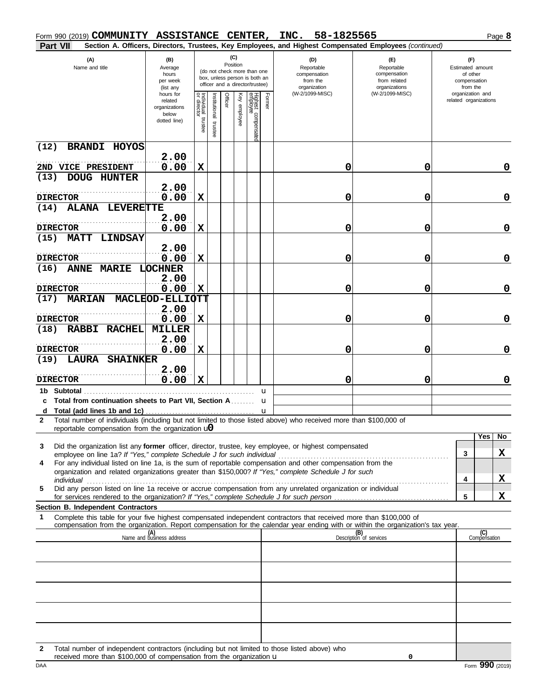| Form 990 (2019) <b>COMMUNITY ASSISTANCE CENTER,</b>                                                                                                                                                                       |                                                               |                                      |                          |          |                 |                                                                                                 |        | 58-1825565<br>INC.                                                               |                                                                                                        |                                                                                     | Page 8                |
|---------------------------------------------------------------------------------------------------------------------------------------------------------------------------------------------------------------------------|---------------------------------------------------------------|--------------------------------------|--------------------------|----------|-----------------|-------------------------------------------------------------------------------------------------|--------|----------------------------------------------------------------------------------|--------------------------------------------------------------------------------------------------------|-------------------------------------------------------------------------------------|-----------------------|
| <b>Part VII</b>                                                                                                                                                                                                           |                                                               |                                      |                          |          |                 |                                                                                                 |        |                                                                                  | Section A. Officers, Directors, Trustees, Key Employees, and Highest Compensated Employees (continued) |                                                                                     |                       |
| (A)<br>Name and title                                                                                                                                                                                                     | (B)<br>Average<br>hours<br>per week<br>(list any<br>hours for |                                      |                          | Position | (C)             | (do not check more than one<br>box, unless person is both an<br>officer and a director/trustee) |        | (D)<br>Reportable<br>compensation<br>from the<br>organization<br>(W-2/1099-MISC) | (E)<br>Reportable<br>compensation<br>from related<br>organizations<br>(W-2/1099-MISC)                  | (F)<br>Estimated amount<br>of other<br>compensation<br>from the<br>organization and |                       |
|                                                                                                                                                                                                                           | related<br>organizations<br>below<br>dotted line)             | Individual<br>or director<br>trustee | Institutional<br>trustee | Officer  | Ķey<br>employee | Highest compensatec<br>employee                                                                 | Former |                                                                                  |                                                                                                        | related organizations                                                               |                       |
| (12)<br><b>BRANDI</b><br><b>HOYOS</b>                                                                                                                                                                                     |                                                               |                                      |                          |          |                 |                                                                                                 |        |                                                                                  |                                                                                                        |                                                                                     |                       |
|                                                                                                                                                                                                                           | 2.00                                                          |                                      |                          |          |                 |                                                                                                 |        |                                                                                  |                                                                                                        |                                                                                     |                       |
| 2ND VICE PRESIDENT<br><b>DOUG HUNTER</b><br>(13)                                                                                                                                                                          | 0.00                                                          | X                                    |                          |          |                 |                                                                                                 |        | 0                                                                                | 0                                                                                                      |                                                                                     | 0                     |
|                                                                                                                                                                                                                           | 2.00                                                          |                                      |                          |          |                 |                                                                                                 |        |                                                                                  |                                                                                                        |                                                                                     |                       |
| <b>DIRECTOR</b>                                                                                                                                                                                                           | 0.00                                                          | $\mathbf x$                          |                          |          |                 |                                                                                                 |        | 0                                                                                | 0                                                                                                      |                                                                                     | 0                     |
| <b>ALANA</b><br>LEVERETTE<br>(14)                                                                                                                                                                                         |                                                               |                                      |                          |          |                 |                                                                                                 |        |                                                                                  |                                                                                                        |                                                                                     |                       |
|                                                                                                                                                                                                                           | 2.00                                                          |                                      |                          |          |                 |                                                                                                 |        |                                                                                  |                                                                                                        |                                                                                     |                       |
| <b>DIRECTOR</b>                                                                                                                                                                                                           | 0.00                                                          | X                                    |                          |          |                 |                                                                                                 |        | 0                                                                                | 0                                                                                                      |                                                                                     | 0                     |
| (15)<br><b>MATT</b><br><b>LINDSAY</b>                                                                                                                                                                                     |                                                               |                                      |                          |          |                 |                                                                                                 |        |                                                                                  |                                                                                                        |                                                                                     |                       |
| <b>DIRECTOR</b>                                                                                                                                                                                                           | 2.00<br>0.00                                                  | $\mathbf x$                          |                          |          |                 |                                                                                                 |        | 0                                                                                | 0                                                                                                      |                                                                                     | 0                     |
| <b>MARIE</b><br>(16)<br><b>ANNE</b>                                                                                                                                                                                       | <b>LOCHNER</b>                                                |                                      |                          |          |                 |                                                                                                 |        |                                                                                  |                                                                                                        |                                                                                     |                       |
|                                                                                                                                                                                                                           | 2.00                                                          |                                      |                          |          |                 |                                                                                                 |        |                                                                                  |                                                                                                        |                                                                                     |                       |
| <b>DIRECTOR</b>                                                                                                                                                                                                           | 0.00                                                          | $\mathbf x$                          |                          |          |                 |                                                                                                 |        | 0                                                                                | 0                                                                                                      |                                                                                     | 0                     |
| (17)<br><b>MARIAN</b>                                                                                                                                                                                                     | MACLEOD-ELLIOTT                                               |                                      |                          |          |                 |                                                                                                 |        |                                                                                  |                                                                                                        |                                                                                     |                       |
|                                                                                                                                                                                                                           | 2.00                                                          |                                      |                          |          |                 |                                                                                                 |        |                                                                                  |                                                                                                        |                                                                                     |                       |
| <b>DIRECTOR</b><br>(18)<br>RABBI RACHEL                                                                                                                                                                                   | 0.00<br><b>MILLER</b>                                         | X                                    |                          |          |                 |                                                                                                 |        | 0                                                                                | 0                                                                                                      |                                                                                     | 0                     |
|                                                                                                                                                                                                                           | 2.00                                                          |                                      |                          |          |                 |                                                                                                 |        |                                                                                  |                                                                                                        |                                                                                     |                       |
| <b>DIRECTOR</b>                                                                                                                                                                                                           | 0.00                                                          | $\mathbf x$                          |                          |          |                 |                                                                                                 |        | 0                                                                                | 0                                                                                                      |                                                                                     | $\mathbf 0$           |
| (19)<br><b>LAURA</b><br><b>SHAINKER</b>                                                                                                                                                                                   | 2.00                                                          |                                      |                          |          |                 |                                                                                                 |        |                                                                                  |                                                                                                        |                                                                                     |                       |
| <b>DIRECTOR</b>                                                                                                                                                                                                           | 0.00                                                          | $\mathbf X$                          |                          |          |                 |                                                                                                 |        | 0                                                                                | 0                                                                                                      |                                                                                     | 0                     |
| 1b Subtotal<br>c Total from continuation sheets to Part VII, Section A                                                                                                                                                    |                                                               |                                      |                          |          |                 |                                                                                                 | u      |                                                                                  |                                                                                                        |                                                                                     |                       |
| d Total (add lines 1b and 1c) $\ldots$ $\ldots$ $\ldots$ $\ldots$ $\ldots$ $\ldots$ $\ldots$ $\ldots$                                                                                                                     |                                                               |                                      |                          |          |                 |                                                                                                 | u      |                                                                                  |                                                                                                        |                                                                                     |                       |
| Total number of individuals (including but not limited to those listed above) who received more than \$100,000 of<br>2                                                                                                    |                                                               |                                      |                          |          |                 |                                                                                                 |        |                                                                                  |                                                                                                        |                                                                                     |                       |
| reportable compensation from the organization $\mathbf{u}$                                                                                                                                                                |                                                               |                                      |                          |          |                 |                                                                                                 |        |                                                                                  |                                                                                                        |                                                                                     |                       |
| Did the organization list any former officer, director, trustee, key employee, or highest compensated<br>3                                                                                                                |                                                               |                                      |                          |          |                 |                                                                                                 |        |                                                                                  |                                                                                                        |                                                                                     | N <sub>o</sub><br>Yes |
|                                                                                                                                                                                                                           |                                                               |                                      |                          |          |                 |                                                                                                 |        |                                                                                  |                                                                                                        | 3                                                                                   | X                     |
| For any individual listed on line 1a, is the sum of reportable compensation and other compensation from the<br>4<br>organization and related organizations greater than \$150,000? If "Yes," complete Schedule J for such |                                                               |                                      |                          |          |                 |                                                                                                 |        |                                                                                  |                                                                                                        |                                                                                     |                       |
|                                                                                                                                                                                                                           |                                                               |                                      |                          |          |                 |                                                                                                 |        |                                                                                  |                                                                                                        | 4                                                                                   | X                     |
| Did any person listed on line 1a receive or accrue compensation from any unrelated organization or individual<br>5                                                                                                        |                                                               |                                      |                          |          |                 |                                                                                                 |        |                                                                                  |                                                                                                        |                                                                                     |                       |
| Section B. Independent Contractors                                                                                                                                                                                        |                                                               |                                      |                          |          |                 |                                                                                                 |        |                                                                                  |                                                                                                        | 5                                                                                   | X                     |
| Complete this table for your five highest compensated independent contractors that received more than \$100,000 of<br>1                                                                                                   |                                                               |                                      |                          |          |                 |                                                                                                 |        |                                                                                  |                                                                                                        |                                                                                     |                       |
| compensation from the organization. Report compensation for the calendar year ending with or within the organization's tax year.                                                                                          |                                                               |                                      |                          |          |                 |                                                                                                 |        |                                                                                  |                                                                                                        |                                                                                     |                       |
|                                                                                                                                                                                                                           | (A)<br>Name and business address                              |                                      |                          |          |                 |                                                                                                 |        |                                                                                  | (B)<br>Description of services                                                                         |                                                                                     | (C)<br>Compensation   |
|                                                                                                                                                                                                                           |                                                               |                                      |                          |          |                 |                                                                                                 |        |                                                                                  |                                                                                                        |                                                                                     |                       |
|                                                                                                                                                                                                                           |                                                               |                                      |                          |          |                 |                                                                                                 |        |                                                                                  |                                                                                                        |                                                                                     |                       |
|                                                                                                                                                                                                                           |                                                               |                                      |                          |          |                 |                                                                                                 |        |                                                                                  |                                                                                                        |                                                                                     |                       |
|                                                                                                                                                                                                                           |                                                               |                                      |                          |          |                 |                                                                                                 |        |                                                                                  |                                                                                                        |                                                                                     |                       |
|                                                                                                                                                                                                                           |                                                               |                                      |                          |          |                 |                                                                                                 |        |                                                                                  |                                                                                                        |                                                                                     |                       |
|                                                                                                                                                                                                                           |                                                               |                                      |                          |          |                 |                                                                                                 |        |                                                                                  |                                                                                                        |                                                                                     |                       |
|                                                                                                                                                                                                                           |                                                               |                                      |                          |          |                 |                                                                                                 |        |                                                                                  |                                                                                                        |                                                                                     |                       |
|                                                                                                                                                                                                                           |                                                               |                                      |                          |          |                 |                                                                                                 |        |                                                                                  |                                                                                                        |                                                                                     |                       |
|                                                                                                                                                                                                                           |                                                               |                                      |                          |          |                 |                                                                                                 |        |                                                                                  |                                                                                                        |                                                                                     |                       |

**2** Total number of independent contractors (including but not limited to those listed above) who received more than \$100,000 of compensation from the organization u

**0**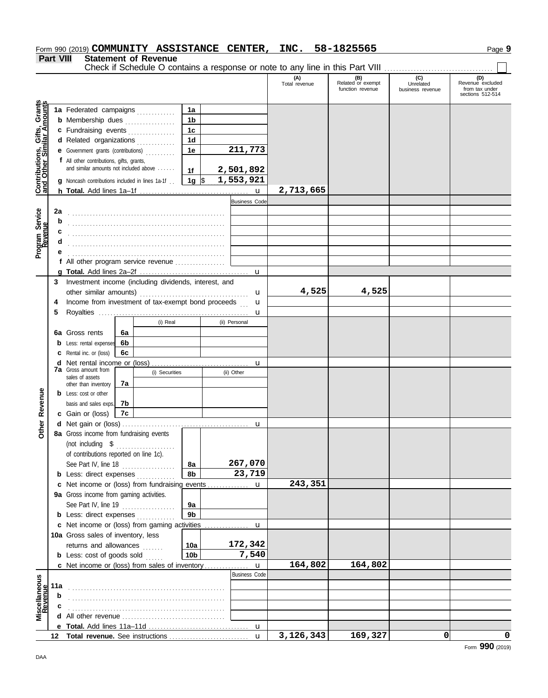### **Form 990 (2019) COMMUNITY ASSISTANCE CENTER, INC. 58-1825565**

**Part VIII Statement of Revenue**

Check if Schedule O contains a response or note to any line in this Part VIII ................................

|                                                                  |     |                                                                                                                                                                                                                                     |          |                                                   |                |                      | (A)           | (B)                                   | (C)                           | (D)                                |
|------------------------------------------------------------------|-----|-------------------------------------------------------------------------------------------------------------------------------------------------------------------------------------------------------------------------------------|----------|---------------------------------------------------|----------------|----------------------|---------------|---------------------------------------|-------------------------------|------------------------------------|
|                                                                  |     |                                                                                                                                                                                                                                     |          |                                                   |                |                      | Total revenue | Related or exempt<br>function revenue | Unrelated<br>business revenue | Revenue excluded<br>from tax under |
|                                                                  |     |                                                                                                                                                                                                                                     |          |                                                   |                |                      |               |                                       |                               | sections 512-514                   |
|                                                                  |     |                                                                                                                                                                                                                                     |          |                                                   |                |                      |               |                                       |                               |                                    |
|                                                                  |     | 1a Federated campaigns                                                                                                                                                                                                              |          |                                                   | 1a             |                      |               |                                       |                               |                                    |
|                                                                  |     | <b>b</b> Membership dues                                                                                                                                                                                                            |          |                                                   | 1b<br>1c       |                      |               |                                       |                               |                                    |
|                                                                  |     | c Fundraising events<br>d Related organizations                                                                                                                                                                                     |          |                                                   | 1d             |                      |               |                                       |                               |                                    |
|                                                                  |     | e Government grants (contributions)                                                                                                                                                                                                 |          |                                                   | 1e             | 211,773              |               |                                       |                               |                                    |
|                                                                  |     | f All other contributions, gifts, grants,                                                                                                                                                                                           |          |                                                   |                |                      |               |                                       |                               |                                    |
|                                                                  |     | and similar amounts not included above                                                                                                                                                                                              |          |                                                   | 1f             | 2,501,892            |               |                                       |                               |                                    |
| <b>Contributions, Gifts, Grants</b><br>and Other Similar Amounts |     | <b>g</b> Noncash contributions included in lines 1a-1f.                                                                                                                                                                             |          |                                                   | 1g $\sqrt{3}$  | 1,553,921            |               |                                       |                               |                                    |
|                                                                  |     |                                                                                                                                                                                                                                     |          |                                                   |                | u                    | 2,713,665     |                                       |                               |                                    |
|                                                                  |     |                                                                                                                                                                                                                                     |          |                                                   |                | <b>Business Code</b> |               |                                       |                               |                                    |
|                                                                  | 2a  |                                                                                                                                                                                                                                     |          |                                                   |                |                      |               |                                       |                               |                                    |
|                                                                  | b   |                                                                                                                                                                                                                                     |          |                                                   |                |                      |               |                                       |                               |                                    |
| Program Service<br>Revenue                                       |     |                                                                                                                                                                                                                                     |          |                                                   |                |                      |               |                                       |                               |                                    |
|                                                                  |     |                                                                                                                                                                                                                                     |          |                                                   |                |                      |               |                                       |                               |                                    |
|                                                                  |     |                                                                                                                                                                                                                                     |          |                                                   |                |                      |               |                                       |                               |                                    |
|                                                                  |     | f All other program service revenue                                                                                                                                                                                                 |          |                                                   |                |                      |               |                                       |                               |                                    |
|                                                                  | a   |                                                                                                                                                                                                                                     |          |                                                   |                |                      |               |                                       |                               |                                    |
|                                                                  | 3   | Investment income (including dividends, interest, and                                                                                                                                                                               |          |                                                   |                |                      |               |                                       |                               |                                    |
|                                                                  |     |                                                                                                                                                                                                                                     |          |                                                   |                | u                    | 4,525         | 4,525                                 |                               |                                    |
|                                                                  | 4   | Income from investment of tax-exempt bond proceeds                                                                                                                                                                                  |          |                                                   |                | u                    |               |                                       |                               |                                    |
|                                                                  | 5   |                                                                                                                                                                                                                                     |          |                                                   |                | u                    |               |                                       |                               |                                    |
|                                                                  |     |                                                                                                                                                                                                                                     |          | (i) Real                                          |                | (ii) Personal        |               |                                       |                               |                                    |
|                                                                  |     | 6a Gross rents                                                                                                                                                                                                                      | 6a       |                                                   |                |                      |               |                                       |                               |                                    |
|                                                                  | b   | Less: rental expenses 6b                                                                                                                                                                                                            |          |                                                   |                |                      |               |                                       |                               |                                    |
|                                                                  |     | Rental inc. or (loss)                                                                                                                                                                                                               | 6с       |                                                   |                |                      |               |                                       |                               |                                    |
|                                                                  | d   | Net rental income or (loss)<br><b>7a</b> Gross amount from                                                                                                                                                                          |          |                                                   |                | u                    |               |                                       |                               |                                    |
|                                                                  |     | sales of assets                                                                                                                                                                                                                     |          | (i) Securities                                    |                | (ii) Other           |               |                                       |                               |                                    |
|                                                                  |     | other than inventory                                                                                                                                                                                                                | 7a       |                                                   |                |                      |               |                                       |                               |                                    |
|                                                                  |     | <b>b</b> Less: cost or other                                                                                                                                                                                                        |          |                                                   |                |                      |               |                                       |                               |                                    |
| Revenue                                                          |     | basis and sales exps.                                                                                                                                                                                                               | 7b<br>7c |                                                   |                |                      |               |                                       |                               |                                    |
|                                                                  |     | c Gain or (loss)                                                                                                                                                                                                                    |          |                                                   |                |                      |               |                                       |                               |                                    |
| <b>Other</b>                                                     |     | 8a Gross income from fundraising events                                                                                                                                                                                             |          |                                                   |                |                      |               |                                       |                               |                                    |
|                                                                  |     | (not including \$                                                                                                                                                                                                                   |          |                                                   |                |                      |               |                                       |                               |                                    |
|                                                                  |     | of contributions reported on line 1c).                                                                                                                                                                                              |          | .                                                 |                |                      |               |                                       |                               |                                    |
|                                                                  |     | See Part IV, line 18                                                                                                                                                                                                                |          | <u> 1986 - Johann Stoff, Amerikaansk kanton o</u> | 8a             | 267,070              |               |                                       |                               |                                    |
|                                                                  |     | <b>b</b> Less: direct expenses                                                                                                                                                                                                      |          |                                                   | 8b             | 23,719               |               |                                       |                               |                                    |
|                                                                  |     | c Net income or (loss) from fundraising events                                                                                                                                                                                      |          |                                                   |                | u                    | 243,351       |                                       |                               |                                    |
|                                                                  |     | 9a Gross income from gaming activities.                                                                                                                                                                                             |          |                                                   |                |                      |               |                                       |                               |                                    |
|                                                                  |     | See Part IV, line 19                                                                                                                                                                                                                |          |                                                   | 9a             |                      |               |                                       |                               |                                    |
|                                                                  |     | <b>b</b> Less: direct expenses                                                                                                                                                                                                      |          |                                                   | 9 <sub>b</sub> |                      |               |                                       |                               |                                    |
|                                                                  |     | c Net income or (loss) from gaming activities                                                                                                                                                                                       |          |                                                   |                | u                    |               |                                       |                               |                                    |
|                                                                  |     | 10a Gross sales of inventory, less                                                                                                                                                                                                  |          |                                                   |                |                      |               |                                       |                               |                                    |
|                                                                  |     | returns and allowances                                                                                                                                                                                                              |          |                                                   | 10a            | 172,342              |               |                                       |                               |                                    |
|                                                                  |     | <b>b</b> Less: $cost$ of goods sold $\ldots$                                                                                                                                                                                        |          |                                                   | 10b            | 7,540                |               |                                       |                               |                                    |
|                                                                  |     | c Net income or (loss) from sales of inventory                                                                                                                                                                                      |          |                                                   |                | u                    | 164,802       | 164,802                               |                               |                                    |
|                                                                  |     |                                                                                                                                                                                                                                     |          |                                                   |                | <b>Business Code</b> |               |                                       |                               |                                    |
|                                                                  | 11a |                                                                                                                                                                                                                                     |          |                                                   |                |                      |               |                                       |                               |                                    |
|                                                                  | b   |                                                                                                                                                                                                                                     |          |                                                   |                |                      |               |                                       |                               |                                    |
| Miscellaneous<br>Revenue                                         | с   |                                                                                                                                                                                                                                     |          |                                                   |                |                      |               |                                       |                               |                                    |
|                                                                  |     | All other revenue <i>communication</i> and the communication of the set of the set of the set of the set of the set of the set of the set of the set of the set of the set of the set of the set of the set of the set of the set o |          |                                                   |                |                      |               |                                       |                               |                                    |
|                                                                  |     |                                                                                                                                                                                                                                     |          |                                                   |                | $\mathbf{u}$         | 3,126,343     | 169,327                               | 0                             | 0                                  |
|                                                                  |     |                                                                                                                                                                                                                                     |          |                                                   |                |                      |               |                                       |                               |                                    |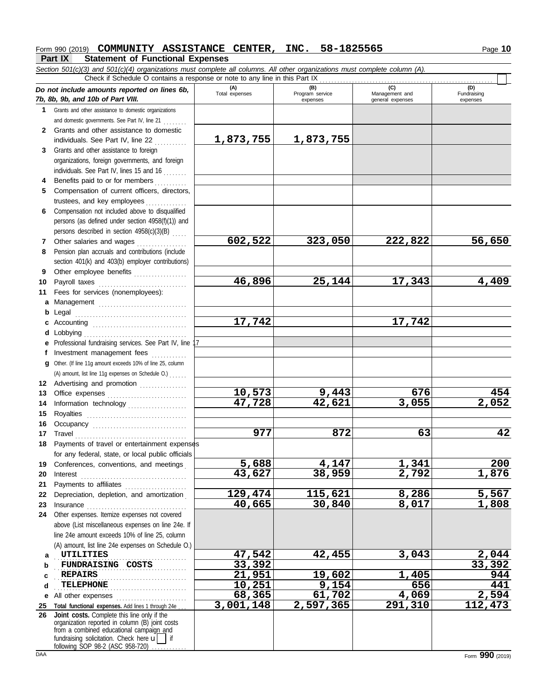#### **Part IX Statement of Functional Expenses Form 990 (2019) COMMUNITY ASSISTANCE CENTER, INC. 58-1825565** Page 10

|          | Section 501(c)(3) and 501(c)(4) organizations must complete all columns. All other organizations must complete column (A).<br>Check if Schedule O contains a response or note to any line in this Part IX                                                                                                                                                                                                                                                                                                                            |                       |                             |                                    |                         |
|----------|--------------------------------------------------------------------------------------------------------------------------------------------------------------------------------------------------------------------------------------------------------------------------------------------------------------------------------------------------------------------------------------------------------------------------------------------------------------------------------------------------------------------------------------|-----------------------|-----------------------------|------------------------------------|-------------------------|
|          |                                                                                                                                                                                                                                                                                                                                                                                                                                                                                                                                      |                       | (B)                         | (C)                                | (D)                     |
|          | Do not include amounts reported on lines 6b,<br>7b, 8b, 9b, and 10b of Part VIII.                                                                                                                                                                                                                                                                                                                                                                                                                                                    | (A)<br>Total expenses | Program service<br>expenses | Management and<br>general expenses | Fundraising<br>expenses |
| 1.       | Grants and other assistance to domestic organizations                                                                                                                                                                                                                                                                                                                                                                                                                                                                                |                       |                             |                                    |                         |
|          | and domestic governments. See Part IV, line 21                                                                                                                                                                                                                                                                                                                                                                                                                                                                                       |                       |                             |                                    |                         |
|          | 2 Grants and other assistance to domestic                                                                                                                                                                                                                                                                                                                                                                                                                                                                                            |                       |                             |                                    |                         |
|          | individuals. See Part IV, line 22                                                                                                                                                                                                                                                                                                                                                                                                                                                                                                    | <u>1,873,755</u>      | <u>1,873,755</u>            |                                    |                         |
| 3        | Grants and other assistance to foreign                                                                                                                                                                                                                                                                                                                                                                                                                                                                                               |                       |                             |                                    |                         |
|          | organizations, foreign governments, and foreign                                                                                                                                                                                                                                                                                                                                                                                                                                                                                      |                       |                             |                                    |                         |
|          | individuals. See Part IV, lines 15 and 16                                                                                                                                                                                                                                                                                                                                                                                                                                                                                            |                       |                             |                                    |                         |
|          | Benefits paid to or for members                                                                                                                                                                                                                                                                                                                                                                                                                                                                                                      |                       |                             |                                    |                         |
| 5.       | Compensation of current officers, directors,                                                                                                                                                                                                                                                                                                                                                                                                                                                                                         |                       |                             |                                    |                         |
|          | trustees, and key employees                                                                                                                                                                                                                                                                                                                                                                                                                                                                                                          |                       |                             |                                    |                         |
| 6        | Compensation not included above to disqualified                                                                                                                                                                                                                                                                                                                                                                                                                                                                                      |                       |                             |                                    |                         |
|          | persons (as defined under section 4958(f)(1)) and                                                                                                                                                                                                                                                                                                                                                                                                                                                                                    |                       |                             |                                    |                         |
|          | persons described in section 4958(c)(3)(B)                                                                                                                                                                                                                                                                                                                                                                                                                                                                                           |                       |                             |                                    |                         |
| 7        | Other salaries and wages                                                                                                                                                                                                                                                                                                                                                                                                                                                                                                             | 602,522               | 323,050                     | 222,822                            | 56,650                  |
| 8        | Pension plan accruals and contributions (include                                                                                                                                                                                                                                                                                                                                                                                                                                                                                     |                       |                             |                                    |                         |
|          | section 401(k) and 403(b) employer contributions)                                                                                                                                                                                                                                                                                                                                                                                                                                                                                    |                       |                             |                                    |                         |
| 9        | Other employee benefits                                                                                                                                                                                                                                                                                                                                                                                                                                                                                                              |                       |                             |                                    |                         |
| 10       | Payroll taxes                                                                                                                                                                                                                                                                                                                                                                                                                                                                                                                        | 46,896                | 25,144                      | 17,343                             | 4,409                   |
| 11       | Fees for services (nonemployees):                                                                                                                                                                                                                                                                                                                                                                                                                                                                                                    |                       |                             |                                    |                         |
|          | a Management                                                                                                                                                                                                                                                                                                                                                                                                                                                                                                                         |                       |                             |                                    |                         |
| b        | Legal                                                                                                                                                                                                                                                                                                                                                                                                                                                                                                                                |                       |                             |                                    |                         |
|          |                                                                                                                                                                                                                                                                                                                                                                                                                                                                                                                                      | 17,742                |                             | 17,742                             |                         |
| d        | Lobbying                                                                                                                                                                                                                                                                                                                                                                                                                                                                                                                             |                       |                             |                                    |                         |
|          | Professional fundraising services. See Part IV, line 17                                                                                                                                                                                                                                                                                                                                                                                                                                                                              |                       |                             |                                    |                         |
|          | Investment management fees                                                                                                                                                                                                                                                                                                                                                                                                                                                                                                           |                       |                             |                                    |                         |
| a        | Other. (If line 11g amount exceeds 10% of line 25, column                                                                                                                                                                                                                                                                                                                                                                                                                                                                            |                       |                             |                                    |                         |
|          | (A) amount, list line 11g expenses on Schedule O.)                                                                                                                                                                                                                                                                                                                                                                                                                                                                                   |                       |                             |                                    |                         |
|          | 12 Advertising and promotion                                                                                                                                                                                                                                                                                                                                                                                                                                                                                                         | 10,573                | 9,443                       | 676                                | 454                     |
| 13<br>14 | Office expenses<br>Information technology                                                                                                                                                                                                                                                                                                                                                                                                                                                                                            | 47,728                | 42,621                      | 3,055                              | 2,052                   |
| 15       |                                                                                                                                                                                                                                                                                                                                                                                                                                                                                                                                      |                       |                             |                                    |                         |
| 16       |                                                                                                                                                                                                                                                                                                                                                                                                                                                                                                                                      |                       |                             |                                    |                         |
| 17       | Occupancy<br>$\begin{minipage}[c]{0.9\linewidth} \begin{tabular}{l} \hline \textbf{Travel} \end{tabular} \end{minipage} \end{minipage} \begin{minipage}[c]{0.9\linewidth} \begin{tabular}{l} \hline \textbf{True} \end{tabular} \end{minipage} \end{minipage} \begin{minipage}[c]{0.9\linewidth} \begin{tabular}{l} \hline \textbf{True} \end{tabular} \end{minipage} \end{minipage} \begin{minipage}[c]{0.9\linewidth} \begin{tabular}{l} \hline \textbf{True} \end{tabular} \end{minipage} \end{minipage} \begin{minipage}[c]{0.9$ | 977                   | 872                         | 63                                 | 42                      |
| 18       | Payments of travel or entertainment expenses                                                                                                                                                                                                                                                                                                                                                                                                                                                                                         |                       |                             |                                    |                         |
|          | for any federal, state, or local public officials                                                                                                                                                                                                                                                                                                                                                                                                                                                                                    |                       |                             |                                    |                         |
| 19       | Conferences, conventions, and meetings                                                                                                                                                                                                                                                                                                                                                                                                                                                                                               | 5,688                 | 4,147                       | <u>1,341</u>                       | 200                     |
| 20       | Interest                                                                                                                                                                                                                                                                                                                                                                                                                                                                                                                             | 43,627                | 38,959                      | 2,792                              | 1,876                   |
| 21       | Payments to affiliates                                                                                                                                                                                                                                                                                                                                                                                                                                                                                                               |                       |                             |                                    |                         |
| 22       | Depreciation, depletion, and amortization                                                                                                                                                                                                                                                                                                                                                                                                                                                                                            | 129,474               | 115,621                     | 8,286                              | 5,567                   |
| 23       |                                                                                                                                                                                                                                                                                                                                                                                                                                                                                                                                      | 40,665                | 30,840                      | 8,017                              | 1,808                   |
| 24       | Other expenses. Itemize expenses not covered                                                                                                                                                                                                                                                                                                                                                                                                                                                                                         |                       |                             |                                    |                         |
|          | above (List miscellaneous expenses on line 24e. If                                                                                                                                                                                                                                                                                                                                                                                                                                                                                   |                       |                             |                                    |                         |
|          | line 24e amount exceeds 10% of line 25, column                                                                                                                                                                                                                                                                                                                                                                                                                                                                                       |                       |                             |                                    |                         |
|          | (A) amount, list line 24e expenses on Schedule O.)                                                                                                                                                                                                                                                                                                                                                                                                                                                                                   |                       |                             |                                    |                         |
| а        | UTILITIES                                                                                                                                                                                                                                                                                                                                                                                                                                                                                                                            | 47,542                | 42,455                      | 3,043                              | 2,044                   |
| b        | FUNDRAISING COSTS                                                                                                                                                                                                                                                                                                                                                                                                                                                                                                                    | 33,392                |                             |                                    | 33,392                  |
| c        | <b>REPAIRS</b>                                                                                                                                                                                                                                                                                                                                                                                                                                                                                                                       | 21,951                | 19,602                      | 1,405                              | 944                     |
| d        | <b>TELEPHONE</b><br>.                                                                                                                                                                                                                                                                                                                                                                                                                                                                                                                | <u>10,251</u>         | 9,154                       | 656                                | 441                     |
| е        | All other expenses                                                                                                                                                                                                                                                                                                                                                                                                                                                                                                                   | 68,365                | 61,702                      | 4,069                              | 2,594                   |
| 25       | Total functional expenses. Add lines 1 through 24e                                                                                                                                                                                                                                                                                                                                                                                                                                                                                   | 3,001,148             | 2,597,365                   | 291,310                            | 112,473                 |
| 26       | Joint costs. Complete this line only if the<br>organization reported in column (B) joint costs                                                                                                                                                                                                                                                                                                                                                                                                                                       |                       |                             |                                    |                         |
|          | from a combined educational campaign and                                                                                                                                                                                                                                                                                                                                                                                                                                                                                             |                       |                             |                                    |                         |
|          | fundraising solicitation. Check here $\mathbf{u}$   if                                                                                                                                                                                                                                                                                                                                                                                                                                                                               |                       |                             |                                    |                         |
|          | following SOP 98-2 (ASC 958-720).                                                                                                                                                                                                                                                                                                                                                                                                                                                                                                    |                       |                             |                                    |                         |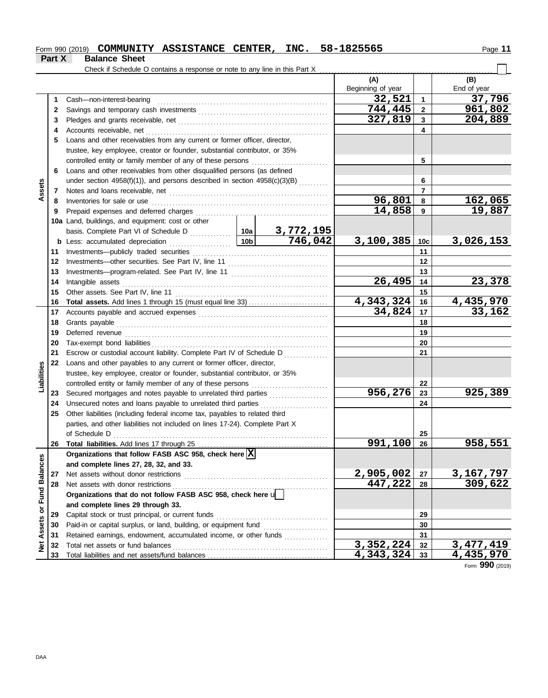## **Form 990 (2019) COMMUNITY ASSISTANCE CENTER, INC. 58-1825565** Page 11

**Part X Balance Sheet**<br>Check if Schedule O

|                      |              |                                                                                                                                                                         |         | (A)                |                 | (B)                        |
|----------------------|--------------|-------------------------------------------------------------------------------------------------------------------------------------------------------------------------|---------|--------------------|-----------------|----------------------------|
|                      |              |                                                                                                                                                                         |         | Beginning of year  |                 | End of year                |
|                      | 1            | Cash-non-interest-bearing                                                                                                                                               |         | 32,521             | $\overline{1}$  | 37, 796                    |
|                      | $\mathbf{2}$ |                                                                                                                                                                         |         | 744,445            | $\overline{2}$  | 961,802                    |
|                      | 3            |                                                                                                                                                                         |         | 327,819            | $\mathbf{3}$    | 204,889                    |
|                      | 4            |                                                                                                                                                                         |         |                    | 4               |                            |
|                      | 5            | Loans and other receivables from any current or former officer, director,                                                                                               |         |                    |                 |                            |
|                      |              | trustee, key employee, creator or founder, substantial contributor, or 35%                                                                                              |         |                    |                 |                            |
|                      |              |                                                                                                                                                                         |         |                    | 5               |                            |
|                      | 6            | Loans and other receivables from other disqualified persons (as defined                                                                                                 |         |                    |                 |                            |
|                      |              | under section $4958(f)(1)$ ), and persons described in section $4958(c)(3)(B)$                                                                                          |         |                    | 6               |                            |
| Assets               | 7            |                                                                                                                                                                         |         |                    | $\overline{7}$  |                            |
|                      | 8            | Inventories for sale or use                                                                                                                                             |         | 96,801             | 8               | 162,065                    |
|                      | 9            |                                                                                                                                                                         |         | 14,858             | 9               | 19,887                     |
|                      |              | 10a Land, buildings, and equipment: cost or other                                                                                                                       |         |                    |                 |                            |
|                      |              |                                                                                                                                                                         |         |                    |                 |                            |
|                      |              | basis. Complete Part VI of Schedule D<br>Loss: complete Part VI of Schedule D<br>100 746,042<br>$\frac{1}{10b}$<br><b>b</b> Less: accumulated depreciation              |         | 3,100,385          | 10 <sub>c</sub> | 3,026,153                  |
|                      | 11           | Investments-publicly traded securities                                                                                                                                  |         |                    | 11              |                            |
|                      | 12           | Investments-other securities. See Part IV, line 11                                                                                                                      |         |                    | $12 \,$         |                            |
|                      | 13           |                                                                                                                                                                         |         | 13                 |                 |                            |
|                      | 14           | Intangible assets                                                                                                                                                       | 26, 495 | 14                 | 23,378          |                            |
|                      | 15           | Other assets. See Part IV, line 11                                                                                                                                      |         |                    | 15              |                            |
|                      | 16           |                                                                                                                                                                         |         | 4,343,324          | 16              |                            |
|                      | 17           |                                                                                                                                                                         |         | 34,824             | 17              | $\frac{4,435,970}{33,162}$ |
|                      | 18           | Grants payable                                                                                                                                                          |         |                    | 18              |                            |
|                      | 19           | Deferred revenue                                                                                                                                                        |         | 19                 |                 |                            |
|                      | 20           |                                                                                                                                                                         |         | 20                 |                 |                            |
|                      | 21           | Escrow or custodial account liability. Complete Part IV of Schedule D                                                                                                   |         |                    | 21              |                            |
|                      | 22           | Loans and other payables to any current or former officer, director,                                                                                                    |         |                    |                 |                            |
| Liabilities          |              | trustee, key employee, creator or founder, substantial contributor, or 35%                                                                                              |         |                    |                 |                            |
|                      |              | controlled entity or family member of any of these persons                                                                                                              |         |                    | 22              |                            |
|                      | 23           | Secured mortgages and notes payable to unrelated third parties                                                                                                          |         | 956,276            | 23              | 925,389                    |
|                      | 24           | Unsecured notes and loans payable to unrelated third parties                                                                                                            |         |                    | 24              |                            |
|                      | 25           | Other liabilities (including federal income tax, payables to related third                                                                                              |         |                    |                 |                            |
|                      |              | parties, and other liabilities not included on lines 17-24). Complete Part X                                                                                            |         |                    |                 |                            |
|                      |              |                                                                                                                                                                         |         |                    | 25              |                            |
|                      | 26           | of Schedule D $\ldots$ $\ldots$ $\ldots$ $\ldots$ $\ldots$ $\ldots$ $\ldots$ $\ldots$ $\ldots$ $\ldots$ $\ldots$ $\ldots$<br>Total liabilities. Add lines 17 through 25 |         | 991,100            | 26              | 958,551                    |
|                      |              | Organizations that follow FASB ASC 958, check here $\overline{X}$                                                                                                       |         |                    |                 |                            |
| <b>Fund Balances</b> |              | and complete lines 27, 28, 32, and 33.                                                                                                                                  |         |                    |                 |                            |
|                      | 27           | Net assets without donor restrictions                                                                                                                                   |         | 2,905,002          | 27              | 3,167,797                  |
|                      | 28           | Net assets with donor restrictions                                                                                                                                      |         | 447,222            | 28              | 309,622                    |
|                      |              | Net assets with donor restrictions<br>Organizations that do not follow FASB ASC 958, check here u                                                                       |         |                    |                 |                            |
|                      |              | and complete lines 29 through 33.                                                                                                                                       |         |                    |                 |                            |
| ð                    | 29           | Capital stock or trust principal, or current funds                                                                                                                      |         |                    | 29              |                            |
|                      |              |                                                                                                                                                                         |         |                    | 30              |                            |
|                      | 30           | Retained earnings, endowment, accumulated income, or other funds                                                                                                        |         |                    |                 |                            |
| <b>Net Assets</b>    | 31           | Total net assets or fund balances                                                                                                                                       |         | 3,352,224          | 31              | 3,477,419                  |
|                      | 32           |                                                                                                                                                                         |         | <u>4,343,324  </u> | 32              | <u>4,435,970</u>           |
|                      | 33           |                                                                                                                                                                         |         |                    | 33              |                            |

Form **990** (2019)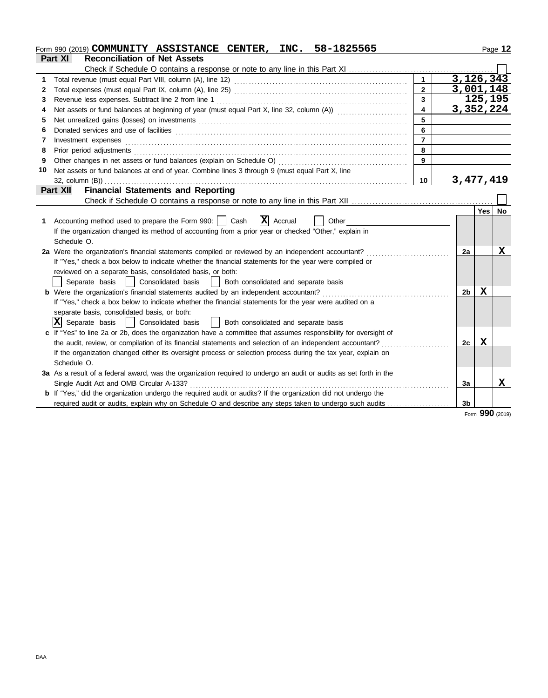|    | Form 990 (2019) COMMUNITY ASSISTANCE CENTER, INC. $58-1825565$                                                                                                                                                                                                                                                                                                                                                                                                                                                         |                |                |          | Page 12 |
|----|------------------------------------------------------------------------------------------------------------------------------------------------------------------------------------------------------------------------------------------------------------------------------------------------------------------------------------------------------------------------------------------------------------------------------------------------------------------------------------------------------------------------|----------------|----------------|----------|---------|
|    | <b>Reconciliation of Net Assets</b><br>Part XI                                                                                                                                                                                                                                                                                                                                                                                                                                                                         |                |                |          |         |
|    | Check if Schedule O contains a response or note to any line in this Part XI                                                                                                                                                                                                                                                                                                                                                                                                                                            |                |                |          |         |
| 1  |                                                                                                                                                                                                                                                                                                                                                                                                                                                                                                                        | $\overline{1}$ | 3,126,343      |          |         |
| 2  |                                                                                                                                                                                                                                                                                                                                                                                                                                                                                                                        | $\overline{2}$ | 3,001,148      |          |         |
| 3  | Revenue less expenses. Subtract line 2 from line 1                                                                                                                                                                                                                                                                                                                                                                                                                                                                     | $\mathbf{3}$   |                | 125,195  |         |
| 4  | Net assets or fund balances at beginning of year (must equal Part X, line 32, column (A)) [[[[[[[[[[[[[[[[[[[                                                                                                                                                                                                                                                                                                                                                                                                          | $\overline{4}$ | 3,352,224      |          |         |
| 5  | Net unrealized gains (losses) on investments [11] matter contracts and the state of the state of the state of the state of the state of the state of the state of the state of the state of the state of the state of the stat                                                                                                                                                                                                                                                                                         | 5              |                |          |         |
| 6  |                                                                                                                                                                                                                                                                                                                                                                                                                                                                                                                        | 6              |                |          |         |
| 7  | $Investment \textit{ expenses} \textit{________} \label{ex:ex:ex:1} \begin{minipage}[c]{0.9\textwidth}{ \begin{minipage}[c]{0.9\textwidth}{ \begin{minipage}[c]{0.9\textwidth}{ \begin{minipage}[c]{0.9\textwidth}{ \begin{minipage}[c]{0.9\textwidth}{ \begin{minipage}[c]{0.9\textwidth}{ \begin{minipage}[c]{0.9\textwidth}{ \begin{minipage}[c]{0.9\textwidth}{ \begin{minipage}[c]{0.9\textwidth}{ \begin{minipage}[c]{0.9\textwidth}{ \begin{minipage}[c]{0.9\textwidth}{ \begin{minipage}[c]{0.9\textwidth}{ \$ | $\overline{7}$ |                |          |         |
| 8  | Prior period adjustments [11, 12] and the contract of the contract of the contract of the contract of the contract of the contract of the contract of the contract of the contract of the contract of the contract of the cont                                                                                                                                                                                                                                                                                         | 8              |                |          |         |
| 9  |                                                                                                                                                                                                                                                                                                                                                                                                                                                                                                                        | 9              |                |          |         |
| 10 | Net assets or fund balances at end of year. Combine lines 3 through 9 (must equal Part X, line                                                                                                                                                                                                                                                                                                                                                                                                                         |                |                |          |         |
|    | $32$ , column $(B)$ )                                                                                                                                                                                                                                                                                                                                                                                                                                                                                                  | 10             | 3,477,419      |          |         |
|    | <b>Financial Statements and Reporting</b><br>Part XII                                                                                                                                                                                                                                                                                                                                                                                                                                                                  |                |                |          |         |
|    |                                                                                                                                                                                                                                                                                                                                                                                                                                                                                                                        |                |                |          |         |
|    |                                                                                                                                                                                                                                                                                                                                                                                                                                                                                                                        |                |                | Yes   No |         |
| 1. | $ \mathbf{X} $ Accrual<br>Accounting method used to prepare the Form 990:     Cash<br>Other                                                                                                                                                                                                                                                                                                                                                                                                                            |                |                |          |         |
|    | If the organization changed its method of accounting from a prior year or checked "Other," explain in                                                                                                                                                                                                                                                                                                                                                                                                                  |                |                |          |         |
|    | Schedule O.                                                                                                                                                                                                                                                                                                                                                                                                                                                                                                            |                |                |          |         |
|    | 2a Were the organization's financial statements compiled or reviewed by an independent accountant?                                                                                                                                                                                                                                                                                                                                                                                                                     |                | 2a             |          | X       |
|    | If "Yes," check a box below to indicate whether the financial statements for the year were compiled or                                                                                                                                                                                                                                                                                                                                                                                                                 |                |                |          |         |
|    | reviewed on a separate basis, consolidated basis, or both:                                                                                                                                                                                                                                                                                                                                                                                                                                                             |                |                |          |         |
|    | Separate basis<br>  Both consolidated and separate basis<br>Consolidated basis                                                                                                                                                                                                                                                                                                                                                                                                                                         |                |                |          |         |
|    | <b>b</b> Were the organization's financial statements audited by an independent accountant?                                                                                                                                                                                                                                                                                                                                                                                                                            |                | 2 <sub>b</sub> | х        |         |
|    | If "Yes," check a box below to indicate whether the financial statements for the year were audited on a                                                                                                                                                                                                                                                                                                                                                                                                                |                |                |          |         |
|    | separate basis, consolidated basis, or both:                                                                                                                                                                                                                                                                                                                                                                                                                                                                           |                |                |          |         |
|    | $ \mathbf{X} $ Separate basis<br>  Consolidated basis<br>  Both consolidated and separate basis                                                                                                                                                                                                                                                                                                                                                                                                                        |                |                |          |         |
|    | c If "Yes" to line 2a or 2b, does the organization have a committee that assumes responsibility for oversight of                                                                                                                                                                                                                                                                                                                                                                                                       |                |                |          |         |
|    | the audit, review, or compilation of its financial statements and selection of an independent accountant?                                                                                                                                                                                                                                                                                                                                                                                                              |                | 2c             | X        |         |
|    | If the organization changed either its oversight process or selection process during the tax year, explain on                                                                                                                                                                                                                                                                                                                                                                                                          |                |                |          |         |
|    | Schedule O.                                                                                                                                                                                                                                                                                                                                                                                                                                                                                                            |                |                |          |         |
|    | 3a As a result of a federal award, was the organization required to undergo an audit or audits as set forth in the                                                                                                                                                                                                                                                                                                                                                                                                     |                |                |          |         |
|    | Single Audit Act and OMB Circular A-133?                                                                                                                                                                                                                                                                                                                                                                                                                                                                               |                | 3a             |          | x       |
|    | <b>b</b> If "Yes," did the organization undergo the required audit or audits? If the organization did not undergo the                                                                                                                                                                                                                                                                                                                                                                                                  |                |                |          |         |
|    | required audit or audits, explain why on Schedule O and describe any steps taken to undergo such audits                                                                                                                                                                                                                                                                                                                                                                                                                |                | 3 <sub>b</sub> |          |         |
|    |                                                                                                                                                                                                                                                                                                                                                                                                                                                                                                                        |                |                | nnn.     |         |

Form **990** (2019)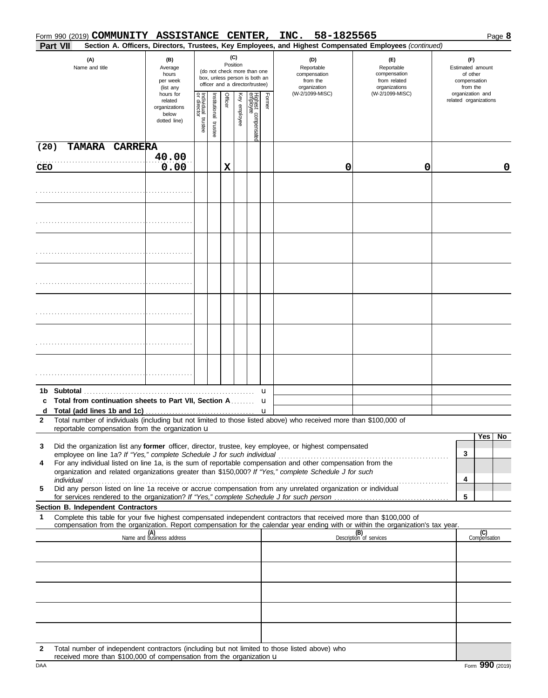|              |          |                                                       |                                                                |                                   |                         |         |                 |                                                                                                 |        | Form 990 (2019) COMMUNITY ASSISTANCE CENTER, INC. 58-1825565                                                                                                                                                         |                                                                                                                                  | Page 8                                                                              |
|--------------|----------|-------------------------------------------------------|----------------------------------------------------------------|-----------------------------------|-------------------------|---------|-----------------|-------------------------------------------------------------------------------------------------|--------|----------------------------------------------------------------------------------------------------------------------------------------------------------------------------------------------------------------------|----------------------------------------------------------------------------------------------------------------------------------|-------------------------------------------------------------------------------------|
|              | Part VII |                                                       |                                                                |                                   |                         |         |                 |                                                                                                 |        |                                                                                                                                                                                                                      | Section A. Officers, Directors, Trustees, Key Employees, and Highest Compensated Employees (continued)                           |                                                                                     |
|              |          | (A)<br>Name and title                                 | (B)<br>Average<br>hours<br>per week<br>(list any               |                                   |                         |         | (C)<br>Position | (do not check more than one<br>box, unless person is both an<br>officer and a director/trustee) |        | (D)<br>Reportable<br>compensation<br>from the<br>organization<br>(W-2/1099-MISC)                                                                                                                                     | (F)<br>Reportable<br>compensation<br>from related<br>organizations<br>(W-2/1099-MISC)                                            | (F)<br>Estimated amount<br>of other<br>compensation<br>from the<br>organization and |
|              |          |                                                       | hours for<br>related<br>organizations<br>below<br>dotted line) | Individual trustee<br>or director | nstitutional<br>trustee | Officer | Key employee    | Highest compensatec<br>employee                                                                 | Former |                                                                                                                                                                                                                      |                                                                                                                                  | related organizations                                                               |
| (20)         |          | <b>CARRERA</b><br><b>TAMARA</b>                       |                                                                |                                   |                         |         |                 |                                                                                                 |        |                                                                                                                                                                                                                      |                                                                                                                                  |                                                                                     |
| <b>CEO</b>   |          |                                                       | 40.00<br>0.00                                                  |                                   |                         | X       |                 |                                                                                                 |        | 0                                                                                                                                                                                                                    | 0                                                                                                                                | 0                                                                                   |
|              |          |                                                       |                                                                |                                   |                         |         |                 |                                                                                                 |        |                                                                                                                                                                                                                      |                                                                                                                                  |                                                                                     |
|              |          |                                                       |                                                                |                                   |                         |         |                 |                                                                                                 |        |                                                                                                                                                                                                                      |                                                                                                                                  |                                                                                     |
|              |          |                                                       |                                                                |                                   |                         |         |                 |                                                                                                 |        |                                                                                                                                                                                                                      |                                                                                                                                  |                                                                                     |
|              |          |                                                       |                                                                |                                   |                         |         |                 |                                                                                                 |        |                                                                                                                                                                                                                      |                                                                                                                                  |                                                                                     |
|              |          |                                                       |                                                                |                                   |                         |         |                 |                                                                                                 |        |                                                                                                                                                                                                                      |                                                                                                                                  |                                                                                     |
|              |          |                                                       |                                                                |                                   |                         |         |                 |                                                                                                 |        |                                                                                                                                                                                                                      |                                                                                                                                  |                                                                                     |
|              |          |                                                       |                                                                |                                   |                         |         |                 |                                                                                                 |        |                                                                                                                                                                                                                      |                                                                                                                                  |                                                                                     |
|              |          |                                                       |                                                                |                                   |                         |         |                 |                                                                                                 | u      |                                                                                                                                                                                                                      |                                                                                                                                  |                                                                                     |
| c            |          | Total from continuation sheets to Part VII, Section A |                                                                |                                   |                         |         |                 |                                                                                                 | u      |                                                                                                                                                                                                                      |                                                                                                                                  |                                                                                     |
|              |          |                                                       |                                                                |                                   |                         |         |                 |                                                                                                 |        |                                                                                                                                                                                                                      |                                                                                                                                  |                                                                                     |
| $\mathbf{2}$ |          | reportable compensation from the organization u       |                                                                |                                   |                         |         |                 |                                                                                                 |        | Total number of individuals (including but not limited to those listed above) who received more than \$100,000 of                                                                                                    |                                                                                                                                  |                                                                                     |
|              |          |                                                       |                                                                |                                   |                         |         |                 |                                                                                                 |        |                                                                                                                                                                                                                      |                                                                                                                                  | Yes<br>  No                                                                         |
| 3            |          |                                                       |                                                                |                                   |                         |         |                 |                                                                                                 |        | Did the organization list any former officer, director, trustee, key employee, or highest compensated                                                                                                                |                                                                                                                                  | 3                                                                                   |
| 4            |          |                                                       |                                                                |                                   |                         |         |                 |                                                                                                 |        | For any individual listed on line 1a, is the sum of reportable compensation and other compensation from the<br>organization and related organizations greater than \$150,000? If "Yes," complete Schedule J for such |                                                                                                                                  |                                                                                     |
| 5            |          |                                                       |                                                                |                                   |                         |         |                 |                                                                                                 |        | Did any person listed on line 1a receive or accrue compensation from any unrelated organization or individual                                                                                                        |                                                                                                                                  | 4                                                                                   |
|              |          |                                                       |                                                                |                                   |                         |         |                 |                                                                                                 |        |                                                                                                                                                                                                                      |                                                                                                                                  | 5                                                                                   |
|              |          | Section B. Independent Contractors                    |                                                                |                                   |                         |         |                 |                                                                                                 |        |                                                                                                                                                                                                                      |                                                                                                                                  |                                                                                     |
| 1            |          |                                                       |                                                                |                                   |                         |         |                 |                                                                                                 |        | Complete this table for your five highest compensated independent contractors that received more than \$100,000 of                                                                                                   | compensation from the organization. Report compensation for the calendar year ending with or within the organization's tax year. |                                                                                     |
|              |          |                                                       | (A)<br>Name and business address                               |                                   |                         |         |                 |                                                                                                 |        |                                                                                                                                                                                                                      | (B)<br>Description of services                                                                                                   | (C)<br>Compensation                                                                 |
|              |          |                                                       |                                                                |                                   |                         |         |                 |                                                                                                 |        |                                                                                                                                                                                                                      |                                                                                                                                  |                                                                                     |
|              |          |                                                       |                                                                |                                   |                         |         |                 |                                                                                                 |        |                                                                                                                                                                                                                      |                                                                                                                                  |                                                                                     |
|              |          |                                                       |                                                                |                                   |                         |         |                 |                                                                                                 |        |                                                                                                                                                                                                                      |                                                                                                                                  |                                                                                     |
|              |          |                                                       |                                                                |                                   |                         |         |                 |                                                                                                 |        |                                                                                                                                                                                                                      |                                                                                                                                  |                                                                                     |
|              |          |                                                       |                                                                |                                   |                         |         |                 |                                                                                                 |        |                                                                                                                                                                                                                      |                                                                                                                                  |                                                                                     |
|              |          |                                                       |                                                                |                                   |                         |         |                 |                                                                                                 |        | contractors (including but not limited to these listed above) wh                                                                                                                                                     |                                                                                                                                  |                                                                                     |

**2** Total number of independent contractors (including but not limited to those listed above) who received more than \$100,000 of compensation from the organization u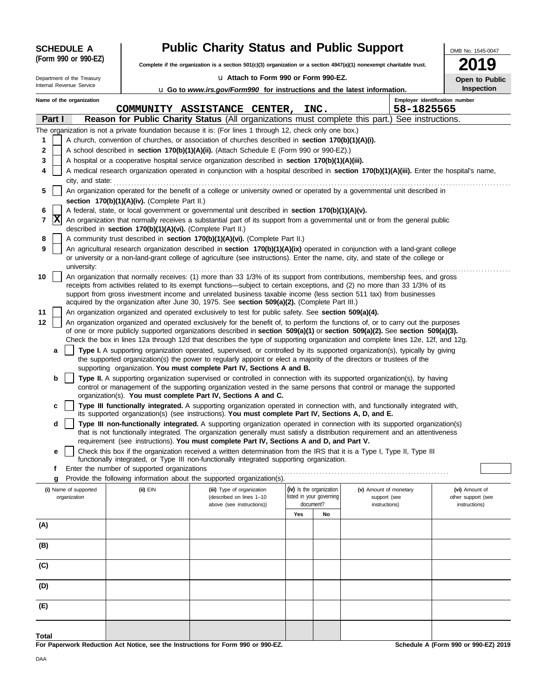| <b>SCHEDULE A</b>          |                                                            | <b>Public Charity Status and Public Support</b>                                                                                                                                                                                                                                                                                                                                 |                          |                        |                                              |                                      |  |  |  |
|----------------------------|------------------------------------------------------------|---------------------------------------------------------------------------------------------------------------------------------------------------------------------------------------------------------------------------------------------------------------------------------------------------------------------------------------------------------------------------------|--------------------------|------------------------|----------------------------------------------|--------------------------------------|--|--|--|
| (Form 990 or 990-EZ)       |                                                            | Complete if the organization is a section 501(c)(3) organization or a section 4947(a)(1) nonexempt charitable trust.                                                                                                                                                                                                                                                            |                          |                        |                                              | 19                                   |  |  |  |
| Department of the Treasury |                                                            | u Attach to Form 990 or Form 990-EZ.                                                                                                                                                                                                                                                                                                                                            |                          |                        |                                              | Open to Public                       |  |  |  |
| Internal Revenue Service   |                                                            | u Go to www.irs.gov/Form990 for instructions and the latest information.                                                                                                                                                                                                                                                                                                        |                          |                        |                                              | Inspection                           |  |  |  |
| Name of the organization   |                                                            | COMMUNITY ASSISTANCE CENTER,                                                                                                                                                                                                                                                                                                                                                    | INC.                     |                        | Employer identification number<br>58-1825565 |                                      |  |  |  |
| Part I                     |                                                            | Reason for Public Charity Status (All organizations must complete this part.) See instructions.                                                                                                                                                                                                                                                                                 |                          |                        |                                              |                                      |  |  |  |
|                            |                                                            | The organization is not a private foundation because it is: (For lines 1 through 12, check only one box.)                                                                                                                                                                                                                                                                       |                          |                        |                                              |                                      |  |  |  |
| 1                          |                                                            | A church, convention of churches, or association of churches described in section 170(b)(1)(A)(i).                                                                                                                                                                                                                                                                              |                          |                        |                                              |                                      |  |  |  |
| 2                          |                                                            | A school described in section 170(b)(1)(A)(ii). (Attach Schedule E (Form 990 or 990-EZ).)                                                                                                                                                                                                                                                                                       |                          |                        |                                              |                                      |  |  |  |
| 3                          |                                                            | A hospital or a cooperative hospital service organization described in section 170(b)(1)(A)(iii).                                                                                                                                                                                                                                                                               |                          |                        |                                              |                                      |  |  |  |
| 4                          |                                                            | A medical research organization operated in conjunction with a hospital described in section 170(b)(1)(A)(iii). Enter the hospital's name,                                                                                                                                                                                                                                      |                          |                        |                                              |                                      |  |  |  |
| city, and state:           |                                                            |                                                                                                                                                                                                                                                                                                                                                                                 |                          |                        |                                              |                                      |  |  |  |
| 5                          |                                                            | An organization operated for the benefit of a college or university owned or operated by a governmental unit described in                                                                                                                                                                                                                                                       |                          |                        |                                              |                                      |  |  |  |
|                            | section 170(b)(1)(A)(iv). (Complete Part II.)              |                                                                                                                                                                                                                                                                                                                                                                                 |                          |                        |                                              |                                      |  |  |  |
| 6<br> x<br>7               |                                                            | A federal, state, or local government or governmental unit described in section 170(b)(1)(A)(v).<br>An organization that normally receives a substantial part of its support from a governmental unit or from the general public                                                                                                                                                |                          |                        |                                              |                                      |  |  |  |
|                            | described in section 170(b)(1)(A)(vi). (Complete Part II.) |                                                                                                                                                                                                                                                                                                                                                                                 |                          |                        |                                              |                                      |  |  |  |
| 8                          |                                                            | A community trust described in section 170(b)(1)(A)(vi). (Complete Part II.)                                                                                                                                                                                                                                                                                                    |                          |                        |                                              |                                      |  |  |  |
| 9<br>university:           |                                                            | An agricultural research organization described in section 170(b)(1)(A)(ix) operated in conjunction with a land-grant college<br>or university or a non-land-grant college of agriculture (see instructions). Enter the name, city, and state of the college or                                                                                                                 |                          |                        |                                              |                                      |  |  |  |
| 10                         |                                                            | An organization that normally receives: (1) more than 33 1/3% of its support from contributions, membership fees, and gross<br>receipts from activities related to its exempt functions—subject to certain exceptions, and (2) no more than 33 1/3% of its<br>support from gross investment income and unrelated business taxable income (less section 511 tax) from businesses |                          |                        |                                              |                                      |  |  |  |
|                            |                                                            | acquired by the organization after June 30, 1975. See section 509(a)(2). (Complete Part III.)                                                                                                                                                                                                                                                                                   |                          |                        |                                              |                                      |  |  |  |
| 11                         |                                                            | An organization organized and operated exclusively to test for public safety. See section 509(a)(4).                                                                                                                                                                                                                                                                            |                          |                        |                                              |                                      |  |  |  |
| 12                         |                                                            | An organization organized and operated exclusively for the benefit of, to perform the functions of, or to carry out the purposes<br>of one or more publicly supported organizations described in section 509(a)(1) or section 509(a)(2). See section 509(a)(3).                                                                                                                 |                          |                        |                                              |                                      |  |  |  |
|                            |                                                            | Check the box in lines 12a through 12d that describes the type of supporting organization and complete lines 12e, 12f, and 12g.                                                                                                                                                                                                                                                 |                          |                        |                                              |                                      |  |  |  |
| a                          |                                                            | Type I. A supporting organization operated, supervised, or controlled by its supported organization(s), typically by giving                                                                                                                                                                                                                                                     |                          |                        |                                              |                                      |  |  |  |
|                            |                                                            | the supported organization(s) the power to regularly appoint or elect a majority of the directors or trustees of the                                                                                                                                                                                                                                                            |                          |                        |                                              |                                      |  |  |  |
|                            |                                                            | supporting organization. You must complete Part IV, Sections A and B.                                                                                                                                                                                                                                                                                                           |                          |                        |                                              |                                      |  |  |  |
| b                          |                                                            | Type II. A supporting organization supervised or controlled in connection with its supported organization(s), by having<br>control or management of the supporting organization vested in the same persons that control or manage the supported<br>organization(s). You must complete Part IV, Sections A and C.                                                                |                          |                        |                                              |                                      |  |  |  |
| c                          |                                                            | Type III functionally integrated. A supporting organization operated in connection with, and functionally integrated with,                                                                                                                                                                                                                                                      |                          |                        |                                              |                                      |  |  |  |
| d                          |                                                            | its supported organization(s) (see instructions). You must complete Part IV, Sections A, D, and E.<br>Type III non-functionally integrated. A supporting organization operated in connection with its supported organization(s)                                                                                                                                                 |                          |                        |                                              |                                      |  |  |  |
|                            |                                                            | that is not functionally integrated. The organization generally must satisfy a distribution requirement and an attentiveness                                                                                                                                                                                                                                                    |                          |                        |                                              |                                      |  |  |  |
|                            |                                                            | requirement (see instructions). You must complete Part IV, Sections A and D, and Part V.                                                                                                                                                                                                                                                                                        |                          |                        |                                              |                                      |  |  |  |
| е                          |                                                            | Check this box if the organization received a written determination from the IRS that it is a Type I, Type II, Type III                                                                                                                                                                                                                                                         |                          |                        |                                              |                                      |  |  |  |
| Ť.                         | Enter the number of supported organizations                | functionally integrated, or Type III non-functionally integrated supporting organization.                                                                                                                                                                                                                                                                                       |                          |                        |                                              |                                      |  |  |  |
| g                          |                                                            | Provide the following information about the supported organization(s).                                                                                                                                                                                                                                                                                                          |                          |                        |                                              |                                      |  |  |  |
| (i) Name of supported      | (ii) EIN                                                   | (iii) Type of organization                                                                                                                                                                                                                                                                                                                                                      | (iv) Is the organization | (v) Amount of monetary |                                              | (vi) Amount of                       |  |  |  |
| organization               |                                                            | (described on lines 1-10                                                                                                                                                                                                                                                                                                                                                        | listed in your governing | support (see           |                                              | other support (see                   |  |  |  |
|                            |                                                            | above (see instructions))                                                                                                                                                                                                                                                                                                                                                       | document?<br>Yes<br>No   | instructions)          |                                              | instructions)                        |  |  |  |
| (A)                        |                                                            |                                                                                                                                                                                                                                                                                                                                                                                 |                          |                        |                                              |                                      |  |  |  |
|                            |                                                            |                                                                                                                                                                                                                                                                                                                                                                                 |                          |                        |                                              |                                      |  |  |  |
| (B)                        |                                                            |                                                                                                                                                                                                                                                                                                                                                                                 |                          |                        |                                              |                                      |  |  |  |
| (C)                        |                                                            |                                                                                                                                                                                                                                                                                                                                                                                 |                          |                        |                                              |                                      |  |  |  |
| (D)                        |                                                            |                                                                                                                                                                                                                                                                                                                                                                                 |                          |                        |                                              |                                      |  |  |  |
| (E)                        |                                                            |                                                                                                                                                                                                                                                                                                                                                                                 |                          |                        |                                              |                                      |  |  |  |
|                            |                                                            |                                                                                                                                                                                                                                                                                                                                                                                 |                          |                        |                                              |                                      |  |  |  |
| Total                      |                                                            |                                                                                                                                                                                                                                                                                                                                                                                 |                          |                        |                                              |                                      |  |  |  |
|                            |                                                            | For Paperwork Reduction Act Notice, see the Instructions for Form 990 or 990-EZ.                                                                                                                                                                                                                                                                                                |                          |                        |                                              | Schedule A (Form 990 or 990-EZ) 2019 |  |  |  |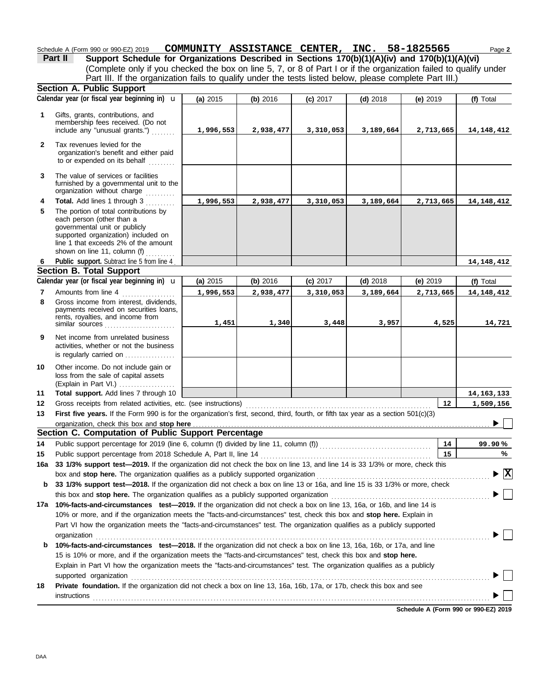(Explain in Part VI.) . . . . . . . . . . . . . . . . . . . governmental unit or publicly **Section A. Public Support Total support.** Add lines 7 through 10 loss from the sale of capital assets Other income. Do not include gain or is regularly carried on . . . . . . . . . . . . . . . activities, whether or not the business Net income from unrelated business rents, royalties, and income from payments received on securities loans, Gross income from interest, dividends, line 1 that exceeds 2% of the amount supported organization) included on each person (other than a The portion of total contributions by **Total.** Add lines 1 through 3 .......... The value of services or facilities to or expended on its behalf ......... organization's benefit and either paid Tax revenues levied for the First five years. If the Form 990 is for the organization's first, second, third, fourth, or fifth tax year as a section 501(c)(3) Gross receipts from related activities, etc. (see instructions) . . . . . . . . . . . . . . . . . . . . . . . . . . . . . . . . . . . . . . . . . . . . . . . . . . . . . . . . . . . . . . . Amounts from line 4 Public support. Subtract line 5 from line 4 include any "unusual grants.") . . . . . . . . membership fees received. (Do not Gifts, grants, contributions, and **13 12 11 9 8 6 4 3 2 1 (a)** 2015 **(b)** 2016 **(c)** 2017 **(d)** 2018 **(e)** 2019 (Complete only if you checked the box on line 5, 7, or 8 of Part I or if the organization failed to qualify under **Part II Support Schedule for Organizations Described in Sections 170(b)(1)(A)(iv) and 170(b)(1)(A)(vi)** Calendar year (or fiscal year beginning in) **\u** | (a) 2015 | (b) 2016 | (c) 2017 | (d) 2018 | (e) 2019 | (f) Total furnished by a governmental unit to the organization without charge **5 Section B. Total Support 7** similar sources **10** organization, check this box and stop here **Section C. Computation of Public Support Percentage 12 14** Public support percentage for 2019 (line 6, column (f) divided by line 11, column (f)) . . . . . . . . . . . . . . . . . . . . . . . . . . . . . . . . . . . . . . Public support percentage from 2018 Schedule A, Part II, line 14 . . . . . . . . . . . . . . . . . . . . . . . . . . . . . . . . . . . . . . . . . . . . . . . . . . . . . . . . . . **15 16a 33 1/3% support test—2019.** If the organization did not check the box on line 13, and line 14 is 33 1/3% or more, check this box and stop here. The organization qualifies as a publicly supported organization ............... **b 33 1/3% support test—2018.** If the organization did not check a box on line 13 or 16a, and line 15 is 33 1/3% or more, check this box and **stop here.** The organization qualifies as a publicly supported organization . . . . . . . . . . . . . . . . . . . . . . . . . . . . . . . . . . . . . . . . . . . . . . . . . . . . . . **17a 10%-facts-and-circumstances test—2019.** If the organization did not check a box on line 13, 16a, or 16b, and line 14 is 10% or more, and if the organization meets the "facts-and-circumstances" test, check this box and **stop here.** Explain in Part VI how the organization meets the "facts-and-circumstances" test. The organization qualifies as a publicly supported **b 10%-facts-and-circumstances test—2018.** If the organization did not check a box on line 13, 16a, 16b, or 17a, and line Explain in Part VI how the organization meets the "facts-and-circumstances" test. The organization qualifies as a publicly 15 is 10% or more, and if the organization meets the "facts-and-circumstances" test, check this box and **stop here. 18 Private foundation.** If the organization did not check a box on line 13, 16a, 16b, 17a, or 17b, check this box and see **14 15 % 99.90 %** Calendar year (or fiscal year beginning in)  $\bf{u}$  (a) 2015 (b) 2016 (c) 2017 (d) 2018 (e) 2019 (f) Total Part III. If the organization fails to qualify under the tests listed below, please complete Part III.) **(a)** 2015 shown on line 11, column (f)  $\ldots$ organization . . . . . . . . . . . . . . . . . . . . . . . . . . . . . . . . . . . . . . . . . . . . . . . . . . . . . . . . . . . . . . . . . . . . . . . . . . . . . . . . . . . . . . . . . . . . . . . . . . . . . . . . . . . . . . . . . . . . . . . . . . . . . . . . . . . . . . supported organization . . . . . . . . . . . . . . . . . . . . . . . . . . . . . . . . . . . . . . . . . . . . . . . . . . . . . . . . . . . . . . . . . . . . . . . . . . . . . . . . . . . . . . . . . . . . . . . . . . . . . . . . . . . . . . . . . . . . . . . . . . u **(b)** 2016 **(c)** 2017 **(d)** 2018 **(e)** 2019 **1,996,553 2,938,477 3,310,053 3,189,664 2,713,665 14,148,412 1,996,553 2,938,477 3,310,053 3,189,664 2,713,665 14,148,412 14,148,412 1,996,553 2,938,477 3,310,053 3,189,664 2,713,665 14,148,412 1,451 1,340 3,448 3,957 4,525 14,721 14,163,133 1,509,156 X**

instructions . . . . . . . . . . . . . . . . . . . . . . . . . . . . . . . . . . . . . . . . . . . . . . . . . . . . . . . . . . . . . . . . . . . . . . . . . . . . . . . . . . . . . . . . . . . . . . . . . . . . . . . . . . . . . . . . . . . . . . . . . . . . . . . . . . . . . . .

Schedule A (Form 990 or 990-EZ) 2019 COMMUNITY ASSISTANCE CENTER, INC. 58-1825565 Page 2

**Schedule A (Form 990 or 990-EZ) 2019**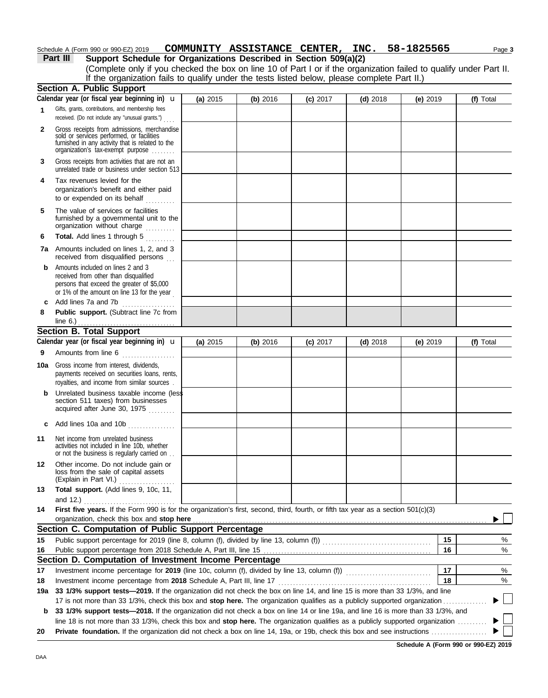### Schedule A (Form 990 or 990-EZ) 2019 COMMUNITY ASSISTANCE CENTER, INC. 58-1825565 Page 3

| Part III | Support Schedule for Organizations Described in Section 509(a)(2)                                                  |
|----------|--------------------------------------------------------------------------------------------------------------------|
|          | (Complete only if you checked the box on line 10 of Part I or if the organization failed to qualify under Part II. |
|          | If the organization fails to qualify under the tests listed below, please complete Part II.)                       |
|          | Section A Dublic Support                                                                                           |

|              | <b>Section A. Public Support</b>                                                                                                                                                                     |            |          |            |            |            |    |           |
|--------------|------------------------------------------------------------------------------------------------------------------------------------------------------------------------------------------------------|------------|----------|------------|------------|------------|----|-----------|
|              | Calendar year (or fiscal year beginning in) $\mathbf u$                                                                                                                                              | (a) $2015$ | (b) 2016 | $(c)$ 2017 | $(d)$ 2018 | (e) $2019$ |    | (f) Total |
| $\mathbf{1}$ | Gifts, grants, contributions, and membership fees<br>received. (Do not include any "unusual grants.")                                                                                                |            |          |            |            |            |    |           |
| $\mathbf{2}$ | Gross receipts from admissions, merchandise<br>sold or services performed, or facilities<br>furnished in any activity that is related to the<br>organization's tax-exempt purpose                    |            |          |            |            |            |    |           |
| 3            | Gross receipts from activities that are not an<br>unrelated trade or business under section 513                                                                                                      |            |          |            |            |            |    |           |
| 4            | Tax revenues levied for the<br>organization's benefit and either paid<br>to or expended on its behalf                                                                                                |            |          |            |            |            |    |           |
| 5<br>6       | The value of services or facilities<br>furnished by a governmental unit to the<br>organization without charge<br>.<br>Total. Add lines 1 through 5<br>.                                              |            |          |            |            |            |    |           |
|              | <b>7a</b> Amounts included on lines 1, 2, and 3<br>received from disqualified persons                                                                                                                |            |          |            |            |            |    |           |
| b            | Amounts included on lines 2 and 3<br>received from other than disqualified<br>persons that exceed the greater of \$5,000<br>or 1% of the amount on line 13 for the year                              |            |          |            |            |            |    |           |
| c            | Add lines 7a and 7b                                                                                                                                                                                  |            |          |            |            |            |    |           |
| 8            | Public support. (Subtract line 7c from                                                                                                                                                               |            |          |            |            |            |    |           |
|              |                                                                                                                                                                                                      |            |          |            |            |            |    |           |
|              | <b>Section B. Total Support</b>                                                                                                                                                                      |            |          |            |            |            |    |           |
|              | Calendar year (or fiscal year beginning in) $\mathbf u$                                                                                                                                              | (a) $2015$ | (b) 2016 | $(c)$ 2017 | $(d)$ 2018 | (e) $2019$ |    | (f) Total |
| 9            | Amounts from line 6                                                                                                                                                                                  |            |          |            |            |            |    |           |
| 10a          | Gross income from interest, dividends,<br>payments received on securities loans, rents,<br>royalties, and income from similar sources.                                                               |            |          |            |            |            |    |           |
|              | Unrelated business taxable income (less<br>section 511 taxes) from businesses<br>acquired after June 30, 1975                                                                                        |            |          |            |            |            |    |           |
| C            | Add lines 10a and 10b                                                                                                                                                                                |            |          |            |            |            |    |           |
| 11           | Net income from unrelated business<br>activities not included in line 10b, whether<br>or not the business is regularly carried on                                                                    |            |          |            |            |            |    |           |
| 12           | Other income. Do not include gain or<br>loss from the sale of capital assets<br>(Explain in Part VI.)                                                                                                |            |          |            |            |            |    |           |
| 13           | Total support. (Add lines 9, 10c, 11,                                                                                                                                                                |            |          |            |            |            |    |           |
|              | and 12.)                                                                                                                                                                                             |            |          |            |            |            |    |           |
| 14           | First five years. If the Form 990 is for the organization's first, second, third, fourth, or fifth tax year as a section 501(c)(3)                                                                   |            |          |            |            |            |    |           |
|              | organization, check this box and stop here                                                                                                                                                           |            |          |            |            |            |    |           |
|              | Section C. Computation of Public Support Percentage                                                                                                                                                  |            |          |            |            |            |    |           |
| 15           |                                                                                                                                                                                                      |            |          |            |            |            | 15 | %         |
| 16           | Section D. Computation of Investment Income Percentage                                                                                                                                               |            |          |            |            |            | 16 | %         |
|              |                                                                                                                                                                                                      |            |          |            |            |            | 17 | %         |
| 17           |                                                                                                                                                                                                      |            |          |            |            |            | 18 | %         |
| 18<br>19a    | Investment income percentage from 2018 Schedule A, Part III, line 17<br>33 1/3% support tests-2019. If the organization did not check the box on line 14, and line 15 is more than 33 1/3%, and line |            |          |            |            |            |    |           |
|              | 17 is not more than 33 1/3%, check this box and stop here. The organization qualifies as a publicly supported organization                                                                           |            |          |            |            |            |    |           |
| b            | 33 1/3% support tests—2018. If the organization did not check a box on line 14 or line 19a, and line 16 is more than 33 1/3%, and                                                                    |            |          |            |            |            |    |           |
|              | line 18 is not more than 33 1/3%, check this box and stop here. The organization qualifies as a publicly supported organization                                                                      |            |          |            |            |            |    |           |
| 20           |                                                                                                                                                                                                      |            |          |            |            |            |    |           |

**Schedule A (Form 990 or 990-EZ) 2019**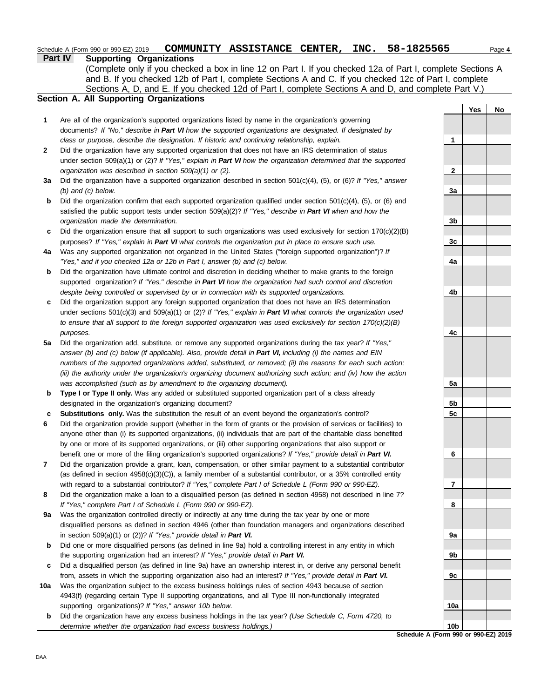### Schedule A (Form 990 or 990-EZ) 2019 COMMUNITY ASSISTANCE CENTER, INC. 58-1825565 Page 4

**Part IV Supporting Organizations** Sections A, D, and E. If you checked 12d of Part I, complete Sections A and D, and complete Part V.) (Complete only if you checked a box in line 12 on Part I. If you checked 12a of Part I, complete Sections A and B. If you checked 12b of Part I, complete Sections A and C. If you checked 12c of Part I, complete

#### **Section A. All Supporting Organizations**

- Are all of the organization's supported organizations listed by name in the organization's governing documents? *If "No," describe in Part VI how the supported organizations are designated. If designated by class or purpose, describe the designation. If historic and continuing relationship, explain.* **1**
- Did the organization have any supported organization that does not have an IRS determination of status under section 509(a)(1) or (2)? *If "Yes," explain in Part VI how the organization determined that the supported organization was described in section 509(a)(1) or (2).* **2**
- **3a** Did the organization have a supported organization described in section 501(c)(4), (5), or (6)? *If "Yes," answer (b) and (c) below.*
- **b** Did the organization confirm that each supported organization qualified under section 501(c)(4), (5), or (6) and satisfied the public support tests under section 509(a)(2)? *If "Yes," describe in Part VI when and how the organization made the determination.*
- **c** Did the organization ensure that all support to such organizations was used exclusively for section 170(c)(2)(B) purposes? *If "Yes," explain in Part VI what controls the organization put in place to ensure such use.*
- **4a** Was any supported organization not organized in the United States ("foreign supported organization")? *If "Yes," and if you checked 12a or 12b in Part I, answer (b) and (c) below.*
- **b** Did the organization have ultimate control and discretion in deciding whether to make grants to the foreign supported organization? *If "Yes," describe in Part VI how the organization had such control and discretion despite being controlled or supervised by or in connection with its supported organizations.*
- **c** Did the organization support any foreign supported organization that does not have an IRS determination under sections 501(c)(3) and 509(a)(1) or (2)? *If "Yes," explain in Part VI what controls the organization used to ensure that all support to the foreign supported organization was used exclusively for section 170(c)(2)(B) purposes.*
- **5a** Did the organization add, substitute, or remove any supported organizations during the tax year? *If "Yes,"* answer (b) and (c) below (if applicable). Also, provide detail in Part VI, including (i) the names and EIN *numbers of the supported organizations added, substituted, or removed; (ii) the reasons for each such action; (iii) the authority under the organization's organizing document authorizing such action; and (iv) how the action was accomplished (such as by amendment to the organizing document).*
- **b** Type I or Type II only. Was any added or substituted supported organization part of a class already designated in the organization's organizing document?
- **c Substitutions only.** Was the substitution the result of an event beyond the organization's control?
- **6** Did the organization provide support (whether in the form of grants or the provision of services or facilities) to anyone other than (i) its supported organizations, (ii) individuals that are part of the charitable class benefited by one or more of its supported organizations, or (iii) other supporting organizations that also support or benefit one or more of the filing organization's supported organizations? *If "Yes," provide detail in Part VI.*
- **7** Did the organization provide a grant, loan, compensation, or other similar payment to a substantial contributor (as defined in section 4958(c)(3)(C)), a family member of a substantial contributor, or a 35% controlled entity with regard to a substantial contributor? *If "Yes," complete Part I of Schedule L (Form 990 or 990-EZ).*
- **8** Did the organization make a loan to a disqualified person (as defined in section 4958) not described in line 7? *If "Yes," complete Part I of Schedule L (Form 990 or 990-EZ).*
- **9a** Was the organization controlled directly or indirectly at any time during the tax year by one or more disqualified persons as defined in section 4946 (other than foundation managers and organizations described in section 509(a)(1) or (2))? *If "Yes," provide detail in Part VI.*
- **b** Did one or more disqualified persons (as defined in line 9a) hold a controlling interest in any entity in which the supporting organization had an interest? *If "Yes," provide detail in Part VI.*
- **c** Did a disqualified person (as defined in line 9a) have an ownership interest in, or derive any personal benefit from, assets in which the supporting organization also had an interest? *If "Yes," provide detail in Part VI.*
- **10a** Was the organization subject to the excess business holdings rules of section 4943 because of section 4943(f) (regarding certain Type II supporting organizations, and all Type III non-functionally integrated supporting organizations)? *If "Yes," answer 10b below.*
	- **b** Did the organization have any excess business holdings in the tax year? *(Use Schedule C, Form 4720, to determine whether the organization had excess business holdings.)*



**Schedule A (Form 990 or 990-EZ) 2019**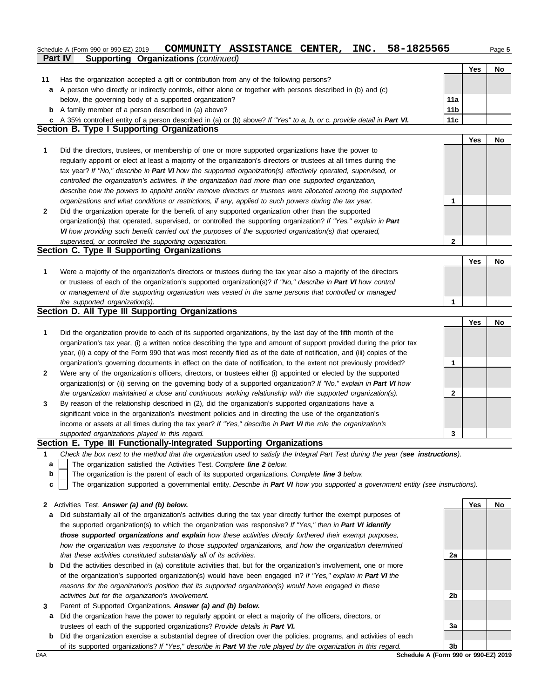|    | 58-1825565<br>INC.<br>COMMUNITY ASSISTANCE CENTER,<br>Schedule A (Form 990 or 990-EZ) 2019                                        |                 |            | Page 5    |
|----|-----------------------------------------------------------------------------------------------------------------------------------|-----------------|------------|-----------|
|    | Part IV<br><b>Supporting Organizations (continued)</b>                                                                            |                 |            |           |
|    |                                                                                                                                   |                 | <b>Yes</b> | No        |
| 11 | Has the organization accepted a gift or contribution from any of the following persons?                                           |                 |            |           |
| a  | A person who directly or indirectly controls, either alone or together with persons described in (b) and (c)                      |                 |            |           |
|    | below, the governing body of a supported organization?                                                                            | 11a             |            |           |
|    | <b>b</b> A family member of a person described in (a) above?                                                                      | 11 <sub>b</sub> |            |           |
|    | c A 35% controlled entity of a person described in (a) or (b) above? If "Yes" to a, b, or c, provide detail in Part VI.           | 11c             |            |           |
|    | <b>Section B. Type I Supporting Organizations</b>                                                                                 |                 |            |           |
|    |                                                                                                                                   |                 | <b>Yes</b> | No        |
| 1  | Did the directors, trustees, or membership of one or more supported organizations have the power to                               |                 |            |           |
|    | regularly appoint or elect at least a majority of the organization's directors or trustees at all times during the                |                 |            |           |
|    | tax year? If "No," describe in Part VI how the supported organization(s) effectively operated, supervised, or                     |                 |            |           |
|    | controlled the organization's activities. If the organization had more than one supported organization,                           |                 |            |           |
|    | describe how the powers to appoint and/or remove directors or trustees were allocated among the supported                         |                 |            |           |
|    | organizations and what conditions or restrictions, if any, applied to such powers during the tax year.                            | 1               |            |           |
| 2  | Did the organization operate for the benefit of any supported organization other than the supported                               |                 |            |           |
|    | organization(s) that operated, supervised, or controlled the supporting organization? If "Yes," explain in Part                   |                 |            |           |
|    | VI how providing such benefit carried out the purposes of the supported organization(s) that operated,                            |                 |            |           |
|    | supervised, or controlled the supporting organization.                                                                            | 2               |            |           |
|    | Section C. Type II Supporting Organizations                                                                                       |                 |            |           |
|    |                                                                                                                                   |                 | Yes        | No        |
| 1  | Were a majority of the organization's directors or trustees during the tax year also a majority of the directors                  |                 |            |           |
|    | or trustees of each of the organization's supported organization(s)? If "No," describe in Part VI how control                     |                 |            |           |
|    | or management of the supporting organization was vested in the same persons that controlled or managed                            |                 |            |           |
|    | the supported organization(s).                                                                                                    | 1               |            |           |
|    | Section D. All Type III Supporting Organizations                                                                                  |                 |            |           |
|    |                                                                                                                                   |                 | Yes        | No        |
| 1  | Did the organization provide to each of its supported organizations, by the last day of the fifth month of the                    |                 |            |           |
|    | organization's tax year, (i) a written notice describing the type and amount of support provided during the prior tax             |                 |            |           |
|    | year, (ii) a copy of the Form 990 that was most recently filed as of the date of notification, and (iii) copies of the            |                 |            |           |
|    | organization's governing documents in effect on the date of notification, to the extent not previously provided?                  | 1               |            |           |
| 2  | Were any of the organization's officers, directors, or trustees either (i) appointed or elected by the supported                  |                 |            |           |
|    | organization(s) or (ii) serving on the governing body of a supported organization? If "No," explain in Part VI how                |                 |            |           |
|    | the organization maintained a close and continuous working relationship with the supported organization(s).                       | $\mathbf{2}$    |            |           |
| 3  | By reason of the relationship described in (2), did the organization's supported organizations have a                             |                 |            |           |
|    | significant voice in the organization's investment policies and in directing the use of the organization's                        |                 |            |           |
|    | income or assets at all times during the tax year? If "Yes," describe in Part VI the role the organization's                      |                 |            |           |
|    | supported organizations played in this regard.                                                                                    | 3               |            |           |
|    | Section E. Type III Functionally-Integrated Supporting Organizations                                                              |                 |            |           |
| 1  | Check the box next to the method that the organization used to satisfy the Integral Part Test during the year (see instructions). |                 |            |           |
| a  | The organization satisfied the Activities Test. Complete line 2 below.                                                            |                 |            |           |
| b  | The organization is the parent of each of its supported organizations. Complete line 3 below.                                     |                 |            |           |
| c  | The organization supported a governmental entity. Describe in Part VI how you supported a government entity (see instructions).   |                 |            |           |
|    |                                                                                                                                   |                 |            |           |
| 2  | Activities Test. Answer (a) and (b) below.                                                                                        |                 | Yes        | <b>No</b> |
| a  | Did substantially all of the organization's activities during the tax year directly further the exempt purposes of                |                 |            |           |
|    | the supported organization(s) to which the organization was responsive? If "Yes," then in Part VI identify                        |                 |            |           |
|    | those supported organizations and explain how these activities directly furthered their exempt purposes,                          |                 |            |           |
|    | how the organization was responsive to those supported organizations, and how the organization determined                         |                 |            |           |
|    | that these activities constituted substantially all of its activities.                                                            | 2a              |            |           |
| b  | Did the activities described in (a) constitute activities that, but for the organization's involvement, one or more               |                 |            |           |
|    | of the ergenization's supported ergenization(s) would have been engaged in? If "Vee " evalgin in Dart 1/4 the                     |                 |            |           |

- of the organization's supported organization(s) would have been engaged in? *If "Yes," explain in Part VI the reasons for the organization's position that its supported organization(s) would have engaged in these activities but for the organization's involvement.*
- **3** Parent of Supported Organizations. *Answer (a) and (b) below.*
	- **a** Did the organization have the power to regularly appoint or elect a majority of the officers, directors, or trustees of each of the supported organizations? *Provide details in Part VI.*
- **b** Did the organization exercise a substantial degree of direction over the policies, programs, and activities of each of its supported organizations? *If "Yes," describe in Part VI the role played by the organization in this regard.*

**3a 3b**

DAA **SChedule A (Form 990 or 990-EZ) 2019** 

**2b**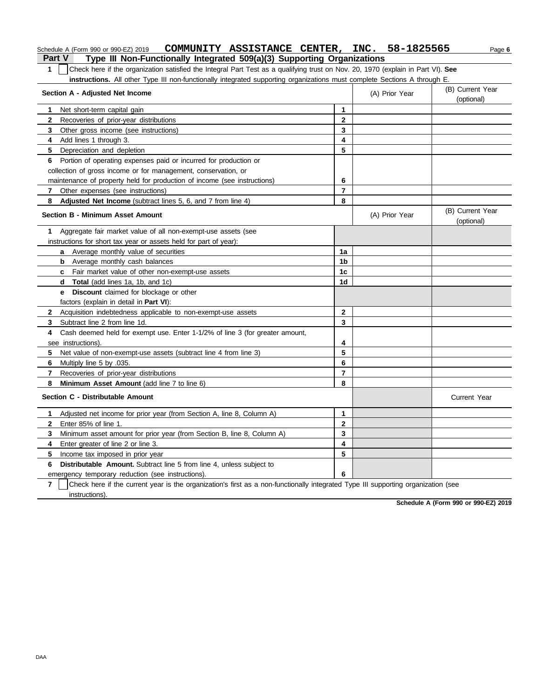#### **Part V Type III Non-Functionally Integrated 509(a)(3) Supporting Organizations** Schedule A (Form 990 or 990-EZ) 2019 **COMMUNITY ASSISTANCE CENTER, INC.** 58-1825565 Page 6

**1** Check here if the organization satisfied the Integral Part Test as a qualifying trust on Nov. 20, 1970 (explain in Part VI). **See instructions.** All other Type III non-functionally integrated supporting organizations must complete Sections A through E.

| Section A - Adjusted Net Income                                                                                                                     |                | (A) Prior Year | (B) Current Year<br>(optional) |
|-----------------------------------------------------------------------------------------------------------------------------------------------------|----------------|----------------|--------------------------------|
| $\mathbf 1$<br>Net short-term capital gain                                                                                                          | 1              |                |                                |
| $\mathbf{2}$<br>Recoveries of prior-year distributions                                                                                              | $\mathbf{2}$   |                |                                |
| 3<br>Other gross income (see instructions)                                                                                                          | 3              |                |                                |
| Add lines 1 through 3.<br>4                                                                                                                         | 4              |                |                                |
| 5<br>Depreciation and depletion                                                                                                                     | 5              |                |                                |
| Portion of operating expenses paid or incurred for production or<br>6                                                                               |                |                |                                |
| collection of gross income or for management, conservation, or                                                                                      |                |                |                                |
| maintenance of property held for production of income (see instructions)                                                                            | 6              |                |                                |
| Other expenses (see instructions)<br>7                                                                                                              | $\overline{7}$ |                |                                |
| Adjusted Net Income (subtract lines 5, 6, and 7 from line 4)<br>8                                                                                   | 8              |                |                                |
| <b>Section B - Minimum Asset Amount</b>                                                                                                             |                | (A) Prior Year | (B) Current Year<br>(optional) |
| Aggregate fair market value of all non-exempt-use assets (see<br>1                                                                                  |                |                |                                |
| instructions for short tax year or assets held for part of year):                                                                                   |                |                |                                |
| <b>a</b> Average monthly value of securities                                                                                                        | 1a             |                |                                |
| <b>b</b> Average monthly cash balances                                                                                                              | 1b             |                |                                |
| <b>c</b> Fair market value of other non-exempt-use assets                                                                                           | 1 <sub>c</sub> |                |                                |
| d Total (add lines 1a, 1b, and 1c)                                                                                                                  | 1d             |                |                                |
| Discount claimed for blockage or other<br>e.                                                                                                        |                |                |                                |
| factors (explain in detail in <b>Part VI</b> ):                                                                                                     |                |                |                                |
| $\mathbf{2}$<br>Acquisition indebtedness applicable to non-exempt-use assets                                                                        | $\mathbf{2}$   |                |                                |
| Subtract line 2 from line 1d.<br>3                                                                                                                  | 3              |                |                                |
| Cash deemed held for exempt use. Enter 1-1/2% of line 3 (for greater amount,<br>4                                                                   |                |                |                                |
| see instructions).                                                                                                                                  | 4              |                |                                |
| Net value of non-exempt-use assets (subtract line 4 from line 3)<br>5.                                                                              | 5              |                |                                |
| Multiply line 5 by .035.<br>6                                                                                                                       | 6              |                |                                |
| 7<br>Recoveries of prior-year distributions                                                                                                         | $\overline{7}$ |                |                                |
| Minimum Asset Amount (add line 7 to line 6)<br>8                                                                                                    | 8              |                |                                |
| Section C - Distributable Amount                                                                                                                    |                |                | <b>Current Year</b>            |
| Adjusted net income for prior year (from Section A, line 8, Column A)<br>1.                                                                         | 1              |                |                                |
| $\mathbf{2}$<br>Enter 85% of line 1.                                                                                                                | $\mathbf{2}$   |                |                                |
| 3<br>Minimum asset amount for prior year (from Section B, line 8, Column A)                                                                         | 3              |                |                                |
| Enter greater of line 2 or line 3.<br>4                                                                                                             | 4              |                |                                |
| 5<br>Income tax imposed in prior year                                                                                                               | 5              |                |                                |
| 6<br><b>Distributable Amount.</b> Subtract line 5 from line 4, unless subject to                                                                    |                |                |                                |
| emergency temporary reduction (see instructions).                                                                                                   | 6              |                |                                |
| $\overline{7}$<br>Check here if the current year is the organization's first as a non-functionally integrated Type III supporting organization (see |                |                |                                |
| instructions).                                                                                                                                      |                |                |                                |

**Schedule A (Form 990 or 990-EZ) 2019**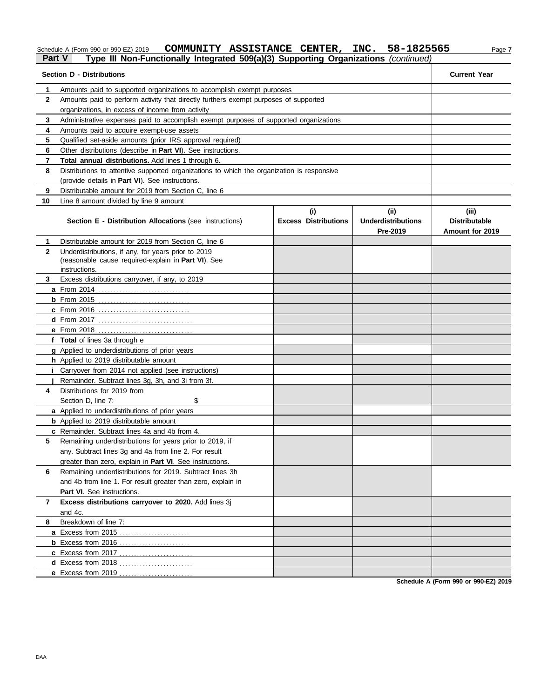### Schedule A (Form 990 or 990-EZ) 2019 **COMMUNITY ASSISTANCE CENTER, INC.** 58-1825565 Page 7

## **Part V Type III Non-Functionally Integrated 509(a)(3) Supporting Organizations** *(continued)*

| <b>Γαιι ν</b> | rype in Non-Functionary integrated $J_{\nu}J_{\nu}J_{\nu}$ supporting Organizations ( <i>continued</i> )                    |                                    |                                              |                                                  |
|---------------|-----------------------------------------------------------------------------------------------------------------------------|------------------------------------|----------------------------------------------|--------------------------------------------------|
|               | <b>Section D - Distributions</b>                                                                                            |                                    |                                              | <b>Current Year</b>                              |
| 1             | Amounts paid to supported organizations to accomplish exempt purposes                                                       |                                    |                                              |                                                  |
| $\mathbf{2}$  | Amounts paid to perform activity that directly furthers exempt purposes of supported                                        |                                    |                                              |                                                  |
|               | organizations, in excess of income from activity                                                                            |                                    |                                              |                                                  |
| 3             | Administrative expenses paid to accomplish exempt purposes of supported organizations                                       |                                    |                                              |                                                  |
| 4             | Amounts paid to acquire exempt-use assets                                                                                   |                                    |                                              |                                                  |
| 5             | Qualified set-aside amounts (prior IRS approval required)                                                                   |                                    |                                              |                                                  |
| 6             | Other distributions (describe in Part VI). See instructions.                                                                |                                    |                                              |                                                  |
| 7             | Total annual distributions. Add lines 1 through 6.                                                                          |                                    |                                              |                                                  |
| 8             | Distributions to attentive supported organizations to which the organization is responsive                                  |                                    |                                              |                                                  |
|               | (provide details in Part VI). See instructions.                                                                             |                                    |                                              |                                                  |
| 9             | Distributable amount for 2019 from Section C, line 6                                                                        |                                    |                                              |                                                  |
| 10            | Line 8 amount divided by line 9 amount                                                                                      |                                    |                                              |                                                  |
|               | <b>Section E - Distribution Allocations (see instructions)</b>                                                              | (i)<br><b>Excess Distributions</b> | (i)<br><b>Underdistributions</b><br>Pre-2019 | (iii)<br><b>Distributable</b><br>Amount for 2019 |
| 1             | Distributable amount for 2019 from Section C, line 6                                                                        |                                    |                                              |                                                  |
| $\mathbf{2}$  | Underdistributions, if any, for years prior to 2019<br>(reasonable cause required-explain in Part VI). See<br>instructions. |                                    |                                              |                                                  |
| 3             | Excess distributions carryover, if any, to 2019                                                                             |                                    |                                              |                                                  |
|               |                                                                                                                             |                                    |                                              |                                                  |
|               |                                                                                                                             |                                    |                                              |                                                  |
|               |                                                                                                                             |                                    |                                              |                                                  |
|               |                                                                                                                             |                                    |                                              |                                                  |
|               | e From 2018                                                                                                                 |                                    |                                              |                                                  |
|               | f Total of lines 3a through e                                                                                               |                                    |                                              |                                                  |
|               | g Applied to underdistributions of prior years                                                                              |                                    |                                              |                                                  |
|               | h Applied to 2019 distributable amount                                                                                      |                                    |                                              |                                                  |
|               | Carryover from 2014 not applied (see instructions)                                                                          |                                    |                                              |                                                  |
|               | Remainder. Subtract lines 3g, 3h, and 3i from 3f.                                                                           |                                    |                                              |                                                  |
| 4             | Distributions for 2019 from                                                                                                 |                                    |                                              |                                                  |
|               | \$<br>Section D, line 7:                                                                                                    |                                    |                                              |                                                  |
|               | a Applied to underdistributions of prior years                                                                              |                                    |                                              |                                                  |
|               | <b>b</b> Applied to 2019 distributable amount                                                                               |                                    |                                              |                                                  |
|               | c Remainder. Subtract lines 4a and 4b from 4.                                                                               |                                    |                                              |                                                  |
| 5             | Remaining underdistributions for years prior to 2019, if                                                                    |                                    |                                              |                                                  |
|               | any. Subtract lines 3g and 4a from line 2. For result                                                                       |                                    |                                              |                                                  |
|               | greater than zero, explain in <b>Part VI</b> . See instructions.                                                            |                                    |                                              |                                                  |
| 6             | Remaining underdistributions for 2019. Subtract lines 3h                                                                    |                                    |                                              |                                                  |
|               | and 4b from line 1. For result greater than zero, explain in                                                                |                                    |                                              |                                                  |
|               | <b>Part VI.</b> See instructions.                                                                                           |                                    |                                              |                                                  |
| 7             | Excess distributions carryover to 2020. Add lines 3j<br>and 4c.                                                             |                                    |                                              |                                                  |
| 8             | Breakdown of line 7:                                                                                                        |                                    |                                              |                                                  |
|               |                                                                                                                             |                                    |                                              |                                                  |
|               | <b>b</b> Excess from 2016                                                                                                   |                                    |                                              |                                                  |
|               |                                                                                                                             |                                    |                                              |                                                  |
|               |                                                                                                                             |                                    |                                              |                                                  |
|               | e Excess from 2019                                                                                                          |                                    |                                              |                                                  |

**Schedule A (Form 990 or 990-EZ) 2019**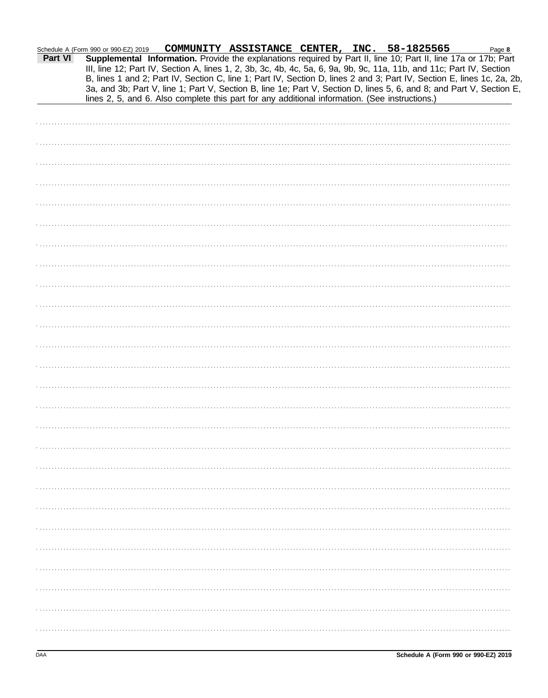| III, line 12; Part IV, Section A, lines 1, 2, 3b, 3c, 4b, 4c, 5a, 6, 9a, 9b, 9c, 11a, 11b, and 11c; Part IV, Section<br>3a, and 3b; Part V, line 1; Part V, Section B, line 1e; Part V, Section D, lines 5, 6, and 8; and Part V, Section E,<br>lines 2, 5, and 6. Also complete this part for any additional information. (See instructions.) |         | m 990 or 990-EZ) 2019 COMMUNITY ASSISTANCE CENTER, INC. 58-1825565 Page 8<br>Supplemental Information. Provide the explanations required by Part II, line 10; Part II, line 17a or 17b; Part<br>Schedule A (Form 990 or 990-EZ) 2019 |  |
|------------------------------------------------------------------------------------------------------------------------------------------------------------------------------------------------------------------------------------------------------------------------------------------------------------------------------------------------|---------|--------------------------------------------------------------------------------------------------------------------------------------------------------------------------------------------------------------------------------------|--|
| B, lines 1 and 2; Part IV, Section C, line 1; Part IV, Section D, lines 2 and 3; Part IV, Section E, lines 1c, 2a, 2b,                                                                                                                                                                                                                         | Part VI |                                                                                                                                                                                                                                      |  |
|                                                                                                                                                                                                                                                                                                                                                |         |                                                                                                                                                                                                                                      |  |
|                                                                                                                                                                                                                                                                                                                                                |         |                                                                                                                                                                                                                                      |  |
|                                                                                                                                                                                                                                                                                                                                                |         |                                                                                                                                                                                                                                      |  |
|                                                                                                                                                                                                                                                                                                                                                |         |                                                                                                                                                                                                                                      |  |
|                                                                                                                                                                                                                                                                                                                                                |         |                                                                                                                                                                                                                                      |  |
|                                                                                                                                                                                                                                                                                                                                                |         |                                                                                                                                                                                                                                      |  |
|                                                                                                                                                                                                                                                                                                                                                |         |                                                                                                                                                                                                                                      |  |
|                                                                                                                                                                                                                                                                                                                                                |         |                                                                                                                                                                                                                                      |  |
|                                                                                                                                                                                                                                                                                                                                                |         |                                                                                                                                                                                                                                      |  |
|                                                                                                                                                                                                                                                                                                                                                |         |                                                                                                                                                                                                                                      |  |
|                                                                                                                                                                                                                                                                                                                                                |         |                                                                                                                                                                                                                                      |  |
|                                                                                                                                                                                                                                                                                                                                                |         |                                                                                                                                                                                                                                      |  |
|                                                                                                                                                                                                                                                                                                                                                |         |                                                                                                                                                                                                                                      |  |
|                                                                                                                                                                                                                                                                                                                                                |         |                                                                                                                                                                                                                                      |  |
|                                                                                                                                                                                                                                                                                                                                                |         |                                                                                                                                                                                                                                      |  |
|                                                                                                                                                                                                                                                                                                                                                |         |                                                                                                                                                                                                                                      |  |
|                                                                                                                                                                                                                                                                                                                                                |         |                                                                                                                                                                                                                                      |  |
|                                                                                                                                                                                                                                                                                                                                                |         |                                                                                                                                                                                                                                      |  |
|                                                                                                                                                                                                                                                                                                                                                |         |                                                                                                                                                                                                                                      |  |
|                                                                                                                                                                                                                                                                                                                                                |         |                                                                                                                                                                                                                                      |  |
|                                                                                                                                                                                                                                                                                                                                                |         |                                                                                                                                                                                                                                      |  |
|                                                                                                                                                                                                                                                                                                                                                |         |                                                                                                                                                                                                                                      |  |
|                                                                                                                                                                                                                                                                                                                                                |         |                                                                                                                                                                                                                                      |  |
|                                                                                                                                                                                                                                                                                                                                                |         |                                                                                                                                                                                                                                      |  |
|                                                                                                                                                                                                                                                                                                                                                |         |                                                                                                                                                                                                                                      |  |
|                                                                                                                                                                                                                                                                                                                                                |         |                                                                                                                                                                                                                                      |  |
|                                                                                                                                                                                                                                                                                                                                                |         |                                                                                                                                                                                                                                      |  |
|                                                                                                                                                                                                                                                                                                                                                |         |                                                                                                                                                                                                                                      |  |
|                                                                                                                                                                                                                                                                                                                                                |         |                                                                                                                                                                                                                                      |  |
|                                                                                                                                                                                                                                                                                                                                                |         |                                                                                                                                                                                                                                      |  |
|                                                                                                                                                                                                                                                                                                                                                |         |                                                                                                                                                                                                                                      |  |
|                                                                                                                                                                                                                                                                                                                                                |         |                                                                                                                                                                                                                                      |  |
|                                                                                                                                                                                                                                                                                                                                                |         |                                                                                                                                                                                                                                      |  |
|                                                                                                                                                                                                                                                                                                                                                |         |                                                                                                                                                                                                                                      |  |
|                                                                                                                                                                                                                                                                                                                                                |         |                                                                                                                                                                                                                                      |  |
|                                                                                                                                                                                                                                                                                                                                                |         |                                                                                                                                                                                                                                      |  |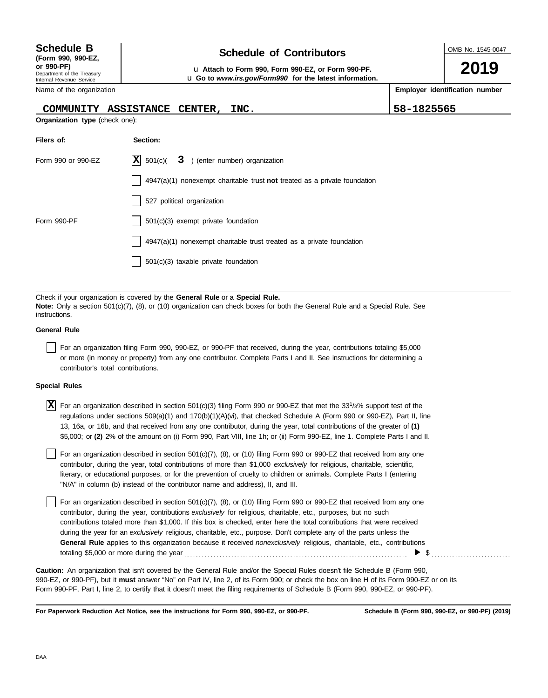# **(Form 990, 990-EZ,**

| $OL$ 990-PF)               |  |
|----------------------------|--|
| Department of the Treasury |  |
| Internal Revenue Service   |  |

## **Schedule of Contributors Schedule B**

OMB No. 1545-0047

**2019**

**or 990-PF)** u **Attach to Form 990, Form 990-EZ, or Form 990-PF.** u **Go to** *www.irs.gov/Form990* **for the latest information.**

Name of the organization

| COMMUNITY ASSISTANCE CENTER,  | INC. | 58-1825565 |
|-------------------------------|------|------------|
| rganization type (check one): |      |            |

**Employer identification number**

|                                       | COTALIILILI HDUIILI HUII HUII HUII<br>-----                               |  | JU LULJJUJ |  |  |  |  |  |
|---------------------------------------|---------------------------------------------------------------------------|--|------------|--|--|--|--|--|
| <b>Organization type (check one):</b> |                                                                           |  |            |  |  |  |  |  |
| Filers of:                            | Section:                                                                  |  |            |  |  |  |  |  |
| Form 990 or 990-EZ                    | $ \mathbf{X} $ 501(c)(<br>3 ) (enter number) organization                 |  |            |  |  |  |  |  |
|                                       | 4947(a)(1) nonexempt charitable trust not treated as a private foundation |  |            |  |  |  |  |  |
|                                       | 527 political organization                                                |  |            |  |  |  |  |  |
| Form 990-PF                           | 501(c)(3) exempt private foundation                                       |  |            |  |  |  |  |  |
|                                       | 4947(a)(1) nonexempt charitable trust treated as a private foundation     |  |            |  |  |  |  |  |
|                                       | $501(c)(3)$ taxable private foundation                                    |  |            |  |  |  |  |  |

Check if your organization is covered by the **General Rule** or a **Special Rule. Note:** Only a section 501(c)(7), (8), or (10) organization can check boxes for both the General Rule and a Special Rule. See instructions.

#### **General Rule**

For an organization filing Form 990, 990-EZ, or 990-PF that received, during the year, contributions totaling \$5,000 or more (in money or property) from any one contributor. Complete Parts I and II. See instructions for determining a contributor's total contributions.

#### **Special Rules**

 $\overline{X}$  For an organization described in section 501(c)(3) filing Form 990 or 990-EZ that met the 33<sup>1</sup>/3% support test of the regulations under sections 509(a)(1) and 170(b)(1)(A)(vi), that checked Schedule A (Form 990 or 990-EZ), Part II, line 13, 16a, or 16b, and that received from any one contributor, during the year, total contributions of the greater of **(1)** \$5,000; or **(2)** 2% of the amount on (i) Form 990, Part VIII, line 1h; or (ii) Form 990-EZ, line 1. Complete Parts I and II.

literary, or educational purposes, or for the prevention of cruelty to children or animals. Complete Parts I (entering For an organization described in section 501(c)(7), (8), or (10) filing Form 990 or 990-EZ that received from any one contributor, during the year, total contributions of more than \$1,000 *exclusively* for religious, charitable, scientific, "N/A" in column (b) instead of the contributor name and address), II, and III.

For an organization described in section 501(c)(7), (8), or (10) filing Form 990 or 990-EZ that received from any one contributor, during the year, contributions *exclusively* for religious, charitable, etc., purposes, but no such contributions totaled more than \$1,000. If this box is checked, enter here the total contributions that were received during the year for an *exclusively* religious, charitable, etc., purpose. Don't complete any of the parts unless the **General Rule** applies to this organization because it received *nonexclusively* religious, charitable, etc., contributions totaling \$5,000 or more during the year . . . . . . . . . . . . . . . . . . . . . . . . . . . . . . . . . . . . . . . . . . . . . . . . . . . . . . . . . . . . . . . . . . . . . . . . . . . . \$ . . . . . . . . . . . . . . . . . . . . . . . . . . .

990-EZ, or 990-PF), but it **must** answer "No" on Part IV, line 2, of its Form 990; or check the box on line H of its Form 990-EZ or on its Form 990-PF, Part I, line 2, to certify that it doesn't meet the filing requirements of Schedule B (Form 990, 990-EZ, or 990-PF). **Caution:** An organization that isn't covered by the General Rule and/or the Special Rules doesn't file Schedule B (Form 990,

**For Paperwork Reduction Act Notice, see the instructions for Form 990, 990-EZ, or 990-PF.**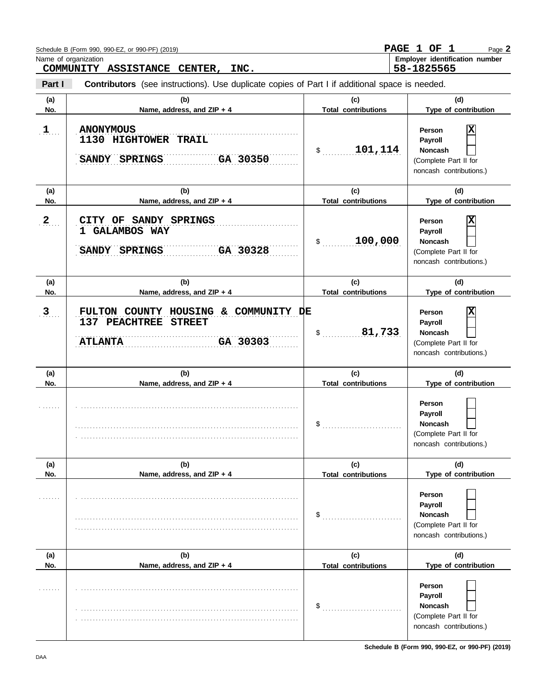|               | Schedule B (Form 990, 990-EZ, or 990-PF) (2019)                                                       |                                             | PAGE 1 OF 1<br>Page 2                                                                                         |
|---------------|-------------------------------------------------------------------------------------------------------|---------------------------------------------|---------------------------------------------------------------------------------------------------------------|
|               | Name of organization<br>COMMUNITY ASSISTANCE CENTER,<br>INC.                                          |                                             | Employer identification number<br>58-1825565                                                                  |
| Part I        | <b>Contributors</b> (see instructions). Use duplicate copies of Part I if additional space is needed. |                                             |                                                                                                               |
| (a)<br>No.    | (b)<br>Name, address, and ZIP + 4                                                                     | (c)<br><b>Total contributions</b>           | (d)<br>Type of contribution                                                                                   |
| $1$ .         | <b>ANONYMOUS</b><br>1130 HIGHTOWER TRAIL<br>GA 30350<br>SANDY SPRINGS                                 | 101,114<br>$\frac{1}{2}$                    | $\overline{\mathbf{x}}$<br>Person<br>Payroll<br>Noncash<br>(Complete Part II for<br>noncash contributions.)   |
| (a)           | (b)                                                                                                   | (c)                                         | (d)                                                                                                           |
| No.<br>$2_{}$ | Name, address, and ZIP + 4<br>CITY OF SANDY SPRINGS<br>1 GALAMBOS WAY<br>SANDY SPRINGS<br>GA 30328    | <b>Total contributions</b><br>100,000<br>\$ | Type of contribution<br>Χ<br>Person<br>Payroll<br>Noncash<br>(Complete Part II for<br>noncash contributions.) |
| (a)<br>No.    | (b)<br>Name, address, and ZIP + 4                                                                     | (c)<br><b>Total contributions</b>           | (d)<br>Type of contribution                                                                                   |
| $\frac{3}{2}$ | FULTON COUNTY HOUSING & COMMUNITY DE<br>137 PEACHTREE<br><b>STREET</b><br>GA 30303<br><b>ATLANTA</b>  | 81,733<br>\$                                | X<br>Person<br>Payroll<br>Noncash<br>(Complete Part II for<br>noncash contributions.)                         |
| (a)<br>No.    | (b)<br>Name, address, and ZIP + 4                                                                     | (c)<br><b>Total contributions</b>           | (d)<br>Type of contribution                                                                                   |
|               |                                                                                                       | \$                                          | Person<br>Payroll<br>Noncash<br>(Complete Part II for<br>noncash contributions.)                              |
| (a)           | (b)                                                                                                   | (c)                                         | (d)                                                                                                           |
| No.           | Name, address, and ZIP + 4                                                                            | <b>Total contributions</b>                  | Type of contribution                                                                                          |
|               |                                                                                                       | \$                                          | Person<br>Payroll<br><b>Noncash</b><br>(Complete Part II for<br>noncash contributions.)                       |
| (a)<br>No.    | (b)<br>Name, address, and ZIP + 4                                                                     | (c)<br><b>Total contributions</b>           | (d)<br>Type of contribution                                                                                   |
|               |                                                                                                       | \$                                          | Person<br>Payroll<br><b>Noncash</b><br>(Complete Part II for<br>noncash contributions.)                       |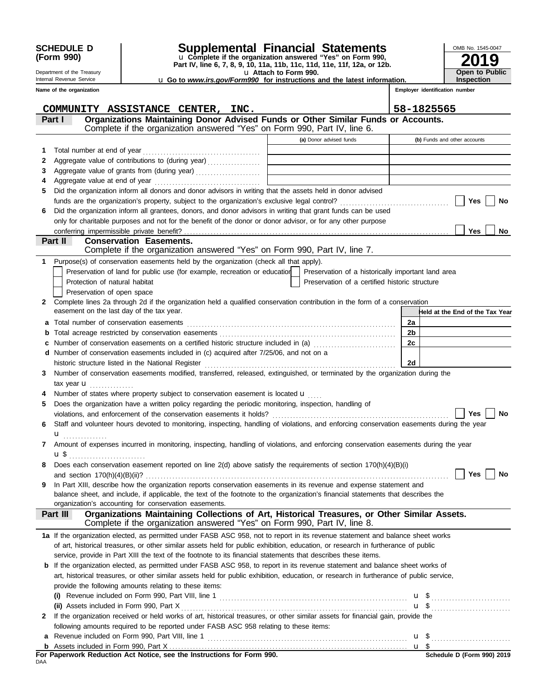| <b>SCHEDULE D</b><br>(Form 990)                                                                                                 |                                           | <b>Supplemental Financial Statements</b><br>u Complete if the organization answered "Yes" on Form 990,                                                                                                                       |            | OMB No. 1545-0047               |
|---------------------------------------------------------------------------------------------------------------------------------|-------------------------------------------|------------------------------------------------------------------------------------------------------------------------------------------------------------------------------------------------------------------------------|------------|---------------------------------|
| Part IV, line 6, 7, 8, 9, 10, 11a, 11b, 11c, 11d, 11e, 11f, 12a, or 12b.<br>Department of the Treasury<br>u Attach to Form 990. |                                           |                                                                                                                                                                                                                              |            | Open to Public                  |
|                                                                                                                                 | Internal Revenue Service                  | u Go to www.irs.gov/Form990 for instructions and the latest information.                                                                                                                                                     |            | <b>Inspection</b>               |
|                                                                                                                                 | Name of the organization                  |                                                                                                                                                                                                                              |            | Employer identification number  |
|                                                                                                                                 |                                           |                                                                                                                                                                                                                              | 58-1825565 |                                 |
|                                                                                                                                 | Part I                                    | COMMUNITY ASSISTANCE CENTER, INC.<br>Organizations Maintaining Donor Advised Funds or Other Similar Funds or Accounts.                                                                                                       |            |                                 |
|                                                                                                                                 |                                           | Complete if the organization answered "Yes" on Form 990, Part IV, line 6.                                                                                                                                                    |            |                                 |
|                                                                                                                                 |                                           | (a) Donor advised funds                                                                                                                                                                                                      |            | (b) Funds and other accounts    |
| 1.                                                                                                                              |                                           |                                                                                                                                                                                                                              |            |                                 |
| 2                                                                                                                               |                                           | Aggregate value of contributions to (during year)<br>the control of the control of the control of the control of the control of                                                                                              |            |                                 |
| 3                                                                                                                               |                                           | Aggregate value of grants from (during year)                                                                                                                                                                                 |            |                                 |
| 4                                                                                                                               |                                           |                                                                                                                                                                                                                              |            |                                 |
| 5                                                                                                                               |                                           | Did the organization inform all donors and donor advisors in writing that the assets held in donor advised                                                                                                                   |            |                                 |
|                                                                                                                                 |                                           |                                                                                                                                                                                                                              |            | Yes<br>No                       |
| 6                                                                                                                               |                                           | Did the organization inform all grantees, donors, and donor advisors in writing that grant funds can be used<br>only for charitable purposes and not for the benefit of the donor or donor advisor, or for any other purpose |            |                                 |
|                                                                                                                                 |                                           |                                                                                                                                                                                                                              |            | Yes<br>No.                      |
|                                                                                                                                 | Part II                                   | <b>Conservation Easements.</b>                                                                                                                                                                                               |            |                                 |
|                                                                                                                                 |                                           | Complete if the organization answered "Yes" on Form 990, Part IV, line 7.                                                                                                                                                    |            |                                 |
|                                                                                                                                 |                                           | 1 Purpose(s) of conservation easements held by the organization (check all that apply).                                                                                                                                      |            |                                 |
|                                                                                                                                 |                                           | Preservation of land for public use (for example, recreation or education<br>Preservation of a historically important land area                                                                                              |            |                                 |
|                                                                                                                                 | Protection of natural habitat             | Preservation of a certified historic structure                                                                                                                                                                               |            |                                 |
|                                                                                                                                 | Preservation of open space                |                                                                                                                                                                                                                              |            |                                 |
|                                                                                                                                 | easement on the last day of the tax year. | 2 Complete lines 2a through 2d if the organization held a qualified conservation contribution in the form of a conservation                                                                                                  |            |                                 |
| а                                                                                                                               |                                           |                                                                                                                                                                                                                              | 2a         | Held at the End of the Tax Year |
| b                                                                                                                               |                                           |                                                                                                                                                                                                                              | 2b         |                                 |
|                                                                                                                                 |                                           | Number of conservation easements on a certified historic structure included in (a)                                                                                                                                           | 2c         |                                 |
|                                                                                                                                 |                                           | d Number of conservation easements included in (c) acquired after 7/25/06, and not on a                                                                                                                                      |            |                                 |
|                                                                                                                                 |                                           |                                                                                                                                                                                                                              | 2d         |                                 |
| 3                                                                                                                               |                                           | Number of conservation easements modified, transferred, released, extinguished, or terminated by the organization during the                                                                                                 |            |                                 |
|                                                                                                                                 | tax year $\mathbf{u}$                     |                                                                                                                                                                                                                              |            |                                 |
|                                                                                                                                 |                                           | Number of states where property subject to conservation easement is located <b>u</b>                                                                                                                                         |            |                                 |
| 5                                                                                                                               |                                           | Does the organization have a written policy regarding the periodic monitoring, inspection, handling of                                                                                                                       |            |                                 |
|                                                                                                                                 |                                           | Staff and volunteer hours devoted to monitoring, inspecting, handling of violations, and enforcing conservation easements during the year                                                                                    |            | Yes<br>No                       |
| 6                                                                                                                               | u                                         |                                                                                                                                                                                                                              |            |                                 |
| 7                                                                                                                               |                                           | Amount of expenses incurred in monitoring, inspecting, handling of violations, and enforcing conservation easements during the year                                                                                          |            |                                 |
|                                                                                                                                 | $\mathbf{u}$ \$                           |                                                                                                                                                                                                                              |            |                                 |
| 8                                                                                                                               |                                           | Does each conservation easement reported on line 2(d) above satisfy the requirements of section 170(h)(4)(B)(i)                                                                                                              |            |                                 |
|                                                                                                                                 |                                           |                                                                                                                                                                                                                              |            | Yes $ $<br>No                   |
| 9                                                                                                                               |                                           | In Part XIII, describe how the organization reports conservation easements in its revenue and expense statement and                                                                                                          |            |                                 |
|                                                                                                                                 |                                           | balance sheet, and include, if applicable, the text of the footnote to the organization's financial statements that describes the<br>organization's accounting for conservation easements.                                   |            |                                 |
|                                                                                                                                 | Part III                                  | Organizations Maintaining Collections of Art, Historical Treasures, or Other Similar Assets.                                                                                                                                 |            |                                 |
|                                                                                                                                 |                                           | Complete if the organization answered "Yes" on Form 990, Part IV, line 8.                                                                                                                                                    |            |                                 |
|                                                                                                                                 |                                           | 1a If the organization elected, as permitted under FASB ASC 958, not to report in its revenue statement and balance sheet works                                                                                              |            |                                 |
|                                                                                                                                 |                                           | of art, historical treasures, or other similar assets held for public exhibition, education, or research in furtherance of public                                                                                            |            |                                 |
|                                                                                                                                 |                                           | service, provide in Part XIII the text of the footnote to its financial statements that describes these items.                                                                                                               |            |                                 |
|                                                                                                                                 |                                           | <b>b</b> If the organization elected, as permitted under FASB ASC 958, to report in its revenue statement and balance sheet works of                                                                                         |            |                                 |
|                                                                                                                                 |                                           | art, historical treasures, or other similar assets held for public exhibition, education, or research in furtherance of public service,                                                                                      |            |                                 |
|                                                                                                                                 |                                           | provide the following amounts relating to these items:                                                                                                                                                                       |            |                                 |
|                                                                                                                                 |                                           | (i) Revenue included on Form 990, Part VIII, line 1 $\ldots$ $\ldots$ $\ldots$ $\ldots$ $\ldots$ $\ldots$ $\ldots$ $\ldots$ $\ldots$ $\ldots$                                                                                |            |                                 |
| $\mathbf{2}$                                                                                                                    |                                           | If the organization received or held works of art, historical treasures, or other similar assets for financial gain, provide the                                                                                             |            |                                 |
|                                                                                                                                 |                                           | following amounts required to be reported under FASB ASC 958 relating to these items:                                                                                                                                        |            |                                 |
|                                                                                                                                 |                                           |                                                                                                                                                                                                                              |            |                                 |
|                                                                                                                                 |                                           |                                                                                                                                                                                                                              |            |                                 |

**For Paperwork Reduction Act Notice, see the Instructions for Form 990.**<br><sub>DAA</sub>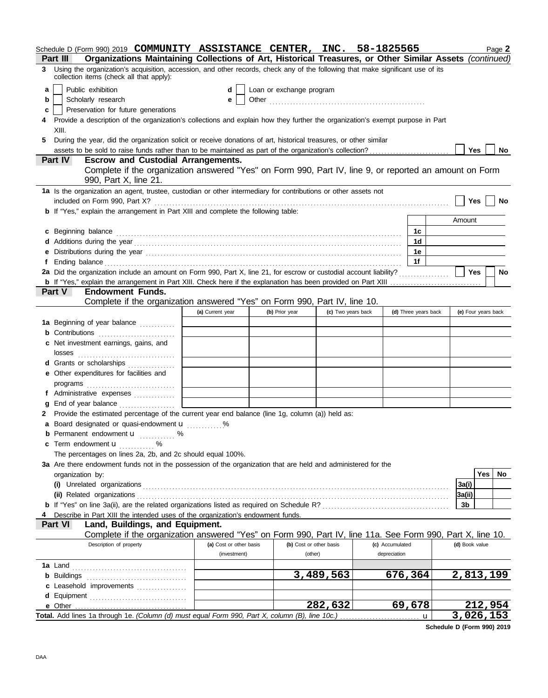|    | Schedule D (Form 990) 2019 COMMUNITY ASSISTANCE CENTER, INC. $58-1825565$<br>Organizations Maintaining Collections of Art, Historical Treasures, or Other Similar Assets (continued)<br>Part III                                    |                         |                          |                    |                 |                      | Page 2              |           |
|----|-------------------------------------------------------------------------------------------------------------------------------------------------------------------------------------------------------------------------------------|-------------------------|--------------------------|--------------------|-----------------|----------------------|---------------------|-----------|
| 3. | Using the organization's acquisition, accession, and other records, check any of the following that make significant use of its<br>collection items (check all that apply):                                                         |                         |                          |                    |                 |                      |                     |           |
|    |                                                                                                                                                                                                                                     |                         |                          |                    |                 |                      |                     |           |
| a  | Public exhibition                                                                                                                                                                                                                   | d                       | Loan or exchange program |                    |                 |                      |                     |           |
| b  | Scholarly research                                                                                                                                                                                                                  | e                       |                          |                    |                 |                      |                     |           |
| c  | Preservation for future generations                                                                                                                                                                                                 |                         |                          |                    |                 |                      |                     |           |
|    | Provide a description of the organization's collections and explain how they further the organization's exempt purpose in Part                                                                                                      |                         |                          |                    |                 |                      |                     |           |
|    | XIII.<br>During the year, did the organization solicit or receive donations of art, historical treasures, or other similar                                                                                                          |                         |                          |                    |                 |                      |                     |           |
| 5. |                                                                                                                                                                                                                                     |                         |                          |                    |                 |                      | Yes                 | <b>No</b> |
|    | <b>Escrow and Custodial Arrangements.</b><br><b>Part IV</b>                                                                                                                                                                         |                         |                          |                    |                 |                      |                     |           |
|    | Complete if the organization answered "Yes" on Form 990, Part IV, line 9, or reported an amount on Form                                                                                                                             |                         |                          |                    |                 |                      |                     |           |
|    | 990, Part X, line 21.                                                                                                                                                                                                               |                         |                          |                    |                 |                      |                     |           |
|    | 1a Is the organization an agent, trustee, custodian or other intermediary for contributions or other assets not                                                                                                                     |                         |                          |                    |                 |                      |                     |           |
|    | included on Form 990, Part X?                                                                                                                                                                                                       |                         |                          |                    |                 |                      | <b>Yes</b>          | No        |
|    | <b>b</b> If "Yes," explain the arrangement in Part XIII and complete the following table:                                                                                                                                           |                         |                          |                    |                 |                      | Amount              |           |
|    |                                                                                                                                                                                                                                     |                         |                          |                    |                 |                      |                     |           |
|    | c Beginning balance                                                                                                                                                                                                                 |                         |                          |                    |                 | 1c                   |                     |           |
|    |                                                                                                                                                                                                                                     |                         |                          |                    |                 | 1d                   |                     |           |
|    |                                                                                                                                                                                                                                     |                         |                          |                    |                 | 1е                   |                     |           |
|    |                                                                                                                                                                                                                                     |                         |                          |                    |                 | 1f                   |                     |           |
|    | 2a Did the organization include an amount on Form 990, Part X, line 21, for escrow or custodial account liability?                                                                                                                  |                         |                          |                    |                 |                      | <b>Yes</b>          | No        |
|    | <b>Endowment Funds.</b>                                                                                                                                                                                                             |                         |                          |                    |                 |                      |                     |           |
|    | <b>Part V</b><br>Complete if the organization answered "Yes" on Form 990, Part IV, line 10.                                                                                                                                         |                         |                          |                    |                 |                      |                     |           |
|    |                                                                                                                                                                                                                                     | (a) Current year        | (b) Prior year           | (c) Two years back |                 | (d) Three years back | (e) Four years back |           |
|    |                                                                                                                                                                                                                                     |                         |                          |                    |                 |                      |                     |           |
|    | 1a Beginning of year balance                                                                                                                                                                                                        |                         |                          |                    |                 |                      |                     |           |
|    | <b>b</b> Contributions                                                                                                                                                                                                              |                         |                          |                    |                 |                      |                     |           |
|    | c Net investment earnings, gains, and                                                                                                                                                                                               |                         |                          |                    |                 |                      |                     |           |
|    |                                                                                                                                                                                                                                     |                         |                          |                    |                 |                      |                     |           |
|    | d Grants or scholarships                                                                                                                                                                                                            |                         |                          |                    |                 |                      |                     |           |
|    | e Other expenditures for facilities and                                                                                                                                                                                             |                         |                          |                    |                 |                      |                     |           |
|    | programs                                                                                                                                                                                                                            |                         |                          |                    |                 |                      |                     |           |
|    | f Administrative expenses                                                                                                                                                                                                           |                         |                          |                    |                 |                      |                     |           |
| g  | End of year balance<br>2 Provide the estimated percentage of the current year end balance (line 1g, column (a)) held as:                                                                                                            |                         |                          |                    |                 |                      |                     |           |
|    | a Board designated or quasi-endowment u                                                                                                                                                                                             |                         |                          |                    |                 |                      |                     |           |
|    | <b>b</b> Permanent endowment <b>u</b> %                                                                                                                                                                                             |                         |                          |                    |                 |                      |                     |           |
|    | c Term endowment <b>u</b> %                                                                                                                                                                                                         |                         |                          |                    |                 |                      |                     |           |
|    | The percentages on lines 2a, 2b, and 2c should equal 100%.                                                                                                                                                                          |                         |                          |                    |                 |                      |                     |           |
|    | 3a Are there endowment funds not in the possession of the organization that are held and administered for the                                                                                                                       |                         |                          |                    |                 |                      |                     |           |
|    | organization by:                                                                                                                                                                                                                    |                         |                          |                    |                 |                      | Yes                 | No        |
|    |                                                                                                                                                                                                                                     |                         |                          |                    |                 |                      | 3a(i)               |           |
|    | (ii) Related organizations <b>constants</b> and constant of the constant of the constant of the constant of the constant of the constant of the constant of the constant of the constant of the constant of the constant of the con |                         |                          |                    |                 |                      | 3a(ii)              |           |
|    |                                                                                                                                                                                                                                     |                         |                          |                    |                 |                      | 3b                  |           |
|    | Describe in Part XIII the intended uses of the organization's endowment funds.                                                                                                                                                      |                         |                          |                    |                 |                      |                     |           |
|    | Land, Buildings, and Equipment.<br>Part VI                                                                                                                                                                                          |                         |                          |                    |                 |                      |                     |           |
|    | Complete if the organization answered "Yes" on Form 990, Part IV, line 11a. See Form 990, Part X, line 10.                                                                                                                          |                         |                          |                    |                 |                      |                     |           |
|    | Description of property                                                                                                                                                                                                             | (a) Cost or other basis | (b) Cost or other basis  |                    | (c) Accumulated |                      | (d) Book value      |           |
|    |                                                                                                                                                                                                                                     | (investment)            | (other)                  |                    | depreciation    |                      |                     |           |
|    |                                                                                                                                                                                                                                     |                         |                          |                    |                 |                      |                     |           |
|    |                                                                                                                                                                                                                                     |                         |                          | 3,489,563          |                 | 676,364              | 2,813,199           |           |
|    | c Leasehold improvements                                                                                                                                                                                                            |                         |                          |                    |                 |                      |                     |           |
|    |                                                                                                                                                                                                                                     |                         |                          |                    |                 |                      |                     |           |
|    | <b>e</b> Other                                                                                                                                                                                                                      |                         |                          | 282,632            |                 | 69,678               | 212,954             |           |
|    | Total. Add lines 1a through 1e. (Column (d) must equal Form 990, Part X, column (B), line 10c.)                                                                                                                                     |                         |                          |                    |                 | u                    | 3,026,153           |           |

**Schedule D (Form 990) 2019**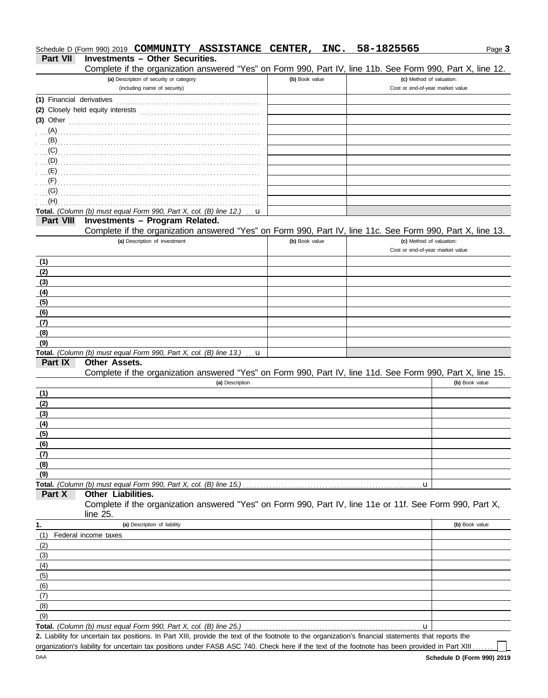#### Page **3 Part VII Investments – Other Securities.** Schedule D (Form 990) 2019 **COMMUNITY ASSISTANCE CENTER, INC. 58-1825565**Complete if the organization answered "Yes" on Form 990, Part IV, line 11b. See Form 990, Part X, line 12.

| (a) Description of security or category |                                                                                                                                                                                                                                                                                                                                    | (b) Book value | (c) Method of valuation:         |                |  |
|-----------------------------------------|------------------------------------------------------------------------------------------------------------------------------------------------------------------------------------------------------------------------------------------------------------------------------------------------------------------------------------|----------------|----------------------------------|----------------|--|
|                                         | (including name of security)                                                                                                                                                                                                                                                                                                       |                | Cost or end-of-year market value |                |  |
| (1) Financial derivatives               |                                                                                                                                                                                                                                                                                                                                    |                |                                  |                |  |
|                                         |                                                                                                                                                                                                                                                                                                                                    |                |                                  |                |  |
| (3) Other                               |                                                                                                                                                                                                                                                                                                                                    |                |                                  |                |  |
|                                         |                                                                                                                                                                                                                                                                                                                                    |                |                                  |                |  |
| $\ldots$ (B)                            |                                                                                                                                                                                                                                                                                                                                    |                |                                  |                |  |
|                                         | $\overline{C}$ (C) $\overline{C}$ (C) $\overline{C}$ (C) $\overline{C}$ (C) $\overline{C}$ (C) $\overline{C}$ (C) $\overline{C}$ (C) $\overline{C}$ (C) $\overline{C}$ (C) $\overline{C}$ (C) $\overline{C}$ (C) $\overline{C}$ (C) $\overline{C}$ (C) $\overline{C}$ (C) $\overline{C}$ (C) $\overline{C}$ (C) $\overline{C}$ (C) |                |                                  |                |  |
|                                         |                                                                                                                                                                                                                                                                                                                                    |                |                                  |                |  |
|                                         |                                                                                                                                                                                                                                                                                                                                    |                |                                  |                |  |
| $\ldots$ (F)                            |                                                                                                                                                                                                                                                                                                                                    |                |                                  |                |  |
| (G)                                     |                                                                                                                                                                                                                                                                                                                                    |                |                                  |                |  |
| (H)                                     |                                                                                                                                                                                                                                                                                                                                    |                |                                  |                |  |
|                                         | Total. (Column (b) must equal Form 990, Part X, col. (B) line 12.)<br>u                                                                                                                                                                                                                                                            |                |                                  |                |  |
| <b>Part VIII</b>                        | <b>Investments - Program Related.</b>                                                                                                                                                                                                                                                                                              |                |                                  |                |  |
|                                         | Complete if the organization answered "Yes" on Form 990, Part IV, line 11c. See Form 990, Part X, line 13.                                                                                                                                                                                                                         |                |                                  |                |  |
|                                         | (a) Description of investment                                                                                                                                                                                                                                                                                                      | (b) Book value | (c) Method of valuation:         |                |  |
|                                         |                                                                                                                                                                                                                                                                                                                                    |                | Cost or end-of-year market value |                |  |
| (1)                                     |                                                                                                                                                                                                                                                                                                                                    |                |                                  |                |  |
| (2)                                     |                                                                                                                                                                                                                                                                                                                                    |                |                                  |                |  |
| (3)                                     |                                                                                                                                                                                                                                                                                                                                    |                |                                  |                |  |
| (4)                                     |                                                                                                                                                                                                                                                                                                                                    |                |                                  |                |  |
| (5)                                     |                                                                                                                                                                                                                                                                                                                                    |                |                                  |                |  |
| (6)                                     |                                                                                                                                                                                                                                                                                                                                    |                |                                  |                |  |
| (7)                                     |                                                                                                                                                                                                                                                                                                                                    |                |                                  |                |  |
| (8)                                     |                                                                                                                                                                                                                                                                                                                                    |                |                                  |                |  |
| (9)                                     |                                                                                                                                                                                                                                                                                                                                    |                |                                  |                |  |
|                                         | Total. (Column (b) must equal Form 990, Part X, col. (B) line 13.)<br>. <b>u</b>                                                                                                                                                                                                                                                   |                |                                  |                |  |
| Part IX                                 | <b>Other Assets.</b>                                                                                                                                                                                                                                                                                                               |                |                                  |                |  |
|                                         | Complete if the organization answered "Yes" on Form 990, Part IV, line 11d. See Form 990, Part X, line 15.                                                                                                                                                                                                                         |                |                                  |                |  |
|                                         | (a) Description                                                                                                                                                                                                                                                                                                                    |                |                                  | (b) Book value |  |
| (1)                                     |                                                                                                                                                                                                                                                                                                                                    |                |                                  |                |  |
| (2)                                     |                                                                                                                                                                                                                                                                                                                                    |                |                                  |                |  |
| (3)                                     |                                                                                                                                                                                                                                                                                                                                    |                |                                  |                |  |
| (4)                                     |                                                                                                                                                                                                                                                                                                                                    |                |                                  |                |  |
| (5)                                     |                                                                                                                                                                                                                                                                                                                                    |                |                                  |                |  |
| (6)                                     |                                                                                                                                                                                                                                                                                                                                    |                |                                  |                |  |
| (7)                                     |                                                                                                                                                                                                                                                                                                                                    |                |                                  |                |  |
| (8)                                     |                                                                                                                                                                                                                                                                                                                                    |                |                                  |                |  |
| (9)                                     |                                                                                                                                                                                                                                                                                                                                    |                |                                  |                |  |
|                                         | Total. (Column (b) must equal Form 990, Part X, col. (B) line 15.)                                                                                                                                                                                                                                                                 |                | u                                |                |  |
| Part X                                  | Other Liabilities.                                                                                                                                                                                                                                                                                                                 |                |                                  |                |  |
|                                         | Complete if the organization answered "Yes" on Form 990, Part IV, line 11e or 11f. See Form 990, Part X,                                                                                                                                                                                                                           |                |                                  |                |  |
|                                         | line 25.                                                                                                                                                                                                                                                                                                                           |                |                                  |                |  |
| 1.                                      | (a) Description of liability                                                                                                                                                                                                                                                                                                       |                |                                  | (b) Book value |  |
| (1)                                     | Federal income taxes                                                                                                                                                                                                                                                                                                               |                |                                  |                |  |
| (2)                                     |                                                                                                                                                                                                                                                                                                                                    |                |                                  |                |  |
| (3)                                     |                                                                                                                                                                                                                                                                                                                                    |                |                                  |                |  |
| (4)                                     |                                                                                                                                                                                                                                                                                                                                    |                |                                  |                |  |
| (5)                                     |                                                                                                                                                                                                                                                                                                                                    |                |                                  |                |  |
| (6)                                     |                                                                                                                                                                                                                                                                                                                                    |                |                                  |                |  |
| (7)                                     |                                                                                                                                                                                                                                                                                                                                    |                |                                  |                |  |
| (8)                                     |                                                                                                                                                                                                                                                                                                                                    |                |                                  |                |  |
| (9)                                     |                                                                                                                                                                                                                                                                                                                                    |                |                                  |                |  |
|                                         | Total. (Column (b) must equal Form 990, Part X, col. (B) line 25.)                                                                                                                                                                                                                                                                 |                | u                                |                |  |
|                                         | 2. Liability for uncertain tax positions. In Part XIII, provide the text of the footnote to the organization's financial statements that reports the                                                                                                                                                                               |                |                                  |                |  |
|                                         | organization's liability for uncertain tax positions under FASB ASC 740. Check here if the text of the footnote has been provided in Part XIII.                                                                                                                                                                                    |                |                                  |                |  |

organization's liability for uncertain tax positions under FASB ASC 740. Check here if the text of the footnote has been provided in Part XIII . . . .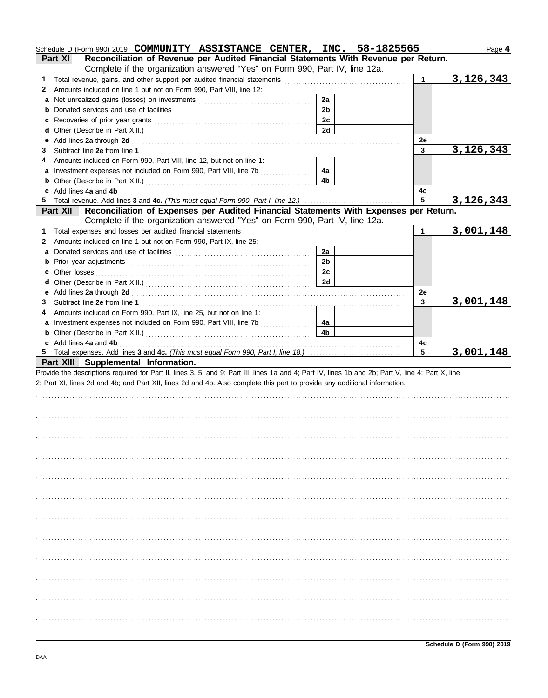|   | Schedule D (Form 990) 2019 COMMUNITY ASSISTANCE CENTER, INC. 58-1825565                                                                                                                                                        |                      |             | Page 4    |
|---|--------------------------------------------------------------------------------------------------------------------------------------------------------------------------------------------------------------------------------|----------------------|-------------|-----------|
|   | Reconciliation of Revenue per Audited Financial Statements With Revenue per Return.<br>Part XI                                                                                                                                 |                      |             |           |
|   | Complete if the organization answered "Yes" on Form 990, Part IV, line 12a.                                                                                                                                                    |                      |             |           |
| 1 |                                                                                                                                                                                                                                |                      | $\mathbf 1$ | 3,126,343 |
| 2 | Amounts included on line 1 but not on Form 990, Part VIII, line 12:                                                                                                                                                            |                      |             |           |
| a |                                                                                                                                                                                                                                | 2a                   |             |           |
| b |                                                                                                                                                                                                                                | 2 <sub>b</sub>       |             |           |
| c | Recoveries of prior year grants [11] Recoveries of prior year grants [11] All and the context of the context of the context of the context of the context of the context of the context of the context of the context of the c | 2c                   |             |           |
| d |                                                                                                                                                                                                                                | 2d                   |             |           |
| е |                                                                                                                                                                                                                                |                      | 2e          | 3,126,343 |
| 3 |                                                                                                                                                                                                                                |                      | 3           |           |
|   | Amounts included on Form 990, Part VIII, line 12, but not on line 1:                                                                                                                                                           |                      |             |           |
|   | Investment expenses not included on Form 990, Part VIII, line 7b [[[[[[[[[[[[[[[[[[[[[[[[]]]]]]]]]                                                                                                                             | 4a<br>4 <sub>b</sub> |             |           |
| b | Add lines 4a and 4b                                                                                                                                                                                                            |                      | 4с          |           |
| 5 | Total revenue. Add lines 3 and 4c. (This must equal Form 990, Part I, line 12.)                                                                                                                                                |                      | 5           | 3,126,343 |
|   | Reconciliation of Expenses per Audited Financial Statements With Expenses per Return.<br><b>Part XII</b>                                                                                                                       |                      |             |           |
|   | Complete if the organization answered "Yes" on Form 990, Part IV, line 12a.                                                                                                                                                    |                      |             |           |
| 1 | Total expenses and losses per audited financial statements                                                                                                                                                                     |                      | 1           | 3,001,148 |
| 2 | Amounts included on line 1 but not on Form 990, Part IX, line 25:                                                                                                                                                              |                      |             |           |
|   |                                                                                                                                                                                                                                | 2a                   |             |           |
| b |                                                                                                                                                                                                                                | 2 <sub>b</sub>       |             |           |
| с | Other losses                                                                                                                                                                                                                   | 2c                   |             |           |
| d |                                                                                                                                                                                                                                | 2d                   |             |           |
| е |                                                                                                                                                                                                                                |                      | 2e          |           |
| 3 |                                                                                                                                                                                                                                |                      | 3           | 3,001,148 |
|   | Amounts included on Form 990, Part IX, line 25, but not on line 1:                                                                                                                                                             |                      |             |           |
|   | Investment expenses not included on Form 990, Part VIII, line 7b                                                                                                                                                               | 4a                   |             |           |
| b |                                                                                                                                                                                                                                | 4 <sub>b</sub>       |             |           |
|   |                                                                                                                                                                                                                                |                      |             |           |
|   | Add lines 4a and 4b                                                                                                                                                                                                            |                      | 4c          |           |
|   |                                                                                                                                                                                                                                |                      | 5           | 3,001,148 |
|   | Part XIII Supplemental Information.                                                                                                                                                                                            |                      |             |           |
|   | Provide the descriptions required for Part II, lines 3, 5, and 9; Part III, lines 1a and 4; Part IV, lines 1b and 2b; Part V, line 4; Part X, line                                                                             |                      |             |           |
|   | 2; Part XI, lines 2d and 4b; and Part XII, lines 2d and 4b. Also complete this part to provide any additional information.                                                                                                     |                      |             |           |
|   |                                                                                                                                                                                                                                |                      |             |           |
|   |                                                                                                                                                                                                                                |                      |             |           |
|   |                                                                                                                                                                                                                                |                      |             |           |
|   |                                                                                                                                                                                                                                |                      |             |           |
|   |                                                                                                                                                                                                                                |                      |             |           |
|   |                                                                                                                                                                                                                                |                      |             |           |
|   |                                                                                                                                                                                                                                |                      |             |           |
|   |                                                                                                                                                                                                                                |                      |             |           |
|   |                                                                                                                                                                                                                                |                      |             |           |
|   |                                                                                                                                                                                                                                |                      |             |           |
|   |                                                                                                                                                                                                                                |                      |             |           |
|   |                                                                                                                                                                                                                                |                      |             |           |
|   |                                                                                                                                                                                                                                |                      |             |           |
|   |                                                                                                                                                                                                                                |                      |             |           |
|   |                                                                                                                                                                                                                                |                      |             |           |
|   |                                                                                                                                                                                                                                |                      |             |           |
|   |                                                                                                                                                                                                                                |                      |             |           |
|   |                                                                                                                                                                                                                                |                      |             |           |
|   |                                                                                                                                                                                                                                |                      |             |           |
|   |                                                                                                                                                                                                                                |                      |             |           |
|   |                                                                                                                                                                                                                                |                      |             |           |
|   |                                                                                                                                                                                                                                |                      |             |           |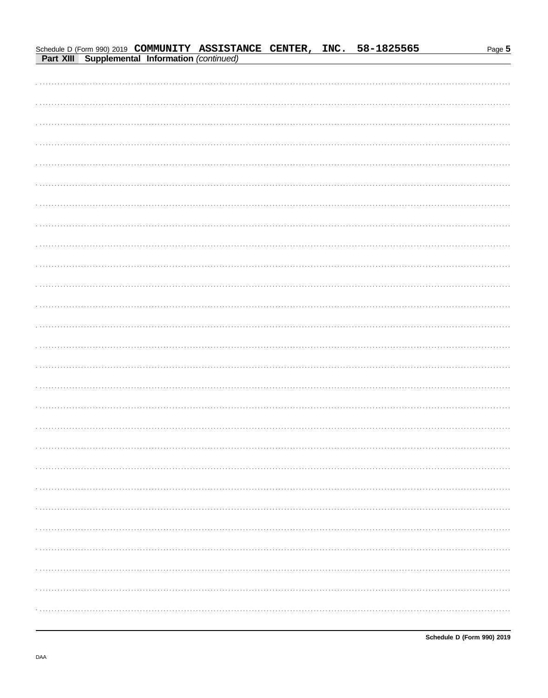|  |  |  |                                                                                                                           | Page 5 |
|--|--|--|---------------------------------------------------------------------------------------------------------------------------|--------|
|  |  |  | Schedule D (Form 990) 2019 COMMUNITY ASSISTANCE CENTER, INC. 58-1825565<br>Part XIII Supplemental Information (continued) |        |
|  |  |  |                                                                                                                           |        |
|  |  |  |                                                                                                                           |        |
|  |  |  |                                                                                                                           |        |
|  |  |  |                                                                                                                           |        |
|  |  |  |                                                                                                                           |        |
|  |  |  |                                                                                                                           |        |
|  |  |  |                                                                                                                           |        |
|  |  |  |                                                                                                                           |        |
|  |  |  |                                                                                                                           |        |
|  |  |  |                                                                                                                           |        |
|  |  |  |                                                                                                                           |        |
|  |  |  |                                                                                                                           |        |
|  |  |  |                                                                                                                           |        |
|  |  |  |                                                                                                                           |        |
|  |  |  |                                                                                                                           |        |
|  |  |  |                                                                                                                           |        |
|  |  |  |                                                                                                                           |        |
|  |  |  |                                                                                                                           |        |
|  |  |  |                                                                                                                           |        |
|  |  |  |                                                                                                                           |        |
|  |  |  |                                                                                                                           |        |
|  |  |  |                                                                                                                           |        |
|  |  |  |                                                                                                                           |        |
|  |  |  |                                                                                                                           |        |
|  |  |  |                                                                                                                           |        |
|  |  |  |                                                                                                                           |        |
|  |  |  |                                                                                                                           |        |
|  |  |  |                                                                                                                           |        |
|  |  |  |                                                                                                                           |        |
|  |  |  |                                                                                                                           |        |
|  |  |  |                                                                                                                           |        |
|  |  |  |                                                                                                                           |        |
|  |  |  |                                                                                                                           |        |
|  |  |  |                                                                                                                           |        |
|  |  |  |                                                                                                                           |        |
|  |  |  |                                                                                                                           |        |
|  |  |  |                                                                                                                           |        |
|  |  |  |                                                                                                                           |        |
|  |  |  |                                                                                                                           |        |
|  |  |  |                                                                                                                           |        |
|  |  |  |                                                                                                                           |        |
|  |  |  |                                                                                                                           |        |
|  |  |  |                                                                                                                           |        |
|  |  |  |                                                                                                                           |        |
|  |  |  |                                                                                                                           |        |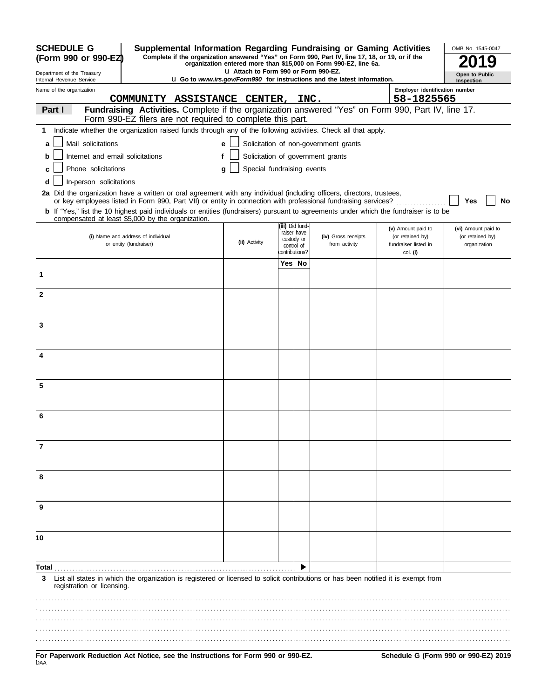| <b>SCHEDULE G</b>                                      | Supplemental Information Regarding Fundraising or Gaming Activities<br>Complete if the organization answered "Yes" on Form 990, Part IV, line 17, 18, or 19, or if the                                                                   |               |                            |            |                                |                                                                                                                          |                                          | OMB No. 1545-0047                |
|--------------------------------------------------------|------------------------------------------------------------------------------------------------------------------------------------------------------------------------------------------------------------------------------------------|---------------|----------------------------|------------|--------------------------------|--------------------------------------------------------------------------------------------------------------------------|------------------------------------------|----------------------------------|
| (Form 990 or 990-EZ)                                   |                                                                                                                                                                                                                                          |               |                            |            |                                | organization entered more than \$15,000 on Form 990-EZ, line 6a.                                                         |                                          |                                  |
| Department of the Treasury<br>Internal Revenue Service |                                                                                                                                                                                                                                          |               |                            |            |                                | La Attach to Form 990 or Form 990-EZ.<br><b>u</b> Go to www.irs.gov/Form990 for instructions and the latest information. |                                          | Open to Public<br>Inspection     |
| Name of the organization                               |                                                                                                                                                                                                                                          |               |                            |            |                                |                                                                                                                          | Employer identification number           |                                  |
| Part I                                                 | COMMUNITY ASSISTANCE CENTER,<br>Fundraising Activities. Complete if the organization answered "Yes" on Form 990, Part IV, line 17.                                                                                                       |               |                            |            | INC.                           |                                                                                                                          | 58-1825565                               |                                  |
|                                                        | Form 990-EZ filers are not required to complete this part.                                                                                                                                                                               |               |                            |            |                                |                                                                                                                          |                                          |                                  |
| 1.                                                     | Indicate whether the organization raised funds through any of the following activities. Check all that apply.                                                                                                                            |               |                            |            |                                |                                                                                                                          |                                          |                                  |
| Mail solicitations<br>a                                |                                                                                                                                                                                                                                          | e             |                            |            |                                | Solicitation of non-government grants                                                                                    |                                          |                                  |
| Internet and email solicitations<br>b                  |                                                                                                                                                                                                                                          | f             |                            |            |                                | Solicitation of government grants                                                                                        |                                          |                                  |
| Phone solicitations<br>c                               |                                                                                                                                                                                                                                          | g             | Special fundraising events |            |                                |                                                                                                                          |                                          |                                  |
| In-person solicitations<br>d                           |                                                                                                                                                                                                                                          |               |                            |            |                                |                                                                                                                          |                                          |                                  |
|                                                        | 2a Did the organization have a written or oral agreement with any individual (including officers, directors, trustees,<br>or key employees listed in Form 990, Part VII) or entity in connection with professional fundraising services? |               |                            |            |                                |                                                                                                                          |                                          | Yes<br>No                        |
|                                                        | b If "Yes," list the 10 highest paid individuals or entities (fundraisers) pursuant to agreements under which the fundraiser is to be<br>compensated at least \$5,000 by the organization.                                               |               |                            |            |                                |                                                                                                                          |                                          |                                  |
|                                                        |                                                                                                                                                                                                                                          |               |                            |            | (iii) Did fund-<br>raiser have |                                                                                                                          | (v) Amount paid to                       | (vi) Amount paid to              |
|                                                        | (i) Name and address of individual<br>or entity (fundraiser)                                                                                                                                                                             | (ii) Activity |                            | custody or | control of                     | (iv) Gross receipts<br>from activity                                                                                     | (or retained by)<br>fundraiser listed in | (or retained by)<br>organization |
|                                                        |                                                                                                                                                                                                                                          |               |                            |            | :ontributions?                 |                                                                                                                          | col. (i)                                 |                                  |
| 1                                                      |                                                                                                                                                                                                                                          |               |                            | Yes No     |                                |                                                                                                                          |                                          |                                  |
|                                                        |                                                                                                                                                                                                                                          |               |                            |            |                                |                                                                                                                          |                                          |                                  |
| $\mathbf{2}$                                           |                                                                                                                                                                                                                                          |               |                            |            |                                |                                                                                                                          |                                          |                                  |
|                                                        |                                                                                                                                                                                                                                          |               |                            |            |                                |                                                                                                                          |                                          |                                  |
| 3                                                      |                                                                                                                                                                                                                                          |               |                            |            |                                |                                                                                                                          |                                          |                                  |
|                                                        |                                                                                                                                                                                                                                          |               |                            |            |                                |                                                                                                                          |                                          |                                  |
|                                                        |                                                                                                                                                                                                                                          |               |                            |            |                                |                                                                                                                          |                                          |                                  |
| 4                                                      |                                                                                                                                                                                                                                          |               |                            |            |                                |                                                                                                                          |                                          |                                  |
|                                                        |                                                                                                                                                                                                                                          |               |                            |            |                                |                                                                                                                          |                                          |                                  |
| 5                                                      |                                                                                                                                                                                                                                          |               |                            |            |                                |                                                                                                                          |                                          |                                  |
|                                                        |                                                                                                                                                                                                                                          |               |                            |            |                                |                                                                                                                          |                                          |                                  |
|                                                        |                                                                                                                                                                                                                                          |               |                            |            |                                |                                                                                                                          |                                          |                                  |
|                                                        |                                                                                                                                                                                                                                          |               |                            |            |                                |                                                                                                                          |                                          |                                  |
|                                                        |                                                                                                                                                                                                                                          |               |                            |            |                                |                                                                                                                          |                                          |                                  |
| 7                                                      |                                                                                                                                                                                                                                          |               |                            |            |                                |                                                                                                                          |                                          |                                  |
|                                                        |                                                                                                                                                                                                                                          |               |                            |            |                                |                                                                                                                          |                                          |                                  |
| 8                                                      |                                                                                                                                                                                                                                          |               |                            |            |                                |                                                                                                                          |                                          |                                  |
|                                                        |                                                                                                                                                                                                                                          |               |                            |            |                                |                                                                                                                          |                                          |                                  |
| 9                                                      |                                                                                                                                                                                                                                          |               |                            |            |                                |                                                                                                                          |                                          |                                  |
|                                                        |                                                                                                                                                                                                                                          |               |                            |            |                                |                                                                                                                          |                                          |                                  |
|                                                        |                                                                                                                                                                                                                                          |               |                            |            |                                |                                                                                                                          |                                          |                                  |
| 10                                                     |                                                                                                                                                                                                                                          |               |                            |            |                                |                                                                                                                          |                                          |                                  |
|                                                        |                                                                                                                                                                                                                                          |               |                            |            |                                |                                                                                                                          |                                          |                                  |
| Total                                                  |                                                                                                                                                                                                                                          |               |                            |            |                                |                                                                                                                          |                                          |                                  |
| 3<br>registration or licensing.                        | List all states in which the organization is registered or licensed to solicit contributions or has been notified it is exempt from                                                                                                      |               |                            |            |                                |                                                                                                                          |                                          |                                  |
|                                                        |                                                                                                                                                                                                                                          |               |                            |            |                                |                                                                                                                          |                                          |                                  |
|                                                        |                                                                                                                                                                                                                                          |               |                            |            |                                |                                                                                                                          |                                          |                                  |
|                                                        |                                                                                                                                                                                                                                          |               |                            |            |                                |                                                                                                                          |                                          |                                  |
|                                                        |                                                                                                                                                                                                                                          |               |                            |            |                                |                                                                                                                          |                                          |                                  |
|                                                        |                                                                                                                                                                                                                                          |               |                            |            |                                |                                                                                                                          |                                          |                                  |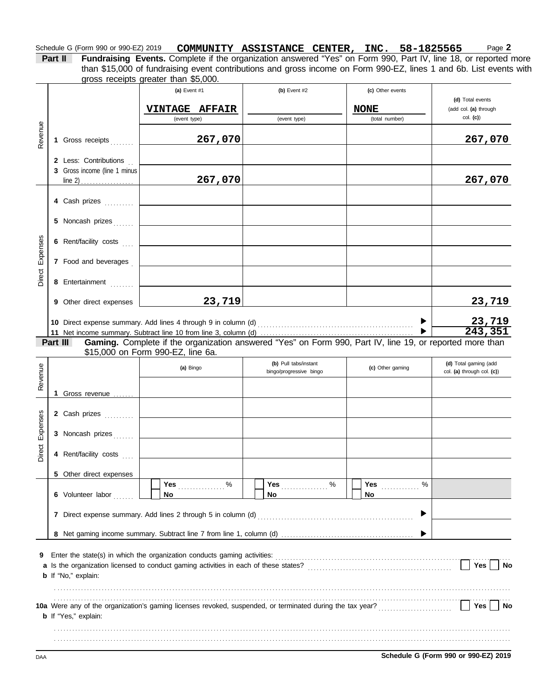Schedule G (Form 990 or 990-EZ) 2019 **COMMUNITY ASSISTANCE CENTER, INC.** 58-1825565 Page 2

**Part II Fundraising Events.** Complete if the organization answered "Yes" on Form 990, Part IV, line 18, or reported more gross receipts greater than \$5,000. than \$15,000 of fundraising event contributions and gross income on Form 990-EZ, lines 1 and 6b. List events with

|                 |          |                                                       | (a) Event $#1$<br><b>VINTAGE AFFAIR</b><br>(event type)                                                  | (b) Event $#2$<br>(event type) | (c) Other events<br><b>NONE</b><br>(total number) | (d) Total events<br>(add col. (a) through<br>$col.$ (c)) |
|-----------------|----------|-------------------------------------------------------|----------------------------------------------------------------------------------------------------------|--------------------------------|---------------------------------------------------|----------------------------------------------------------|
| Revenue         |          | 1 Gross receipts                                      | 267,070                                                                                                  |                                |                                                   | <u>267,070</u>                                           |
|                 |          | 2 Less: Contributions<br>3 Gross income (line 1 minus |                                                                                                          |                                |                                                   |                                                          |
|                 |          | 4 Cash prizes                                         | 267,070                                                                                                  |                                |                                                   | 267,070                                                  |
|                 |          | 5 Noncash prizes                                      |                                                                                                          |                                |                                                   |                                                          |
| Expenses        |          | 6 Rent/facility costs                                 |                                                                                                          |                                |                                                   |                                                          |
|                 |          | 7 Food and beverages                                  |                                                                                                          |                                |                                                   |                                                          |
| Direct          |          | 8 Entertainment                                       |                                                                                                          |                                |                                                   |                                                          |
|                 |          | 9 Other direct expenses                               | 23,719                                                                                                   |                                |                                                   | 23,719                                                   |
|                 |          |                                                       |                                                                                                          |                                |                                                   | $\frac{23,719}{243,351}$                                 |
|                 | Part III |                                                       | Gaming. Complete if the organization answered "Yes" on Form 990, Part IV, line 19, or reported more than |                                |                                                   |                                                          |
|                 |          |                                                       | \$15,000 on Form 990-EZ, line 6a.                                                                        | (b) Pull tabs/instant          |                                                   | (d) Total gaming (add                                    |
| Revenue         |          |                                                       | (a) Bingo                                                                                                | bingo/progressive bingo        | (c) Other gaming                                  | col. (a) through col. (c))                               |
|                 |          | 1 Gross revenue                                       |                                                                                                          |                                |                                                   |                                                          |
|                 |          | 2 Cash prizes                                         |                                                                                                          |                                |                                                   |                                                          |
| Direct Expenses |          | 3 Noncash prizes                                      | the control of the control of the control of the control of                                              |                                |                                                   |                                                          |
|                 |          | 4 Rent/facility costs                                 |                                                                                                          |                                |                                                   |                                                          |
|                 |          | 5 Other direct expenses                               |                                                                                                          |                                |                                                   |                                                          |
|                 |          | 6 Volunteer labor                                     | Yes 2000<br><b>No</b>                                                                                    | Yes $%$<br>No.                 | <b>No</b>                                         |                                                          |
|                 |          |                                                       |                                                                                                          |                                | ▶                                                 |                                                          |
|                 |          |                                                       |                                                                                                          |                                |                                                   |                                                          |
| 9               |          | b If "No," explain:                                   |                                                                                                          |                                |                                                   | Yes<br>No                                                |
|                 |          | <b>b</b> If "Yes," explain:                           |                                                                                                          |                                |                                                   | Yes<br>No                                                |
|                 |          |                                                       |                                                                                                          |                                |                                                   |                                                          |
| DAA             |          |                                                       |                                                                                                          |                                |                                                   | Schedule G (Form 990 or 990-EZ) 2019                     |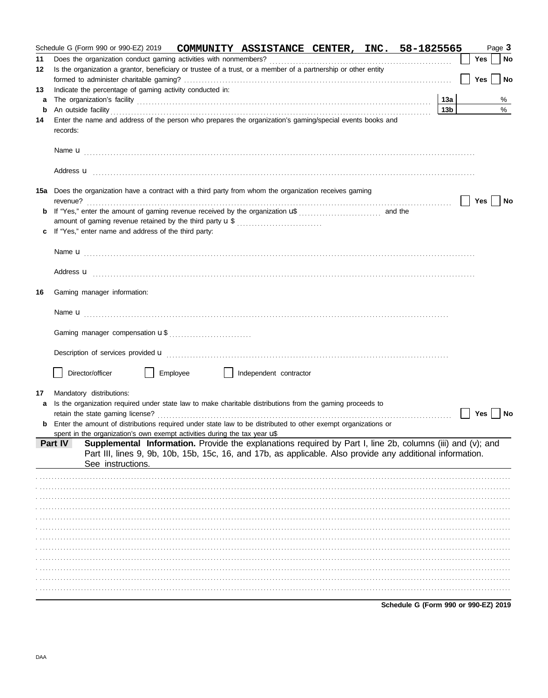|         | Schedule G (Form 990 or 990-EZ) 2019 COMMUNITY ASSISTANCE CENTER, INC. 58-1825565                                                                                                                                                         |          |                        |  |                                      |                 |     | Page 3 |
|---------|-------------------------------------------------------------------------------------------------------------------------------------------------------------------------------------------------------------------------------------------|----------|------------------------|--|--------------------------------------|-----------------|-----|--------|
| 11      |                                                                                                                                                                                                                                           |          |                        |  |                                      |                 | Yes | No     |
| 12      | Is the organization a grantor, beneficiary or trustee of a trust, or a member of a partnership or other entity                                                                                                                            |          |                        |  |                                      |                 | Yes |        |
| 13      | Indicate the percentage of gaming activity conducted in:                                                                                                                                                                                  |          |                        |  |                                      |                 |     | No     |
| a       |                                                                                                                                                                                                                                           |          |                        |  |                                      | 13a             |     | %      |
| b       | An outside facility <b>contract and the contract of a contract and a</b> contract of a contract of a contract of a contract of a contract of a contract of a contract of a contract of a contract of a contract of a contract of a        |          |                        |  |                                      | 13 <sub>b</sub> |     | %      |
| 14      | Enter the name and address of the person who prepares the organization's gaming/special events books and                                                                                                                                  |          |                        |  |                                      |                 |     |        |
|         | records:                                                                                                                                                                                                                                  |          |                        |  |                                      |                 |     |        |
|         |                                                                                                                                                                                                                                           |          |                        |  |                                      |                 |     |        |
|         | Address <b>u</b> <u>contractive and the contractive and the contractive and the contractive and the contractive and the contractive and the contractive and contract and contract and contract and contract and contract and contract</u> |          |                        |  |                                      |                 |     |        |
|         | 15a Does the organization have a contract with a third party from whom the organization receives gaming                                                                                                                                   |          |                        |  |                                      |                 |     |        |
|         | revenue?                                                                                                                                                                                                                                  |          |                        |  |                                      |                 | Yes | No     |
|         |                                                                                                                                                                                                                                           |          |                        |  |                                      |                 |     |        |
|         | If "Yes," enter name and address of the third party:                                                                                                                                                                                      |          |                        |  |                                      |                 |     |        |
|         |                                                                                                                                                                                                                                           |          |                        |  |                                      |                 |     |        |
|         |                                                                                                                                                                                                                                           |          |                        |  |                                      |                 |     |        |
|         | Address <b>u</b> electron and the contract of the contract of the contract of the contract of the contract of the contract of the contract of the contract of the contract of the contract of the contract of the contract of the c       |          |                        |  |                                      |                 |     |        |
| 16      | Gaming manager information:                                                                                                                                                                                                               |          |                        |  |                                      |                 |     |        |
|         |                                                                                                                                                                                                                                           |          |                        |  |                                      |                 |     |        |
|         |                                                                                                                                                                                                                                           |          |                        |  |                                      |                 |     |        |
|         |                                                                                                                                                                                                                                           |          |                        |  |                                      |                 |     |        |
|         | Director/officer                                                                                                                                                                                                                          | Employee | Independent contractor |  |                                      |                 |     |        |
|         |                                                                                                                                                                                                                                           |          |                        |  |                                      |                 |     |        |
| 17<br>a | Mandatory distributions:<br>Is the organization required under state law to make charitable distributions from the gaming proceeds to                                                                                                     |          |                        |  |                                      |                 |     |        |
|         |                                                                                                                                                                                                                                           |          |                        |  |                                      |                 | Yes | No     |
|         | <b>b</b> Enter the amount of distributions required under state law to be distributed to other exempt organizations or                                                                                                                    |          |                        |  |                                      |                 |     |        |
|         | spent in the organization's own exempt activities during the tax year $\mathbf{u}$                                                                                                                                                        |          |                        |  |                                      |                 |     |        |
|         | Supplemental Information. Provide the explanations required by Part I, line 2b, columns (iii) and (v); and<br>Part IV<br>Part III, lines 9, 9b, 10b, 15b, 15c, 16, and 17b, as applicable. Also provide any additional information.       |          |                        |  |                                      |                 |     |        |
|         | See instructions.                                                                                                                                                                                                                         |          |                        |  |                                      |                 |     |        |
|         |                                                                                                                                                                                                                                           |          |                        |  |                                      |                 |     |        |
|         |                                                                                                                                                                                                                                           |          |                        |  |                                      |                 |     |        |
|         |                                                                                                                                                                                                                                           |          |                        |  |                                      |                 |     |        |
|         |                                                                                                                                                                                                                                           |          |                        |  |                                      |                 |     |        |
|         |                                                                                                                                                                                                                                           |          |                        |  |                                      |                 |     |        |
|         |                                                                                                                                                                                                                                           |          |                        |  |                                      |                 |     |        |
|         |                                                                                                                                                                                                                                           |          |                        |  |                                      |                 |     |        |
|         |                                                                                                                                                                                                                                           |          |                        |  |                                      |                 |     |        |
|         |                                                                                                                                                                                                                                           |          |                        |  |                                      |                 |     |        |
|         |                                                                                                                                                                                                                                           |          |                        |  |                                      |                 |     |        |
|         |                                                                                                                                                                                                                                           |          |                        |  |                                      |                 |     |        |
|         |                                                                                                                                                                                                                                           |          |                        |  | Cabadule C (Farm 000 as 000 F7) 2040 |                 |     |        |

Schedule G (Form 990 or 990-EZ) 2019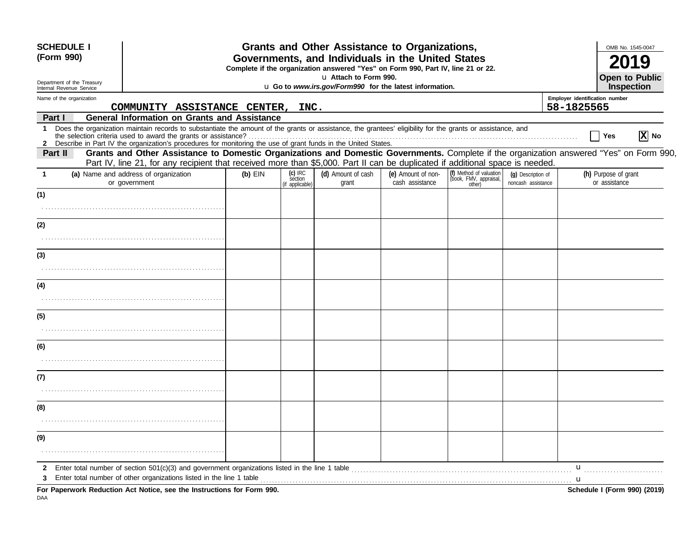| <b>SCHEDULE I</b><br>(Form 990)<br>Department of the Treasury<br>Internal Revenue Service                                                                                                                                                                                                                                                                                    |           |                                         | <b>Grants and Other Assistance to Organizations,</b><br>Governments, and Individuals in the United States<br>Complete if the organization answered "Yes" on Form 990, Part IV, line 21 or 22.<br>u Attach to Form 990.<br>u Go to www.irs.gov/Form990 for the latest information. |                                       |                                                             |                                          | OMB No. 1545-0047<br>2019<br><b>Open to Public</b><br>Inspection                                                                         |
|------------------------------------------------------------------------------------------------------------------------------------------------------------------------------------------------------------------------------------------------------------------------------------------------------------------------------------------------------------------------------|-----------|-----------------------------------------|-----------------------------------------------------------------------------------------------------------------------------------------------------------------------------------------------------------------------------------------------------------------------------------|---------------------------------------|-------------------------------------------------------------|------------------------------------------|------------------------------------------------------------------------------------------------------------------------------------------|
| Name of the organization                                                                                                                                                                                                                                                                                                                                                     |           |                                         |                                                                                                                                                                                                                                                                                   |                                       |                                                             |                                          | Employer identification number                                                                                                           |
| COMMUNITY ASSISTANCE CENTER, INC.<br><b>General Information on Grants and Assistance</b><br>Part I                                                                                                                                                                                                                                                                           |           |                                         |                                                                                                                                                                                                                                                                                   |                                       |                                                             |                                          | 58-1825565                                                                                                                               |
| Does the organization maintain records to substantiate the amount of the grants or assistance, the grantees' eligibility for the grants or assistance, and<br>$\mathbf 1$<br>the selection criteria used to award the grants or assistance?<br>Describe in Part IV the organization's procedures for monitoring the use of grant funds in the United States.<br>$\mathbf{2}$ |           |                                         |                                                                                                                                                                                                                                                                                   |                                       |                                                             |                                          | $ \overline{X} $ No<br>Yes                                                                                                               |
| Part II<br>Part IV, line 21, for any recipient that received more than \$5,000. Part II can be duplicated if additional space is needed.                                                                                                                                                                                                                                     |           |                                         |                                                                                                                                                                                                                                                                                   |                                       |                                                             |                                          | Grants and Other Assistance to Domestic Organizations and Domestic Governments. Complete if the organization answered "Yes" on Form 990, |
| (a) Name and address of organization<br>$\mathbf 1$<br>or government                                                                                                                                                                                                                                                                                                         | $(b)$ EIN | $(c)$ IRC<br>section<br>(if applicable) | (d) Amount of cash<br>grant                                                                                                                                                                                                                                                       | (e) Amount of non-<br>cash assistance | (f) Method of valuation<br>(book, FMV, appraisal,<br>other) | (q) Description of<br>noncash assistance | (h) Purpose of grant<br>or assistance                                                                                                    |
| (1)                                                                                                                                                                                                                                                                                                                                                                          |           |                                         |                                                                                                                                                                                                                                                                                   |                                       |                                                             |                                          |                                                                                                                                          |
| (2)                                                                                                                                                                                                                                                                                                                                                                          |           |                                         |                                                                                                                                                                                                                                                                                   |                                       |                                                             |                                          |                                                                                                                                          |
| (3)                                                                                                                                                                                                                                                                                                                                                                          |           |                                         |                                                                                                                                                                                                                                                                                   |                                       |                                                             |                                          |                                                                                                                                          |
| (4)                                                                                                                                                                                                                                                                                                                                                                          |           |                                         |                                                                                                                                                                                                                                                                                   |                                       |                                                             |                                          |                                                                                                                                          |
| (5)                                                                                                                                                                                                                                                                                                                                                                          |           |                                         |                                                                                                                                                                                                                                                                                   |                                       |                                                             |                                          |                                                                                                                                          |
| (6)                                                                                                                                                                                                                                                                                                                                                                          |           |                                         |                                                                                                                                                                                                                                                                                   |                                       |                                                             |                                          |                                                                                                                                          |
| (7)                                                                                                                                                                                                                                                                                                                                                                          |           |                                         |                                                                                                                                                                                                                                                                                   |                                       |                                                             |                                          |                                                                                                                                          |
| (8)                                                                                                                                                                                                                                                                                                                                                                          |           |                                         |                                                                                                                                                                                                                                                                                   |                                       |                                                             |                                          |                                                                                                                                          |
| (9)                                                                                                                                                                                                                                                                                                                                                                          |           |                                         |                                                                                                                                                                                                                                                                                   |                                       |                                                             |                                          |                                                                                                                                          |
| Enter total number of section 501(c)(3) and government organizations listed in the line 1 table <i>manuaroration</i> consumpances are not to the line of the line of table<br>$\mathbf{2}$<br>Enter total number of other organizations listed in the line 1 table<br>3<br>For Paperwork Reduction Act Notice, see the Instructions for Form 990.                            |           |                                         |                                                                                                                                                                                                                                                                                   |                                       |                                                             |                                          | u<br>. <b>u</b><br>Schedule I (Form 990) (2019)                                                                                          |

DAA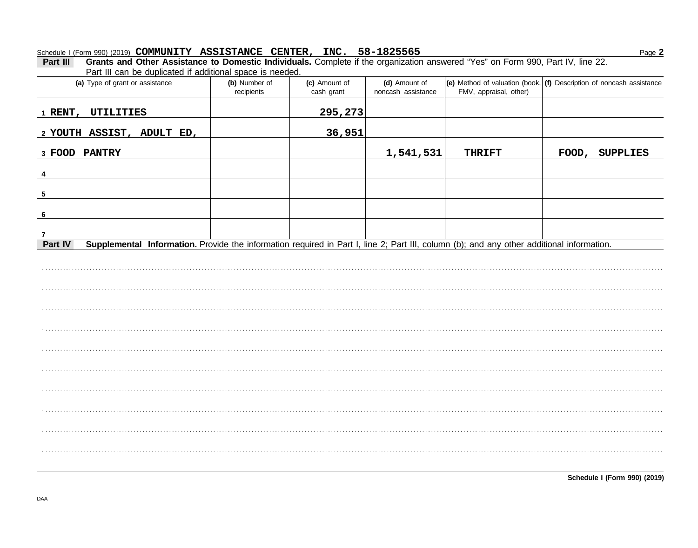### Schedule I (Form 990) (2019) COMMUNITY ASSISTANCE CENTER, INC. 58-1825565

Part III Grants and Other Assistance to Domestic Individuals. Complete if the organization answered "Yes" on Form 990, Part IV, line 22. Part III can be duplicated if additional space is needed

| r art in carr be duplicated in additional space is riceded.<br>(a) Type of grant or assistance                                                       | (b) Number of | (c) Amount of | (d) Amount of      |                        | (e) Method of valuation (book, $(f)$ Description of noncash assistance |
|------------------------------------------------------------------------------------------------------------------------------------------------------|---------------|---------------|--------------------|------------------------|------------------------------------------------------------------------|
|                                                                                                                                                      | recipients    | cash grant    | noncash assistance | FMV, appraisal, other) |                                                                        |
| UTILITIES<br>1 RENT,                                                                                                                                 |               | 295,273       |                    |                        |                                                                        |
| 2 YOUTH ASSIST, ADULT ED,                                                                                                                            |               | 36,951        |                    |                        |                                                                        |
| 3 FOOD PANTRY                                                                                                                                        |               |               | 1,541,531          | <b>THRIFT</b>          | FOOD,<br><b>SUPPLIES</b>                                               |
| 4                                                                                                                                                    |               |               |                    |                        |                                                                        |
| $\overline{\mathbf{5}}$                                                                                                                              |               |               |                    |                        |                                                                        |
| 6                                                                                                                                                    |               |               |                    |                        |                                                                        |
| $\mathbf{7}$                                                                                                                                         |               |               |                    |                        |                                                                        |
| Supplemental Information. Provide the information required in Part I, line 2; Part III, column (b); and any other additional information.<br>Part IV |               |               |                    |                        |                                                                        |
|                                                                                                                                                      |               |               |                    |                        |                                                                        |
|                                                                                                                                                      |               |               |                    |                        |                                                                        |
|                                                                                                                                                      |               |               |                    |                        |                                                                        |
|                                                                                                                                                      |               |               |                    |                        |                                                                        |
|                                                                                                                                                      |               |               |                    |                        |                                                                        |
|                                                                                                                                                      |               |               |                    |                        |                                                                        |
|                                                                                                                                                      |               |               |                    |                        |                                                                        |
|                                                                                                                                                      |               |               |                    |                        |                                                                        |
|                                                                                                                                                      |               |               |                    |                        |                                                                        |
|                                                                                                                                                      |               |               |                    |                        |                                                                        |
|                                                                                                                                                      |               |               |                    |                        |                                                                        |
|                                                                                                                                                      |               |               |                    |                        |                                                                        |
|                                                                                                                                                      |               |               |                    |                        |                                                                        |
|                                                                                                                                                      |               |               |                    |                        |                                                                        |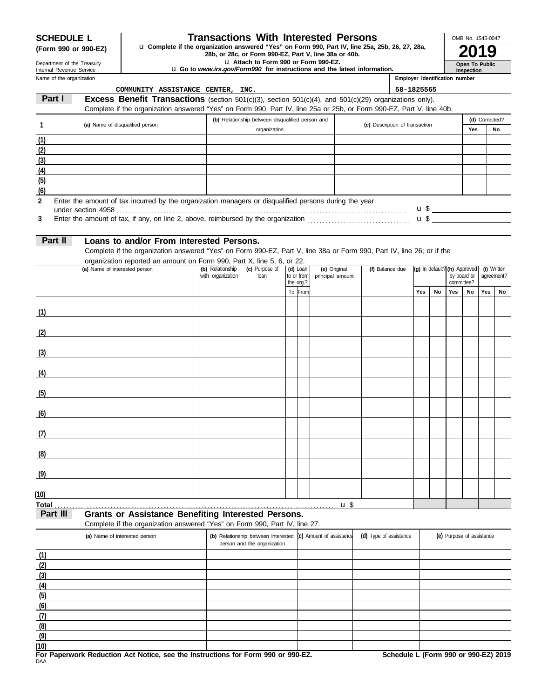## **SCHEDULE L Transactions With Interested Persons**

| (Form 990 or 990-EZ)                                   | <b>u</b> Complete if the organization answered "Yes" on Form 990, Part IV, line 25a, 25b, 26, 27, 28a,                |                   |                                                  |            |         | 28b, or 28c, or Form 990-EZ, Part V, line 38a or 40b.                           |                                |                                |           |                           |            | 2019           |    |
|--------------------------------------------------------|-----------------------------------------------------------------------------------------------------------------------|-------------------|--------------------------------------------------|------------|---------|---------------------------------------------------------------------------------|--------------------------------|--------------------------------|-----------|---------------------------|------------|----------------|----|
| Department of the Treasury<br>Internal Revenue Service |                                                                                                                       |                   | LI Attach to Form 990 or Form 990-EZ.            |            |         | <b>u</b> Go to www.irs.gov/Form990 for instructions and the latest information. |                                |                                |           |                           | Inspection | Open To Public |    |
| Name of the organization                               |                                                                                                                       |                   |                                                  |            |         |                                                                                 |                                | Employer identification number |           |                           |            |                |    |
|                                                        | COMMUNITY ASSISTANCE CENTER, INC.                                                                                     |                   |                                                  |            |         |                                                                                 |                                | 58-1825565                     |           |                           |            |                |    |
| Part I                                                 | <b>Excess Benefit Transactions</b> (section $501(c)(3)$ , section $501(c)(4)$ , and $501(c)(29)$ organizations only). |                   |                                                  |            |         |                                                                                 |                                |                                |           |                           |            |                |    |
|                                                        | Complete if the organization answered "Yes" on Form 990, Part IV, line 25a or 25b, or Form 990-EZ, Part V, line 40b.  |                   |                                                  |            |         |                                                                                 |                                |                                |           |                           |            |                |    |
|                                                        |                                                                                                                       |                   | (b) Relationship between disqualified person and |            |         |                                                                                 |                                |                                |           |                           |            | (d) Corrected? |    |
| $\overline{1}$                                         | (a) Name of disqualified person                                                                                       |                   | organization                                     |            |         |                                                                                 | (c) Description of transaction |                                |           |                           | Yes        |                | No |
| (1)                                                    |                                                                                                                       |                   |                                                  |            |         |                                                                                 |                                |                                |           |                           |            |                |    |
| (2)                                                    |                                                                                                                       |                   |                                                  |            |         |                                                                                 |                                |                                |           |                           |            |                |    |
| (3)                                                    |                                                                                                                       |                   |                                                  |            |         |                                                                                 |                                |                                |           |                           |            |                |    |
| (4)                                                    |                                                                                                                       |                   |                                                  |            |         |                                                                                 |                                |                                |           |                           |            |                |    |
| (5)                                                    |                                                                                                                       |                   |                                                  |            |         |                                                                                 |                                |                                |           |                           |            |                |    |
| (6)                                                    |                                                                                                                       |                   |                                                  |            |         |                                                                                 |                                |                                |           |                           |            |                |    |
| 2                                                      | Enter the amount of tax incurred by the organization managers or disqualified persons during the year                 |                   |                                                  |            |         |                                                                                 |                                |                                |           |                           |            |                |    |
|                                                        |                                                                                                                       |                   |                                                  |            |         |                                                                                 |                                |                                |           | $\frac{u \frac{1}{2}}{2}$ |            |                |    |
| 3                                                      |                                                                                                                       |                   |                                                  |            |         |                                                                                 |                                |                                |           | $\mathbf{u}$ \$           |            |                |    |
|                                                        |                                                                                                                       |                   |                                                  |            |         |                                                                                 |                                |                                |           |                           |            |                |    |
| Part II                                                | Loans to and/or From Interested Persons.                                                                              |                   |                                                  |            |         |                                                                                 |                                |                                |           |                           |            |                |    |
|                                                        | Complete if the organization answered "Yes" on Form 990-EZ, Part V, line 38a or Form 990, Part IV, line 26; or if the |                   |                                                  |            |         |                                                                                 |                                |                                |           |                           |            |                |    |
|                                                        | organization reported an amount on Form 990, Part X, line 5, 6, or 22.                                                |                   |                                                  |            |         |                                                                                 |                                |                                |           |                           |            |                |    |
| (a) Name of interested person                          |                                                                                                                       | (b) Relationship  | (c) Purpose of                                   | $(d)$ Loan |         | (e) Original                                                                    | (f) Balance due                | (g) In default? (h) Approved   |           |                           |            | (i) Written    |    |
|                                                        |                                                                                                                       | with organization | loan                                             | to or from |         | principal amount                                                                |                                |                                |           | by board or<br>committee? |            | agreement?     |    |
|                                                        |                                                                                                                       |                   |                                                  | the org.?  | To From |                                                                                 |                                | Yes                            | <b>No</b> | Yes                       | No.        | Yes            | No |
|                                                        |                                                                                                                       |                   |                                                  |            |         |                                                                                 |                                |                                |           |                           |            |                |    |
|                                                        |                                                                                                                       |                   |                                                  |            |         |                                                                                 |                                |                                |           |                           |            |                |    |
| (1)                                                    |                                                                                                                       |                   |                                                  |            |         |                                                                                 |                                |                                |           |                           |            |                |    |
|                                                        |                                                                                                                       |                   |                                                  |            |         |                                                                                 |                                |                                |           |                           |            |                |    |
| (2)                                                    |                                                                                                                       |                   |                                                  |            |         |                                                                                 |                                |                                |           |                           |            |                |    |
|                                                        |                                                                                                                       |                   |                                                  |            |         |                                                                                 |                                |                                |           |                           |            |                |    |

| Part II | Loans to and/or From Interested Persons.                  |
|---------|-----------------------------------------------------------|
|         | Complete if the organization answered "Yes" on Form 990-F |

|      |  | To From |        | Yes | No | Yes | No Yes   No |  |
|------|--|---------|--------|-----|----|-----|-------------|--|
|      |  |         |        |     |    |     |             |  |
| (1)  |  |         |        |     |    |     |             |  |
|      |  |         |        |     |    |     |             |  |
| (2)  |  |         |        |     |    |     |             |  |
|      |  |         |        |     |    |     |             |  |
| (3)  |  |         |        |     |    |     |             |  |
|      |  |         |        |     |    |     |             |  |
| (4)  |  |         |        |     |    |     |             |  |
|      |  |         |        |     |    |     |             |  |
| (5)  |  |         |        |     |    |     |             |  |
|      |  |         |        |     |    |     |             |  |
| (6)  |  |         |        |     |    |     |             |  |
|      |  |         |        |     |    |     |             |  |
| (7)  |  |         |        |     |    |     |             |  |
|      |  |         |        |     |    |     |             |  |
| (8)  |  |         |        |     |    |     |             |  |
|      |  |         |        |     |    |     |             |  |
| (9)  |  |         |        |     |    |     |             |  |
|      |  |         |        |     |    |     |             |  |
| (10) |  |         |        |     |    |     |             |  |
|      |  |         | $u$ \$ |     |    |     |             |  |

**Part III Grants or Assistance Benefiting Interested Persons.**

| Complete if the organization answered "Yes" on Form 990, Part IV, line 27. |  |  |  |  |  |
|----------------------------------------------------------------------------|--|--|--|--|--|
|                                                                            |  |  |  |  |  |

| (a) Name of interested person | (b) Relationship between interested (c) Amount of assistance<br>person and the organization | (d) Type of assistance | (e) Purpose of assistance |
|-------------------------------|---------------------------------------------------------------------------------------------|------------------------|---------------------------|
| (1)                           |                                                                                             |                        |                           |
| (2)                           |                                                                                             |                        |                           |
| (3)                           |                                                                                             |                        |                           |
| (4)                           |                                                                                             |                        |                           |
| (5)                           |                                                                                             |                        |                           |
| (6)                           |                                                                                             |                        |                           |
| (7)                           |                                                                                             |                        |                           |
| (8)                           |                                                                                             |                        |                           |
| (9)                           |                                                                                             |                        |                           |
| (10)                          |                                                                                             |                        |                           |

OMB No. 1545-0047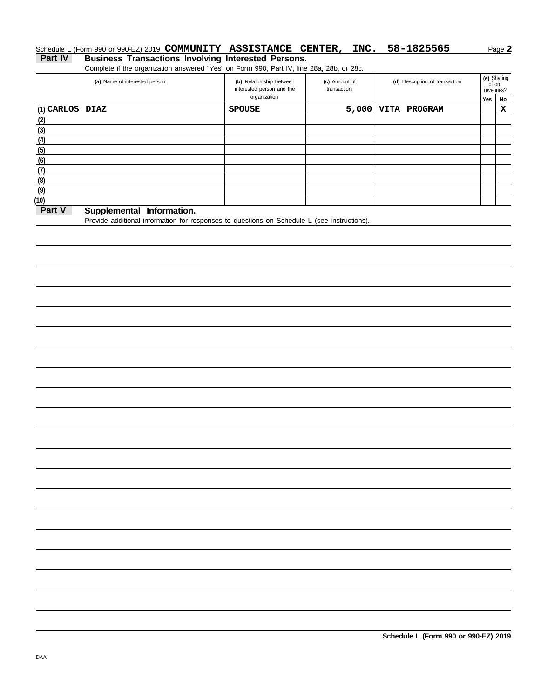#### Part IV Business Transactions Involving Interested Persons. Schedule L (Form 990 or 990-EZ) 2019 **COMMUNITY ASSISTANCE CENTER, INC. 58-1825565** Page 2

Complete if the organization answered "Yes" on Form 990, Part IV, line 28a, 28b, or 28c.

|                 | (a) Name of interested person | (b) Relationship between<br>interested person and the | (c) Amount of<br>transaction | (d) Description of transaction |     | (e) Sharing<br>of org.<br>revenues? |
|-----------------|-------------------------------|-------------------------------------------------------|------------------------------|--------------------------------|-----|-------------------------------------|
|                 |                               | organization                                          |                              |                                | Yes | No                                  |
| (1) CARLOS DIAZ |                               | <b>SPOUSE</b>                                         | 5,000                        | <b>VITA</b><br>PROGRAM         |     | х                                   |
| (2)             |                               |                                                       |                              |                                |     |                                     |
| (3)             |                               |                                                       |                              |                                |     |                                     |
| (4)             |                               |                                                       |                              |                                |     |                                     |
| (5)             |                               |                                                       |                              |                                |     |                                     |
| (6)             |                               |                                                       |                              |                                |     |                                     |
| (7)             |                               |                                                       |                              |                                |     |                                     |
| (8)             |                               |                                                       |                              |                                |     |                                     |
| (9)             |                               |                                                       |                              |                                |     |                                     |
| (10)            |                               |                                                       |                              |                                |     |                                     |
| Dart V          | Sunnlamantal Information      |                                                       |                              |                                |     |                                     |

**Part V** Supplemental Information.

Provide additional information for responses to questions on Schedule L (see instructions).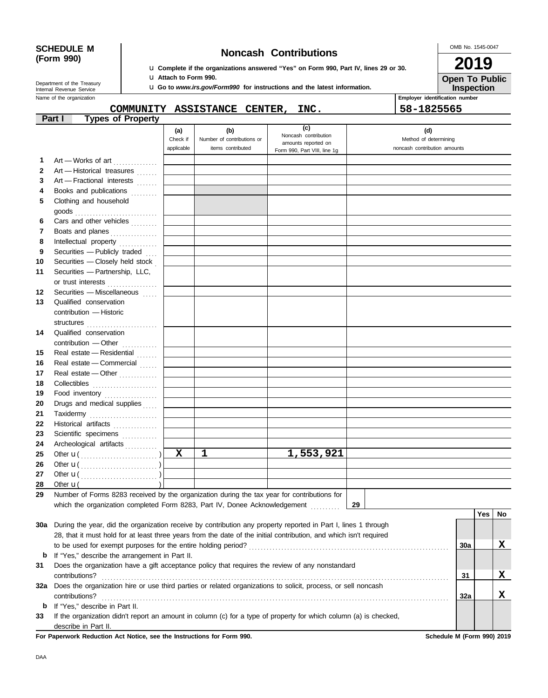# **(Form 990)**

## **SCHEDULE M Noncash Contributions**

OMB No. 1545-0047

u **Complete if the organizations answered "Yes" on Form 990, Part IV, lines 29 or 30.** u **Attach to Form 990.**

Name of the organization **Employer identification number Employer identification number** Internal Revenue Service Department of the Treasury

u **Go to** *www.irs.gov/Form990* **for instructions and the latest information.**

**Inspection Open To Public 2019**

**COMMUNITY ASSISTANCE CENTER, INC. 58-1825565**

|              | Part I                                                  | <b>Types of Property</b> |             |                                                                            |                                                                                                                    |                              |     |     |     |
|--------------|---------------------------------------------------------|--------------------------|-------------|----------------------------------------------------------------------------|--------------------------------------------------------------------------------------------------------------------|------------------------------|-----|-----|-----|
|              |                                                         |                          | (a)         | (b)                                                                        | (c)                                                                                                                | (d)                          |     |     |     |
|              |                                                         |                          | Check if    | Number of contributions or                                                 | Noncash contribution<br>amounts reported on                                                                        | Method of determining        |     |     |     |
|              |                                                         |                          | applicable  | items contributed                                                          | Form 990, Part VIII, line 1g                                                                                       | noncash contribution amounts |     |     |     |
| 1            | Art - Works of art                                      |                          |             |                                                                            |                                                                                                                    |                              |     |     |     |
| $\mathbf{2}$ | Art - Historical treasures                              |                          |             |                                                                            |                                                                                                                    |                              |     |     |     |
| 3            | Art - Fractional interests                              |                          |             |                                                                            |                                                                                                                    |                              |     |     |     |
| 4            | Books and publications                                  |                          |             |                                                                            |                                                                                                                    |                              |     |     |     |
| 5            | Clothing and household                                  |                          |             |                                                                            |                                                                                                                    |                              |     |     |     |
|              |                                                         |                          |             |                                                                            |                                                                                                                    |                              |     |     |     |
| 6            | Cars and other vehicles                                 |                          |             |                                                                            |                                                                                                                    |                              |     |     |     |
| 7            | Boats and planes                                        |                          |             |                                                                            |                                                                                                                    |                              |     |     |     |
| 8            | Intellectual property                                   |                          |             |                                                                            |                                                                                                                    |                              |     |     |     |
| 9            | Securities - Publicly traded                            |                          |             |                                                                            |                                                                                                                    |                              |     |     |     |
| 10           | Securities - Closely held stock                         |                          |             |                                                                            |                                                                                                                    |                              |     |     |     |
| 11           | Securities - Partnership, LLC,                          |                          |             |                                                                            |                                                                                                                    |                              |     |     |     |
|              | or trust interests                                      |                          |             |                                                                            |                                                                                                                    |                              |     |     |     |
| 12           | Securities - Miscellaneous                              |                          |             |                                                                            |                                                                                                                    |                              |     |     |     |
| 13           | Qualified conservation                                  |                          |             |                                                                            |                                                                                                                    |                              |     |     |     |
|              | contribution - Historic                                 |                          |             |                                                                            |                                                                                                                    |                              |     |     |     |
|              |                                                         |                          |             |                                                                            |                                                                                                                    |                              |     |     |     |
| 14           | Qualified conservation                                  |                          |             |                                                                            |                                                                                                                    |                              |     |     |     |
|              | contribution - Other                                    |                          |             |                                                                            |                                                                                                                    |                              |     |     |     |
| 15           | Real estate - Residential                               |                          |             |                                                                            |                                                                                                                    |                              |     |     |     |
| 16           | Real estate - Commercial                                |                          |             |                                                                            |                                                                                                                    |                              |     |     |     |
| 17           | Real estate - Other                                     |                          |             |                                                                            |                                                                                                                    |                              |     |     |     |
| 18           | Collectibles                                            |                          |             |                                                                            |                                                                                                                    |                              |     |     |     |
| 19           | Food inventory                                          |                          |             |                                                                            |                                                                                                                    |                              |     |     |     |
| 20           | Drugs and medical supplies                              |                          |             |                                                                            |                                                                                                                    |                              |     |     |     |
| 21           | Taxidermy                                               |                          |             |                                                                            |                                                                                                                    |                              |     |     |     |
| 22           | Historical artifacts                                    |                          |             |                                                                            |                                                                                                                    |                              |     |     |     |
| 23           | Scientific specimens                                    |                          |             |                                                                            |                                                                                                                    |                              |     |     |     |
| 24           | Archeological artifacts                                 |                          |             |                                                                            |                                                                                                                    |                              |     |     |     |
| 25           |                                                         |                          | $\mathbf x$ | $\mathbf{1}$                                                               | 1,553,921                                                                                                          |                              |     |     |     |
| 26           |                                                         |                          |             |                                                                            |                                                                                                                    |                              |     |     |     |
| 27           |                                                         |                          |             |                                                                            |                                                                                                                    |                              |     |     |     |
| 28           | Other $\mathbf{u}$ (                                    |                          |             |                                                                            |                                                                                                                    |                              |     |     |     |
| 29           |                                                         |                          |             |                                                                            | Number of Forms 8283 received by the organization during the tax year for contributions for                        |                              |     |     |     |
|              |                                                         |                          |             | which the organization completed Form 8283, Part IV, Donee Acknowledgement |                                                                                                                    | 29                           |     |     |     |
|              |                                                         |                          |             |                                                                            |                                                                                                                    |                              |     | Yes | No. |
| 30a          |                                                         |                          |             |                                                                            | During the year, did the organization receive by contribution any property reported in Part I, lines 1 through     |                              |     |     |     |
|              |                                                         |                          |             |                                                                            | 28, that it must hold for at least three years from the date of the initial contribution, and which isn't required |                              |     |     |     |
|              |                                                         |                          |             |                                                                            |                                                                                                                    |                              | 30a |     | X   |
|              | <b>b</b> If "Yes," describe the arrangement in Part II. |                          |             |                                                                            |                                                                                                                    |                              |     |     |     |
| 31           |                                                         |                          |             |                                                                            | Does the organization have a gift acceptance policy that requires the review of any nonstandard                    |                              |     |     |     |
|              | contributions?                                          |                          |             |                                                                            |                                                                                                                    |                              | 31  |     | X   |
| 32a          |                                                         |                          |             |                                                                            | Does the organization hire or use third parties or related organizations to solicit, process, or sell noncash      |                              |     |     |     |
|              | contributions?                                          |                          |             |                                                                            |                                                                                                                    |                              | 32a |     | X   |
|              | <b>b</b> If "Yes," describe in Part II.                 |                          |             |                                                                            |                                                                                                                    |                              |     |     |     |
| 33           |                                                         |                          |             |                                                                            | If the organization didn't report an amount in column (c) for a type of property for which column (a) is checked,  |                              |     |     |     |
|              | describe in Part II.                                    |                          |             |                                                                            |                                                                                                                    |                              |     |     |     |

**For Paperwork Reduction Act Notice, see the Instructions for Form 990. Schedule M (Form 990) 2019**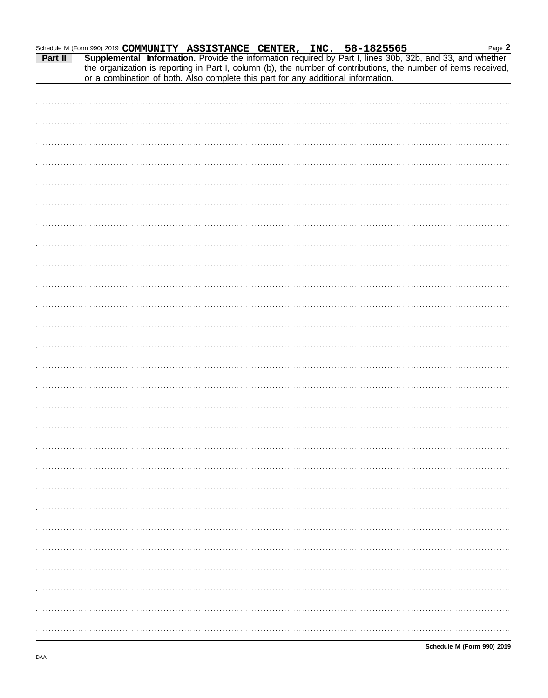|  |  |  | Schedule M (Form 990) 2019 COMMUNITY ASSISTANCE CENTER, INC. 58-1825565 Page 2<br>Part II Supplemental Information. Provide the information required by Part I, lines 30b, 32b, and 33, and whether | Page 2 |
|--|--|--|-----------------------------------------------------------------------------------------------------------------------------------------------------------------------------------------------------|--------|
|  |  |  | the organization is reporting in Part I, column (b), the number of contributions, the number of items received, or a combination of both. Also complete this part for any additional information.   |        |
|  |  |  |                                                                                                                                                                                                     |        |
|  |  |  |                                                                                                                                                                                                     |        |
|  |  |  |                                                                                                                                                                                                     |        |
|  |  |  |                                                                                                                                                                                                     |        |
|  |  |  |                                                                                                                                                                                                     |        |
|  |  |  |                                                                                                                                                                                                     |        |
|  |  |  |                                                                                                                                                                                                     |        |
|  |  |  |                                                                                                                                                                                                     |        |
|  |  |  |                                                                                                                                                                                                     |        |
|  |  |  |                                                                                                                                                                                                     |        |
|  |  |  |                                                                                                                                                                                                     |        |
|  |  |  |                                                                                                                                                                                                     |        |
|  |  |  |                                                                                                                                                                                                     |        |
|  |  |  |                                                                                                                                                                                                     |        |
|  |  |  |                                                                                                                                                                                                     |        |
|  |  |  |                                                                                                                                                                                                     |        |
|  |  |  |                                                                                                                                                                                                     |        |
|  |  |  |                                                                                                                                                                                                     |        |
|  |  |  |                                                                                                                                                                                                     |        |
|  |  |  |                                                                                                                                                                                                     |        |
|  |  |  |                                                                                                                                                                                                     |        |
|  |  |  |                                                                                                                                                                                                     |        |
|  |  |  |                                                                                                                                                                                                     |        |
|  |  |  |                                                                                                                                                                                                     |        |
|  |  |  |                                                                                                                                                                                                     |        |
|  |  |  |                                                                                                                                                                                                     |        |
|  |  |  |                                                                                                                                                                                                     |        |
|  |  |  |                                                                                                                                                                                                     |        |
|  |  |  |                                                                                                                                                                                                     |        |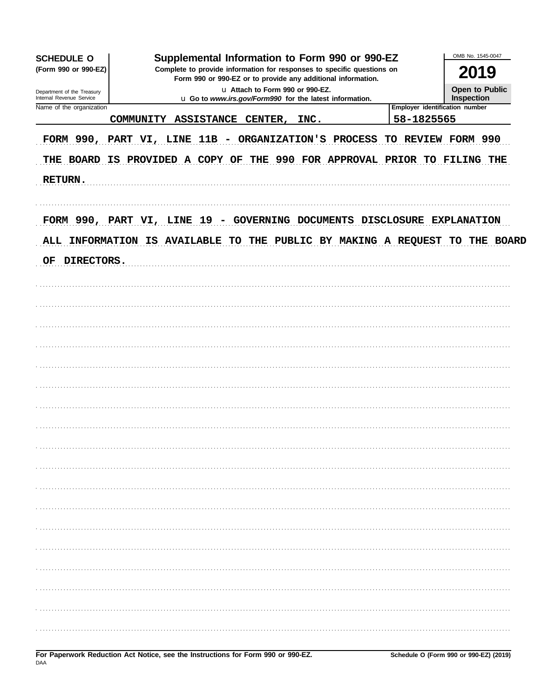| <b>SCHEDULE O</b>                                    | Supplemental Information to Form 990 or 990-EZ                                                                                         |            | OMB No. 1545-0047                            |
|------------------------------------------------------|----------------------------------------------------------------------------------------------------------------------------------------|------------|----------------------------------------------|
| (Form 990 or 990-EZ)                                 | Complete to provide information for responses to specific questions on<br>Form 990 or 990-EZ or to provide any additional information. |            | 2019                                         |
| Department of the Treasury                           | u Attach to Form 990 or 990-EZ.                                                                                                        |            | Open to Public                               |
| Internal Revenue Service<br>Name of the organization | u Go to www.irs.gov/Form990 for the latest information.                                                                                |            | Inspection<br>Employer identification number |
|                                                      | COMMUNITY ASSISTANCE<br>INC.<br>CENTER,                                                                                                | 58-1825565 |                                              |
|                                                      |                                                                                                                                        |            |                                              |
|                                                      | FORM 990, PART VI, LINE 11B - ORGANIZATION'S PROCESS TO REVIEW FORM 990                                                                |            |                                              |
|                                                      | THE BOARD IS PROVIDED A COPY OF THE 990 FOR APPROVAL PRIOR TO FILING THE                                                               |            |                                              |
| RETURN.                                              |                                                                                                                                        |            |                                              |
|                                                      |                                                                                                                                        |            |                                              |
|                                                      | FORM 990, PART VI, LINE 19 - GOVERNING DOCUMENTS DISCLOSURE EXPLANATION                                                                |            |                                              |
|                                                      |                                                                                                                                        |            |                                              |
|                                                      | ALL INFORMATION IS AVAILABLE TO THE PUBLIC BY MAKING A REQUEST TO THE BOARD                                                            |            |                                              |
| DIRECTORS.<br>OF                                     |                                                                                                                                        |            |                                              |
|                                                      |                                                                                                                                        |            |                                              |
|                                                      |                                                                                                                                        |            |                                              |
|                                                      |                                                                                                                                        |            |                                              |
|                                                      |                                                                                                                                        |            |                                              |
|                                                      |                                                                                                                                        |            |                                              |
|                                                      |                                                                                                                                        |            |                                              |
|                                                      |                                                                                                                                        |            |                                              |
|                                                      |                                                                                                                                        |            |                                              |
|                                                      |                                                                                                                                        |            |                                              |
|                                                      |                                                                                                                                        |            |                                              |
|                                                      |                                                                                                                                        |            |                                              |
|                                                      |                                                                                                                                        |            |                                              |
|                                                      |                                                                                                                                        |            |                                              |
|                                                      |                                                                                                                                        |            |                                              |
|                                                      |                                                                                                                                        |            |                                              |
|                                                      |                                                                                                                                        |            |                                              |
|                                                      |                                                                                                                                        |            |                                              |
|                                                      |                                                                                                                                        |            |                                              |
|                                                      |                                                                                                                                        |            |                                              |
|                                                      |                                                                                                                                        |            |                                              |
|                                                      |                                                                                                                                        |            |                                              |
|                                                      |                                                                                                                                        |            |                                              |
|                                                      |                                                                                                                                        |            |                                              |
|                                                      |                                                                                                                                        |            |                                              |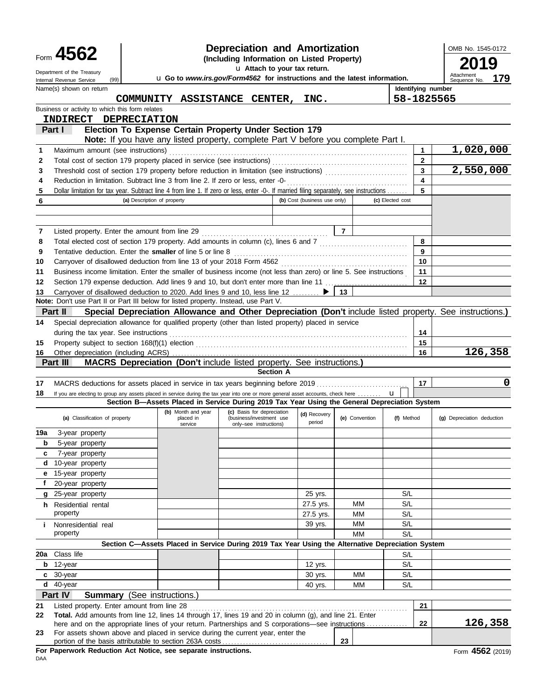$F<sub>form</sub>$  4562

OMB No. 1545-0172

|     | Form 4562                                                                                                                                                          |                                    |                                            | <b>Depreciation and Amortization</b>                                                              |                              |                |                 |                  |                         | OMB No. 1545-0172                                                                                        |
|-----|--------------------------------------------------------------------------------------------------------------------------------------------------------------------|------------------------------------|--------------------------------------------|---------------------------------------------------------------------------------------------------|------------------------------|----------------|-----------------|------------------|-------------------------|----------------------------------------------------------------------------------------------------------|
|     |                                                                                                                                                                    |                                    |                                            | (Including Information on Listed Property)                                                        |                              |                |                 |                  |                         | 2019                                                                                                     |
|     | Department of the Treasury                                                                                                                                         |                                    |                                            |                                                                                                   | u Attach to your tax return. |                |                 |                  |                         | Attachment                                                                                               |
|     | (99)<br>Internal Revenue Service                                                                                                                                   |                                    |                                            | u Go to www.irs.gov/Form4562 for instructions and the latest information.                         |                              |                |                 |                  |                         | 179<br>Sequence No.                                                                                      |
|     | Name(s) shown on return                                                                                                                                            |                                    |                                            |                                                                                                   |                              |                |                 |                  |                         | Identifying number                                                                                       |
|     | Business or activity to which this form relates                                                                                                                    |                                    |                                            | COMMUNITY ASSISTANCE CENTER, INC.                                                                 |                              |                |                 |                  |                         | 58-1825565                                                                                               |
|     | INDIRECT DEPRECIATION                                                                                                                                              |                                    |                                            |                                                                                                   |                              |                |                 |                  |                         |                                                                                                          |
|     | Part I                                                                                                                                                             |                                    |                                            | Election To Expense Certain Property Under Section 179                                            |                              |                |                 |                  |                         |                                                                                                          |
|     |                                                                                                                                                                    |                                    |                                            | <b>Note:</b> If you have any listed property, complete Part V before you complete Part I.         |                              |                |                 |                  |                         |                                                                                                          |
| 1   | Maximum amount (see instructions)                                                                                                                                  |                                    |                                            |                                                                                                   |                              |                |                 |                  | 1                       | 1,020,000                                                                                                |
| 2   |                                                                                                                                                                    |                                    |                                            |                                                                                                   |                              |                |                 |                  | $\overline{2}$          |                                                                                                          |
| 3   | Threshold cost of section 179 property before reduction in limitation (see instructions)                                                                           |                                    |                                            |                                                                                                   |                              |                |                 |                  | $\overline{\mathbf{3}}$ | 2,550,000                                                                                                |
| 4   | Reduction in limitation. Subtract line 3 from line 2. If zero or less, enter -0-                                                                                   |                                    |                                            |                                                                                                   |                              |                |                 |                  | 4                       |                                                                                                          |
| 5   | Dollar limitation for tax year. Subtract line 4 from line 1. If zero or less, enter -0-. If married filing separately, see instructions                            |                                    |                                            |                                                                                                   |                              |                |                 |                  | 5                       |                                                                                                          |
| 6   |                                                                                                                                                                    | (a) Description of property        |                                            |                                                                                                   | (b) Cost (business use only) |                |                 | (c) Elected cost |                         |                                                                                                          |
|     |                                                                                                                                                                    |                                    |                                            |                                                                                                   |                              |                |                 |                  |                         |                                                                                                          |
|     |                                                                                                                                                                    |                                    |                                            |                                                                                                   |                              |                |                 |                  |                         |                                                                                                          |
| 7   | Listed property. Enter the amount from line 29                                                                                                                     |                                    |                                            |                                                                                                   |                              | $\overline{7}$ |                 |                  |                         |                                                                                                          |
| 8   | Total elected cost of section 179 property. Add amounts in column (c), lines 6 and 7                                                                               |                                    |                                            |                                                                                                   |                              |                |                 |                  | 8                       |                                                                                                          |
| 9   | Tentative deduction. Enter the smaller of line 5 or line 8                                                                                                         |                                    |                                            |                                                                                                   |                              |                |                 |                  | 9                       |                                                                                                          |
| 10  | Carryover of disallowed deduction from line 13 of your 2018 Form 4562                                                                                              |                                    |                                            |                                                                                                   |                              |                |                 |                  | 10                      |                                                                                                          |
| 11  | Business income limitation. Enter the smaller of business income (not less than zero) or line 5. See instructions                                                  |                                    |                                            |                                                                                                   |                              |                |                 |                  | 11                      |                                                                                                          |
| 12  | Section 179 expense deduction. Add lines 9 and 10, but don't enter more than line 11                                                                               |                                    |                                            |                                                                                                   |                              |                |                 |                  | 12                      |                                                                                                          |
| 13  | Carryover of disallowed deduction to 2020. Add lines 9 and 10, less line 12<br>Note: Don't use Part II or Part III below for listed property. Instead, use Part V. |                                    |                                            |                                                                                                   |                              | 13             |                 |                  |                         |                                                                                                          |
|     | Part II                                                                                                                                                            |                                    |                                            |                                                                                                   |                              |                |                 |                  |                         | Special Depreciation Allowance and Other Depreciation (Don't include listed property. See instructions.) |
| 14  | Special depreciation allowance for qualified property (other than listed property) placed in service                                                               |                                    |                                            |                                                                                                   |                              |                |                 |                  |                         |                                                                                                          |
|     | during the tax year. See instructions                                                                                                                              |                                    |                                            |                                                                                                   |                              |                |                 |                  | 14                      |                                                                                                          |
| 15  |                                                                                                                                                                    |                                    |                                            |                                                                                                   |                              |                |                 |                  | 15                      |                                                                                                          |
| 16  |                                                                                                                                                                    |                                    |                                            |                                                                                                   |                              |                |                 |                  | 16                      | 126,358                                                                                                  |
|     | Part III                                                                                                                                                           |                                    |                                            | <b>MACRS Depreciation (Don't include listed property. See instructions.)</b>                      |                              |                |                 |                  |                         |                                                                                                          |
|     |                                                                                                                                                                    |                                    |                                            | <b>Section A</b>                                                                                  |                              |                |                 |                  |                         |                                                                                                          |
| 17  | MACRS deductions for assets placed in service in tax years beginning before 2019                                                                                   |                                    |                                            |                                                                                                   |                              |                |                 |                  | 17                      | 0                                                                                                        |
| 18  | If you are electing to group any assets placed in service during the tax year into one or more general asset accounts, check here                                  |                                    |                                            |                                                                                                   |                              |                |                 | $\mathbf{u}$     |                         |                                                                                                          |
|     |                                                                                                                                                                    |                                    |                                            | Section B—Assets Placed in Service During 2019 Tax Year Using the General Depreciation System     |                              |                |                 |                  |                         |                                                                                                          |
|     | (a) Classification of property                                                                                                                                     |                                    | (b) Month and year<br>placed in<br>service | (c) Basis for depreciation<br>(business/investment use<br>only-see instructions)                  | (d) Recovery<br>period       |                | (e) Convention  | (f) Method       |                         | (g) Depreciation deduction                                                                               |
| 19a | 3-year property                                                                                                                                                    |                                    |                                            |                                                                                                   |                              |                |                 |                  |                         |                                                                                                          |
| b   | 5-year property                                                                                                                                                    |                                    |                                            |                                                                                                   |                              |                |                 |                  |                         |                                                                                                          |
| c   | 7-year property                                                                                                                                                    |                                    |                                            |                                                                                                   |                              |                |                 |                  |                         |                                                                                                          |
|     | d 10-year property                                                                                                                                                 |                                    |                                            |                                                                                                   |                              |                |                 |                  |                         |                                                                                                          |
|     | e 15-year property                                                                                                                                                 |                                    |                                            |                                                                                                   |                              |                |                 |                  |                         |                                                                                                          |
| f.  | 20-year property                                                                                                                                                   |                                    |                                            |                                                                                                   |                              |                |                 |                  |                         |                                                                                                          |
|     | g 25-year property                                                                                                                                                 |                                    |                                            |                                                                                                   | 25 yrs.                      |                |                 | S/L              |                         |                                                                                                          |
|     | h Residential rental<br>property                                                                                                                                   |                                    |                                            |                                                                                                   | 27.5 yrs.                    |                | <b>MM</b>       | S/L              |                         |                                                                                                          |
|     |                                                                                                                                                                    |                                    |                                            |                                                                                                   | 27.5 yrs.                    |                | МM              | S/L              |                         |                                                                                                          |
|     | <i>i</i> Nonresidential real<br>property                                                                                                                           |                                    |                                            |                                                                                                   | 39 yrs.                      |                | ΜМ<br><b>MM</b> | S/L<br>S/L       |                         |                                                                                                          |
|     |                                                                                                                                                                    |                                    |                                            | Section C-Assets Placed in Service During 2019 Tax Year Using the Alternative Depreciation System |                              |                |                 |                  |                         |                                                                                                          |
|     | 20a Class life                                                                                                                                                     |                                    |                                            |                                                                                                   |                              |                |                 | S/L              |                         |                                                                                                          |
|     | <b>b</b> 12-year                                                                                                                                                   |                                    |                                            |                                                                                                   | 12 yrs.                      |                |                 | S/L              |                         |                                                                                                          |
|     | c 30-year                                                                                                                                                          |                                    |                                            |                                                                                                   | 30 yrs.                      |                | MM              | S/L              |                         |                                                                                                          |
|     | $d$ 40-year                                                                                                                                                        |                                    |                                            |                                                                                                   | 40 yrs.                      |                | MM              | S/L              |                         |                                                                                                          |
|     | Part IV                                                                                                                                                            | <b>Summary</b> (See instructions.) |                                            |                                                                                                   |                              |                |                 |                  |                         |                                                                                                          |
| 21  | Listed property. Enter amount from line 28                                                                                                                         |                                    |                                            |                                                                                                   |                              |                |                 |                  | 21                      |                                                                                                          |
| 22  | Total. Add amounts from line 12, lines 14 through 17, lines 19 and 20 in column (g), and line 21. Enter                                                            |                                    |                                            |                                                                                                   |                              |                |                 |                  |                         |                                                                                                          |
|     | here and on the appropriate lines of your return. Partnerships and S corporations—see instructions                                                                 |                                    |                                            |                                                                                                   |                              |                |                 |                  | 22                      | 126,358                                                                                                  |
| 23  | For assets shown above and placed in service during the current year, enter the                                                                                    |                                    |                                            |                                                                                                   |                              |                |                 |                  |                         |                                                                                                          |
|     | For Paperwork Reduction Act Notice, see separate instructions.                                                                                                     |                                    |                                            |                                                                                                   |                              | 23             |                 |                  |                         | Form 4562 (2019)                                                                                         |
| DAA |                                                                                                                                                                    |                                    |                                            |                                                                                                   |                              |                |                 |                  |                         |                                                                                                          |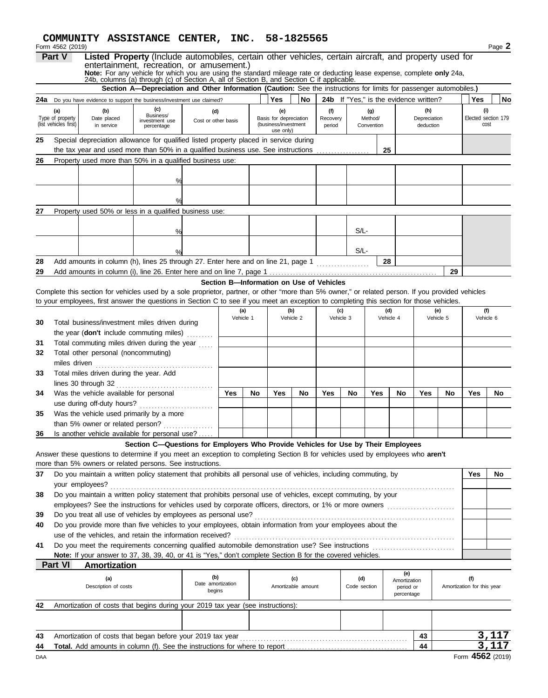## **COMMUNITY ASSISTANCE CENTER, INC. 58-1825565**

|     | Form 4562 (2019)      |                                                                                                                                                   |                                                                                                                                                                                                                  |                             |     |           |                                   |                                          |          |              |            |                     |                                               |           |                            | Page 2              |
|-----|-----------------------|---------------------------------------------------------------------------------------------------------------------------------------------------|------------------------------------------------------------------------------------------------------------------------------------------------------------------------------------------------------------------|-----------------------------|-----|-----------|-----------------------------------|------------------------------------------|----------|--------------|------------|---------------------|-----------------------------------------------|-----------|----------------------------|---------------------|
|     | Part V                |                                                                                                                                                   | Listed Property (Include automobiles, certain other vehicles, certain aircraft, and property used for                                                                                                            |                             |     |           |                                   |                                          |          |              |            |                     |                                               |           |                            |                     |
|     |                       |                                                                                                                                                   | entertainment, recreation, or amusement.)                                                                                                                                                                        |                             |     |           |                                   |                                          |          |              |            |                     |                                               |           |                            |                     |
|     |                       |                                                                                                                                                   | Note: For any vehicle for which you are using the standard mileage rate or deducting lease expense, complete only 24a, 24b, columns (a) through (c) of Section A, all of Section B, and Section C if applicable. |                             |     |           |                                   |                                          |          |              |            |                     |                                               |           |                            |                     |
|     |                       |                                                                                                                                                   | Section A-Depreciation and Other Information (Caution: See the instructions for limits for passenger automobiles.)                                                                                               |                             |     |           |                                   |                                          |          |              |            |                     |                                               |           |                            |                     |
|     |                       | 24a Do you have evidence to support the business/investment use claimed?                                                                          |                                                                                                                                                                                                                  |                             |     |           | Yes                               | <b>No</b>                                |          |              |            |                     | <b>24b</b> If "Yes," is the evidence written? |           | Yes                        | <b>No</b>           |
|     | (a)                   | (b)                                                                                                                                               | (c)                                                                                                                                                                                                              | (d)                         |     |           | (e)                               |                                          | (f)      |              | (g)        |                     | (h)                                           |           | (i)                        |                     |
|     | Type of property      | Date placed                                                                                                                                       | Business/<br>investment use                                                                                                                                                                                      | Cost or other basis         |     |           | Basis for depreciation            |                                          | Recovery |              | Method/    |                     | Depreciation                                  |           |                            | Elected section 179 |
|     | (list vehicles first) | in service                                                                                                                                        | percentage                                                                                                                                                                                                       |                             |     |           | (business/investment<br>use only) |                                          | period   |              | Convention |                     | deduction                                     |           |                            | cost                |
| 25  |                       | Special depreciation allowance for qualified listed property placed in service during                                                             |                                                                                                                                                                                                                  |                             |     |           |                                   |                                          |          |              |            |                     |                                               |           |                            |                     |
|     |                       | the tax year and used more than 50% in a qualified business use. See instructions                                                                 |                                                                                                                                                                                                                  |                             |     |           |                                   |                                          |          |              |            | 25                  |                                               |           |                            |                     |
| 26  |                       | Property used more than 50% in a qualified business use:                                                                                          |                                                                                                                                                                                                                  |                             |     |           |                                   |                                          |          |              |            |                     |                                               |           |                            |                     |
|     |                       |                                                                                                                                                   |                                                                                                                                                                                                                  |                             |     |           |                                   |                                          |          |              |            |                     |                                               |           |                            |                     |
|     |                       |                                                                                                                                                   | %                                                                                                                                                                                                                |                             |     |           |                                   |                                          |          |              |            |                     |                                               |           |                            |                     |
|     |                       |                                                                                                                                                   |                                                                                                                                                                                                                  |                             |     |           |                                   |                                          |          |              |            |                     |                                               |           |                            |                     |
|     |                       |                                                                                                                                                   |                                                                                                                                                                                                                  |                             |     |           |                                   |                                          |          |              |            |                     |                                               |           |                            |                     |
| 27  |                       | Property used 50% or less in a qualified business use:                                                                                            |                                                                                                                                                                                                                  |                             |     |           |                                   |                                          |          |              |            |                     |                                               |           |                            |                     |
|     |                       |                                                                                                                                                   |                                                                                                                                                                                                                  |                             |     |           |                                   |                                          |          |              |            |                     |                                               |           |                            |                     |
|     |                       |                                                                                                                                                   | %                                                                                                                                                                                                                |                             |     |           |                                   |                                          |          | $S/L$ -      |            |                     |                                               |           |                            |                     |
|     |                       |                                                                                                                                                   |                                                                                                                                                                                                                  |                             |     |           |                                   |                                          |          |              |            |                     |                                               |           |                            |                     |
|     |                       |                                                                                                                                                   | $\frac{0}{0}$                                                                                                                                                                                                    |                             |     |           |                                   |                                          |          | S/L-         |            |                     |                                               |           |                            |                     |
| 28  |                       | Add amounts in column (h), lines 25 through 27. Enter here and on line 21, page 1                                                                 |                                                                                                                                                                                                                  |                             |     |           |                                   |                                          |          | .            |            | 28                  |                                               |           |                            |                     |
| 29  |                       | Add amounts in column (i), line 26. Enter here and on line 7, page 1                                                                              |                                                                                                                                                                                                                  |                             |     |           |                                   |                                          |          |              |            |                     |                                               | 29        |                            |                     |
|     |                       |                                                                                                                                                   |                                                                                                                                                                                                                  |                             |     |           |                                   | Section B-Information on Use of Vehicles |          |              |            |                     |                                               |           |                            |                     |
|     |                       | Complete this section for vehicles used by a sole proprietor, partner, or other "more than 5% owner," or related person. If you provided vehicles |                                                                                                                                                                                                                  |                             |     |           |                                   |                                          |          |              |            |                     |                                               |           |                            |                     |
|     |                       | to your employees, first answer the questions in Section C to see if you meet an exception to completing this section for those vehicles.         |                                                                                                                                                                                                                  |                             |     |           |                                   |                                          |          |              |            |                     |                                               |           |                            |                     |
|     |                       |                                                                                                                                                   |                                                                                                                                                                                                                  |                             |     | (a)       |                                   | (b)                                      |          | (c)          |            | (d)                 |                                               | (e)       |                            | (f)                 |
| 30  |                       | Total business/investment miles driven during                                                                                                     |                                                                                                                                                                                                                  |                             |     | Vehicle 1 |                                   | Vehicle 2                                |          | Vehicle 3    |            | Vehicle 4           |                                               | Vehicle 5 |                            | Vehicle 6           |
|     |                       | the year (don't include commuting miles)                                                                                                          |                                                                                                                                                                                                                  |                             |     |           |                                   |                                          |          |              |            |                     |                                               |           |                            |                     |
| 31  |                       | Total commuting miles driven during the year                                                                                                      |                                                                                                                                                                                                                  |                             |     |           |                                   |                                          |          |              |            |                     |                                               |           |                            |                     |
| 32  |                       | Total other personal (noncommuting)                                                                                                               |                                                                                                                                                                                                                  |                             |     |           |                                   |                                          |          |              |            |                     |                                               |           |                            |                     |
|     | miles driven          |                                                                                                                                                   |                                                                                                                                                                                                                  |                             |     |           |                                   |                                          |          |              |            |                     |                                               |           |                            |                     |
| 33  |                       | Total miles driven during the year. Add                                                                                                           |                                                                                                                                                                                                                  |                             |     |           |                                   |                                          |          |              |            |                     |                                               |           |                            |                     |
|     |                       | lines 30 through 32                                                                                                                               |                                                                                                                                                                                                                  |                             |     |           |                                   |                                          |          |              |            |                     |                                               |           |                            |                     |
| 34  |                       | Was the vehicle available for personal                                                                                                            |                                                                                                                                                                                                                  |                             | Yes | No        | Yes                               | No                                       | Yes      | No           | Yes        | No                  | Yes                                           | No        | Yes                        | No                  |
|     |                       | use during off-duty hours?                                                                                                                        |                                                                                                                                                                                                                  |                             |     |           |                                   |                                          |          |              |            |                     |                                               |           |                            |                     |
| 35  |                       | Was the vehicle used primarily by a more                                                                                                          |                                                                                                                                                                                                                  |                             |     |           |                                   |                                          |          |              |            |                     |                                               |           |                            |                     |
|     |                       | than 5% owner or related person?                                                                                                                  |                                                                                                                                                                                                                  |                             |     |           |                                   |                                          |          |              |            |                     |                                               |           |                            |                     |
| 36  |                       | Is another vehicle available for personal use?                                                                                                    |                                                                                                                                                                                                                  |                             |     |           |                                   |                                          |          |              |            |                     |                                               |           |                            |                     |
|     |                       |                                                                                                                                                   | Section C-Questions for Employers Who Provide Vehicles for Use by Their Employees                                                                                                                                |                             |     |           |                                   |                                          |          |              |            |                     |                                               |           |                            |                     |
|     |                       | Answer these questions to determine if you meet an exception to completing Section B for vehicles used by employees who aren't                    |                                                                                                                                                                                                                  |                             |     |           |                                   |                                          |          |              |            |                     |                                               |           |                            |                     |
|     |                       | more than 5% owners or related persons. See instructions.                                                                                         |                                                                                                                                                                                                                  |                             |     |           |                                   |                                          |          |              |            |                     |                                               |           |                            |                     |
| 37  |                       | Do you maintain a written policy statement that prohibits all personal use of vehicles, including commuting, by                                   |                                                                                                                                                                                                                  |                             |     |           |                                   |                                          |          |              |            |                     |                                               |           | Yes                        | No                  |
|     |                       | your employees?                                                                                                                                   |                                                                                                                                                                                                                  |                             |     |           |                                   |                                          |          |              |            |                     |                                               |           |                            |                     |
| 38  |                       | Do you maintain a written policy statement that prohibits personal use of vehicles, except commuting, by your                                     |                                                                                                                                                                                                                  |                             |     |           |                                   |                                          |          |              |            |                     |                                               |           |                            |                     |
|     |                       | employees? See the instructions for vehicles used by corporate officers, directors, or 1% or more owners <i>mimimimimimimimim</i>                 |                                                                                                                                                                                                                  |                             |     |           |                                   |                                          |          |              |            |                     |                                               |           |                            |                     |
| 39  |                       | Do you treat all use of vehicles by employees as personal use?                                                                                    |                                                                                                                                                                                                                  |                             |     |           |                                   |                                          |          |              |            |                     |                                               |           |                            |                     |
| 40  |                       | Do you provide more than five vehicles to your employees, obtain information from your employees about the                                        |                                                                                                                                                                                                                  |                             |     |           |                                   |                                          |          |              |            |                     |                                               |           |                            |                     |
|     |                       | use of the vehicles, and retain the information received?                                                                                         |                                                                                                                                                                                                                  |                             |     |           |                                   |                                          |          |              |            |                     |                                               |           |                            |                     |
| 41  |                       |                                                                                                                                                   |                                                                                                                                                                                                                  |                             |     |           |                                   |                                          |          |              |            |                     |                                               |           |                            |                     |
|     |                       | Note: If your answer to 37, 38, 39, 40, or 41 is "Yes," don't complete Section B for the covered vehicles.                                        |                                                                                                                                                                                                                  |                             |     |           |                                   |                                          |          |              |            |                     |                                               |           |                            |                     |
|     | Part VI               | <b>Amortization</b>                                                                                                                               |                                                                                                                                                                                                                  |                             |     |           |                                   |                                          |          |              |            |                     |                                               |           |                            |                     |
|     |                       | (a)                                                                                                                                               |                                                                                                                                                                                                                  | (b)                         |     |           |                                   | (c)                                      |          | (d)          |            | (e)<br>Amortization |                                               |           | (f)                        |                     |
|     |                       | Description of costs                                                                                                                              |                                                                                                                                                                                                                  | Date amortization<br>begins |     |           |                                   | Amortizable amount                       |          | Code section |            | period or           |                                               |           | Amortization for this year |                     |
|     |                       |                                                                                                                                                   |                                                                                                                                                                                                                  |                             |     |           |                                   |                                          |          |              |            | percentage          |                                               |           |                            |                     |
| 42  |                       | Amortization of costs that begins during your 2019 tax year (see instructions):                                                                   |                                                                                                                                                                                                                  |                             |     |           |                                   |                                          |          |              |            |                     |                                               |           |                            |                     |
|     |                       |                                                                                                                                                   |                                                                                                                                                                                                                  |                             |     |           |                                   |                                          |          |              |            |                     |                                               |           |                            |                     |
|     |                       |                                                                                                                                                   |                                                                                                                                                                                                                  |                             |     |           |                                   |                                          |          |              |            |                     |                                               |           |                            |                     |
| 43  |                       | Amortization of costs that began before your 2019 tax year                                                                                        |                                                                                                                                                                                                                  |                             |     |           |                                   |                                          |          |              |            |                     | 43                                            |           |                            | 3,117               |
| 44  |                       | <b>Total.</b> Add amounts in column (f). See the instructions for where to report                                                                 |                                                                                                                                                                                                                  |                             |     |           |                                   |                                          |          |              |            |                     | 44                                            |           |                            | 3,117               |
| DAA |                       |                                                                                                                                                   |                                                                                                                                                                                                                  |                             |     |           |                                   |                                          |          |              |            |                     |                                               |           |                            | Form 4562 (2019)    |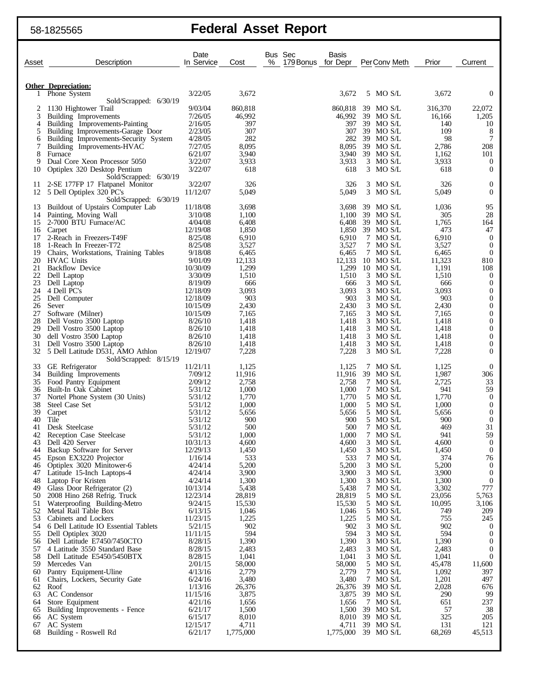## 58-1825565 **Federal Asset Report**

| ◡◡       | 102000                                                        |                      |                 |   |                               |                     |   |                             |                 |                                      |
|----------|---------------------------------------------------------------|----------------------|-----------------|---|-------------------------------|---------------------|---|-----------------------------|-----------------|--------------------------------------|
| Asset    | Description                                                   | Date<br>In Service   | Cost            | % | Bus Sec<br>179 Bonus for Depr | Basis               |   | PerConv Meth                | Prior           | Current                              |
|          |                                                               |                      |                 |   |                               |                     |   |                             |                 |                                      |
|          | <b>Other Depreciation:</b>                                    |                      |                 |   |                               |                     |   |                             |                 |                                      |
|          | Phone System                                                  | 3/22/05              | 3,672           |   |                               | 3,672               |   | 5 MO S/L                    | 3,672           | 0                                    |
|          | Sold/Scrapped: 6/30/19                                        |                      |                 |   |                               |                     |   |                             |                 |                                      |
| 2        | 1130 Hightower Trail                                          | 9/03/04              | 860,818         |   |                               | 860,818             |   | 39 MO S/L                   | 316,370         | 22,072                               |
| 3<br>4   | Building Improvements<br>Building Improvements-Painting       | 7/26/05<br>2/16/05   | 46,992<br>397   |   |                               | 46,992<br>397       |   | 39 MO S/L<br>39 MO S/L      | 16,166<br>140   | 1,205<br>10                          |
| 5        | Building Improvements-Garage Door                             | 2/23/05              | 307             |   |                               | 307                 |   | 39 MO S/L                   | 109             | 8                                    |
| 6        | Building Improvements-Security System                         | 4/28/05              | 282             |   |                               | 282                 |   | 39 MO S/L                   | 98              | $\overline{7}$                       |
| 7        | Building Improvements-HVAC                                    | 7/27/05              | 8,095           |   |                               | 8,095               |   | 39 MO S/L                   | 2,786           | 208                                  |
| 8        | Furnace                                                       | 6/21/07              | 3,940           |   |                               | 3,940               |   | 39 MO S/L                   | 1,162           | 101                                  |
| 9<br>10  | Dual Core Xeon Processor 5050<br>Optiplex 320 Desktop Pentium | 3/22/07<br>3/22/07   | 3,933<br>618    |   |                               | 3,933<br>618        |   | $3$ MO S/L<br>3 MO S/L      | 3,933<br>618    | $\overline{0}$<br>$\theta$           |
|          | Sold/Scrapped: 6/30/19                                        |                      |                 |   |                               |                     |   |                             |                 |                                      |
| 11       | 2-SE 177FP 17 Flatpanel Monitor                               | 3/22/07              | 326             |   |                               | 326                 |   | 3 MO S/L                    | 326             | $\bf{0}$                             |
| 12       | 5 Dell Optiplex 320 PC's                                      | 11/12/07             | 5,049           |   |                               | 5,049               |   | 3 MO S/L                    | 5,049           | $\overline{0}$                       |
|          | Sold/Scrapped: 6/30/19                                        |                      |                 |   |                               |                     |   |                             |                 |                                      |
| 13       | Buildout of Upstairs Computer Lab                             | 11/18/08             | 3,698           |   |                               | 3,698               |   | 39 MO S/L                   | 1,036           | 95                                   |
| 14<br>15 | Painting, Moving Wall<br>2-7000 BTU Furnace/AC                | 3/10/08<br>4/04/08   | 1,100<br>6,408  |   |                               | 1,100<br>6,408      |   | 39 MO S/L<br>39 MO S/L      | 305<br>1,765    | 28<br>164                            |
| 16       | Carpet                                                        | 12/19/08             | 1,850           |   |                               |                     |   | 1.850 39 MO S/L             | 473             | 47                                   |
| 17       | 2-Reach in Freezers-T49F                                      | 8/25/08              | 6,910           |   |                               | 6,910               |   | 7 MO S/L                    | 6,910           | $\overline{0}$                       |
| 18       | 1-Reach In Freezer-T72                                        | 8/25/08              | 3,527           |   |                               | 3,527               |   | 7 MO S/L                    | 3,527           | $\overline{0}$                       |
| 19       | Chairs, Workstations, Training Tables                         | 9/18/08              | 6,465           |   |                               | 6,465               |   | 7 MO S/L                    | 6,465           | $\boldsymbol{0}$                     |
| 20       | <b>HVAC Units</b>                                             | 9/01/09              | 12,133          |   |                               | 12,133              |   | $10$ MO S/L                 | 11,323          | 810                                  |
| 21       | <b>Backflow Device</b>                                        | 10/30/09             | 1,299           |   |                               | 1,299               |   | $10$ MO S/L                 | 1,191           | 108                                  |
| 22<br>23 | Dell Laptop<br>Dell Laptop                                    | 3/30/09<br>8/19/09   | 1,510<br>666    |   |                               | 1,510<br>666        |   | $3$ MO S/L<br>$3$ MO S/L    | 1,510<br>666    | $\overline{0}$<br>$\boldsymbol{0}$   |
| 24       | 4 Dell PC's                                                   | 12/18/09             | 3,093           |   |                               | 3,093               |   | $3$ MO S/L                  | 3,093           | $\boldsymbol{0}$                     |
| 25       | Dell Computer                                                 | 12/18/09             | 903             |   |                               | 903                 |   | $3$ MO S/L                  | 903             | $\mathbf{0}$                         |
| 26       | Sever                                                         | 10/15/09             | 2,430           |   |                               | 2,430               | 3 | MO S/L                      | 2,430           | $\boldsymbol{0}$                     |
| 27       | Software (Milner)                                             | 10/15/09             | 7,165           |   |                               | 7,165               |   | $3$ MO S/L                  | 7,165           | $\boldsymbol{0}$                     |
| 28       | Dell Vostro 3500 Laptop                                       | 8/26/10              | 1,418           |   |                               | 1,418               | 3 | MO S/L                      | 1,418           | $\boldsymbol{0}$                     |
| 29<br>30 | Dell Vostro 3500 Laptop                                       | 8/26/10<br>8/26/10   | 1,418<br>1,418  |   |                               | 1,418<br>1,418      |   | $3$ MO S/L<br>$3$ MO S/L    | 1,418<br>1,418  | $\boldsymbol{0}$<br>$\boldsymbol{0}$ |
| 31       | dell Vostro 3500 Laptop<br>Dell Vostro 3500 Laptop            | 8/26/10              | 1,418           |   |                               | 1,418               |   | 3 MO S/L                    | 1,418           | $\boldsymbol{0}$                     |
| 32       | 5 Dell Latitude D531, AMO Athlon                              | 12/19/07             | 7,228           |   |                               | 7,228               |   | $3$ MO S/L                  | 7,228           | $\overline{0}$                       |
|          | Sold/Scrapped: 8/15/19                                        |                      |                 |   |                               |                     |   |                             |                 |                                      |
| 33       | <b>GE</b> Refrigerator                                        | 11/21/11             | 1,125           |   |                               | 1,125               |   | 7 MO S/L                    | 1,125           | $\boldsymbol{0}$                     |
| 34       | Building Improvements                                         | 7/09/12              | 11,916          |   |                               | 11,916              |   | 39 MO S/L                   | 1,987           | 306                                  |
| 35       | Food Pantry Equipment                                         | 2/09/12<br>5/31/12   | 2,758<br>1,000  |   |                               | 2,758<br>1,000      |   | 7 MO S/L                    | 2,725<br>941    | 33<br>59                             |
| 36<br>37 | Built-In Oak Cabinet<br>Nortel Phone System (30 Units)        | 5/31/12              | 1,770           |   |                               | 1,770               |   | 7 MO S/L<br>5 MO S/L        | 1,770           | $\mathbf{0}$                         |
| 38       | Steel Case Set                                                | 5/31/12              | 1,000           |   |                               | 1,000               |   | 5 MO S/L                    | 1,000           | $\mathbf{0}$                         |
| 39       | Carpet                                                        | 5/31/12              | 5,656           |   |                               | 5,656               |   | 5 MO S/L                    | 5,656           | $\boldsymbol{0}$                     |
| 40       | Tile                                                          | 5/31/12              | 900             |   |                               | 900                 |   | 5 MO S/L                    | 900             | $\boldsymbol{0}$                     |
| 41       | Desk Steelcase                                                | 5/31/12              | 500             |   |                               | 500                 |   | 7 MO S/L                    | 469             | 31                                   |
| 42<br>43 | Reception Case Steelcase<br>Dell 420 Server                   | 5/31/12<br>10/31/13  | 1,000<br>4,600  |   |                               | 1,000<br>4,600      |   | 7 MO S/L<br>$3$ MO S/L      | 941<br>4,600    | 59<br>$\boldsymbol{0}$               |
| 44       | Backup Software for Server                                    | 12/29/13             | 1,450           |   |                               | 1,450               |   | $3$ MO S/L                  | 1,450           | $\mathbf{0}$                         |
| 45       | Epson EX3220 Projector                                        | 1/16/14              | 533             |   |                               | 533                 |   | 7 MO S/L                    | 374             | 76                                   |
| 46       | Optiplex 3020 Minitower-6                                     | 4/24/14              | 5,200           |   |                               | 5,200               |   | $3$ MO S/L                  | 5,200           | $\overline{0}$                       |
| 47       | Latitude 15-Inch Laptops-4                                    | 4/24/14              | 3,900           |   |                               | 3,900               |   | $3$ MO S/L                  | 3,900           | $\boldsymbol{0}$                     |
| 48       | Laptop For Kristen                                            | 4/24/14              | 1,300           |   |                               | 1,300               |   | $3$ MO S/L                  | 1,300           | $\boldsymbol{0}$                     |
| 49<br>50 | Glass Door Refrigerator (2)<br>2008 Hino 268 Refrig. Truck    | 10/13/14<br>12/23/14 | 5,438<br>28,819 |   |                               | 5,438<br>28,819     |   | 7 MO S/L<br>5 MO S/L        | 3,302<br>23,056 | 777<br>5,763                         |
| 51       | Waterproofing Building-Metro                                  | 9/24/15              | 15,530          |   |                               | 15,530              |   | 5 MO S/L                    | 10,095          | 3,106                                |
| 52       | Metal Rail Table Box                                          | 6/13/15              | 1,046           |   |                               | 1,046               |   | 5 MO S/L                    | 749             | 209                                  |
| 53       | Cabinets and Lockers                                          | 11/23/15             | 1,225           |   |                               | 1,225               |   | 5 MO S/L                    | 755             | 245                                  |
| 54       | 6 Dell Latitude IO Essential Tablets                          | 5/21/15              | 902             |   |                               | 902                 |   | $3$ MO S/L                  | 902             | $\overline{0}$                       |
| 55       | Dell Optiplex 3020                                            | 11/11/15             | 594             |   |                               | 594                 |   | $3$ MO S/L                  | 594             | $\overline{0}$                       |
| 56<br>57 | Dell Latitude E7450/7450CTO<br>4 Latitude 3550 Standard Base  | 8/28/15<br>8/28/15   | 1,390<br>2,483  |   |                               | 1,390<br>2,483      |   | 3 MO S/L<br>3 MO S/L        | 1,390<br>2,483  | $\overline{0}$<br>$\boldsymbol{0}$   |
| 58       | Dell Latitude E5450/5450BTX                                   | 8/28/15              | 1,041           |   |                               | 1,041               |   | 3 MO S/L                    | 1,041           | $\boldsymbol{0}$                     |
| 59       | Mercedes Van                                                  | 2/01/15              | 58,000          |   |                               | 58,000              |   | 5 MO S/L                    | 45,478          | 11,600                               |
| 60       | Pantry Equipment-Uline                                        | 4/13/16              | 2,779           |   |                               | 2,779               |   | 7 MO S/L                    | 1,092           | 397                                  |
| 61       | Chairs, Lockers, Security Gate                                | 6/24/16              | 3,480           |   |                               | 3,480               |   | 7 MO S/L                    | 1,201           | 497                                  |
| 62       | Roof                                                          | 1/13/16              | 26,376          |   |                               | 26,376              |   | 39 MO S/L                   | 2,028           | 676                                  |
| 63       | AC Condensor                                                  | 11/15/16<br>4/21/16  | 3,875           |   |                               | 1,656               |   | 3,875 39 MO S/L<br>7 MO S/L | 290<br>651      | 99<br>237                            |
| 64<br>65 | Store Equipment<br>Building Improvements - Fence              | 6/21/17              | 1,656<br>1,500  |   |                               |                     |   | 1,500 39 MO S/L             | 57              | 38                                   |
| 66       | AC System                                                     | 6/15/17              | 8,010           |   |                               |                     |   | 8,010 39 MO S/L             | 325             | 205                                  |
| 67       | AC System                                                     | 12/15/17             | 4,711           |   |                               | 4,711               |   | 39 MO S/L                   | 131             | 121                                  |
| 68       | Building - Roswell Rd                                         | 6/21/17              | 1,775,000       |   |                               | 1,775,000 39 MO S/L |   |                             | 68,269          | 45,513                               |
|          |                                                               |                      |                 |   |                               |                     |   |                             |                 |                                      |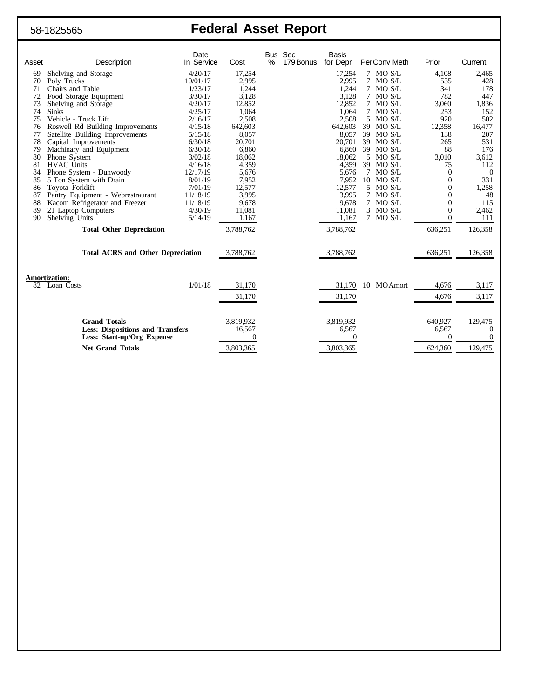## 58-1825565 **Federal Asset Report**

|          |                                          | Date                |                  | Bus Sec<br><b>Basis</b>                       |               |                  |
|----------|------------------------------------------|---------------------|------------------|-----------------------------------------------|---------------|------------------|
| Asset    | Description                              | In Service          | Cost             | PerConv Meth<br>$\%$<br>179 Bonus<br>for Depr | Prior         | Current          |
| 69       | Shelving and Storage                     | 4/20/17             | 17,254           | 7 MO S/L<br>17,254                            | 4,108         | 2,465            |
| 70       | Poly Trucks                              | 10/01/17            | 2,995            | 2,995<br>7 MO S/L                             | 535           | 428              |
| 71       | Chairs and Table                         | 1/23/17             | 1,244            | 1,244<br>7 MO S/L                             | 341           | 178              |
| 72       | Food Storage Equipment                   | 3/30/17             | 3,128            | 3,128<br>7 MO S/L                             | 782           | 447              |
| 73       | Shelving and Storage                     | 4/20/17             | 12,852           | 12,852<br>7 MO S/L                            | 3,060         | 1,836            |
| 74       | <b>Sinks</b>                             | 4/25/17             | 1,064            | 1,064<br>7 MO S/L                             | 253           | 152              |
| 75       | Vehicle - Truck Lift                     | 2/16/17             | 2,508            | 2,508<br>5 MO S/L                             | 920           | 502              |
| 76       | Roswell Rd Building Improvements         | 4/15/18             | 642,603          | 39 MO S/L<br>642,603                          | 12,358        | 16,477           |
| 77       | Satellite Building Improvements          | 5/15/18             | 8,057            | 39 MO S/L<br>8,057                            | 138           | 207              |
| 78       | Capital Improvements                     | 6/30/18             | 20,701           | 20,701<br>39 MO S/L                           | 265           | 531              |
| 79       | Machinary and Equipment                  | 6/30/18             | 6,860            | 6,860<br>39 MO S/L                            | 88            | 176              |
| 80       | Phone System                             | 3/02/18             | 18,062           | 18,062<br>5 MO S/L                            | 3,010         | 3,612            |
| 81       | <b>HVAC</b> Units                        | 4/16/18             | 4,359            | 4,359<br>39 MO S/L                            | 75            | 112              |
| 84       | Phone System - Dunwoody                  | 12/17/19            | 5,676            | 5,676<br>7 MO S/L                             | 0             | $\overline{0}$   |
| 85       | 5 Ton System with Drain                  | 8/01/19             | 7,952            | 7,952<br>10 MO S/L                            | 0             | 331              |
| 86       | Toyota Forklift                          | 7/01/19             | 12,577           | 12.577<br>5 MO S/L                            | 0             | 1,258            |
| 87<br>88 | Pantry Equipment - Webrestraurant        | 11/18/19            | 3,995            | 3,995<br>7 MO S/L<br>7 MO S/L                 | 0<br>$\Omega$ | 48<br>115        |
| 89       | Kacom Refrigerator and Freezer           | 11/18/19<br>4/30/19 | 9,678            | 9,678<br>$3$ MO S/L                           | $\theta$      |                  |
| 90       | 21 Laptop Computers                      | 5/14/19             | 11,081<br>1,167  | 11,081<br>1,167<br>7 MO S/L                   | $\Omega$      | 2,462<br>111     |
|          | Shelving Units                           |                     |                  |                                               |               |                  |
|          | <b>Total Other Depreciation</b>          |                     | 3,788,762        | 3,788,762                                     | 636,251       | 126,358          |
|          | <b>Total ACRS and Other Depreciation</b> |                     | 3,788,762        | 3,788,762                                     | 636,251       | 126,358          |
|          |                                          |                     |                  |                                               |               |                  |
|          |                                          |                     |                  |                                               |               |                  |
| 82       | <b>Amortization:</b><br>Loan Costs       | 1/01/18             | 31,170           | 31,170<br>10 MOAmort                          | 4,676         | 3,117            |
|          |                                          |                     | 31,170           | 31,170                                        | 4,676         | 3,117            |
|          |                                          |                     |                  |                                               |               |                  |
|          | <b>Grand Totals</b>                      |                     | 3,819,932        | 3,819,932                                     | 640,927       | 129,475          |
|          | <b>Less: Dispositions and Transfers</b>  |                     | 16,567           | 16,567                                        | 16,567        | $\boldsymbol{0}$ |
|          | Less: Start-up/Org Expense               |                     | $\boldsymbol{0}$ | 0                                             | $\theta$      | $\theta$         |
|          | <b>Net Grand Totals</b>                  |                     | 3,803,365        | 3,803,365                                     | 624,360       | 129,475          |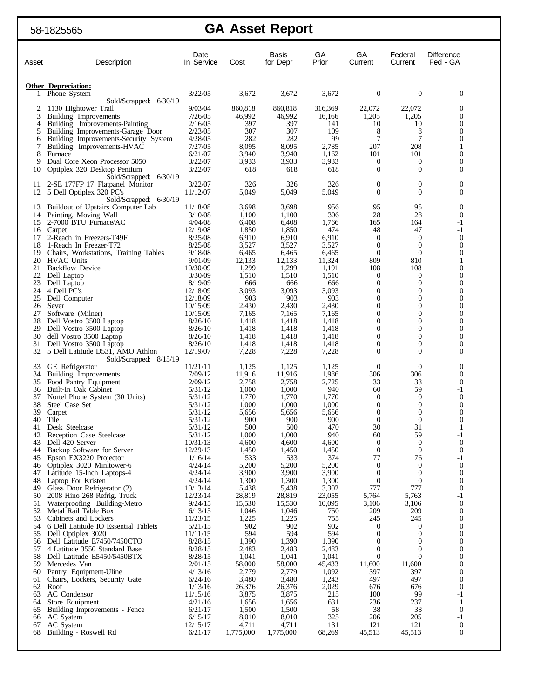## 58-1825565 **GA Asset Report**

| GA<br>GA<br><b>Difference</b><br>Date<br>Basis<br>Federal<br>In Service<br>Cost<br>Prior<br>Description<br>for Depr<br>Current<br>Current<br>Fed - GA<br>Asset<br><b>Other Depreciation:</b><br>3/22/05<br>3,672<br>$\boldsymbol{0}$<br>$\boldsymbol{0}$<br>Phone System<br>3,672<br>3,672<br>$\boldsymbol{0}$<br>$\perp$<br>Sold/Scrapped: 6/30/19<br>1130 Hightower Trail<br>9/03/04<br>860,818<br>316,369<br>860,818<br>22,072<br>22,072<br>0<br>2<br>3<br>1,205<br>Building Improvements<br>7/26/05<br>46,992<br>46,992<br>16,166<br>1,205<br>$\overline{0}$<br>2/16/05<br>397<br>397<br>10<br>10<br>$\overline{0}$<br>4<br>Building Improvements-Painting<br>141<br>307<br>307<br>8<br>$\overline{0}$<br>Building Improvements-Garage Door<br>2/23/05<br>109<br>8<br>5<br>7<br>282<br>99<br>Building Improvements-Security System<br>4/28/05<br>282<br>7<br>$\overline{0}$<br>6<br>7/27/05<br>8,095<br>8,095<br>208<br>7<br>Building Improvements-HVAC<br>2,785<br>207<br>1<br>$\overline{0}$<br>8<br>Furnace<br>6/21/07<br>3,940<br>3,940<br>1,162<br>101<br>101<br>$\boldsymbol{0}$<br>9<br>Dual Core Xeon Processor 5050<br>3/22/07<br>3,933<br>3,933<br>3,933<br>$\boldsymbol{0}$<br>$\boldsymbol{0}$<br>$\theta$<br>$\overline{0}$<br>10<br>3/22/07<br>618<br>618<br>618<br>$\boldsymbol{0}$<br>Optiplex 320 Desktop Pentium<br>Sold/Scrapped: 6/30/19<br>$\boldsymbol{0}$<br>3/22/07<br>326<br>326<br>326<br>$\boldsymbol{0}$<br>0<br>2-SE 177FP 17 Flatpanel Monitor<br>11<br>$\theta$<br>12<br>5 Dell Optiplex 320 PC's<br>11/12/07<br>5,049<br>5,049<br>5,049<br>$\mathbf{0}$<br>$\overline{0}$<br>Sold/Scrapped: 6/30/19<br>11/18/08<br>3,698<br>3,698<br>956<br>95<br>95<br>0<br>13<br>Buildout of Upstairs Computer Lab<br>306<br>28<br>$\boldsymbol{0}$<br>Painting, Moving Wall<br>3/10/08<br>1,100<br>1,100<br>28<br>14<br>2-7000 BTU Furnace/AC<br>4/04/08<br>6,408<br>6,408<br>1,766<br>165<br>164<br>$-1$<br>15<br>12/19/08<br>1,850<br>1,850<br>474<br>48<br>47<br>$-1$<br>16<br>Carpet<br>6,910<br>$\boldsymbol{0}$<br>17<br>2-Reach in Freezers-T49F<br>8/25/08<br>6,910<br>6,910<br>$\boldsymbol{0}$<br>$\boldsymbol{0}$<br>$\theta$<br>$\boldsymbol{0}$<br>8/25/08<br>3,527<br>3,527<br>3,527<br>$\mathbf{0}$<br>18<br>1-Reach In Freezer-T72<br>$\overline{0}$<br>19<br>9/18/08<br>6,465<br>6,465<br>6,465<br>$\mathbf{0}$<br>0<br>Chairs, Workstations, Training Tables<br>810<br>20<br><b>HVAC Units</b><br>9/01/09<br>12,133<br>12,133<br>11,324<br>809<br>1<br>1,299<br>1,299<br>108<br>$\boldsymbol{0}$<br>21<br><b>Backflow Device</b><br>10/30/09<br>1,191<br>108<br>$\overline{0}$<br>22<br>Dell Laptop<br>3/30/09<br>1,510<br>1,510<br>1,510<br>$\overline{0}$<br>0<br>$\boldsymbol{0}$<br>23<br>8/19/09<br>666<br>666<br>666<br>$\boldsymbol{0}$<br>$\boldsymbol{0}$<br>Dell Laptop<br>3,093<br>3,093<br>3,093<br>$\overline{0}$<br>$\overline{0}$<br>4 Dell PC's<br>12/18/09<br>0<br>24<br>903<br>$\boldsymbol{0}$<br>$\boldsymbol{0}$<br>$\boldsymbol{0}$<br>25<br>Dell Computer<br>12/18/09<br>903<br>903<br>$\overline{0}$<br>$\overline{0}$<br>26<br>Sever<br>10/15/09<br>2,430<br>2,430<br>2,430<br>0<br>$\boldsymbol{0}$<br>$\boldsymbol{0}$<br>$\boldsymbol{0}$<br>27<br>Software (Milner)<br>10/15/09<br>7,165<br>7,165<br>7,165<br>$\overline{0}$<br>$\overline{0}$<br>28<br>Dell Vostro 3500 Laptop<br>8/26/10<br>1,418<br>1,418<br>1,418<br>0<br>$\boldsymbol{0}$<br>$\boldsymbol{0}$<br>$\boldsymbol{0}$<br>29<br>1,418<br>1,418<br>1,418<br>Dell Vostro 3500 Laptop<br>8/26/10<br>$\overline{0}$<br>$\overline{0}$<br>$\overline{0}$<br>30<br>8/26/10<br>1,418<br>1,418<br>dell Vostro 3500 Laptop<br>1,418<br>31<br>1,418<br>$\boldsymbol{0}$<br>$\boldsymbol{0}$<br>$\boldsymbol{0}$<br>Dell Vostro 3500 Laptop<br>8/26/10<br>1,418<br>1,418<br>$\theta$<br>7,228<br>$\overline{0}$<br>32<br>12/19/07<br>7,228<br>7,228<br>$\mathbf{0}$<br>5 Dell Latitude D531, AMO Athlon<br>Sold/Scrapped: 8/15/19<br>$\boldsymbol{0}$<br>GE Refrigerator<br>1,125<br>$\boldsymbol{0}$<br>0<br>33<br>11/21/11<br>1,125<br>1,125<br>11,916<br>11,916<br>1,986<br>306<br>$\boldsymbol{0}$<br>34<br>Building Improvements<br>7/09/12<br>306<br>$\boldsymbol{0}$<br>2/09/12<br>2,758<br>2,758<br>2,725<br>33<br>33<br>35<br>Food Pantry Equipment<br>1,000<br>940<br>59<br>Built-In Oak Cabinet<br>5/31/12<br>1,000<br>60<br>$-1$<br>36<br>$\boldsymbol{0}$<br>$\boldsymbol{0}$<br>5/31/12<br>1,770<br>1,770<br>1,770<br>$\boldsymbol{0}$<br>37<br>Nortel Phone System (30 Units)<br>1,000<br>1,000<br>1,000<br>$\boldsymbol{0}$<br>$\boldsymbol{0}$<br>$\boldsymbol{0}$<br>38<br>5/31/12<br>Steel Case Set<br>$\Omega$<br>$\Omega$<br>$\Omega$<br>39 Carpet<br>5/31/12<br>5,656<br>5,656<br>5,656<br>$\boldsymbol{0}$<br>900<br>900<br>$\mathbf{0}$<br>$\boldsymbol{0}$<br>40<br>Tile<br>5/31/12<br>900<br>5/31/12<br>500<br>500<br>31<br>Desk Steelcase<br>470<br>30<br>41<br>59<br>1,000<br>1,000<br>940<br>Reception Case Steelcase<br>5/31/12<br>60<br>$-1$<br>42<br>4,600<br>$\boldsymbol{0}$<br>10/31/13<br>4,600<br>$\mathbf{0}$<br>43<br>Dell 420 Server<br>4,600<br>0<br>Backup Software for Server<br>12/29/13<br>1,450<br>1,450<br>$\boldsymbol{0}$<br>$\mathbf{0}$<br>$\boldsymbol{0}$<br>1,450<br>44<br>533<br>374<br>1/16/14<br>533<br>77<br>76<br>$-1$<br>45<br>Epson EX3220 Projector<br>5,200<br>4/24/14<br>5,200<br>5,200<br>$\boldsymbol{0}$<br>$\boldsymbol{0}$<br>$\boldsymbol{0}$<br>Optiplex 3020 Minitower-6<br>46<br>$\boldsymbol{0}$<br>$\boldsymbol{0}$<br>Latitude 15-Inch Laptops-4<br>4/24/14<br>3,900<br>3,900<br>3,900<br>$\boldsymbol{0}$<br>47<br>1,300<br>1,300<br>4/24/14<br>1,300<br>$\boldsymbol{0}$<br>$\boldsymbol{0}$<br>$\boldsymbol{0}$<br>Laptop For Kristen<br>48<br>3,302<br>$\boldsymbol{0}$<br>Glass Door Refrigerator (2)<br>10/13/14<br>5,438<br>5,438<br>777<br>777<br>49<br>28,819<br>28,819<br>12/23/14<br>23,055<br>5,764<br>5,763<br>50<br>2008 Hino 268 Refrig. Truck<br>$-1$<br>15,530<br>15,530<br>$\boldsymbol{0}$<br>Waterproofing Building-Metro<br>9/24/15<br>10,095<br>3,106<br>3,106<br>51<br>6/13/15<br>1,046<br>1,046<br>750<br>209<br>209<br>$\boldsymbol{0}$<br>52<br>Metal Rail Table Box<br>11/23/15<br>1,225<br>755<br>$\boldsymbol{0}$<br>53<br>Cabinets and Lockers<br>1,225<br>245<br>245<br>902<br>54<br>5/21/15<br>902<br>902<br>$\boldsymbol{0}$<br>6 Dell Latitude IO Essential Tablets<br>$\boldsymbol{0}$<br>0<br>11/11/15<br>594<br>594<br>594<br>$\theta$<br>$\boldsymbol{0}$<br>Dell Optiplex 3020<br>$\mathbf{0}$<br>55<br>8/28/15<br>1,390<br>1,390<br>1,390<br>$\boldsymbol{0}$<br>Dell Latitude E7450/7450CTO<br>$\boldsymbol{0}$<br>$\boldsymbol{0}$<br>56<br>8/28/15<br>2,483<br>$\theta$<br>$\boldsymbol{0}$<br>4 Latitude 3550 Standard Base<br>2,483<br>2,483<br>0<br>57<br>58<br>8/28/15<br>1,041<br>1,041<br>1,041<br>$\mathbf{0}$<br>$\theta$<br>$\boldsymbol{0}$<br>Dell Latitude E5450/5450BTX<br>2/01/15<br>58,000<br>58,000<br>45,433<br>11,600<br>$\boldsymbol{0}$<br>59<br>Mercedes Van<br>11,600<br>4/13/16<br>2,779<br>2,779<br>1,092<br>397<br>397<br>$\boldsymbol{0}$<br>60<br>Pantry Equipment-Uline<br>6/24/16<br>3,480<br>1,243<br>497<br>497<br>$\boldsymbol{0}$<br>3,480<br>Chairs, Lockers, Security Gate<br>61<br>1/13/16<br>26,376<br>26,376<br>2,029<br>676<br>676<br>$\boldsymbol{0}$<br>62<br>Roof<br>AC Condensor<br>11/15/16<br>3,875<br>3,875<br>215<br>100<br>99<br>$-1$<br>63<br>237<br>4/21/16<br>1,656<br>631<br>236<br>$\mathbf{1}$<br>1,656<br>64<br>Store Equipment<br>1,500<br>$\boldsymbol{0}$<br>6/21/17<br>1,500<br>58<br>38<br>38<br>65<br>Building Improvements - Fence<br>6/15/17<br>8,010<br>8,010<br>325<br>206<br>205<br>$-1$<br>AC System<br>66<br>12/15/17<br>4,711<br>121<br>121<br>$\boldsymbol{0}$<br>AC System<br>4,711<br>131<br>67<br>6/21/17<br>45,513<br>$\boldsymbol{0}$<br>68<br>Building - Roswell Rd<br>1,775,000<br>1,775,000<br>68,269<br>45,513 |  |  |  |  |  |
|-------------------------------------------------------------------------------------------------------------------------------------------------------------------------------------------------------------------------------------------------------------------------------------------------------------------------------------------------------------------------------------------------------------------------------------------------------------------------------------------------------------------------------------------------------------------------------------------------------------------------------------------------------------------------------------------------------------------------------------------------------------------------------------------------------------------------------------------------------------------------------------------------------------------------------------------------------------------------------------------------------------------------------------------------------------------------------------------------------------------------------------------------------------------------------------------------------------------------------------------------------------------------------------------------------------------------------------------------------------------------------------------------------------------------------------------------------------------------------------------------------------------------------------------------------------------------------------------------------------------------------------------------------------------------------------------------------------------------------------------------------------------------------------------------------------------------------------------------------------------------------------------------------------------------------------------------------------------------------------------------------------------------------------------------------------------------------------------------------------------------------------------------------------------------------------------------------------------------------------------------------------------------------------------------------------------------------------------------------------------------------------------------------------------------------------------------------------------------------------------------------------------------------------------------------------------------------------------------------------------------------------------------------------------------------------------------------------------------------------------------------------------------------------------------------------------------------------------------------------------------------------------------------------------------------------------------------------------------------------------------------------------------------------------------------------------------------------------------------------------------------------------------------------------------------------------------------------------------------------------------------------------------------------------------------------------------------------------------------------------------------------------------------------------------------------------------------------------------------------------------------------------------------------------------------------------------------------------------------------------------------------------------------------------------------------------------------------------------------------------------------------------------------------------------------------------------------------------------------------------------------------------------------------------------------------------------------------------------------------------------------------------------------------------------------------------------------------------------------------------------------------------------------------------------------------------------------------------------------------------------------------------------------------------------------------------------------------------------------------------------------------------------------------------------------------------------------------------------------------------------------------------------------------------------------------------------------------------------------------------------------------------------------------------------------------------------------------------------------------------------------------------------------------------------------------------------------------------------------------------------------------------------------------------------------------------------------------------------------------------------------------------------------------------------------------------------------------------------------------------------------------------------------------------------------------------------------------------------------------------------------------------------------------------------------------------------------------------------------------------------------------------------------------------------------------------------------------------------------------------------------------------------------------------------------------------------------------------------------------------------------------------------------------------------------------------------------------------------------------------------------------------------------------------------------------------------------------------------------------------------------------------------------------------------------------------------------------------------------------------------------------------------------------------------------------------------------------------------------------------------------------------------------------------------------------------------------------------------------------------------------------------------------------------------------------------------------------------------------------------------------------------------------------------------------------------------------------------------------------------------------------------------------------------------------------------------------------------------------------------------------------------------------------------------------------------------------------------------------------------------------------------------------------------------------------------------------------------------------------------------------------------------------------------------------------------------------------------------------------------------------------------------------------------------------------------------------------------------------------------------------------------------------------------------------------------------------------------------------------------------------------------------------------------------------------------------------------------------------------------------------------------------------------------------------------------------------------------------------------------------------------------------------------------------------------------------------------------------------------------------------------------------------------------------------------------------------------------------------------------------------------------------------------------------------------------------------------------------------------------------------------------------------------------------------------------------|--|--|--|--|--|
|                                                                                                                                                                                                                                                                                                                                                                                                                                                                                                                                                                                                                                                                                                                                                                                                                                                                                                                                                                                                                                                                                                                                                                                                                                                                                                                                                                                                                                                                                                                                                                                                                                                                                                                                                                                                                                                                                                                                                                                                                                                                                                                                                                                                                                                                                                                                                                                                                                                                                                                                                                                                                                                                                                                                                                                                                                                                                                                                                                                                                                                                                                                                                                                                                                                                                                                                                                                                                                                                                                                                                                                                                                                                                                                                                                                                                                                                                                                                                                                                                                                                                                                                                                                                                                                                                                                                                                                                                                                                                                                                                                                                                                                                                                                                                                                                                                                                                                                                                                                                                                                                                                                                                                                                                                                                                                                                                                                                                                                                                                                                                                                                                                                                                                                                                                                                                                                                                                                                                                                                                                                                                                                                                                                                                                                                                                                                                                                                                                                                                                                                                                                                                                                                                                                                                                                                                                                                                                                                                                                                                                                                                                                                                                                                                                                                                                                                                                                                                                                                                                                                                                                                                                                                                                                                                                                                                                                                                                                                                 |  |  |  |  |  |
|                                                                                                                                                                                                                                                                                                                                                                                                                                                                                                                                                                                                                                                                                                                                                                                                                                                                                                                                                                                                                                                                                                                                                                                                                                                                                                                                                                                                                                                                                                                                                                                                                                                                                                                                                                                                                                                                                                                                                                                                                                                                                                                                                                                                                                                                                                                                                                                                                                                                                                                                                                                                                                                                                                                                                                                                                                                                                                                                                                                                                                                                                                                                                                                                                                                                                                                                                                                                                                                                                                                                                                                                                                                                                                                                                                                                                                                                                                                                                                                                                                                                                                                                                                                                                                                                                                                                                                                                                                                                                                                                                                                                                                                                                                                                                                                                                                                                                                                                                                                                                                                                                                                                                                                                                                                                                                                                                                                                                                                                                                                                                                                                                                                                                                                                                                                                                                                                                                                                                                                                                                                                                                                                                                                                                                                                                                                                                                                                                                                                                                                                                                                                                                                                                                                                                                                                                                                                                                                                                                                                                                                                                                                                                                                                                                                                                                                                                                                                                                                                                                                                                                                                                                                                                                                                                                                                                                                                                                                                                 |  |  |  |  |  |
|                                                                                                                                                                                                                                                                                                                                                                                                                                                                                                                                                                                                                                                                                                                                                                                                                                                                                                                                                                                                                                                                                                                                                                                                                                                                                                                                                                                                                                                                                                                                                                                                                                                                                                                                                                                                                                                                                                                                                                                                                                                                                                                                                                                                                                                                                                                                                                                                                                                                                                                                                                                                                                                                                                                                                                                                                                                                                                                                                                                                                                                                                                                                                                                                                                                                                                                                                                                                                                                                                                                                                                                                                                                                                                                                                                                                                                                                                                                                                                                                                                                                                                                                                                                                                                                                                                                                                                                                                                                                                                                                                                                                                                                                                                                                                                                                                                                                                                                                                                                                                                                                                                                                                                                                                                                                                                                                                                                                                                                                                                                                                                                                                                                                                                                                                                                                                                                                                                                                                                                                                                                                                                                                                                                                                                                                                                                                                                                                                                                                                                                                                                                                                                                                                                                                                                                                                                                                                                                                                                                                                                                                                                                                                                                                                                                                                                                                                                                                                                                                                                                                                                                                                                                                                                                                                                                                                                                                                                                                                 |  |  |  |  |  |
|                                                                                                                                                                                                                                                                                                                                                                                                                                                                                                                                                                                                                                                                                                                                                                                                                                                                                                                                                                                                                                                                                                                                                                                                                                                                                                                                                                                                                                                                                                                                                                                                                                                                                                                                                                                                                                                                                                                                                                                                                                                                                                                                                                                                                                                                                                                                                                                                                                                                                                                                                                                                                                                                                                                                                                                                                                                                                                                                                                                                                                                                                                                                                                                                                                                                                                                                                                                                                                                                                                                                                                                                                                                                                                                                                                                                                                                                                                                                                                                                                                                                                                                                                                                                                                                                                                                                                                                                                                                                                                                                                                                                                                                                                                                                                                                                                                                                                                                                                                                                                                                                                                                                                                                                                                                                                                                                                                                                                                                                                                                                                                                                                                                                                                                                                                                                                                                                                                                                                                                                                                                                                                                                                                                                                                                                                                                                                                                                                                                                                                                                                                                                                                                                                                                                                                                                                                                                                                                                                                                                                                                                                                                                                                                                                                                                                                                                                                                                                                                                                                                                                                                                                                                                                                                                                                                                                                                                                                                                                 |  |  |  |  |  |
|                                                                                                                                                                                                                                                                                                                                                                                                                                                                                                                                                                                                                                                                                                                                                                                                                                                                                                                                                                                                                                                                                                                                                                                                                                                                                                                                                                                                                                                                                                                                                                                                                                                                                                                                                                                                                                                                                                                                                                                                                                                                                                                                                                                                                                                                                                                                                                                                                                                                                                                                                                                                                                                                                                                                                                                                                                                                                                                                                                                                                                                                                                                                                                                                                                                                                                                                                                                                                                                                                                                                                                                                                                                                                                                                                                                                                                                                                                                                                                                                                                                                                                                                                                                                                                                                                                                                                                                                                                                                                                                                                                                                                                                                                                                                                                                                                                                                                                                                                                                                                                                                                                                                                                                                                                                                                                                                                                                                                                                                                                                                                                                                                                                                                                                                                                                                                                                                                                                                                                                                                                                                                                                                                                                                                                                                                                                                                                                                                                                                                                                                                                                                                                                                                                                                                                                                                                                                                                                                                                                                                                                                                                                                                                                                                                                                                                                                                                                                                                                                                                                                                                                                                                                                                                                                                                                                                                                                                                                                                 |  |  |  |  |  |
|                                                                                                                                                                                                                                                                                                                                                                                                                                                                                                                                                                                                                                                                                                                                                                                                                                                                                                                                                                                                                                                                                                                                                                                                                                                                                                                                                                                                                                                                                                                                                                                                                                                                                                                                                                                                                                                                                                                                                                                                                                                                                                                                                                                                                                                                                                                                                                                                                                                                                                                                                                                                                                                                                                                                                                                                                                                                                                                                                                                                                                                                                                                                                                                                                                                                                                                                                                                                                                                                                                                                                                                                                                                                                                                                                                                                                                                                                                                                                                                                                                                                                                                                                                                                                                                                                                                                                                                                                                                                                                                                                                                                                                                                                                                                                                                                                                                                                                                                                                                                                                                                                                                                                                                                                                                                                                                                                                                                                                                                                                                                                                                                                                                                                                                                                                                                                                                                                                                                                                                                                                                                                                                                                                                                                                                                                                                                                                                                                                                                                                                                                                                                                                                                                                                                                                                                                                                                                                                                                                                                                                                                                                                                                                                                                                                                                                                                                                                                                                                                                                                                                                                                                                                                                                                                                                                                                                                                                                                                                 |  |  |  |  |  |
|                                                                                                                                                                                                                                                                                                                                                                                                                                                                                                                                                                                                                                                                                                                                                                                                                                                                                                                                                                                                                                                                                                                                                                                                                                                                                                                                                                                                                                                                                                                                                                                                                                                                                                                                                                                                                                                                                                                                                                                                                                                                                                                                                                                                                                                                                                                                                                                                                                                                                                                                                                                                                                                                                                                                                                                                                                                                                                                                                                                                                                                                                                                                                                                                                                                                                                                                                                                                                                                                                                                                                                                                                                                                                                                                                                                                                                                                                                                                                                                                                                                                                                                                                                                                                                                                                                                                                                                                                                                                                                                                                                                                                                                                                                                                                                                                                                                                                                                                                                                                                                                                                                                                                                                                                                                                                                                                                                                                                                                                                                                                                                                                                                                                                                                                                                                                                                                                                                                                                                                                                                                                                                                                                                                                                                                                                                                                                                                                                                                                                                                                                                                                                                                                                                                                                                                                                                                                                                                                                                                                                                                                                                                                                                                                                                                                                                                                                                                                                                                                                                                                                                                                                                                                                                                                                                                                                                                                                                                                                 |  |  |  |  |  |
|                                                                                                                                                                                                                                                                                                                                                                                                                                                                                                                                                                                                                                                                                                                                                                                                                                                                                                                                                                                                                                                                                                                                                                                                                                                                                                                                                                                                                                                                                                                                                                                                                                                                                                                                                                                                                                                                                                                                                                                                                                                                                                                                                                                                                                                                                                                                                                                                                                                                                                                                                                                                                                                                                                                                                                                                                                                                                                                                                                                                                                                                                                                                                                                                                                                                                                                                                                                                                                                                                                                                                                                                                                                                                                                                                                                                                                                                                                                                                                                                                                                                                                                                                                                                                                                                                                                                                                                                                                                                                                                                                                                                                                                                                                                                                                                                                                                                                                                                                                                                                                                                                                                                                                                                                                                                                                                                                                                                                                                                                                                                                                                                                                                                                                                                                                                                                                                                                                                                                                                                                                                                                                                                                                                                                                                                                                                                                                                                                                                                                                                                                                                                                                                                                                                                                                                                                                                                                                                                                                                                                                                                                                                                                                                                                                                                                                                                                                                                                                                                                                                                                                                                                                                                                                                                                                                                                                                                                                                                                 |  |  |  |  |  |
|                                                                                                                                                                                                                                                                                                                                                                                                                                                                                                                                                                                                                                                                                                                                                                                                                                                                                                                                                                                                                                                                                                                                                                                                                                                                                                                                                                                                                                                                                                                                                                                                                                                                                                                                                                                                                                                                                                                                                                                                                                                                                                                                                                                                                                                                                                                                                                                                                                                                                                                                                                                                                                                                                                                                                                                                                                                                                                                                                                                                                                                                                                                                                                                                                                                                                                                                                                                                                                                                                                                                                                                                                                                                                                                                                                                                                                                                                                                                                                                                                                                                                                                                                                                                                                                                                                                                                                                                                                                                                                                                                                                                                                                                                                                                                                                                                                                                                                                                                                                                                                                                                                                                                                                                                                                                                                                                                                                                                                                                                                                                                                                                                                                                                                                                                                                                                                                                                                                                                                                                                                                                                                                                                                                                                                                                                                                                                                                                                                                                                                                                                                                                                                                                                                                                                                                                                                                                                                                                                                                                                                                                                                                                                                                                                                                                                                                                                                                                                                                                                                                                                                                                                                                                                                                                                                                                                                                                                                                                                 |  |  |  |  |  |
|                                                                                                                                                                                                                                                                                                                                                                                                                                                                                                                                                                                                                                                                                                                                                                                                                                                                                                                                                                                                                                                                                                                                                                                                                                                                                                                                                                                                                                                                                                                                                                                                                                                                                                                                                                                                                                                                                                                                                                                                                                                                                                                                                                                                                                                                                                                                                                                                                                                                                                                                                                                                                                                                                                                                                                                                                                                                                                                                                                                                                                                                                                                                                                                                                                                                                                                                                                                                                                                                                                                                                                                                                                                                                                                                                                                                                                                                                                                                                                                                                                                                                                                                                                                                                                                                                                                                                                                                                                                                                                                                                                                                                                                                                                                                                                                                                                                                                                                                                                                                                                                                                                                                                                                                                                                                                                                                                                                                                                                                                                                                                                                                                                                                                                                                                                                                                                                                                                                                                                                                                                                                                                                                                                                                                                                                                                                                                                                                                                                                                                                                                                                                                                                                                                                                                                                                                                                                                                                                                                                                                                                                                                                                                                                                                                                                                                                                                                                                                                                                                                                                                                                                                                                                                                                                                                                                                                                                                                                                                 |  |  |  |  |  |
|                                                                                                                                                                                                                                                                                                                                                                                                                                                                                                                                                                                                                                                                                                                                                                                                                                                                                                                                                                                                                                                                                                                                                                                                                                                                                                                                                                                                                                                                                                                                                                                                                                                                                                                                                                                                                                                                                                                                                                                                                                                                                                                                                                                                                                                                                                                                                                                                                                                                                                                                                                                                                                                                                                                                                                                                                                                                                                                                                                                                                                                                                                                                                                                                                                                                                                                                                                                                                                                                                                                                                                                                                                                                                                                                                                                                                                                                                                                                                                                                                                                                                                                                                                                                                                                                                                                                                                                                                                                                                                                                                                                                                                                                                                                                                                                                                                                                                                                                                                                                                                                                                                                                                                                                                                                                                                                                                                                                                                                                                                                                                                                                                                                                                                                                                                                                                                                                                                                                                                                                                                                                                                                                                                                                                                                                                                                                                                                                                                                                                                                                                                                                                                                                                                                                                                                                                                                                                                                                                                                                                                                                                                                                                                                                                                                                                                                                                                                                                                                                                                                                                                                                                                                                                                                                                                                                                                                                                                                                                 |  |  |  |  |  |
|                                                                                                                                                                                                                                                                                                                                                                                                                                                                                                                                                                                                                                                                                                                                                                                                                                                                                                                                                                                                                                                                                                                                                                                                                                                                                                                                                                                                                                                                                                                                                                                                                                                                                                                                                                                                                                                                                                                                                                                                                                                                                                                                                                                                                                                                                                                                                                                                                                                                                                                                                                                                                                                                                                                                                                                                                                                                                                                                                                                                                                                                                                                                                                                                                                                                                                                                                                                                                                                                                                                                                                                                                                                                                                                                                                                                                                                                                                                                                                                                                                                                                                                                                                                                                                                                                                                                                                                                                                                                                                                                                                                                                                                                                                                                                                                                                                                                                                                                                                                                                                                                                                                                                                                                                                                                                                                                                                                                                                                                                                                                                                                                                                                                                                                                                                                                                                                                                                                                                                                                                                                                                                                                                                                                                                                                                                                                                                                                                                                                                                                                                                                                                                                                                                                                                                                                                                                                                                                                                                                                                                                                                                                                                                                                                                                                                                                                                                                                                                                                                                                                                                                                                                                                                                                                                                                                                                                                                                                                                 |  |  |  |  |  |
|                                                                                                                                                                                                                                                                                                                                                                                                                                                                                                                                                                                                                                                                                                                                                                                                                                                                                                                                                                                                                                                                                                                                                                                                                                                                                                                                                                                                                                                                                                                                                                                                                                                                                                                                                                                                                                                                                                                                                                                                                                                                                                                                                                                                                                                                                                                                                                                                                                                                                                                                                                                                                                                                                                                                                                                                                                                                                                                                                                                                                                                                                                                                                                                                                                                                                                                                                                                                                                                                                                                                                                                                                                                                                                                                                                                                                                                                                                                                                                                                                                                                                                                                                                                                                                                                                                                                                                                                                                                                                                                                                                                                                                                                                                                                                                                                                                                                                                                                                                                                                                                                                                                                                                                                                                                                                                                                                                                                                                                                                                                                                                                                                                                                                                                                                                                                                                                                                                                                                                                                                                                                                                                                                                                                                                                                                                                                                                                                                                                                                                                                                                                                                                                                                                                                                                                                                                                                                                                                                                                                                                                                                                                                                                                                                                                                                                                                                                                                                                                                                                                                                                                                                                                                                                                                                                                                                                                                                                                                                 |  |  |  |  |  |
|                                                                                                                                                                                                                                                                                                                                                                                                                                                                                                                                                                                                                                                                                                                                                                                                                                                                                                                                                                                                                                                                                                                                                                                                                                                                                                                                                                                                                                                                                                                                                                                                                                                                                                                                                                                                                                                                                                                                                                                                                                                                                                                                                                                                                                                                                                                                                                                                                                                                                                                                                                                                                                                                                                                                                                                                                                                                                                                                                                                                                                                                                                                                                                                                                                                                                                                                                                                                                                                                                                                                                                                                                                                                                                                                                                                                                                                                                                                                                                                                                                                                                                                                                                                                                                                                                                                                                                                                                                                                                                                                                                                                                                                                                                                                                                                                                                                                                                                                                                                                                                                                                                                                                                                                                                                                                                                                                                                                                                                                                                                                                                                                                                                                                                                                                                                                                                                                                                                                                                                                                                                                                                                                                                                                                                                                                                                                                                                                                                                                                                                                                                                                                                                                                                                                                                                                                                                                                                                                                                                                                                                                                                                                                                                                                                                                                                                                                                                                                                                                                                                                                                                                                                                                                                                                                                                                                                                                                                                                                 |  |  |  |  |  |
|                                                                                                                                                                                                                                                                                                                                                                                                                                                                                                                                                                                                                                                                                                                                                                                                                                                                                                                                                                                                                                                                                                                                                                                                                                                                                                                                                                                                                                                                                                                                                                                                                                                                                                                                                                                                                                                                                                                                                                                                                                                                                                                                                                                                                                                                                                                                                                                                                                                                                                                                                                                                                                                                                                                                                                                                                                                                                                                                                                                                                                                                                                                                                                                                                                                                                                                                                                                                                                                                                                                                                                                                                                                                                                                                                                                                                                                                                                                                                                                                                                                                                                                                                                                                                                                                                                                                                                                                                                                                                                                                                                                                                                                                                                                                                                                                                                                                                                                                                                                                                                                                                                                                                                                                                                                                                                                                                                                                                                                                                                                                                                                                                                                                                                                                                                                                                                                                                                                                                                                                                                                                                                                                                                                                                                                                                                                                                                                                                                                                                                                                                                                                                                                                                                                                                                                                                                                                                                                                                                                                                                                                                                                                                                                                                                                                                                                                                                                                                                                                                                                                                                                                                                                                                                                                                                                                                                                                                                                                                 |  |  |  |  |  |
|                                                                                                                                                                                                                                                                                                                                                                                                                                                                                                                                                                                                                                                                                                                                                                                                                                                                                                                                                                                                                                                                                                                                                                                                                                                                                                                                                                                                                                                                                                                                                                                                                                                                                                                                                                                                                                                                                                                                                                                                                                                                                                                                                                                                                                                                                                                                                                                                                                                                                                                                                                                                                                                                                                                                                                                                                                                                                                                                                                                                                                                                                                                                                                                                                                                                                                                                                                                                                                                                                                                                                                                                                                                                                                                                                                                                                                                                                                                                                                                                                                                                                                                                                                                                                                                                                                                                                                                                                                                                                                                                                                                                                                                                                                                                                                                                                                                                                                                                                                                                                                                                                                                                                                                                                                                                                                                                                                                                                                                                                                                                                                                                                                                                                                                                                                                                                                                                                                                                                                                                                                                                                                                                                                                                                                                                                                                                                                                                                                                                                                                                                                                                                                                                                                                                                                                                                                                                                                                                                                                                                                                                                                                                                                                                                                                                                                                                                                                                                                                                                                                                                                                                                                                                                                                                                                                                                                                                                                                                                 |  |  |  |  |  |
|                                                                                                                                                                                                                                                                                                                                                                                                                                                                                                                                                                                                                                                                                                                                                                                                                                                                                                                                                                                                                                                                                                                                                                                                                                                                                                                                                                                                                                                                                                                                                                                                                                                                                                                                                                                                                                                                                                                                                                                                                                                                                                                                                                                                                                                                                                                                                                                                                                                                                                                                                                                                                                                                                                                                                                                                                                                                                                                                                                                                                                                                                                                                                                                                                                                                                                                                                                                                                                                                                                                                                                                                                                                                                                                                                                                                                                                                                                                                                                                                                                                                                                                                                                                                                                                                                                                                                                                                                                                                                                                                                                                                                                                                                                                                                                                                                                                                                                                                                                                                                                                                                                                                                                                                                                                                                                                                                                                                                                                                                                                                                                                                                                                                                                                                                                                                                                                                                                                                                                                                                                                                                                                                                                                                                                                                                                                                                                                                                                                                                                                                                                                                                                                                                                                                                                                                                                                                                                                                                                                                                                                                                                                                                                                                                                                                                                                                                                                                                                                                                                                                                                                                                                                                                                                                                                                                                                                                                                                                                 |  |  |  |  |  |
|                                                                                                                                                                                                                                                                                                                                                                                                                                                                                                                                                                                                                                                                                                                                                                                                                                                                                                                                                                                                                                                                                                                                                                                                                                                                                                                                                                                                                                                                                                                                                                                                                                                                                                                                                                                                                                                                                                                                                                                                                                                                                                                                                                                                                                                                                                                                                                                                                                                                                                                                                                                                                                                                                                                                                                                                                                                                                                                                                                                                                                                                                                                                                                                                                                                                                                                                                                                                                                                                                                                                                                                                                                                                                                                                                                                                                                                                                                                                                                                                                                                                                                                                                                                                                                                                                                                                                                                                                                                                                                                                                                                                                                                                                                                                                                                                                                                                                                                                                                                                                                                                                                                                                                                                                                                                                                                                                                                                                                                                                                                                                                                                                                                                                                                                                                                                                                                                                                                                                                                                                                                                                                                                                                                                                                                                                                                                                                                                                                                                                                                                                                                                                                                                                                                                                                                                                                                                                                                                                                                                                                                                                                                                                                                                                                                                                                                                                                                                                                                                                                                                                                                                                                                                                                                                                                                                                                                                                                                                                 |  |  |  |  |  |
|                                                                                                                                                                                                                                                                                                                                                                                                                                                                                                                                                                                                                                                                                                                                                                                                                                                                                                                                                                                                                                                                                                                                                                                                                                                                                                                                                                                                                                                                                                                                                                                                                                                                                                                                                                                                                                                                                                                                                                                                                                                                                                                                                                                                                                                                                                                                                                                                                                                                                                                                                                                                                                                                                                                                                                                                                                                                                                                                                                                                                                                                                                                                                                                                                                                                                                                                                                                                                                                                                                                                                                                                                                                                                                                                                                                                                                                                                                                                                                                                                                                                                                                                                                                                                                                                                                                                                                                                                                                                                                                                                                                                                                                                                                                                                                                                                                                                                                                                                                                                                                                                                                                                                                                                                                                                                                                                                                                                                                                                                                                                                                                                                                                                                                                                                                                                                                                                                                                                                                                                                                                                                                                                                                                                                                                                                                                                                                                                                                                                                                                                                                                                                                                                                                                                                                                                                                                                                                                                                                                                                                                                                                                                                                                                                                                                                                                                                                                                                                                                                                                                                                                                                                                                                                                                                                                                                                                                                                                                                 |  |  |  |  |  |
|                                                                                                                                                                                                                                                                                                                                                                                                                                                                                                                                                                                                                                                                                                                                                                                                                                                                                                                                                                                                                                                                                                                                                                                                                                                                                                                                                                                                                                                                                                                                                                                                                                                                                                                                                                                                                                                                                                                                                                                                                                                                                                                                                                                                                                                                                                                                                                                                                                                                                                                                                                                                                                                                                                                                                                                                                                                                                                                                                                                                                                                                                                                                                                                                                                                                                                                                                                                                                                                                                                                                                                                                                                                                                                                                                                                                                                                                                                                                                                                                                                                                                                                                                                                                                                                                                                                                                                                                                                                                                                                                                                                                                                                                                                                                                                                                                                                                                                                                                                                                                                                                                                                                                                                                                                                                                                                                                                                                                                                                                                                                                                                                                                                                                                                                                                                                                                                                                                                                                                                                                                                                                                                                                                                                                                                                                                                                                                                                                                                                                                                                                                                                                                                                                                                                                                                                                                                                                                                                                                                                                                                                                                                                                                                                                                                                                                                                                                                                                                                                                                                                                                                                                                                                                                                                                                                                                                                                                                                                                 |  |  |  |  |  |
|                                                                                                                                                                                                                                                                                                                                                                                                                                                                                                                                                                                                                                                                                                                                                                                                                                                                                                                                                                                                                                                                                                                                                                                                                                                                                                                                                                                                                                                                                                                                                                                                                                                                                                                                                                                                                                                                                                                                                                                                                                                                                                                                                                                                                                                                                                                                                                                                                                                                                                                                                                                                                                                                                                                                                                                                                                                                                                                                                                                                                                                                                                                                                                                                                                                                                                                                                                                                                                                                                                                                                                                                                                                                                                                                                                                                                                                                                                                                                                                                                                                                                                                                                                                                                                                                                                                                                                                                                                                                                                                                                                                                                                                                                                                                                                                                                                                                                                                                                                                                                                                                                                                                                                                                                                                                                                                                                                                                                                                                                                                                                                                                                                                                                                                                                                                                                                                                                                                                                                                                                                                                                                                                                                                                                                                                                                                                                                                                                                                                                                                                                                                                                                                                                                                                                                                                                                                                                                                                                                                                                                                                                                                                                                                                                                                                                                                                                                                                                                                                                                                                                                                                                                                                                                                                                                                                                                                                                                                                                 |  |  |  |  |  |
|                                                                                                                                                                                                                                                                                                                                                                                                                                                                                                                                                                                                                                                                                                                                                                                                                                                                                                                                                                                                                                                                                                                                                                                                                                                                                                                                                                                                                                                                                                                                                                                                                                                                                                                                                                                                                                                                                                                                                                                                                                                                                                                                                                                                                                                                                                                                                                                                                                                                                                                                                                                                                                                                                                                                                                                                                                                                                                                                                                                                                                                                                                                                                                                                                                                                                                                                                                                                                                                                                                                                                                                                                                                                                                                                                                                                                                                                                                                                                                                                                                                                                                                                                                                                                                                                                                                                                                                                                                                                                                                                                                                                                                                                                                                                                                                                                                                                                                                                                                                                                                                                                                                                                                                                                                                                                                                                                                                                                                                                                                                                                                                                                                                                                                                                                                                                                                                                                                                                                                                                                                                                                                                                                                                                                                                                                                                                                                                                                                                                                                                                                                                                                                                                                                                                                                                                                                                                                                                                                                                                                                                                                                                                                                                                                                                                                                                                                                                                                                                                                                                                                                                                                                                                                                                                                                                                                                                                                                                                                 |  |  |  |  |  |
|                                                                                                                                                                                                                                                                                                                                                                                                                                                                                                                                                                                                                                                                                                                                                                                                                                                                                                                                                                                                                                                                                                                                                                                                                                                                                                                                                                                                                                                                                                                                                                                                                                                                                                                                                                                                                                                                                                                                                                                                                                                                                                                                                                                                                                                                                                                                                                                                                                                                                                                                                                                                                                                                                                                                                                                                                                                                                                                                                                                                                                                                                                                                                                                                                                                                                                                                                                                                                                                                                                                                                                                                                                                                                                                                                                                                                                                                                                                                                                                                                                                                                                                                                                                                                                                                                                                                                                                                                                                                                                                                                                                                                                                                                                                                                                                                                                                                                                                                                                                                                                                                                                                                                                                                                                                                                                                                                                                                                                                                                                                                                                                                                                                                                                                                                                                                                                                                                                                                                                                                                                                                                                                                                                                                                                                                                                                                                                                                                                                                                                                                                                                                                                                                                                                                                                                                                                                                                                                                                                                                                                                                                                                                                                                                                                                                                                                                                                                                                                                                                                                                                                                                                                                                                                                                                                                                                                                                                                                                                 |  |  |  |  |  |
|                                                                                                                                                                                                                                                                                                                                                                                                                                                                                                                                                                                                                                                                                                                                                                                                                                                                                                                                                                                                                                                                                                                                                                                                                                                                                                                                                                                                                                                                                                                                                                                                                                                                                                                                                                                                                                                                                                                                                                                                                                                                                                                                                                                                                                                                                                                                                                                                                                                                                                                                                                                                                                                                                                                                                                                                                                                                                                                                                                                                                                                                                                                                                                                                                                                                                                                                                                                                                                                                                                                                                                                                                                                                                                                                                                                                                                                                                                                                                                                                                                                                                                                                                                                                                                                                                                                                                                                                                                                                                                                                                                                                                                                                                                                                                                                                                                                                                                                                                                                                                                                                                                                                                                                                                                                                                                                                                                                                                                                                                                                                                                                                                                                                                                                                                                                                                                                                                                                                                                                                                                                                                                                                                                                                                                                                                                                                                                                                                                                                                                                                                                                                                                                                                                                                                                                                                                                                                                                                                                                                                                                                                                                                                                                                                                                                                                                                                                                                                                                                                                                                                                                                                                                                                                                                                                                                                                                                                                                                                 |  |  |  |  |  |
|                                                                                                                                                                                                                                                                                                                                                                                                                                                                                                                                                                                                                                                                                                                                                                                                                                                                                                                                                                                                                                                                                                                                                                                                                                                                                                                                                                                                                                                                                                                                                                                                                                                                                                                                                                                                                                                                                                                                                                                                                                                                                                                                                                                                                                                                                                                                                                                                                                                                                                                                                                                                                                                                                                                                                                                                                                                                                                                                                                                                                                                                                                                                                                                                                                                                                                                                                                                                                                                                                                                                                                                                                                                                                                                                                                                                                                                                                                                                                                                                                                                                                                                                                                                                                                                                                                                                                                                                                                                                                                                                                                                                                                                                                                                                                                                                                                                                                                                                                                                                                                                                                                                                                                                                                                                                                                                                                                                                                                                                                                                                                                                                                                                                                                                                                                                                                                                                                                                                                                                                                                                                                                                                                                                                                                                                                                                                                                                                                                                                                                                                                                                                                                                                                                                                                                                                                                                                                                                                                                                                                                                                                                                                                                                                                                                                                                                                                                                                                                                                                                                                                                                                                                                                                                                                                                                                                                                                                                                                                 |  |  |  |  |  |
|                                                                                                                                                                                                                                                                                                                                                                                                                                                                                                                                                                                                                                                                                                                                                                                                                                                                                                                                                                                                                                                                                                                                                                                                                                                                                                                                                                                                                                                                                                                                                                                                                                                                                                                                                                                                                                                                                                                                                                                                                                                                                                                                                                                                                                                                                                                                                                                                                                                                                                                                                                                                                                                                                                                                                                                                                                                                                                                                                                                                                                                                                                                                                                                                                                                                                                                                                                                                                                                                                                                                                                                                                                                                                                                                                                                                                                                                                                                                                                                                                                                                                                                                                                                                                                                                                                                                                                                                                                                                                                                                                                                                                                                                                                                                                                                                                                                                                                                                                                                                                                                                                                                                                                                                                                                                                                                                                                                                                                                                                                                                                                                                                                                                                                                                                                                                                                                                                                                                                                                                                                                                                                                                                                                                                                                                                                                                                                                                                                                                                                                                                                                                                                                                                                                                                                                                                                                                                                                                                                                                                                                                                                                                                                                                                                                                                                                                                                                                                                                                                                                                                                                                                                                                                                                                                                                                                                                                                                                                                 |  |  |  |  |  |
|                                                                                                                                                                                                                                                                                                                                                                                                                                                                                                                                                                                                                                                                                                                                                                                                                                                                                                                                                                                                                                                                                                                                                                                                                                                                                                                                                                                                                                                                                                                                                                                                                                                                                                                                                                                                                                                                                                                                                                                                                                                                                                                                                                                                                                                                                                                                                                                                                                                                                                                                                                                                                                                                                                                                                                                                                                                                                                                                                                                                                                                                                                                                                                                                                                                                                                                                                                                                                                                                                                                                                                                                                                                                                                                                                                                                                                                                                                                                                                                                                                                                                                                                                                                                                                                                                                                                                                                                                                                                                                                                                                                                                                                                                                                                                                                                                                                                                                                                                                                                                                                                                                                                                                                                                                                                                                                                                                                                                                                                                                                                                                                                                                                                                                                                                                                                                                                                                                                                                                                                                                                                                                                                                                                                                                                                                                                                                                                                                                                                                                                                                                                                                                                                                                                                                                                                                                                                                                                                                                                                                                                                                                                                                                                                                                                                                                                                                                                                                                                                                                                                                                                                                                                                                                                                                                                                                                                                                                                                                 |  |  |  |  |  |
|                                                                                                                                                                                                                                                                                                                                                                                                                                                                                                                                                                                                                                                                                                                                                                                                                                                                                                                                                                                                                                                                                                                                                                                                                                                                                                                                                                                                                                                                                                                                                                                                                                                                                                                                                                                                                                                                                                                                                                                                                                                                                                                                                                                                                                                                                                                                                                                                                                                                                                                                                                                                                                                                                                                                                                                                                                                                                                                                                                                                                                                                                                                                                                                                                                                                                                                                                                                                                                                                                                                                                                                                                                                                                                                                                                                                                                                                                                                                                                                                                                                                                                                                                                                                                                                                                                                                                                                                                                                                                                                                                                                                                                                                                                                                                                                                                                                                                                                                                                                                                                                                                                                                                                                                                                                                                                                                                                                                                                                                                                                                                                                                                                                                                                                                                                                                                                                                                                                                                                                                                                                                                                                                                                                                                                                                                                                                                                                                                                                                                                                                                                                                                                                                                                                                                                                                                                                                                                                                                                                                                                                                                                                                                                                                                                                                                                                                                                                                                                                                                                                                                                                                                                                                                                                                                                                                                                                                                                                                                 |  |  |  |  |  |
|                                                                                                                                                                                                                                                                                                                                                                                                                                                                                                                                                                                                                                                                                                                                                                                                                                                                                                                                                                                                                                                                                                                                                                                                                                                                                                                                                                                                                                                                                                                                                                                                                                                                                                                                                                                                                                                                                                                                                                                                                                                                                                                                                                                                                                                                                                                                                                                                                                                                                                                                                                                                                                                                                                                                                                                                                                                                                                                                                                                                                                                                                                                                                                                                                                                                                                                                                                                                                                                                                                                                                                                                                                                                                                                                                                                                                                                                                                                                                                                                                                                                                                                                                                                                                                                                                                                                                                                                                                                                                                                                                                                                                                                                                                                                                                                                                                                                                                                                                                                                                                                                                                                                                                                                                                                                                                                                                                                                                                                                                                                                                                                                                                                                                                                                                                                                                                                                                                                                                                                                                                                                                                                                                                                                                                                                                                                                                                                                                                                                                                                                                                                                                                                                                                                                                                                                                                                                                                                                                                                                                                                                                                                                                                                                                                                                                                                                                                                                                                                                                                                                                                                                                                                                                                                                                                                                                                                                                                                                                 |  |  |  |  |  |
|                                                                                                                                                                                                                                                                                                                                                                                                                                                                                                                                                                                                                                                                                                                                                                                                                                                                                                                                                                                                                                                                                                                                                                                                                                                                                                                                                                                                                                                                                                                                                                                                                                                                                                                                                                                                                                                                                                                                                                                                                                                                                                                                                                                                                                                                                                                                                                                                                                                                                                                                                                                                                                                                                                                                                                                                                                                                                                                                                                                                                                                                                                                                                                                                                                                                                                                                                                                                                                                                                                                                                                                                                                                                                                                                                                                                                                                                                                                                                                                                                                                                                                                                                                                                                                                                                                                                                                                                                                                                                                                                                                                                                                                                                                                                                                                                                                                                                                                                                                                                                                                                                                                                                                                                                                                                                                                                                                                                                                                                                                                                                                                                                                                                                                                                                                                                                                                                                                                                                                                                                                                                                                                                                                                                                                                                                                                                                                                                                                                                                                                                                                                                                                                                                                                                                                                                                                                                                                                                                                                                                                                                                                                                                                                                                                                                                                                                                                                                                                                                                                                                                                                                                                                                                                                                                                                                                                                                                                                                                 |  |  |  |  |  |
|                                                                                                                                                                                                                                                                                                                                                                                                                                                                                                                                                                                                                                                                                                                                                                                                                                                                                                                                                                                                                                                                                                                                                                                                                                                                                                                                                                                                                                                                                                                                                                                                                                                                                                                                                                                                                                                                                                                                                                                                                                                                                                                                                                                                                                                                                                                                                                                                                                                                                                                                                                                                                                                                                                                                                                                                                                                                                                                                                                                                                                                                                                                                                                                                                                                                                                                                                                                                                                                                                                                                                                                                                                                                                                                                                                                                                                                                                                                                                                                                                                                                                                                                                                                                                                                                                                                                                                                                                                                                                                                                                                                                                                                                                                                                                                                                                                                                                                                                                                                                                                                                                                                                                                                                                                                                                                                                                                                                                                                                                                                                                                                                                                                                                                                                                                                                                                                                                                                                                                                                                                                                                                                                                                                                                                                                                                                                                                                                                                                                                                                                                                                                                                                                                                                                                                                                                                                                                                                                                                                                                                                                                                                                                                                                                                                                                                                                                                                                                                                                                                                                                                                                                                                                                                                                                                                                                                                                                                                                                 |  |  |  |  |  |
|                                                                                                                                                                                                                                                                                                                                                                                                                                                                                                                                                                                                                                                                                                                                                                                                                                                                                                                                                                                                                                                                                                                                                                                                                                                                                                                                                                                                                                                                                                                                                                                                                                                                                                                                                                                                                                                                                                                                                                                                                                                                                                                                                                                                                                                                                                                                                                                                                                                                                                                                                                                                                                                                                                                                                                                                                                                                                                                                                                                                                                                                                                                                                                                                                                                                                                                                                                                                                                                                                                                                                                                                                                                                                                                                                                                                                                                                                                                                                                                                                                                                                                                                                                                                                                                                                                                                                                                                                                                                                                                                                                                                                                                                                                                                                                                                                                                                                                                                                                                                                                                                                                                                                                                                                                                                                                                                                                                                                                                                                                                                                                                                                                                                                                                                                                                                                                                                                                                                                                                                                                                                                                                                                                                                                                                                                                                                                                                                                                                                                                                                                                                                                                                                                                                                                                                                                                                                                                                                                                                                                                                                                                                                                                                                                                                                                                                                                                                                                                                                                                                                                                                                                                                                                                                                                                                                                                                                                                                                                 |  |  |  |  |  |
|                                                                                                                                                                                                                                                                                                                                                                                                                                                                                                                                                                                                                                                                                                                                                                                                                                                                                                                                                                                                                                                                                                                                                                                                                                                                                                                                                                                                                                                                                                                                                                                                                                                                                                                                                                                                                                                                                                                                                                                                                                                                                                                                                                                                                                                                                                                                                                                                                                                                                                                                                                                                                                                                                                                                                                                                                                                                                                                                                                                                                                                                                                                                                                                                                                                                                                                                                                                                                                                                                                                                                                                                                                                                                                                                                                                                                                                                                                                                                                                                                                                                                                                                                                                                                                                                                                                                                                                                                                                                                                                                                                                                                                                                                                                                                                                                                                                                                                                                                                                                                                                                                                                                                                                                                                                                                                                                                                                                                                                                                                                                                                                                                                                                                                                                                                                                                                                                                                                                                                                                                                                                                                                                                                                                                                                                                                                                                                                                                                                                                                                                                                                                                                                                                                                                                                                                                                                                                                                                                                                                                                                                                                                                                                                                                                                                                                                                                                                                                                                                                                                                                                                                                                                                                                                                                                                                                                                                                                                                                 |  |  |  |  |  |
|                                                                                                                                                                                                                                                                                                                                                                                                                                                                                                                                                                                                                                                                                                                                                                                                                                                                                                                                                                                                                                                                                                                                                                                                                                                                                                                                                                                                                                                                                                                                                                                                                                                                                                                                                                                                                                                                                                                                                                                                                                                                                                                                                                                                                                                                                                                                                                                                                                                                                                                                                                                                                                                                                                                                                                                                                                                                                                                                                                                                                                                                                                                                                                                                                                                                                                                                                                                                                                                                                                                                                                                                                                                                                                                                                                                                                                                                                                                                                                                                                                                                                                                                                                                                                                                                                                                                                                                                                                                                                                                                                                                                                                                                                                                                                                                                                                                                                                                                                                                                                                                                                                                                                                                                                                                                                                                                                                                                                                                                                                                                                                                                                                                                                                                                                                                                                                                                                                                                                                                                                                                                                                                                                                                                                                                                                                                                                                                                                                                                                                                                                                                                                                                                                                                                                                                                                                                                                                                                                                                                                                                                                                                                                                                                                                                                                                                                                                                                                                                                                                                                                                                                                                                                                                                                                                                                                                                                                                                                                 |  |  |  |  |  |
|                                                                                                                                                                                                                                                                                                                                                                                                                                                                                                                                                                                                                                                                                                                                                                                                                                                                                                                                                                                                                                                                                                                                                                                                                                                                                                                                                                                                                                                                                                                                                                                                                                                                                                                                                                                                                                                                                                                                                                                                                                                                                                                                                                                                                                                                                                                                                                                                                                                                                                                                                                                                                                                                                                                                                                                                                                                                                                                                                                                                                                                                                                                                                                                                                                                                                                                                                                                                                                                                                                                                                                                                                                                                                                                                                                                                                                                                                                                                                                                                                                                                                                                                                                                                                                                                                                                                                                                                                                                                                                                                                                                                                                                                                                                                                                                                                                                                                                                                                                                                                                                                                                                                                                                                                                                                                                                                                                                                                                                                                                                                                                                                                                                                                                                                                                                                                                                                                                                                                                                                                                                                                                                                                                                                                                                                                                                                                                                                                                                                                                                                                                                                                                                                                                                                                                                                                                                                                                                                                                                                                                                                                                                                                                                                                                                                                                                                                                                                                                                                                                                                                                                                                                                                                                                                                                                                                                                                                                                                                 |  |  |  |  |  |
|                                                                                                                                                                                                                                                                                                                                                                                                                                                                                                                                                                                                                                                                                                                                                                                                                                                                                                                                                                                                                                                                                                                                                                                                                                                                                                                                                                                                                                                                                                                                                                                                                                                                                                                                                                                                                                                                                                                                                                                                                                                                                                                                                                                                                                                                                                                                                                                                                                                                                                                                                                                                                                                                                                                                                                                                                                                                                                                                                                                                                                                                                                                                                                                                                                                                                                                                                                                                                                                                                                                                                                                                                                                                                                                                                                                                                                                                                                                                                                                                                                                                                                                                                                                                                                                                                                                                                                                                                                                                                                                                                                                                                                                                                                                                                                                                                                                                                                                                                                                                                                                                                                                                                                                                                                                                                                                                                                                                                                                                                                                                                                                                                                                                                                                                                                                                                                                                                                                                                                                                                                                                                                                                                                                                                                                                                                                                                                                                                                                                                                                                                                                                                                                                                                                                                                                                                                                                                                                                                                                                                                                                                                                                                                                                                                                                                                                                                                                                                                                                                                                                                                                                                                                                                                                                                                                                                                                                                                                                                 |  |  |  |  |  |
|                                                                                                                                                                                                                                                                                                                                                                                                                                                                                                                                                                                                                                                                                                                                                                                                                                                                                                                                                                                                                                                                                                                                                                                                                                                                                                                                                                                                                                                                                                                                                                                                                                                                                                                                                                                                                                                                                                                                                                                                                                                                                                                                                                                                                                                                                                                                                                                                                                                                                                                                                                                                                                                                                                                                                                                                                                                                                                                                                                                                                                                                                                                                                                                                                                                                                                                                                                                                                                                                                                                                                                                                                                                                                                                                                                                                                                                                                                                                                                                                                                                                                                                                                                                                                                                                                                                                                                                                                                                                                                                                                                                                                                                                                                                                                                                                                                                                                                                                                                                                                                                                                                                                                                                                                                                                                                                                                                                                                                                                                                                                                                                                                                                                                                                                                                                                                                                                                                                                                                                                                                                                                                                                                                                                                                                                                                                                                                                                                                                                                                                                                                                                                                                                                                                                                                                                                                                                                                                                                                                                                                                                                                                                                                                                                                                                                                                                                                                                                                                                                                                                                                                                                                                                                                                                                                                                                                                                                                                                                 |  |  |  |  |  |
|                                                                                                                                                                                                                                                                                                                                                                                                                                                                                                                                                                                                                                                                                                                                                                                                                                                                                                                                                                                                                                                                                                                                                                                                                                                                                                                                                                                                                                                                                                                                                                                                                                                                                                                                                                                                                                                                                                                                                                                                                                                                                                                                                                                                                                                                                                                                                                                                                                                                                                                                                                                                                                                                                                                                                                                                                                                                                                                                                                                                                                                                                                                                                                                                                                                                                                                                                                                                                                                                                                                                                                                                                                                                                                                                                                                                                                                                                                                                                                                                                                                                                                                                                                                                                                                                                                                                                                                                                                                                                                                                                                                                                                                                                                                                                                                                                                                                                                                                                                                                                                                                                                                                                                                                                                                                                                                                                                                                                                                                                                                                                                                                                                                                                                                                                                                                                                                                                                                                                                                                                                                                                                                                                                                                                                                                                                                                                                                                                                                                                                                                                                                                                                                                                                                                                                                                                                                                                                                                                                                                                                                                                                                                                                                                                                                                                                                                                                                                                                                                                                                                                                                                                                                                                                                                                                                                                                                                                                                                                 |  |  |  |  |  |
|                                                                                                                                                                                                                                                                                                                                                                                                                                                                                                                                                                                                                                                                                                                                                                                                                                                                                                                                                                                                                                                                                                                                                                                                                                                                                                                                                                                                                                                                                                                                                                                                                                                                                                                                                                                                                                                                                                                                                                                                                                                                                                                                                                                                                                                                                                                                                                                                                                                                                                                                                                                                                                                                                                                                                                                                                                                                                                                                                                                                                                                                                                                                                                                                                                                                                                                                                                                                                                                                                                                                                                                                                                                                                                                                                                                                                                                                                                                                                                                                                                                                                                                                                                                                                                                                                                                                                                                                                                                                                                                                                                                                                                                                                                                                                                                                                                                                                                                                                                                                                                                                                                                                                                                                                                                                                                                                                                                                                                                                                                                                                                                                                                                                                                                                                                                                                                                                                                                                                                                                                                                                                                                                                                                                                                                                                                                                                                                                                                                                                                                                                                                                                                                                                                                                                                                                                                                                                                                                                                                                                                                                                                                                                                                                                                                                                                                                                                                                                                                                                                                                                                                                                                                                                                                                                                                                                                                                                                                                                 |  |  |  |  |  |
|                                                                                                                                                                                                                                                                                                                                                                                                                                                                                                                                                                                                                                                                                                                                                                                                                                                                                                                                                                                                                                                                                                                                                                                                                                                                                                                                                                                                                                                                                                                                                                                                                                                                                                                                                                                                                                                                                                                                                                                                                                                                                                                                                                                                                                                                                                                                                                                                                                                                                                                                                                                                                                                                                                                                                                                                                                                                                                                                                                                                                                                                                                                                                                                                                                                                                                                                                                                                                                                                                                                                                                                                                                                                                                                                                                                                                                                                                                                                                                                                                                                                                                                                                                                                                                                                                                                                                                                                                                                                                                                                                                                                                                                                                                                                                                                                                                                                                                                                                                                                                                                                                                                                                                                                                                                                                                                                                                                                                                                                                                                                                                                                                                                                                                                                                                                                                                                                                                                                                                                                                                                                                                                                                                                                                                                                                                                                                                                                                                                                                                                                                                                                                                                                                                                                                                                                                                                                                                                                                                                                                                                                                                                                                                                                                                                                                                                                                                                                                                                                                                                                                                                                                                                                                                                                                                                                                                                                                                                                                 |  |  |  |  |  |
|                                                                                                                                                                                                                                                                                                                                                                                                                                                                                                                                                                                                                                                                                                                                                                                                                                                                                                                                                                                                                                                                                                                                                                                                                                                                                                                                                                                                                                                                                                                                                                                                                                                                                                                                                                                                                                                                                                                                                                                                                                                                                                                                                                                                                                                                                                                                                                                                                                                                                                                                                                                                                                                                                                                                                                                                                                                                                                                                                                                                                                                                                                                                                                                                                                                                                                                                                                                                                                                                                                                                                                                                                                                                                                                                                                                                                                                                                                                                                                                                                                                                                                                                                                                                                                                                                                                                                                                                                                                                                                                                                                                                                                                                                                                                                                                                                                                                                                                                                                                                                                                                                                                                                                                                                                                                                                                                                                                                                                                                                                                                                                                                                                                                                                                                                                                                                                                                                                                                                                                                                                                                                                                                                                                                                                                                                                                                                                                                                                                                                                                                                                                                                                                                                                                                                                                                                                                                                                                                                                                                                                                                                                                                                                                                                                                                                                                                                                                                                                                                                                                                                                                                                                                                                                                                                                                                                                                                                                                                                 |  |  |  |  |  |
|                                                                                                                                                                                                                                                                                                                                                                                                                                                                                                                                                                                                                                                                                                                                                                                                                                                                                                                                                                                                                                                                                                                                                                                                                                                                                                                                                                                                                                                                                                                                                                                                                                                                                                                                                                                                                                                                                                                                                                                                                                                                                                                                                                                                                                                                                                                                                                                                                                                                                                                                                                                                                                                                                                                                                                                                                                                                                                                                                                                                                                                                                                                                                                                                                                                                                                                                                                                                                                                                                                                                                                                                                                                                                                                                                                                                                                                                                                                                                                                                                                                                                                                                                                                                                                                                                                                                                                                                                                                                                                                                                                                                                                                                                                                                                                                                                                                                                                                                                                                                                                                                                                                                                                                                                                                                                                                                                                                                                                                                                                                                                                                                                                                                                                                                                                                                                                                                                                                                                                                                                                                                                                                                                                                                                                                                                                                                                                                                                                                                                                                                                                                                                                                                                                                                                                                                                                                                                                                                                                                                                                                                                                                                                                                                                                                                                                                                                                                                                                                                                                                                                                                                                                                                                                                                                                                                                                                                                                                                                 |  |  |  |  |  |
|                                                                                                                                                                                                                                                                                                                                                                                                                                                                                                                                                                                                                                                                                                                                                                                                                                                                                                                                                                                                                                                                                                                                                                                                                                                                                                                                                                                                                                                                                                                                                                                                                                                                                                                                                                                                                                                                                                                                                                                                                                                                                                                                                                                                                                                                                                                                                                                                                                                                                                                                                                                                                                                                                                                                                                                                                                                                                                                                                                                                                                                                                                                                                                                                                                                                                                                                                                                                                                                                                                                                                                                                                                                                                                                                                                                                                                                                                                                                                                                                                                                                                                                                                                                                                                                                                                                                                                                                                                                                                                                                                                                                                                                                                                                                                                                                                                                                                                                                                                                                                                                                                                                                                                                                                                                                                                                                                                                                                                                                                                                                                                                                                                                                                                                                                                                                                                                                                                                                                                                                                                                                                                                                                                                                                                                                                                                                                                                                                                                                                                                                                                                                                                                                                                                                                                                                                                                                                                                                                                                                                                                                                                                                                                                                                                                                                                                                                                                                                                                                                                                                                                                                                                                                                                                                                                                                                                                                                                                                                 |  |  |  |  |  |
|                                                                                                                                                                                                                                                                                                                                                                                                                                                                                                                                                                                                                                                                                                                                                                                                                                                                                                                                                                                                                                                                                                                                                                                                                                                                                                                                                                                                                                                                                                                                                                                                                                                                                                                                                                                                                                                                                                                                                                                                                                                                                                                                                                                                                                                                                                                                                                                                                                                                                                                                                                                                                                                                                                                                                                                                                                                                                                                                                                                                                                                                                                                                                                                                                                                                                                                                                                                                                                                                                                                                                                                                                                                                                                                                                                                                                                                                                                                                                                                                                                                                                                                                                                                                                                                                                                                                                                                                                                                                                                                                                                                                                                                                                                                                                                                                                                                                                                                                                                                                                                                                                                                                                                                                                                                                                                                                                                                                                                                                                                                                                                                                                                                                                                                                                                                                                                                                                                                                                                                                                                                                                                                                                                                                                                                                                                                                                                                                                                                                                                                                                                                                                                                                                                                                                                                                                                                                                                                                                                                                                                                                                                                                                                                                                                                                                                                                                                                                                                                                                                                                                                                                                                                                                                                                                                                                                                                                                                                                                 |  |  |  |  |  |
|                                                                                                                                                                                                                                                                                                                                                                                                                                                                                                                                                                                                                                                                                                                                                                                                                                                                                                                                                                                                                                                                                                                                                                                                                                                                                                                                                                                                                                                                                                                                                                                                                                                                                                                                                                                                                                                                                                                                                                                                                                                                                                                                                                                                                                                                                                                                                                                                                                                                                                                                                                                                                                                                                                                                                                                                                                                                                                                                                                                                                                                                                                                                                                                                                                                                                                                                                                                                                                                                                                                                                                                                                                                                                                                                                                                                                                                                                                                                                                                                                                                                                                                                                                                                                                                                                                                                                                                                                                                                                                                                                                                                                                                                                                                                                                                                                                                                                                                                                                                                                                                                                                                                                                                                                                                                                                                                                                                                                                                                                                                                                                                                                                                                                                                                                                                                                                                                                                                                                                                                                                                                                                                                                                                                                                                                                                                                                                                                                                                                                                                                                                                                                                                                                                                                                                                                                                                                                                                                                                                                                                                                                                                                                                                                                                                                                                                                                                                                                                                                                                                                                                                                                                                                                                                                                                                                                                                                                                                                                 |  |  |  |  |  |
|                                                                                                                                                                                                                                                                                                                                                                                                                                                                                                                                                                                                                                                                                                                                                                                                                                                                                                                                                                                                                                                                                                                                                                                                                                                                                                                                                                                                                                                                                                                                                                                                                                                                                                                                                                                                                                                                                                                                                                                                                                                                                                                                                                                                                                                                                                                                                                                                                                                                                                                                                                                                                                                                                                                                                                                                                                                                                                                                                                                                                                                                                                                                                                                                                                                                                                                                                                                                                                                                                                                                                                                                                                                                                                                                                                                                                                                                                                                                                                                                                                                                                                                                                                                                                                                                                                                                                                                                                                                                                                                                                                                                                                                                                                                                                                                                                                                                                                                                                                                                                                                                                                                                                                                                                                                                                                                                                                                                                                                                                                                                                                                                                                                                                                                                                                                                                                                                                                                                                                                                                                                                                                                                                                                                                                                                                                                                                                                                                                                                                                                                                                                                                                                                                                                                                                                                                                                                                                                                                                                                                                                                                                                                                                                                                                                                                                                                                                                                                                                                                                                                                                                                                                                                                                                                                                                                                                                                                                                                                 |  |  |  |  |  |
|                                                                                                                                                                                                                                                                                                                                                                                                                                                                                                                                                                                                                                                                                                                                                                                                                                                                                                                                                                                                                                                                                                                                                                                                                                                                                                                                                                                                                                                                                                                                                                                                                                                                                                                                                                                                                                                                                                                                                                                                                                                                                                                                                                                                                                                                                                                                                                                                                                                                                                                                                                                                                                                                                                                                                                                                                                                                                                                                                                                                                                                                                                                                                                                                                                                                                                                                                                                                                                                                                                                                                                                                                                                                                                                                                                                                                                                                                                                                                                                                                                                                                                                                                                                                                                                                                                                                                                                                                                                                                                                                                                                                                                                                                                                                                                                                                                                                                                                                                                                                                                                                                                                                                                                                                                                                                                                                                                                                                                                                                                                                                                                                                                                                                                                                                                                                                                                                                                                                                                                                                                                                                                                                                                                                                                                                                                                                                                                                                                                                                                                                                                                                                                                                                                                                                                                                                                                                                                                                                                                                                                                                                                                                                                                                                                                                                                                                                                                                                                                                                                                                                                                                                                                                                                                                                                                                                                                                                                                                                 |  |  |  |  |  |
|                                                                                                                                                                                                                                                                                                                                                                                                                                                                                                                                                                                                                                                                                                                                                                                                                                                                                                                                                                                                                                                                                                                                                                                                                                                                                                                                                                                                                                                                                                                                                                                                                                                                                                                                                                                                                                                                                                                                                                                                                                                                                                                                                                                                                                                                                                                                                                                                                                                                                                                                                                                                                                                                                                                                                                                                                                                                                                                                                                                                                                                                                                                                                                                                                                                                                                                                                                                                                                                                                                                                                                                                                                                                                                                                                                                                                                                                                                                                                                                                                                                                                                                                                                                                                                                                                                                                                                                                                                                                                                                                                                                                                                                                                                                                                                                                                                                                                                                                                                                                                                                                                                                                                                                                                                                                                                                                                                                                                                                                                                                                                                                                                                                                                                                                                                                                                                                                                                                                                                                                                                                                                                                                                                                                                                                                                                                                                                                                                                                                                                                                                                                                                                                                                                                                                                                                                                                                                                                                                                                                                                                                                                                                                                                                                                                                                                                                                                                                                                                                                                                                                                                                                                                                                                                                                                                                                                                                                                                                                 |  |  |  |  |  |
|                                                                                                                                                                                                                                                                                                                                                                                                                                                                                                                                                                                                                                                                                                                                                                                                                                                                                                                                                                                                                                                                                                                                                                                                                                                                                                                                                                                                                                                                                                                                                                                                                                                                                                                                                                                                                                                                                                                                                                                                                                                                                                                                                                                                                                                                                                                                                                                                                                                                                                                                                                                                                                                                                                                                                                                                                                                                                                                                                                                                                                                                                                                                                                                                                                                                                                                                                                                                                                                                                                                                                                                                                                                                                                                                                                                                                                                                                                                                                                                                                                                                                                                                                                                                                                                                                                                                                                                                                                                                                                                                                                                                                                                                                                                                                                                                                                                                                                                                                                                                                                                                                                                                                                                                                                                                                                                                                                                                                                                                                                                                                                                                                                                                                                                                                                                                                                                                                                                                                                                                                                                                                                                                                                                                                                                                                                                                                                                                                                                                                                                                                                                                                                                                                                                                                                                                                                                                                                                                                                                                                                                                                                                                                                                                                                                                                                                                                                                                                                                                                                                                                                                                                                                                                                                                                                                                                                                                                                                                                 |  |  |  |  |  |
|                                                                                                                                                                                                                                                                                                                                                                                                                                                                                                                                                                                                                                                                                                                                                                                                                                                                                                                                                                                                                                                                                                                                                                                                                                                                                                                                                                                                                                                                                                                                                                                                                                                                                                                                                                                                                                                                                                                                                                                                                                                                                                                                                                                                                                                                                                                                                                                                                                                                                                                                                                                                                                                                                                                                                                                                                                                                                                                                                                                                                                                                                                                                                                                                                                                                                                                                                                                                                                                                                                                                                                                                                                                                                                                                                                                                                                                                                                                                                                                                                                                                                                                                                                                                                                                                                                                                                                                                                                                                                                                                                                                                                                                                                                                                                                                                                                                                                                                                                                                                                                                                                                                                                                                                                                                                                                                                                                                                                                                                                                                                                                                                                                                                                                                                                                                                                                                                                                                                                                                                                                                                                                                                                                                                                                                                                                                                                                                                                                                                                                                                                                                                                                                                                                                                                                                                                                                                                                                                                                                                                                                                                                                                                                                                                                                                                                                                                                                                                                                                                                                                                                                                                                                                                                                                                                                                                                                                                                                                                 |  |  |  |  |  |
|                                                                                                                                                                                                                                                                                                                                                                                                                                                                                                                                                                                                                                                                                                                                                                                                                                                                                                                                                                                                                                                                                                                                                                                                                                                                                                                                                                                                                                                                                                                                                                                                                                                                                                                                                                                                                                                                                                                                                                                                                                                                                                                                                                                                                                                                                                                                                                                                                                                                                                                                                                                                                                                                                                                                                                                                                                                                                                                                                                                                                                                                                                                                                                                                                                                                                                                                                                                                                                                                                                                                                                                                                                                                                                                                                                                                                                                                                                                                                                                                                                                                                                                                                                                                                                                                                                                                                                                                                                                                                                                                                                                                                                                                                                                                                                                                                                                                                                                                                                                                                                                                                                                                                                                                                                                                                                                                                                                                                                                                                                                                                                                                                                                                                                                                                                                                                                                                                                                                                                                                                                                                                                                                                                                                                                                                                                                                                                                                                                                                                                                                                                                                                                                                                                                                                                                                                                                                                                                                                                                                                                                                                                                                                                                                                                                                                                                                                                                                                                                                                                                                                                                                                                                                                                                                                                                                                                                                                                                                                 |  |  |  |  |  |
|                                                                                                                                                                                                                                                                                                                                                                                                                                                                                                                                                                                                                                                                                                                                                                                                                                                                                                                                                                                                                                                                                                                                                                                                                                                                                                                                                                                                                                                                                                                                                                                                                                                                                                                                                                                                                                                                                                                                                                                                                                                                                                                                                                                                                                                                                                                                                                                                                                                                                                                                                                                                                                                                                                                                                                                                                                                                                                                                                                                                                                                                                                                                                                                                                                                                                                                                                                                                                                                                                                                                                                                                                                                                                                                                                                                                                                                                                                                                                                                                                                                                                                                                                                                                                                                                                                                                                                                                                                                                                                                                                                                                                                                                                                                                                                                                                                                                                                                                                                                                                                                                                                                                                                                                                                                                                                                                                                                                                                                                                                                                                                                                                                                                                                                                                                                                                                                                                                                                                                                                                                                                                                                                                                                                                                                                                                                                                                                                                                                                                                                                                                                                                                                                                                                                                                                                                                                                                                                                                                                                                                                                                                                                                                                                                                                                                                                                                                                                                                                                                                                                                                                                                                                                                                                                                                                                                                                                                                                                                 |  |  |  |  |  |
|                                                                                                                                                                                                                                                                                                                                                                                                                                                                                                                                                                                                                                                                                                                                                                                                                                                                                                                                                                                                                                                                                                                                                                                                                                                                                                                                                                                                                                                                                                                                                                                                                                                                                                                                                                                                                                                                                                                                                                                                                                                                                                                                                                                                                                                                                                                                                                                                                                                                                                                                                                                                                                                                                                                                                                                                                                                                                                                                                                                                                                                                                                                                                                                                                                                                                                                                                                                                                                                                                                                                                                                                                                                                                                                                                                                                                                                                                                                                                                                                                                                                                                                                                                                                                                                                                                                                                                                                                                                                                                                                                                                                                                                                                                                                                                                                                                                                                                                                                                                                                                                                                                                                                                                                                                                                                                                                                                                                                                                                                                                                                                                                                                                                                                                                                                                                                                                                                                                                                                                                                                                                                                                                                                                                                                                                                                                                                                                                                                                                                                                                                                                                                                                                                                                                                                                                                                                                                                                                                                                                                                                                                                                                                                                                                                                                                                                                                                                                                                                                                                                                                                                                                                                                                                                                                                                                                                                                                                                                                 |  |  |  |  |  |
|                                                                                                                                                                                                                                                                                                                                                                                                                                                                                                                                                                                                                                                                                                                                                                                                                                                                                                                                                                                                                                                                                                                                                                                                                                                                                                                                                                                                                                                                                                                                                                                                                                                                                                                                                                                                                                                                                                                                                                                                                                                                                                                                                                                                                                                                                                                                                                                                                                                                                                                                                                                                                                                                                                                                                                                                                                                                                                                                                                                                                                                                                                                                                                                                                                                                                                                                                                                                                                                                                                                                                                                                                                                                                                                                                                                                                                                                                                                                                                                                                                                                                                                                                                                                                                                                                                                                                                                                                                                                                                                                                                                                                                                                                                                                                                                                                                                                                                                                                                                                                                                                                                                                                                                                                                                                                                                                                                                                                                                                                                                                                                                                                                                                                                                                                                                                                                                                                                                                                                                                                                                                                                                                                                                                                                                                                                                                                                                                                                                                                                                                                                                                                                                                                                                                                                                                                                                                                                                                                                                                                                                                                                                                                                                                                                                                                                                                                                                                                                                                                                                                                                                                                                                                                                                                                                                                                                                                                                                                                 |  |  |  |  |  |
|                                                                                                                                                                                                                                                                                                                                                                                                                                                                                                                                                                                                                                                                                                                                                                                                                                                                                                                                                                                                                                                                                                                                                                                                                                                                                                                                                                                                                                                                                                                                                                                                                                                                                                                                                                                                                                                                                                                                                                                                                                                                                                                                                                                                                                                                                                                                                                                                                                                                                                                                                                                                                                                                                                                                                                                                                                                                                                                                                                                                                                                                                                                                                                                                                                                                                                                                                                                                                                                                                                                                                                                                                                                                                                                                                                                                                                                                                                                                                                                                                                                                                                                                                                                                                                                                                                                                                                                                                                                                                                                                                                                                                                                                                                                                                                                                                                                                                                                                                                                                                                                                                                                                                                                                                                                                                                                                                                                                                                                                                                                                                                                                                                                                                                                                                                                                                                                                                                                                                                                                                                                                                                                                                                                                                                                                                                                                                                                                                                                                                                                                                                                                                                                                                                                                                                                                                                                                                                                                                                                                                                                                                                                                                                                                                                                                                                                                                                                                                                                                                                                                                                                                                                                                                                                                                                                                                                                                                                                                                 |  |  |  |  |  |
|                                                                                                                                                                                                                                                                                                                                                                                                                                                                                                                                                                                                                                                                                                                                                                                                                                                                                                                                                                                                                                                                                                                                                                                                                                                                                                                                                                                                                                                                                                                                                                                                                                                                                                                                                                                                                                                                                                                                                                                                                                                                                                                                                                                                                                                                                                                                                                                                                                                                                                                                                                                                                                                                                                                                                                                                                                                                                                                                                                                                                                                                                                                                                                                                                                                                                                                                                                                                                                                                                                                                                                                                                                                                                                                                                                                                                                                                                                                                                                                                                                                                                                                                                                                                                                                                                                                                                                                                                                                                                                                                                                                                                                                                                                                                                                                                                                                                                                                                                                                                                                                                                                                                                                                                                                                                                                                                                                                                                                                                                                                                                                                                                                                                                                                                                                                                                                                                                                                                                                                                                                                                                                                                                                                                                                                                                                                                                                                                                                                                                                                                                                                                                                                                                                                                                                                                                                                                                                                                                                                                                                                                                                                                                                                                                                                                                                                                                                                                                                                                                                                                                                                                                                                                                                                                                                                                                                                                                                                                                 |  |  |  |  |  |
|                                                                                                                                                                                                                                                                                                                                                                                                                                                                                                                                                                                                                                                                                                                                                                                                                                                                                                                                                                                                                                                                                                                                                                                                                                                                                                                                                                                                                                                                                                                                                                                                                                                                                                                                                                                                                                                                                                                                                                                                                                                                                                                                                                                                                                                                                                                                                                                                                                                                                                                                                                                                                                                                                                                                                                                                                                                                                                                                                                                                                                                                                                                                                                                                                                                                                                                                                                                                                                                                                                                                                                                                                                                                                                                                                                                                                                                                                                                                                                                                                                                                                                                                                                                                                                                                                                                                                                                                                                                                                                                                                                                                                                                                                                                                                                                                                                                                                                                                                                                                                                                                                                                                                                                                                                                                                                                                                                                                                                                                                                                                                                                                                                                                                                                                                                                                                                                                                                                                                                                                                                                                                                                                                                                                                                                                                                                                                                                                                                                                                                                                                                                                                                                                                                                                                                                                                                                                                                                                                                                                                                                                                                                                                                                                                                                                                                                                                                                                                                                                                                                                                                                                                                                                                                                                                                                                                                                                                                                                                 |  |  |  |  |  |
|                                                                                                                                                                                                                                                                                                                                                                                                                                                                                                                                                                                                                                                                                                                                                                                                                                                                                                                                                                                                                                                                                                                                                                                                                                                                                                                                                                                                                                                                                                                                                                                                                                                                                                                                                                                                                                                                                                                                                                                                                                                                                                                                                                                                                                                                                                                                                                                                                                                                                                                                                                                                                                                                                                                                                                                                                                                                                                                                                                                                                                                                                                                                                                                                                                                                                                                                                                                                                                                                                                                                                                                                                                                                                                                                                                                                                                                                                                                                                                                                                                                                                                                                                                                                                                                                                                                                                                                                                                                                                                                                                                                                                                                                                                                                                                                                                                                                                                                                                                                                                                                                                                                                                                                                                                                                                                                                                                                                                                                                                                                                                                                                                                                                                                                                                                                                                                                                                                                                                                                                                                                                                                                                                                                                                                                                                                                                                                                                                                                                                                                                                                                                                                                                                                                                                                                                                                                                                                                                                                                                                                                                                                                                                                                                                                                                                                                                                                                                                                                                                                                                                                                                                                                                                                                                                                                                                                                                                                                                                 |  |  |  |  |  |
|                                                                                                                                                                                                                                                                                                                                                                                                                                                                                                                                                                                                                                                                                                                                                                                                                                                                                                                                                                                                                                                                                                                                                                                                                                                                                                                                                                                                                                                                                                                                                                                                                                                                                                                                                                                                                                                                                                                                                                                                                                                                                                                                                                                                                                                                                                                                                                                                                                                                                                                                                                                                                                                                                                                                                                                                                                                                                                                                                                                                                                                                                                                                                                                                                                                                                                                                                                                                                                                                                                                                                                                                                                                                                                                                                                                                                                                                                                                                                                                                                                                                                                                                                                                                                                                                                                                                                                                                                                                                                                                                                                                                                                                                                                                                                                                                                                                                                                                                                                                                                                                                                                                                                                                                                                                                                                                                                                                                                                                                                                                                                                                                                                                                                                                                                                                                                                                                                                                                                                                                                                                                                                                                                                                                                                                                                                                                                                                                                                                                                                                                                                                                                                                                                                                                                                                                                                                                                                                                                                                                                                                                                                                                                                                                                                                                                                                                                                                                                                                                                                                                                                                                                                                                                                                                                                                                                                                                                                                                                 |  |  |  |  |  |
|                                                                                                                                                                                                                                                                                                                                                                                                                                                                                                                                                                                                                                                                                                                                                                                                                                                                                                                                                                                                                                                                                                                                                                                                                                                                                                                                                                                                                                                                                                                                                                                                                                                                                                                                                                                                                                                                                                                                                                                                                                                                                                                                                                                                                                                                                                                                                                                                                                                                                                                                                                                                                                                                                                                                                                                                                                                                                                                                                                                                                                                                                                                                                                                                                                                                                                                                                                                                                                                                                                                                                                                                                                                                                                                                                                                                                                                                                                                                                                                                                                                                                                                                                                                                                                                                                                                                                                                                                                                                                                                                                                                                                                                                                                                                                                                                                                                                                                                                                                                                                                                                                                                                                                                                                                                                                                                                                                                                                                                                                                                                                                                                                                                                                                                                                                                                                                                                                                                                                                                                                                                                                                                                                                                                                                                                                                                                                                                                                                                                                                                                                                                                                                                                                                                                                                                                                                                                                                                                                                                                                                                                                                                                                                                                                                                                                                                                                                                                                                                                                                                                                                                                                                                                                                                                                                                                                                                                                                                                                 |  |  |  |  |  |
|                                                                                                                                                                                                                                                                                                                                                                                                                                                                                                                                                                                                                                                                                                                                                                                                                                                                                                                                                                                                                                                                                                                                                                                                                                                                                                                                                                                                                                                                                                                                                                                                                                                                                                                                                                                                                                                                                                                                                                                                                                                                                                                                                                                                                                                                                                                                                                                                                                                                                                                                                                                                                                                                                                                                                                                                                                                                                                                                                                                                                                                                                                                                                                                                                                                                                                                                                                                                                                                                                                                                                                                                                                                                                                                                                                                                                                                                                                                                                                                                                                                                                                                                                                                                                                                                                                                                                                                                                                                                                                                                                                                                                                                                                                                                                                                                                                                                                                                                                                                                                                                                                                                                                                                                                                                                                                                                                                                                                                                                                                                                                                                                                                                                                                                                                                                                                                                                                                                                                                                                                                                                                                                                                                                                                                                                                                                                                                                                                                                                                                                                                                                                                                                                                                                                                                                                                                                                                                                                                                                                                                                                                                                                                                                                                                                                                                                                                                                                                                                                                                                                                                                                                                                                                                                                                                                                                                                                                                                                                 |  |  |  |  |  |
|                                                                                                                                                                                                                                                                                                                                                                                                                                                                                                                                                                                                                                                                                                                                                                                                                                                                                                                                                                                                                                                                                                                                                                                                                                                                                                                                                                                                                                                                                                                                                                                                                                                                                                                                                                                                                                                                                                                                                                                                                                                                                                                                                                                                                                                                                                                                                                                                                                                                                                                                                                                                                                                                                                                                                                                                                                                                                                                                                                                                                                                                                                                                                                                                                                                                                                                                                                                                                                                                                                                                                                                                                                                                                                                                                                                                                                                                                                                                                                                                                                                                                                                                                                                                                                                                                                                                                                                                                                                                                                                                                                                                                                                                                                                                                                                                                                                                                                                                                                                                                                                                                                                                                                                                                                                                                                                                                                                                                                                                                                                                                                                                                                                                                                                                                                                                                                                                                                                                                                                                                                                                                                                                                                                                                                                                                                                                                                                                                                                                                                                                                                                                                                                                                                                                                                                                                                                                                                                                                                                                                                                                                                                                                                                                                                                                                                                                                                                                                                                                                                                                                                                                                                                                                                                                                                                                                                                                                                                                                 |  |  |  |  |  |
|                                                                                                                                                                                                                                                                                                                                                                                                                                                                                                                                                                                                                                                                                                                                                                                                                                                                                                                                                                                                                                                                                                                                                                                                                                                                                                                                                                                                                                                                                                                                                                                                                                                                                                                                                                                                                                                                                                                                                                                                                                                                                                                                                                                                                                                                                                                                                                                                                                                                                                                                                                                                                                                                                                                                                                                                                                                                                                                                                                                                                                                                                                                                                                                                                                                                                                                                                                                                                                                                                                                                                                                                                                                                                                                                                                                                                                                                                                                                                                                                                                                                                                                                                                                                                                                                                                                                                                                                                                                                                                                                                                                                                                                                                                                                                                                                                                                                                                                                                                                                                                                                                                                                                                                                                                                                                                                                                                                                                                                                                                                                                                                                                                                                                                                                                                                                                                                                                                                                                                                                                                                                                                                                                                                                                                                                                                                                                                                                                                                                                                                                                                                                                                                                                                                                                                                                                                                                                                                                                                                                                                                                                                                                                                                                                                                                                                                                                                                                                                                                                                                                                                                                                                                                                                                                                                                                                                                                                                                                                 |  |  |  |  |  |
|                                                                                                                                                                                                                                                                                                                                                                                                                                                                                                                                                                                                                                                                                                                                                                                                                                                                                                                                                                                                                                                                                                                                                                                                                                                                                                                                                                                                                                                                                                                                                                                                                                                                                                                                                                                                                                                                                                                                                                                                                                                                                                                                                                                                                                                                                                                                                                                                                                                                                                                                                                                                                                                                                                                                                                                                                                                                                                                                                                                                                                                                                                                                                                                                                                                                                                                                                                                                                                                                                                                                                                                                                                                                                                                                                                                                                                                                                                                                                                                                                                                                                                                                                                                                                                                                                                                                                                                                                                                                                                                                                                                                                                                                                                                                                                                                                                                                                                                                                                                                                                                                                                                                                                                                                                                                                                                                                                                                                                                                                                                                                                                                                                                                                                                                                                                                                                                                                                                                                                                                                                                                                                                                                                                                                                                                                                                                                                                                                                                                                                                                                                                                                                                                                                                                                                                                                                                                                                                                                                                                                                                                                                                                                                                                                                                                                                                                                                                                                                                                                                                                                                                                                                                                                                                                                                                                                                                                                                                                                 |  |  |  |  |  |
|                                                                                                                                                                                                                                                                                                                                                                                                                                                                                                                                                                                                                                                                                                                                                                                                                                                                                                                                                                                                                                                                                                                                                                                                                                                                                                                                                                                                                                                                                                                                                                                                                                                                                                                                                                                                                                                                                                                                                                                                                                                                                                                                                                                                                                                                                                                                                                                                                                                                                                                                                                                                                                                                                                                                                                                                                                                                                                                                                                                                                                                                                                                                                                                                                                                                                                                                                                                                                                                                                                                                                                                                                                                                                                                                                                                                                                                                                                                                                                                                                                                                                                                                                                                                                                                                                                                                                                                                                                                                                                                                                                                                                                                                                                                                                                                                                                                                                                                                                                                                                                                                                                                                                                                                                                                                                                                                                                                                                                                                                                                                                                                                                                                                                                                                                                                                                                                                                                                                                                                                                                                                                                                                                                                                                                                                                                                                                                                                                                                                                                                                                                                                                                                                                                                                                                                                                                                                                                                                                                                                                                                                                                                                                                                                                                                                                                                                                                                                                                                                                                                                                                                                                                                                                                                                                                                                                                                                                                                                                 |  |  |  |  |  |
|                                                                                                                                                                                                                                                                                                                                                                                                                                                                                                                                                                                                                                                                                                                                                                                                                                                                                                                                                                                                                                                                                                                                                                                                                                                                                                                                                                                                                                                                                                                                                                                                                                                                                                                                                                                                                                                                                                                                                                                                                                                                                                                                                                                                                                                                                                                                                                                                                                                                                                                                                                                                                                                                                                                                                                                                                                                                                                                                                                                                                                                                                                                                                                                                                                                                                                                                                                                                                                                                                                                                                                                                                                                                                                                                                                                                                                                                                                                                                                                                                                                                                                                                                                                                                                                                                                                                                                                                                                                                                                                                                                                                                                                                                                                                                                                                                                                                                                                                                                                                                                                                                                                                                                                                                                                                                                                                                                                                                                                                                                                                                                                                                                                                                                                                                                                                                                                                                                                                                                                                                                                                                                                                                                                                                                                                                                                                                                                                                                                                                                                                                                                                                                                                                                                                                                                                                                                                                                                                                                                                                                                                                                                                                                                                                                                                                                                                                                                                                                                                                                                                                                                                                                                                                                                                                                                                                                                                                                                                                 |  |  |  |  |  |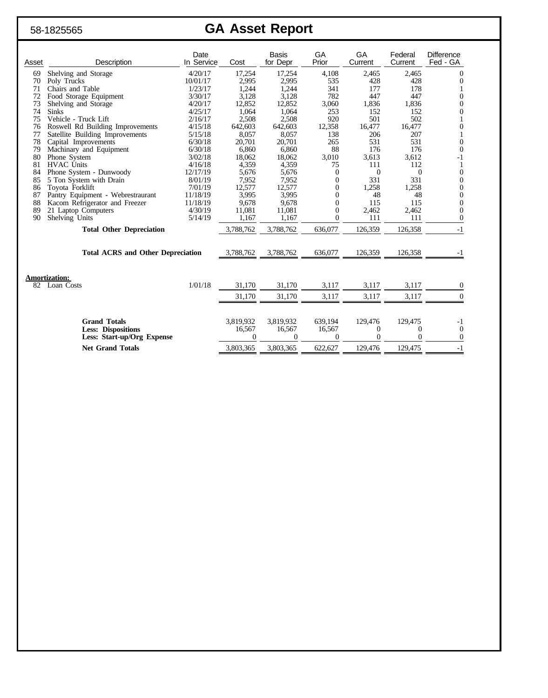# 58-1825565 **GA Asset Report**

| Asset | Description                                                                    | Date<br>In Service | Cost                            | <b>Basis</b><br>for Depr        | GA<br>Prior                         | GA<br>Current                   | Federal<br>Current       | <b>Difference</b><br>Fed - GA |
|-------|--------------------------------------------------------------------------------|--------------------|---------------------------------|---------------------------------|-------------------------------------|---------------------------------|--------------------------|-------------------------------|
| 69    | Shelving and Storage                                                           | 4/20/17            | 17,254                          | 17,254                          | 4,108                               | 2,465                           | 2,465                    | $\overline{0}$                |
| 70    | Poly Trucks                                                                    | 10/01/17           | 2,995                           | 2,995                           | 535                                 | 428                             | 428                      | $\overline{0}$                |
| 71    | Chairs and Table                                                               | 1/23/17            | 1,244                           | 1,244                           | 341                                 | 177                             | 178                      |                               |
| 72    | Food Storage Equipment                                                         | 3/30/17            | 3,128                           | 3,128                           | 782                                 | 447                             | 447                      | $\Omega$                      |
| 73    | Shelving and Storage                                                           | 4/20/17            | 12,852                          | 12,852                          | 3,060                               | 1,836                           | 1,836                    | $\theta$                      |
| 74    | <b>Sinks</b>                                                                   | 4/25/17            | 1,064                           | 1,064                           | 253                                 | 152                             | 152                      | $\overline{0}$                |
| 75    | Vehicle - Truck Lift                                                           | 2/16/17            | 2,508                           | 2,508                           | 920                                 | 501                             | 502                      |                               |
| 76    | Roswell Rd Building Improvements                                               | 4/15/18            | 642,603                         | 642,603                         | 12,358                              | 16,477                          | 16,477                   | $\Omega$                      |
| 77    | Satellite Building Improvements                                                | 5/15/18            | 8,057                           | 8,057                           | 138                                 | 206                             | 207                      |                               |
| 78    | Capital Improvements                                                           | 6/30/18            | 20,701                          | 20,701                          | 265                                 | 531                             | 531                      | $\overline{0}$                |
| 79    | Machinary and Equipment                                                        | 6/30/18            | 6,860                           | 6,860                           | 88                                  | 176                             | 176                      | $\Omega$                      |
| 80    | Phone System                                                                   | 3/02/18            | 18,062                          | 18,062                          | 3,010                               | 3,613                           | 3,612                    | $-1$                          |
| 81    | <b>HVAC</b> Units                                                              | 4/16/18            | 4,359                           | 4,359                           | 75                                  | 111                             | 112                      | 1                             |
| 84    | Phone System - Dunwoody                                                        | 12/17/19           | 5,676                           | 5,676                           | $\overline{0}$                      | $\overline{0}$                  | $\theta$                 | $\mathbf{0}$                  |
| 85    | 5 Ton System with Drain                                                        | 8/01/19            | 7,952                           | 7,952                           | $\overline{0}$                      | 331                             | 331                      | $\overline{0}$                |
| 86    | Toyota Forklift                                                                | 7/01/19            | 12,577                          | 12,577                          | $\overline{0}$                      | 1,258                           | 1,258                    | $\overline{0}$                |
| 87    | Pantry Equipment - Webrestraurant                                              | 11/18/19           | 3,995                           | 3,995                           | $\Omega$                            | 48                              | 48                       | $\Omega$                      |
| 88    | Kacom Refrigerator and Freezer                                                 | 11/18/19           | 9,678                           | 9,678                           | $\Omega$                            | 115                             | 115                      | $\Omega$                      |
| 89    | 21 Laptop Computers                                                            | 4/30/19            | 11,081                          | 11,081                          | $\overline{0}$                      | 2,462                           | 2,462                    | $\theta$                      |
| 90    | Shelving Units                                                                 | 5/14/19            | 1,167                           | 1.167                           | $\overline{0}$                      | 111                             | 111                      | $\overline{0}$                |
|       | <b>Total Other Depreciation</b>                                                |                    | 3,788,762                       | 3,788,762                       | 636,077                             | 126,359                         | 126,358                  | $-1$                          |
|       | <b>Total ACRS and Other Depreciation</b>                                       |                    | 3,788,762                       | 3,788,762                       | 636,077                             | 126,359                         | 126,358                  |                               |
|       | <b>Amortization:</b><br>82 Loan Costs                                          | 1/01/18            | 31,170                          | 31,170                          | 3,117                               | 3,117                           | 3,117                    | 0                             |
|       |                                                                                |                    | 31,170                          | 31,170                          | 3,117                               | 3,117                           | 3,117                    | $\Omega$                      |
|       | <b>Grand Totals</b><br><b>Less: Dispositions</b><br>Less: Start-up/Org Expense |                    | 3,819,932<br>16,567<br>$\theta$ | 3,819,932<br>16,567<br>$\Omega$ | 639,194<br>16,567<br>$\overline{0}$ | 129,476<br>$\theta$<br>$\Omega$ | 129,475<br>0<br>$\theta$ | -1<br>$\Omega$<br>$\theta$    |
|       | <b>Net Grand Totals</b>                                                        |                    | 3.803.365                       | 3.803.365                       | 622.627                             | 129.476                         | 129.475                  | $-1$                          |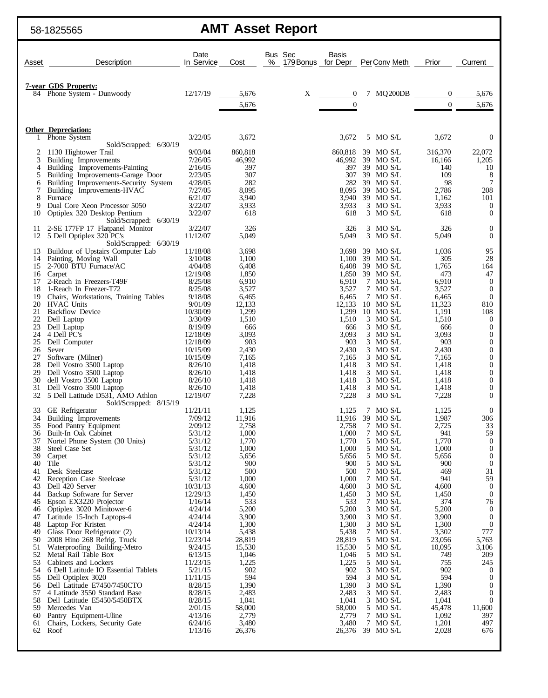## 58-1825565 **AMT Asset Report**

| Asset        | Description                                                          | Date<br>In Service   | Cost            | % | Bus Sec<br>179 Bonus for Depr | Basis                 |        | PerConv Meth                   | Prior                | Current                              |
|--------------|----------------------------------------------------------------------|----------------------|-----------------|---|-------------------------------|-----------------------|--------|--------------------------------|----------------------|--------------------------------------|
|              |                                                                      |                      |                 |   |                               |                       |        |                                |                      |                                      |
|              | <b>7-year GDS Property:</b><br>84 Phone System - Dunwoody            | 12/17/19             |                 |   |                               |                       |        |                                |                      | 5,676                                |
|              |                                                                      |                      | 5,676           |   | Χ                             | 0<br>$\boldsymbol{0}$ | 7      | MQ200DB                        | $\bf{0}$<br>$\Omega$ |                                      |
|              |                                                                      |                      | 5,676           |   |                               |                       |        |                                |                      | 5,676                                |
|              |                                                                      |                      |                 |   |                               |                       |        |                                |                      |                                      |
| $\mathbf{I}$ | <b>Other Depreciation:</b><br>Phone System<br>Sold/Scrapped: 6/30/19 | 3/22/05              | 3,672           |   |                               | 3,672                 |        | 5 MO S/L                       | 3,672                | $\theta$                             |
| 2            | 1130 Hightower Trail                                                 | 9/03/04              | 860,818         |   |                               | 860,818               |        | 39 MO S/L                      | 316,370              | 22,072                               |
| 3<br>4       | Building Improvements                                                | 7/26/05<br>2/16/05   | 46,992<br>397   |   |                               | 46,992                |        | 39 MO S/L<br>397 39 MO S/L     | 16,166               | 1,205                                |
| 5            | Building Improvements-Painting<br>Building Improvements-Garage Door  | 2/23/05              | 307             |   |                               | 307                   |        | 39 MO S/L                      | 140<br>109           | 10<br>$8\phantom{.0}$                |
| 6            | Building Improvements-Security System                                | 4/28/05              | 282             |   |                               | 282                   |        | 39 MO S/L                      | 98                   | $\overline{7}$                       |
| 7            | Building Improvements-HVAC                                           | 7/27/05              | 8,095           |   |                               | 8,095                 |        | 39 MO S/L                      | 2,786                | 208                                  |
| 8<br>9       | Furnace<br>Dual Core Xeon Processor 5050                             | 6/21/07<br>3/22/07   | 3,940<br>3,933  |   |                               | 3,940<br>3,933        |        | 39 MO S/L<br>3 MO S/L          | 1,162<br>3,933       | 101                                  |
| 10           | Optiplex 320 Desktop Pentium<br>Sold/Scrapped: 6/30/19               | 3/22/07              | 618             |   |                               | 618                   |        | $3$ MO S/L                     | 618                  | $\boldsymbol{0}$<br>$\overline{0}$   |
| 11           | 2-SE 177FP 17 Flatpanel Monitor                                      | 3/22/07              | 326             |   |                               | 326                   |        | 3 MO S/L                       | 326                  | $\boldsymbol{0}$                     |
| 12           | 5 Dell Optiplex 320 PC's<br>Sold/Scrapped: 6/30/19                   | 11/12/07             | 5,049           |   |                               | 5,049                 |        | 3 MO S/L                       | 5,049                | $\boldsymbol{0}$                     |
| 13           | Buildout of Upstairs Computer Lab                                    | 11/18/08             | 3,698           |   |                               | 3,698                 |        | 39 MO S/L                      | 1,036                | 95                                   |
| 14<br>15     | Painting, Moving Wall<br>2-7000 BTU Furnace/AC                       | 3/10/08<br>4/04/08   | 1,100<br>6,408  |   |                               | 6,408                 |        | $1,100$ 39 MO S/L<br>39 MO S/L | 305<br>1,765         | 28<br>164                            |
| 16           | Carpet                                                               | 12/19/08             | 1,850           |   |                               |                       |        | 1,850 39 MO S/L                | 473                  | 47                                   |
| 17           | 2-Reach in Freezers-T49F                                             | 8/25/08              | 6,910           |   |                               | 6,910                 |        | 7 MO S/L                       | 6,910                | $\boldsymbol{0}$                     |
| 18           | 1-Reach In Freezer-T72                                               | 8/25/08              | 3,527           |   |                               | 3,527                 |        | 7 MO S/L                       | 3,527                | $\boldsymbol{0}$                     |
| 19<br>20     | Chairs, Workstations, Training Tables<br><b>HVAC Units</b>           | 9/18/08<br>9/01/09   | 6,465<br>12,133 |   |                               | 6,465<br>12,133       |        | 7 MO S/L<br>10 MO S/L          | 6,465<br>11,323      | $\mathbf{0}$<br>810                  |
| 21           | <b>Backflow Device</b>                                               | 10/30/09             | 1,299           |   |                               | 1,299                 |        | $10$ MO S/L                    | 1,191                | 108                                  |
| 22           | Dell Laptop                                                          | 3/30/09              | 1,510           |   |                               | 1,510                 |        | $3$ MO S/L                     | 1,510                | $\boldsymbol{0}$                     |
| 23           | Dell Laptop                                                          | 8/19/09              | 666             |   |                               | 666                   |        | 3 MO S/L                       | 666                  | $\boldsymbol{0}$                     |
| 24<br>25     | 4 Dell PC's                                                          | 12/18/09             | 3,093           |   |                               | 3,093                 |        | 3 MO S/L<br>$3$ MO S/L         | 3,093                | $\boldsymbol{0}$                     |
| 26           | Dell Computer<br>Sever                                               | 12/18/09<br>10/15/09 | 903<br>2,430    |   |                               | 903<br>2,430          |        | 3 MO S/L                       | 903<br>2,430         | $\boldsymbol{0}$<br>$\boldsymbol{0}$ |
| 27           | Software (Milner)                                                    | 10/15/09             | 7,165           |   |                               | 7,165                 |        | 3 MO S/L                       | 7,165                | $\boldsymbol{0}$                     |
| 28           | Dell Vostro 3500 Laptop                                              | 8/26/10              | 1,418           |   |                               | 1,418                 |        | 3 MO S/L                       | 1,418                | $\boldsymbol{0}$                     |
| 29           | Dell Vostro 3500 Laptop                                              | 8/26/10              | 1,418           |   |                               | 1,418                 |        | 3 MO S/L                       | 1,418                | $\boldsymbol{0}$                     |
| 30<br>31     | dell Vostro 3500 Laptop<br>Dell Vostro 3500 Laptop                   | 8/26/10<br>8/26/10   | 1,418<br>1,418  |   |                               | 1,418<br>1,418        |        | 3 MO S/L<br>3 MO S/L           | 1,418<br>1,418       | $\boldsymbol{0}$<br>$\boldsymbol{0}$ |
| 32           | 5 Dell Latitude D531, AMO Athlon                                     | 12/19/07             | 7,228           |   |                               | 7,228                 |        | $3$ MO S/L                     | 7,228                | $\overline{0}$                       |
| 33           | Sold/Scrapped: 8/15/19<br><b>GE</b> Refrigerator                     | 11/21/11             | 1,125           |   |                               | 1,125                 |        | 7 MO S/L                       | 1,125                | 0                                    |
| 34           | Building Improvements                                                | 7/09/12              | 11,916          |   |                               |                       |        | 11,916 39 MO S/L               | 1,987                | 306                                  |
| 35           | Food Pantry Equipment                                                | 2/09/12              | 2,758           |   |                               | 2,758                 | 7      | MO S/L                         | 2,725                | 33                                   |
| 36<br>37     | Built-In Oak Cabinet<br>Nortel Phone System (30 Units)               | 5/31/12<br>5/31/12   | 1,000<br>1,770  |   |                               | 1,000<br>1,770        | 7      | MO S/L<br>5 MO S/L             | 941<br>1,770         | 59<br>$\overline{0}$                 |
| 38           | Steel Case Set                                                       | 5/31/12              | 1,000           |   |                               | 1,000                 |        | 5 MO S/L                       | 1,000                | $\overline{0}$                       |
| 39           | Carpet                                                               | 5/31/12              | 5,656           |   |                               | 5,656                 |        | 5 MO S/L                       | 5,656                | $\boldsymbol{0}$                     |
| 40           | Tile                                                                 | 5/31/12              | 900             |   |                               | 900                   |        | 5 MO S/L                       | 900                  | $\boldsymbol{0}$                     |
| 41<br>42     | Desk Steelcase<br>Reception Case Steelcase                           | 5/31/12<br>5/31/12   | 500<br>1,000    |   |                               | 500<br>1,000          | $\tau$ | 7 MO S/L<br>MO S/L             | 469<br>941           | 31<br>59                             |
| 43           | Dell 420 Server                                                      | 10/31/13             | 4,600           |   |                               | 4,600                 |        | $3$ MO S/L                     | 4,600                | $\mathbf{0}$                         |
| 44           | Backup Software for Server                                           | 12/29/13             | 1,450           |   |                               | 1,450                 |        | 3 MO S/L                       | 1,450                | $\overline{0}$                       |
| 45           | Epson EX3220 Projector                                               | 1/16/14              | 533             |   |                               | 533                   |        | 7 MO S/L                       | 374                  | 76                                   |
| 46<br>47     | Optiplex 3020 Minitower-6                                            | 4/24/14<br>4/24/14   | 5,200<br>3,900  |   |                               | 5,200<br>3,900        |        | $3$ MO S/L<br>$3$ MO S/L       | 5,200                | $\overline{0}$<br>$\overline{0}$     |
| 48           | Latitude 15-Inch Laptops-4<br>Laptop For Kristen                     | 4/24/14              | 1,300           |   |                               | 1,300                 |        | $3$ MO S/L                     | 3,900<br>1,300       | $\boldsymbol{0}$                     |
| 49           | Glass Door Refrigerator (2)                                          | 10/13/14             | 5,438           |   |                               | 5,438                 |        | 7 MO S/L                       | 3,302                | 777                                  |
| 50           | 2008 Hino 268 Refrig. Truck                                          | 12/23/14             | 28,819          |   |                               | 28,819                |        | 5 MO S/L                       | 23,056               | 5,763                                |
| 51<br>52     | Waterproofing Building-Metro                                         | 9/24/15              | 15,530          |   |                               | 15,530                |        | 5 MO S/L                       | 10,095               | 3,106                                |
| 53           | Metal Rail Table Box<br>Cabinets and Lockers                         | 6/13/15<br>11/23/15  | 1,046<br>1,225  |   |                               | 1,046<br>1,225        |        | 5 MO S/L<br>5 MO S/L           | 749<br>755           | 209<br>245                           |
| 54           | 6 Dell Latitude IO Essential Tablets                                 | 5/21/15              | 902             |   |                               | 902                   | 3      | MO S/L                         | 902                  | $\overline{0}$                       |
| 55           | Dell Optiplex 3020                                                   | 11/11/15             | 594             |   |                               | 594                   |        | $3$ MO S/L                     | 594                  | $\overline{0}$                       |
| 56           | Dell Latitude E7450/7450CTO                                          | 8/28/15              | 1,390           |   |                               | 1,390                 |        | $3$ MO S/L                     | 1,390                | $\mathbf{0}$                         |
| 57<br>58     | 4 Latitude 3550 Standard Base<br>Dell Latitude E5450/5450BTX         | 8/28/15<br>8/28/15   | 2,483<br>1,041  |   |                               | 2,483<br>1,041        |        | $3$ MO S/L<br>3 MO S/L         | 2,483<br>1,041       | $\mathbf{0}$<br>$\mathbf{0}$         |
| 59           | Mercedes Van                                                         | 2/01/15              | 58,000          |   |                               | 58,000                |        | 5 MO S/L                       | 45,478               | 11,600                               |
| 60           | Pantry Equipment-Uline                                               | 4/13/16              | 2,779           |   |                               | 2,779                 |        | 7 MO S/L                       | 1,092                | 397                                  |
| 61           | Chairs, Lockers, Security Gate                                       | 6/24/16              | 3,480           |   |                               | 3,480                 |        | 7 MO S/L                       | 1,201                | 497                                  |
| 62           | Roof                                                                 | 1/13/16              | 26,376          |   |                               | 26,376                |        | 39 MO S/L                      | 2,028                | 676                                  |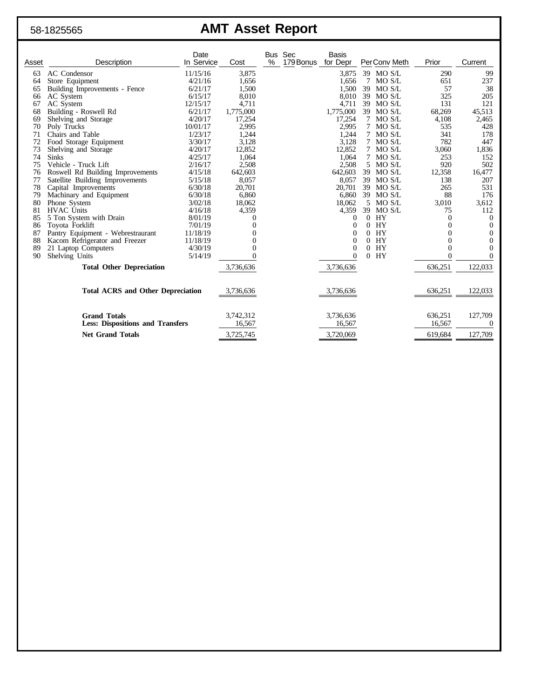# 58-1825565 **AMT Asset Report**

| Asset | Description                                                    | Date<br>In Service | Cost                | <b>Bus</b><br>% | Sec<br>179 Bonus | Basis<br>for Depr   |             | PerConv Meth | Prior             | Current             |
|-------|----------------------------------------------------------------|--------------------|---------------------|-----------------|------------------|---------------------|-------------|--------------|-------------------|---------------------|
| 63    | AC Condensor                                                   | 11/15/16           | 3,875               |                 |                  | 3,875               |             | 39 MO S/L    | 290               | 99                  |
| 64    | Store Equipment                                                | 4/21/16            | 1,656               |                 |                  | 1,656               |             | 7 MO S/L     | 651               | 237                 |
| 65    | Building Improvements - Fence                                  | 6/21/17            | 1,500               |                 |                  | 1,500               | 39          | MO S/L       | 57                | 38                  |
| 66    | AC System                                                      | 6/15/17            | 8,010               |                 |                  | 8,010               | 39          | MO S/L       | 325               | 205                 |
| 67    | AC System                                                      | 12/15/17           | 4,711               |                 |                  | 4,711               | 39          | MO S/L       | 131               | 121                 |
| 68    | Building - Roswell Rd                                          | 6/21/17            | 1,775,000           |                 |                  | 1,775,000           | 39          | MO S/L       | 68,269            | 45,513              |
| 69    | Shelving and Storage                                           | 4/20/17            | 17,254              |                 |                  | 17,254              | 7           | MO S/L       | 4,108             | 2,465               |
| 70    | Poly Trucks                                                    | 10/01/17           | 2,995               |                 |                  | 2,995               | 7           | MO S/L       | 535               | 428                 |
| 71    | Chairs and Table                                               | 1/23/17            | 1,244               |                 |                  | 1,244               | $\tau$      | MO S/L       | 341               | 178                 |
| 72    | Food Storage Equipment                                         | 3/30/17            | 3,128               |                 |                  | 3,128               | $7^{\circ}$ | MO S/L       | 782               | 447                 |
| 73    | Shelving and Storage                                           | 4/20/17            | 12,852              |                 |                  | 12,852              | $\tau$      | MO S/L       | 3,060             | 1,836               |
| 74    | <b>Sinks</b>                                                   | 4/25/17            | 1,064               |                 |                  | 1,064               | $\tau$      | MO S/L       | 253               | 152                 |
| 75    | Vehicle - Truck Lift                                           | 2/16/17            | 2,508               |                 |                  | 2,508               |             | 5 MO S/L     | 920               | 502                 |
| 76    | Roswell Rd Building Improvements                               | 4/15/18            | 642,603             |                 |                  | 642,603             |             | 39 MO S/L    | 12,358            | 16,477              |
| 77    | Satellite Building Improvements                                | 5/15/18            | 8,057               |                 |                  | 8,057               | 39          | MO S/L       | 138               | 207                 |
| 78    | Capital Improvements                                           | 6/30/18            | 20,701              |                 |                  | 20.701              | 39          | MO S/L       | 265               | 531                 |
| 79    | Machinary and Equipment                                        | 6/30/18            | 6,860               |                 |                  | 6,860               |             | 39 MO S/L    | 88                | 176                 |
| 80    | Phone System                                                   | 3/02/18            | 18,062              |                 |                  | 18.062              |             | 5 MO S/L     | 3,010             | 3,612               |
| 81    | <b>HVAC Units</b>                                              | 4/16/18            | 4,359               |                 |                  | 4,359               |             | 39 MO S/L    | 75                | 112                 |
| 85    | 5 Ton System with Drain                                        | 8/01/19            | $\Omega$            |                 |                  | $\overline{0}$      | 0           | HY           | $\Omega$          | $\mathbf{0}$        |
| 86    | Toyota Forklift                                                | 7/01/19            | $\Omega$            |                 |                  | $\Omega$            | 0           | HY           | $\Omega$          | $\theta$            |
| 87    | Pantry Equipment - Webrestraurant                              | 11/18/19           |                     |                 |                  | $\Omega$            | 0           | HY           | $\Omega$          | $\mathbf{0}$        |
| 88    | Kacom Refrigerator and Freezer                                 | 11/18/19           | $\Omega$            |                 |                  | $\Omega$            |             | $0$ HY       | $\Omega$          | $\mathbf{0}$        |
| 89    | 21 Laptop Computers                                            | 4/30/19            | $\Omega$            |                 |                  | $\overline{0}$      |             | $0$ HY       | $\Omega$          | $\theta$            |
| 90    | Shelving Units                                                 | 5/14/19            | 0                   |                 |                  | $\Omega$            | $\Omega$    | HY           | $\theta$          | $\mathbf{0}$        |
|       | <b>Total Other Depreciation</b>                                |                    | 3,736,636           |                 |                  | 3,736,636           |             |              | 636,251           | 122,033             |
|       | <b>Total ACRS and Other Depreciation</b>                       |                    | 3,736,636           |                 |                  | 3,736,636           |             |              | 636,251           | 122,033             |
|       | <b>Grand Totals</b><br><b>Less: Dispositions and Transfers</b> |                    | 3,742,312<br>16,567 |                 |                  | 3,736,636<br>16,567 |             |              | 636,251<br>16,567 | 127,709<br>$\theta$ |
|       | <b>Net Grand Totals</b>                                        |                    | 3,725,745           |                 |                  | 3,720,069           |             |              | 619,684           | 127,709             |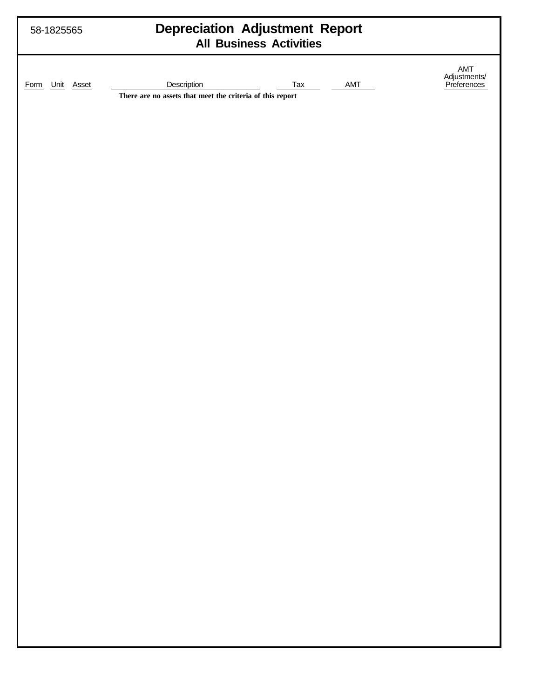| 58-1825565         |                                                           | <b>Depreciation Adjustment Report</b><br><b>All Business Activities</b> |                                    |
|--------------------|-----------------------------------------------------------|-------------------------------------------------------------------------|------------------------------------|
| Unit Asset<br>Form | Description                                               | Tax<br>AMT                                                              | AMT<br>Adjustments/<br>Preferences |
|                    | There are no assets that meet the criteria of this report |                                                                         |                                    |
|                    |                                                           |                                                                         |                                    |
|                    |                                                           |                                                                         |                                    |
|                    |                                                           |                                                                         |                                    |
|                    |                                                           |                                                                         |                                    |
|                    |                                                           |                                                                         |                                    |
|                    |                                                           |                                                                         |                                    |
|                    |                                                           |                                                                         |                                    |
|                    |                                                           |                                                                         |                                    |
|                    |                                                           |                                                                         |                                    |
|                    |                                                           |                                                                         |                                    |
|                    |                                                           |                                                                         |                                    |
|                    |                                                           |                                                                         |                                    |
|                    |                                                           |                                                                         |                                    |
|                    |                                                           |                                                                         |                                    |
|                    |                                                           |                                                                         |                                    |
|                    |                                                           |                                                                         |                                    |
|                    |                                                           |                                                                         |                                    |
|                    |                                                           |                                                                         |                                    |
|                    |                                                           |                                                                         |                                    |
|                    |                                                           |                                                                         |                                    |
|                    |                                                           |                                                                         |                                    |
|                    |                                                           |                                                                         |                                    |
|                    |                                                           |                                                                         |                                    |
|                    |                                                           |                                                                         |                                    |
|                    |                                                           |                                                                         |                                    |
|                    |                                                           |                                                                         |                                    |
|                    |                                                           |                                                                         |                                    |
|                    |                                                           |                                                                         |                                    |
|                    |                                                           |                                                                         |                                    |
|                    |                                                           |                                                                         |                                    |
|                    |                                                           |                                                                         |                                    |
|                    |                                                           |                                                                         |                                    |
|                    |                                                           |                                                                         |                                    |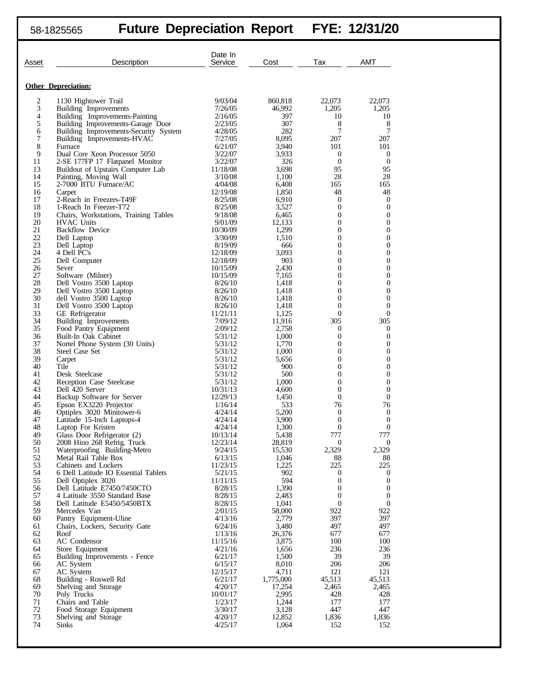# 58-1825565 **Future Depreciation Report FYE: 12/31/20**

| <b>Other Depreciation:</b><br>2<br>1130 Hightower Trail<br>9/03/04<br>3<br>7/26/05<br>Building Improvements<br>4<br>Building Improvements-Painting<br>2/16/05<br>5<br>Building Improvements-Garage Door<br>2/23/05<br>6<br>4/28/05<br>Building Improvements-Security System                                                                                                                                                                                                                                                                                                                                                                                                                                                                                                                                                                                                                                                                                                                                                                                                                                                                                                                                                                                                                                                                                                                                                                                                                                                                                                                                                                                                                                                                                                                                                                                                                                                                                                                                                                                                                                                                                                                                                                                                                                                                                                                                                                                                                                                                                                                                                                                                                                                    | 860,818<br>46,992<br>397<br>307                                                                                                                                                                                                                                                                                                                                                                                                                                                                                                                                                                 | 22,073<br>1,205                                                                                                                                                                                                                                                                                                                                                                                                                                                                                |                                                                                                                                                                                                                                                                                                                                                                                                                                                                                                                                                                                                                                                                                                                                                                                                                                                                                    |
|--------------------------------------------------------------------------------------------------------------------------------------------------------------------------------------------------------------------------------------------------------------------------------------------------------------------------------------------------------------------------------------------------------------------------------------------------------------------------------------------------------------------------------------------------------------------------------------------------------------------------------------------------------------------------------------------------------------------------------------------------------------------------------------------------------------------------------------------------------------------------------------------------------------------------------------------------------------------------------------------------------------------------------------------------------------------------------------------------------------------------------------------------------------------------------------------------------------------------------------------------------------------------------------------------------------------------------------------------------------------------------------------------------------------------------------------------------------------------------------------------------------------------------------------------------------------------------------------------------------------------------------------------------------------------------------------------------------------------------------------------------------------------------------------------------------------------------------------------------------------------------------------------------------------------------------------------------------------------------------------------------------------------------------------------------------------------------------------------------------------------------------------------------------------------------------------------------------------------------------------------------------------------------------------------------------------------------------------------------------------------------------------------------------------------------------------------------------------------------------------------------------------------------------------------------------------------------------------------------------------------------------------------------------------------------------------------------------------------------|-------------------------------------------------------------------------------------------------------------------------------------------------------------------------------------------------------------------------------------------------------------------------------------------------------------------------------------------------------------------------------------------------------------------------------------------------------------------------------------------------------------------------------------------------------------------------------------------------|------------------------------------------------------------------------------------------------------------------------------------------------------------------------------------------------------------------------------------------------------------------------------------------------------------------------------------------------------------------------------------------------------------------------------------------------------------------------------------------------|------------------------------------------------------------------------------------------------------------------------------------------------------------------------------------------------------------------------------------------------------------------------------------------------------------------------------------------------------------------------------------------------------------------------------------------------------------------------------------------------------------------------------------------------------------------------------------------------------------------------------------------------------------------------------------------------------------------------------------------------------------------------------------------------------------------------------------------------------------------------------------|
|                                                                                                                                                                                                                                                                                                                                                                                                                                                                                                                                                                                                                                                                                                                                                                                                                                                                                                                                                                                                                                                                                                                                                                                                                                                                                                                                                                                                                                                                                                                                                                                                                                                                                                                                                                                                                                                                                                                                                                                                                                                                                                                                                                                                                                                                                                                                                                                                                                                                                                                                                                                                                                                                                                                                |                                                                                                                                                                                                                                                                                                                                                                                                                                                                                                                                                                                                 |                                                                                                                                                                                                                                                                                                                                                                                                                                                                                                |                                                                                                                                                                                                                                                                                                                                                                                                                                                                                                                                                                                                                                                                                                                                                                                                                                                                                    |
| 7<br>Building Improvements-HVAC<br>7/27/05<br>8<br>Furnace<br>6/21/07<br>9<br>Dual Core Xeon Processor 5050<br>3/22/07<br>11<br>2-SE 177FP 17 Flatpanel Monitor<br>3/22/07<br>13<br>11/18/08<br>Buildout of Upstairs Computer Lab<br>14<br>Painting, Moving Wall<br>3/10/08<br>15<br>2-7000 BTU Furnace/AC<br>4/04/08<br>16<br>12/19/08<br>Carpet<br>17<br>8/25/08<br>2-Reach in Freezers-T49F<br>18<br>1-Reach In Freezer-T72<br>8/25/08<br>19<br>9/18/08<br>Chairs, Workstations, Training Tables<br>20<br><b>HVAC Units</b><br>9/01/09<br>21<br><b>Backflow Device</b><br>10/30/09<br>22<br>3/30/09<br>Dell Laptop<br>23<br>Dell Laptop<br>8/19/09<br>24<br>4 Dell PC's<br>12/18/09<br>25<br>Dell Computer<br>12/18/09<br>26<br>10/15/09<br>Sever<br>27<br>10/15/09<br>Software (Milner)<br>28<br>Dell Vostro 3500 Laptop<br>8/26/10<br>29<br>Dell Vostro 3500 Laptop<br>8/26/10<br>30<br>8/26/10<br>dell Vostro 3500 Laptop<br>31<br>Dell Vostro 3500 Laptop<br>8/26/10<br>33<br>GE Refrigerator<br>11/21/11<br>34<br>Building Improvements<br>7/09/12<br>35<br>2/09/12<br>Food Pantry Equipment<br>36<br>Built-In Oak Cabinet<br>5/31/12<br>37<br>Nortel Phone System (30 Units)<br>5/31/12<br>38<br>Steel Case Set<br>5/31/12<br>39<br>Carpet<br>5/31/12<br>40<br>Tile<br>5/31/12<br>41<br>Desk Steelcase<br>5/31/12<br>42<br>Reception Case Steelcase<br>5/31/12<br>43<br>Dell 420 Server<br>10/31/13<br>44<br>12/29/13<br>Backup Software for Server<br>45<br>Epson EX3220 Projector<br>1/16/14<br>46<br>Optiplex 3020 Minitower-6<br>4/24/14<br>47<br>Latitude 15-Inch Laptops-4<br>4/24/14<br>48<br>Laptop For Kristen<br>4/24/14<br>49<br>Glass Door Refrigerator (2)<br>10/13/14<br>50<br>2008 Hino 268 Refrig. Truck<br>12/23/14<br>51<br>Waterproofing Building-Metro<br>9/24/15<br>52<br>Metal Rail Table Box<br>6/13/15<br>53<br>Cabinets and Lockers<br>11/23/15<br>54<br>6 Dell Latitude IO Essential Tablets<br>5/21/15<br>55<br>Dell Optiplex 3020<br>11/11/15<br>56<br>Dell Latitude E7450/7450CTO<br>8/28/15<br>57<br>4 Latitude 3550 Standard Base<br>8/28/15<br>58<br>Dell Latitude E5450/5450BTX<br>8/28/15<br>59<br>Mercedes Van<br>2/01/15<br>60<br>Pantry Equipment-Uline<br>4/13/16<br>61<br>Chairs, Lockers, Security Gate<br>6/24/16<br>62<br>Roof<br>1/13/16<br>63<br>AC Condensor<br>11/15/16<br>64<br>Store Equipment<br>4/21/16<br>65<br>Building Improvements - Fence<br>6/21/17<br>6/15/17<br>66<br>AC System<br>67<br>AC System<br>12/15/17<br>68<br>Building - Roswell Rd<br>6/21/17<br>69<br>Shelving and Storage<br>4/20/17<br>70<br>Poly Trucks<br>10/01/17<br>71<br>Chairs and Table<br>1/23/17<br>72<br>Food Storage Equipment<br>3/30/17<br>73<br>Shelving and Storage<br>4/20/17 | 282<br>8,095<br>3,940<br>3,933<br>326<br>3,698<br>1,100<br>6,408<br>1,850<br>6,910<br>3,527<br>6,465<br>12,133<br>1,299<br>1,510<br>666<br>3,093<br>903<br>2,430<br>7,165<br>1,418<br>1,418<br>1,418<br>1,418<br>1,125<br>11,916<br>2,758<br>1,000<br>1,770<br>1,000<br>5,656<br>900<br>500<br>1,000<br>4,600<br>1,450<br>533<br>5,200<br>3,900<br>1,300<br>5,438<br>28,819<br>15,530<br>1,046<br>1,225<br>902<br>594<br>1,390<br>2,483<br>1,041<br>58,000<br>2,779<br>3,480<br>26,376<br>3,875<br>1,656<br>1,500<br>8,010<br>4,711<br>1,775,000<br>17,254<br>2,995<br>1,244<br>3,128<br>12,852 | 10<br>8<br>7<br>207<br>101<br>0<br>$\mathbf{0}$<br>95<br>28<br>165<br>48<br>0<br>0<br>0<br>0<br>0<br>0<br>0<br>0<br>0<br>0<br>0<br>0<br>0<br>0<br>0<br>0<br>305<br>0<br>0<br>0<br>0<br>0<br>0<br>0<br>0<br>0<br>0<br>76<br>$\boldsymbol{0}$<br>$\boldsymbol{0}$<br>0<br>777<br>$\boldsymbol{0}$<br>2,329<br>88<br>225<br>0<br>$\mathbf{0}$<br>0<br>$\mathbf{0}$<br>$\mathbf{0}$<br>922<br>397<br>497<br>677<br>100<br>236<br>39<br>206<br>121<br>45,513<br>2,465<br>428<br>177<br>447<br>1,836 | 22,073<br>1,205<br>10<br>8<br>7<br>207<br>101<br>$\mathbf{0}$<br>$\mathbf{0}$<br>95<br>28<br>165<br>48<br>$\mathbf{0}$<br>0<br>$\overline{0}$<br>$\boldsymbol{0}$<br>$\overline{0}$<br>$\boldsymbol{0}$<br>$\overline{0}$<br>$\boldsymbol{0}$<br>$\overline{0}$<br>$\boldsymbol{0}$<br>$\overline{0}$<br>$\boldsymbol{0}$<br>$\overline{0}$<br>$\boldsymbol{0}$<br>$\overline{0}$<br>$\mathbf{0}$<br>305<br>0<br>$\overline{0}$<br>$\mathbf{0}$<br>$\mathbf{0}$<br>$\boldsymbol{0}$<br>$\mathbf{0}$<br>$\boldsymbol{0}$<br>$\boldsymbol{0}$<br>$\overline{0}$<br>$\mathbf{0}$<br>76<br>$\mathbf 0$<br>$\boldsymbol{0}$<br>$\mathbf{0}$<br>777<br>$\boldsymbol{0}$<br>2,329<br>88<br>225<br>$\theta$<br>$\mathbf{0}$<br>$\mathbf{0}$<br>$\mathbf{0}$<br>$\mathbf{0}$<br>922<br>397<br>497<br>677<br>100<br>236<br>39<br>206<br>121<br>45,513<br>2,465<br>428<br>177<br>447<br>1,836 |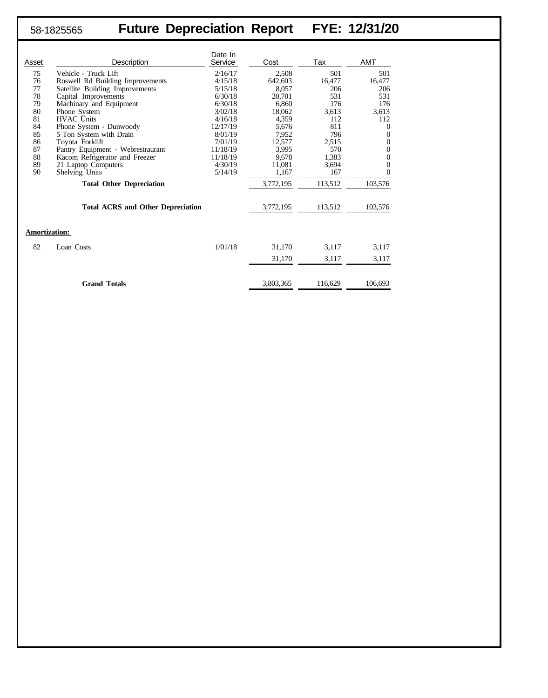## 58-1825565 **Future Depreciation Report FYE: 12/31/20**

|                      |                                          | Date In  |           |         |                  |
|----------------------|------------------------------------------|----------|-----------|---------|------------------|
| Asset                | Description                              | Service  | Cost      | Tax     | AMT              |
| 75                   | Vehicle - Truck Lift                     | 2/16/17  | 2,508     | 501     | 501              |
| 76                   | Roswell Rd Building Improvements         | 4/15/18  | 642,603   | 16,477  | 16,477           |
| 77                   | Satellite Building Improvements          | 5/15/18  | 8.057     | 206     | 206              |
| 78                   | Capital Improvements                     | 6/30/18  | 20,701    | 531     | 531              |
| 79                   | Machinary and Equipment                  | 6/30/18  | 6,860     | 176     | 176              |
| 80                   | Phone System                             | 3/02/18  | 18.062    | 3,613   | 3,613            |
| 81                   | <b>HVAC Units</b>                        | 4/16/18  | 4,359     | 112     | 112              |
| 84                   | Phone System - Dunwoody                  | 12/17/19 | 5,676     | 811     | $\overline{0}$   |
| 85                   | 5 Ton System with Drain                  | 8/01/19  | 7,952     | 796     | $\mathbf{0}$     |
| 86                   | Toyota Forklift                          | 7/01/19  | 12,577    | 2,515   | $\boldsymbol{0}$ |
| 87                   | Pantry Equipment - Webrestraurant        | 11/18/19 | 3,995     | 570     | $\theta$         |
| 88                   | Kacom Refrigerator and Freezer           | 11/18/19 | 9,678     | 1,383   | $\mathbf{0}$     |
| 89                   | 21 Laptop Computers                      | 4/30/19  | 11,081    | 3,694   | $\theta$         |
| 90                   | Shelving Units                           | 5/14/19  | 1,167     | 167     | $\overline{0}$   |
|                      | <b>Total Other Depreciation</b>          |          | 3,772,195 | 113,512 | 103,576          |
|                      | <b>Total ACRS and Other Depreciation</b> |          | 3,772,195 | 113,512 | 103,576          |
| <b>Amortization:</b> |                                          |          |           |         |                  |
| 82                   | Loan Costs                               | 1/01/18  | 31,170    | 3,117   | 3,117            |
|                      |                                          |          | 31,170    | 3,117   | 3,117            |
|                      |                                          |          |           |         |                  |
|                      | <b>Grand Totals</b>                      |          | 3,803,365 | 116,629 | 106,693          |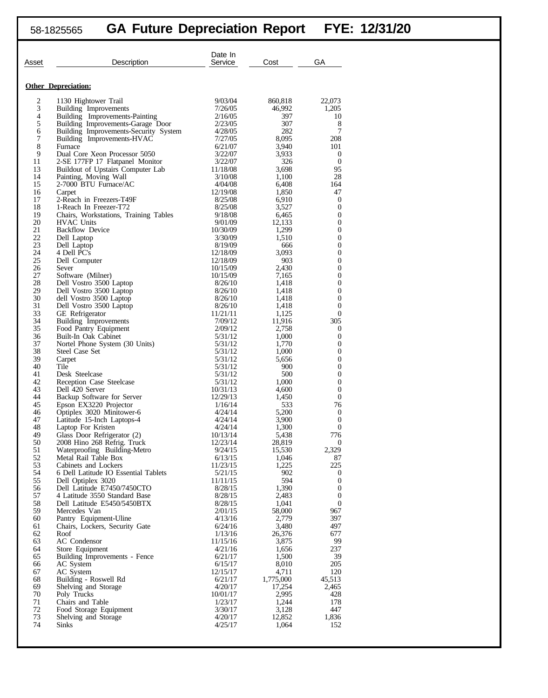# 58-1825565 **GA Future Depreciation Report FYE: 12/31/20**

| Asset          | Description                                                      | Date In<br>Service  | Cost                | GA                                   |
|----------------|------------------------------------------------------------------|---------------------|---------------------|--------------------------------------|
|                | <b>Other Depreciation:</b>                                       |                     |                     |                                      |
| 2              | 1130 Hightower Trail                                             | 9/03/04             | 860,818             | 22,073                               |
| 3              | Building Improvements                                            | 7/26/05             | 46,992              | 1,205                                |
| $\overline{4}$ | Building Improvements-Painting                                   | 2/16/05             | 397                 | 10                                   |
| 5              | Building Improvements-Garage Door                                | 2/23/05             | 307                 | 8                                    |
| 6              | Building Improvements-Security System                            | 4/28/05             | 282                 | 7                                    |
| 7              | Building Improvements-HVAC                                       | 7/27/05             | 8,095               | 208                                  |
| 8              | Furnace                                                          | 6/21/07             | 3,940               | 101                                  |
| 9<br>11        | Dual Core Xeon Processor 5050<br>2-SE 177FP 17 Flatpanel Monitor | 3/22/07<br>3/22/07  | 3,933<br>326        | $\boldsymbol{0}$<br>$\boldsymbol{0}$ |
| 13             | Buildout of Upstairs Computer Lab                                | 11/18/08            | 3,698               | 95                                   |
| 14             | Painting, Moving Wall                                            | 3/10/08             | 1,100               | 28                                   |
| 15             | 2-7000 BTU Furnace/AC                                            | 4/04/08             | 6,408               | 164                                  |
| 16             | Carpet                                                           | 12/19/08            | 1,850               | 47                                   |
| 17             | 2-Reach in Freezers-T49F                                         | 8/25/08             | 6,910               | $\boldsymbol{0}$                     |
| 18             | 1-Reach In Freezer-T72                                           | 8/25/08             | 3,527               | $\boldsymbol{0}$                     |
| 19             | Chairs, Workstations, Training Tables                            | 9/18/08             | 6,465               | $\boldsymbol{0}$                     |
| 20<br>21       | <b>HVAC Units</b><br><b>Backflow Device</b>                      | 9/01/09<br>10/30/09 | 12,133<br>1,299     | $\boldsymbol{0}$<br>0                |
| 22             | Dell Laptop                                                      | 3/30/09             | 1,510               | $\boldsymbol{0}$                     |
| 23             | Dell Laptop                                                      | 8/19/09             | 666                 | 0                                    |
| 24             | 4 Dell PC's                                                      | 12/18/09            | 3,093               | $\boldsymbol{0}$                     |
| 25             | Dell Computer                                                    | 12/18/09            | 903                 | 0                                    |
| 26             | Sever                                                            | 10/15/09            | 2,430               | $\boldsymbol{0}$                     |
| 27             | Software (Milner)                                                | 10/15/09            | 7,165               | 0                                    |
| 28<br>29       | Dell Vostro 3500 Laptop                                          | 8/26/10             | 1,418               | $\boldsymbol{0}$                     |
| 30             | Dell Vostro 3500 Laptop<br>dell Vostro 3500 Laptop               | 8/26/10<br>8/26/10  | 1,418<br>1,418      | 0<br>$\boldsymbol{0}$                |
| 31             | Dell Vostro 3500 Laptop                                          | 8/26/10             | 1,418               | 0                                    |
| 33             | <b>GE</b> Refrigerator                                           | 11/21/11            | 1,125               | $\boldsymbol{0}$                     |
| 34             | Building Improvements                                            | 7/09/12             | 11,916              | 305                                  |
| 35             | Food Pantry Equipment                                            | 2/09/12             | 2,758               | $\boldsymbol{0}$                     |
| 36<br>37       | Built-In Oak Cabinet                                             | 5/31/12             | 1,000               | $\boldsymbol{0}$                     |
| 38             | Nortel Phone System (30 Units)<br>Steel Case Set                 | 5/31/12<br>5/31/12  | 1,770<br>1,000      | $\boldsymbol{0}$<br>0                |
| 39             | Carpet                                                           | 5/31/12             | 5,656               | 0                                    |
| 40             | Tile                                                             | 5/31/12             | 900                 | 0                                    |
| 41             | Desk Steelcase                                                   | 5/31/12             | 500                 | 0                                    |
| 42             | Reception Case Steelcase                                         | 5/31/12             | 1,000               | 0                                    |
| 43<br>44       | Dell 420 Server                                                  | 10/31/13            | 4,600               | $\boldsymbol{0}$                     |
| 45             | Backup Software for Server<br>Epson EX3220 Projector             | 12/29/13<br>1/16/14 | 1,450<br>533        | $\boldsymbol{0}$<br>76               |
| 46             | Optiplex 3020 Minitower-6                                        | 4/24/14             | 5,200               | $\boldsymbol{0}$                     |
| 47             | Latitude 15-Inch Laptops-4                                       | 4/24/14             | 3,900               | $\boldsymbol{0}$                     |
| 48             | Laptop For Kristen                                               | 4/24/14             | 1,300               | $\bf{0}$                             |
| 49             | Glass Door Refrigerator (2)                                      | 10/13/14            | 5,438               | 776                                  |
| 50             | 2008 Hino 268 Refrig. Truck                                      | 12/23/14            | 28,819              | $\theta$                             |
| 51<br>52       | Waterproofing Building-Metro<br>Metal Rail Table Box             | 9/24/15<br>6/13/15  | 15,530<br>1,046     | 2,329<br>87                          |
| 53             | Cabinets and Lockers                                             | 11/23/15            | 1,225               | 225                                  |
| 54             | 6 Dell Latitude IO Essential Tablets                             | 5/21/15             | 902                 | $\boldsymbol{0}$                     |
| 55             | Dell Optiplex 3020                                               | 11/11/15            | 594                 | $\boldsymbol{0}$                     |
| 56             | Dell Latitude E7450/7450CTO                                      | 8/28/15             | 1,390               | $\boldsymbol{0}$                     |
| 57             | 4 Latitude 3550 Standard Base                                    | 8/28/15             | 2,483               | $\boldsymbol{0}$                     |
| 58             | Dell Latitude E5450/5450BTX                                      | 8/28/15             | 1,041               | $\boldsymbol{0}$                     |
| 59<br>60       | Mercedes Van                                                     | 2/01/15<br>4/13/16  | 58,000<br>2,779     | 967<br>397                           |
| 61             | Pantry Equipment-Uline<br>Chairs, Lockers, Security Gate         | 6/24/16             | 3,480               | 497                                  |
| 62             | Roof                                                             | 1/13/16             | 26,376              | 677                                  |
| 63             | AC Condensor                                                     | 11/15/16            | 3,875               | 99                                   |
| 64             | Store Equipment                                                  | 4/21/16             | 1,656               | 237                                  |
| 65             | Building Improvements - Fence                                    | 6/21/17             | 1,500               | 39                                   |
| 66             | AC System                                                        | 6/15/17             | 8,010               | 205                                  |
| 67             | AC System                                                        | 12/15/17            | 4,711               | 120                                  |
| 68<br>69       | Building - Roswell Rd<br>Shelving and Storage                    | 6/21/17<br>4/20/17  | 1,775,000<br>17,254 | 45,513<br>2,465                      |
| 70             | Poly Trucks                                                      | 10/01/17            | 2,995               | 428                                  |
| 71             | Chairs and Table                                                 | 1/23/17             | 1,244               | 178                                  |
| 72             | Food Storage Equipment                                           | 3/30/17             | 3,128               | 447                                  |
| 73             | Shelving and Storage                                             | 4/20/17             | 12,852              | 1,836                                |
| 74             | Sinks                                                            | 4/25/17             | 1,064               | 152                                  |
|                |                                                                  |                     |                     |                                      |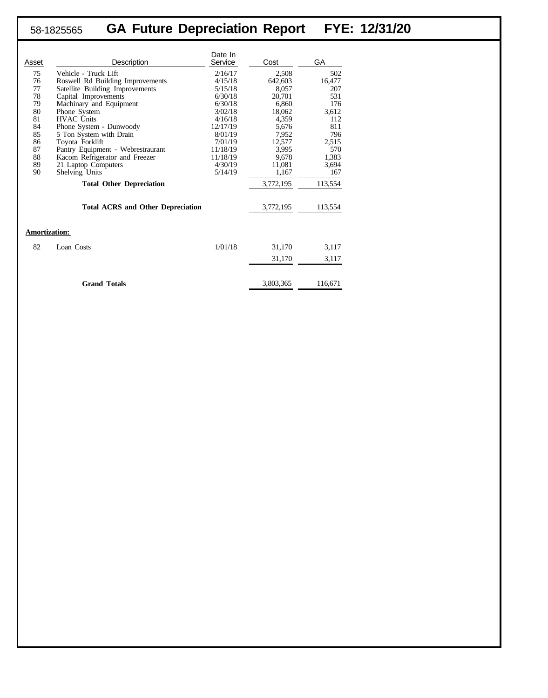## 58-1825565 **GA Future Depreciation Report FYE: 12/31/20**

| Asset                | Description                              | Date In<br>Service | Cost      | GA      |
|----------------------|------------------------------------------|--------------------|-----------|---------|
| 75                   | Vehicle - Truck Lift                     | 2/16/17            | 2,508     | 502     |
| 76                   | Roswell Rd Building Improvements         | 4/15/18            | 642,603   | 16,477  |
| 77                   | Satellite Building Improvements          | 5/15/18            | 8,057     | 207     |
| 78                   | Capital Improvements                     | 6/30/18            | 20,701    | 531     |
| 79                   | Machinary and Equipment                  | 6/30/18            | 6,860     | 176     |
| 80                   | Phone System                             | 3/02/18            | 18,062    | 3,612   |
| 81                   | <b>HVAC Units</b>                        | 4/16/18            | 4,359     | 112     |
| 84                   | Phone System - Dunwoody                  | 12/17/19           | 5,676     | 811     |
| 85                   | 5 Ton System with Drain                  | 8/01/19            | 7,952     | 796     |
| 86                   | Toyota Forklift                          | 7/01/19            | 12,577    | 2,515   |
| 87                   | Pantry Equipment - Webrestraurant        | 11/18/19           | 3,995     | 570     |
| 88                   | Kacom Refrigerator and Freezer           | 11/18/19           | 9,678     | 1,383   |
| 89                   | 21 Laptop Computers                      | 4/30/19            | 11,081    | 3,694   |
| 90                   | Shelving Units                           | 5/14/19            | 1,167     | 167     |
|                      | <b>Total Other Depreciation</b>          |                    | 3,772,195 | 113,554 |
|                      | <b>Total ACRS and Other Depreciation</b> |                    | 3,772,195 | 113,554 |
|                      |                                          |                    |           |         |
| <b>Amortization:</b> |                                          |                    |           |         |
| 82                   | Loan Costs                               | 1/01/18            | 31,170    | 3,117   |
|                      |                                          |                    | 31,170    | 3,117   |

Grand Totals 3,803,365 116,671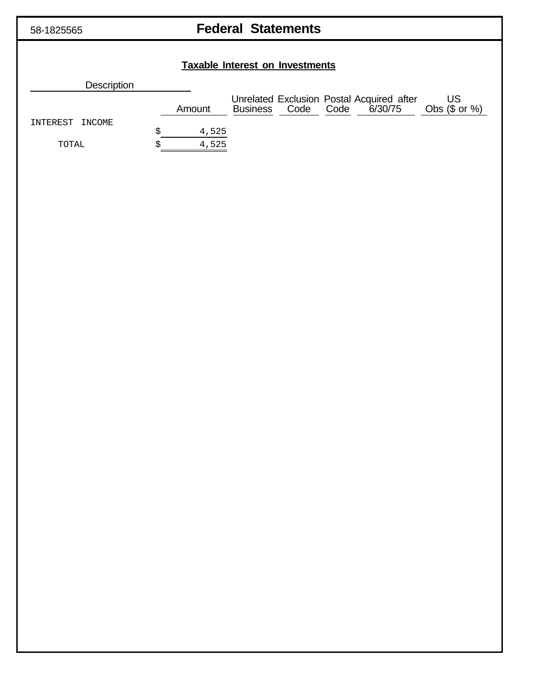| 58-1825565 |  |
|------------|--|
|------------|--|

## **Federal Statements**

# **Taxable Interest on Investments Description** Unrelated Exclusion Postal Acquired after US Amount Business Code Code 6/30/75 Obs (\$ or %) INTEREST INCOME  $$ 4,525$ TOTAL  $\uparrow$  4,525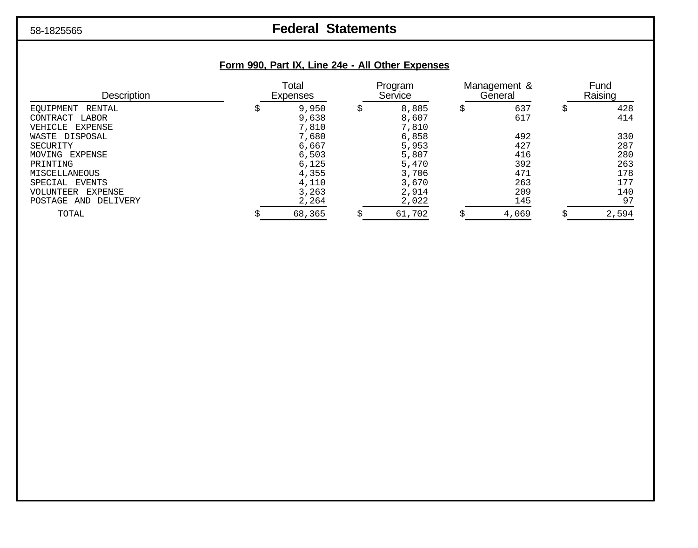## 58-1825565 **Federal Statements**

## **Form 990, Part IX, Line 24e - All Other Expenses**

| <b>Description</b>          | Total<br><b>Expenses</b> |        | Program<br>Service |        | Management &<br>General |       | Fund<br>Raising |       |
|-----------------------------|--------------------------|--------|--------------------|--------|-------------------------|-------|-----------------|-------|
| RENTAL<br>EOUIPMENT         |                          | 9,950  | \$                 | 8,885  |                         | 637   | S               | 428   |
| CONTRACT LABOR              |                          | 9,638  |                    | 8,607  |                         | 617   |                 | 414   |
| EXPENSE<br>VEHICLE          |                          | 7,810  |                    | 7,810  |                         |       |                 |       |
| WASTE DISPOSAL              |                          | 7,680  |                    | 6,858  |                         | 492   |                 | 330   |
| SECURITY                    |                          | 6,667  |                    | 5,953  |                         | 427   |                 | 287   |
| MOVING EXPENSE              |                          | 6,503  |                    | 5,807  |                         | 416   |                 | 280   |
| PRINTING                    |                          | 6,125  |                    | 5,470  |                         | 392   |                 | 263   |
| MISCELLANEOUS               |                          | 4,355  |                    | 3,706  |                         | 471   |                 | 178   |
| SPECIAL EVENTS              |                          | 4,110  |                    | 3,670  |                         | 263   |                 | 177   |
| <b>VOLUNTEER</b><br>EXPENSE |                          | 3,263  |                    | 2,914  |                         | 209   |                 | 140   |
| POSTAGE<br>DELIVERY<br>AND  |                          | 2,264  |                    | 2,022  |                         | 145   |                 | 97    |
| TOTAL                       |                          | 68,365 |                    | 61,702 |                         | 4,069 |                 | 2,594 |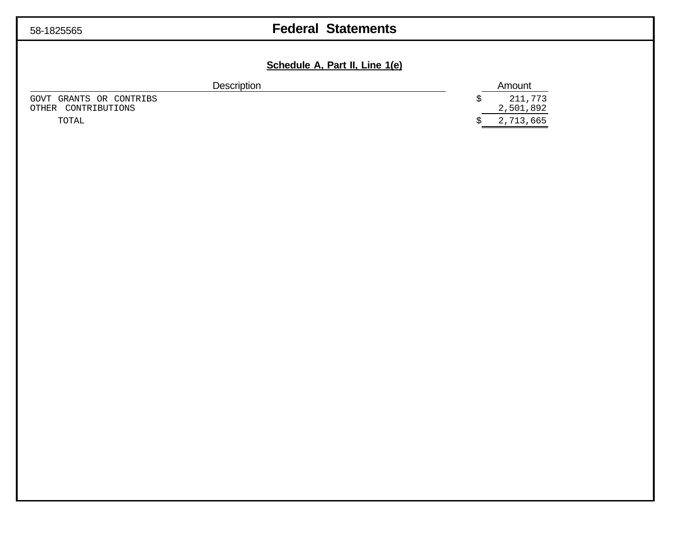| 58-1825565 |
|------------|
|------------|

## **Federal Statements**

## **Schedule A, Part II, Line 1(e)**

| <b>Description</b>                                | Amount               |
|---------------------------------------------------|----------------------|
| GOVT GRANTS OR CONTRIBS<br>CONTRIBUTIONS<br>OTHER | 211,773<br>2,501,892 |
| TOTAL                                             | 2,713,665            |
|                                                   |                      |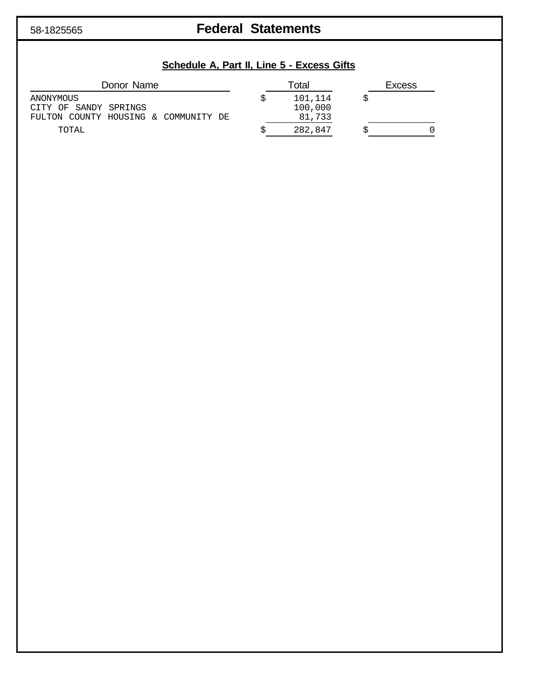## 58-1825565 **Federal Statements**

| <b>Schedule A. Part II. Line 5 - Excess Gifts</b>                          |       |                              |   |               |  |
|----------------------------------------------------------------------------|-------|------------------------------|---|---------------|--|
| Donor Name                                                                 | Total |                              |   | <b>Excess</b> |  |
| ANONYMOUS<br>CITY OF SANDY SPRINGS<br>FULTON COUNTY HOUSING & COMMUNITY DE |       | 101,114<br>100,000<br>81,733 | S |               |  |
| TOTAL                                                                      |       | 282,847                      |   | 0             |  |